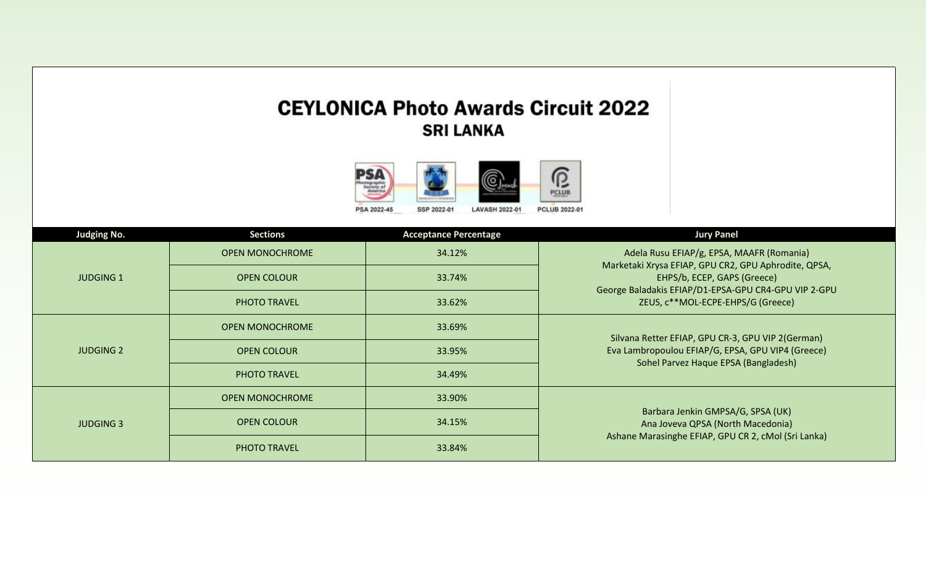## **CEYLONICA Photo Awards Circuit 2022 SRI LANKA**



| <b>Judging No.</b> | <b>Sections</b>        | <b>Acceptance Percentage</b> | <b>Jury Panel</b>                                                                         |
|--------------------|------------------------|------------------------------|-------------------------------------------------------------------------------------------|
|                    | <b>OPEN MONOCHROME</b> | 34.12%                       | Adela Rusu EFIAP/g, EPSA, MAAFR (Romania)                                                 |
| <b>JUDGING 1</b>   | <b>OPEN COLOUR</b>     | 33.74%                       | Marketaki Xrysa EFIAP, GPU CR2, GPU Aphrodite, QPSA,<br>EHPS/b, ECEP, GAPS (Greece)       |
|                    | PHOTO TRAVEL           | 33.62%                       | George Baladakis EFIAP/D1-EPSA-GPU CR4-GPU VIP 2-GPU<br>ZEUS, c**MOL-ECPE-EHPS/G (Greece) |
|                    | <b>OPEN MONOCHROME</b> | 33.69%                       | Silvana Retter EFIAP, GPU CR-3, GPU VIP 2(German)                                         |
| <b>JUDGING 2</b>   | <b>OPEN COLOUR</b>     | 33.95%                       | Eva Lambropoulou EFIAP/G, EPSA, GPU VIP4 (Greece)<br>Sohel Parvez Haque EPSA (Bangladesh) |
|                    | PHOTO TRAVEL           | 34.49%                       |                                                                                           |
|                    | <b>OPEN MONOCHROME</b> | 33.90%                       |                                                                                           |
| <b>JUDGING 3</b>   | <b>OPEN COLOUR</b>     | 34.15%                       | Barbara Jenkin GMPSA/G, SPSA (UK)<br>Ana Joveva QPSA (North Macedonia)                    |
|                    | PHOTO TRAVEL           | 33.84%                       | Ashane Marasinghe EFIAP, GPU CR 2, cMol (Sri Lanka)                                       |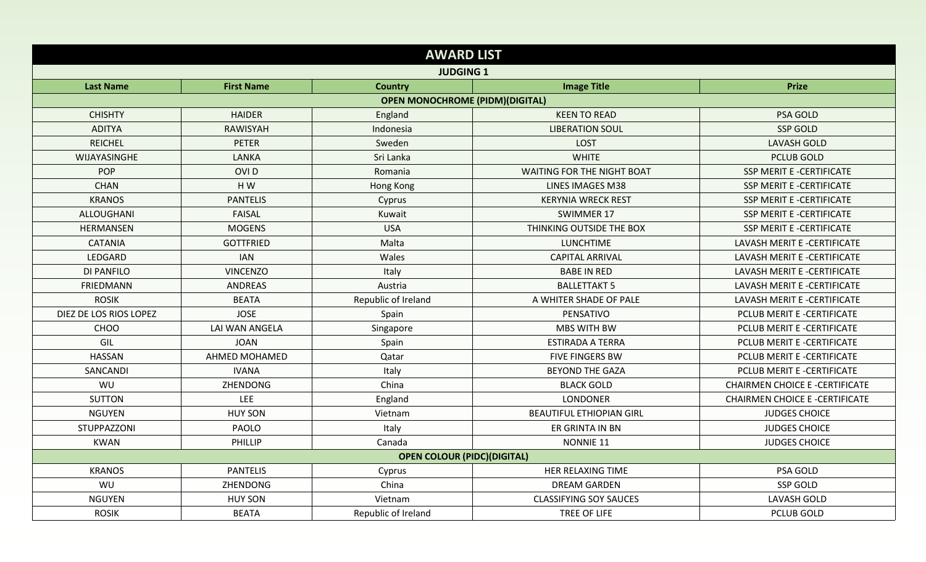|                        |                   | <b>AWARD LIST</b>                      |                                   |                                       |  |
|------------------------|-------------------|----------------------------------------|-----------------------------------|---------------------------------------|--|
|                        |                   | <b>JUDGING 1</b>                       |                                   |                                       |  |
| <b>Last Name</b>       | <b>First Name</b> | <b>Country</b>                         | <b>Image Title</b>                | <b>Prize</b>                          |  |
|                        |                   | <b>OPEN MONOCHROME (PIDM)(DIGITAL)</b> |                                   |                                       |  |
| <b>CHISHTY</b>         | <b>HAIDER</b>     | England                                | <b>KEEN TO READ</b>               | PSA GOLD                              |  |
| <b>ADITYA</b>          | RAWISYAH          | Indonesia                              | <b>LIBERATION SOUL</b>            | <b>SSP GOLD</b>                       |  |
| <b>REICHEL</b>         | PETER             | Sweden                                 | <b>LOST</b>                       | <b>LAVASH GOLD</b>                    |  |
| WIJAYASINGHE           | <b>LANKA</b>      | Sri Lanka                              | <b>WHITE</b>                      | <b>PCLUB GOLD</b>                     |  |
| POP                    | OVI <sub>D</sub>  | Romania                                | <b>WAITING FOR THE NIGHT BOAT</b> | SSP MERIT E -CERTIFICATE              |  |
| <b>CHAN</b>            | HW                | Hong Kong                              | <b>LINES IMAGES M38</b>           | <b>SSP MERIT E -CERTIFICATE</b>       |  |
| <b>KRANOS</b>          | <b>PANTELIS</b>   | Cyprus                                 | <b>KERYNIA WRECK REST</b>         | SSP MERIT E -CERTIFICATE              |  |
| ALLOUGHANI             | <b>FAISAL</b>     | Kuwait                                 | SWIMMER 17                        | SSP MERIT E -CERTIFICATE              |  |
| <b>HERMANSEN</b>       | <b>MOGENS</b>     | <b>USA</b>                             | THINKING OUTSIDE THE BOX          | SSP MERIT E -CERTIFICATE              |  |
| <b>CATANIA</b>         | <b>GOTTFRIED</b>  | Malta                                  | <b>LUNCHTIME</b>                  | LAVASH MERIT E -CERTIFICATE           |  |
| LEDGARD                | <b>IAN</b>        | Wales                                  | <b>CAPITAL ARRIVAL</b>            | LAVASH MERIT E -CERTIFICATE           |  |
| DI PANFILO             | <b>VINCENZO</b>   | Italy                                  | <b>BABE IN RED</b>                | LAVASH MERIT E -CERTIFICATE           |  |
| FRIEDMANN              | <b>ANDREAS</b>    | Austria                                | <b>BALLETTAKT 5</b>               | LAVASH MERIT E -CERTIFICATE           |  |
| <b>ROSIK</b>           | <b>BEATA</b>      | Republic of Ireland                    | A WHITER SHADE OF PALE            | LAVASH MERIT E -CERTIFICATE           |  |
| DIEZ DE LOS RIOS LOPEZ | <b>JOSE</b>       | Spain                                  | PENSATIVO                         | PCLUB MERIT E -CERTIFICATE            |  |
| CHOO                   | LAI WAN ANGELA    | Singapore                              | <b>MBS WITH BW</b>                | PCLUB MERIT E -CERTIFICATE            |  |
| GIL                    | <b>JOAN</b>       | Spain                                  | <b>ESTIRADA A TERRA</b>           | PCLUB MERIT E -CERTIFICATE            |  |
| <b>HASSAN</b>          | AHMED MOHAMED     | Qatar                                  | <b>FIVE FINGERS BW</b>            | PCLUB MERIT E -CERTIFICATE            |  |
| SANCANDI               | <b>IVANA</b>      | Italy                                  | <b>BEYOND THE GAZA</b>            | PCLUB MERIT E -CERTIFICATE            |  |
| WU                     | ZHENDONG          | China                                  | <b>BLACK GOLD</b>                 | <b>CHAIRMEN CHOICE E -CERTIFICATE</b> |  |
| <b>SUTTON</b>          | LEE               | England                                | LONDONER                          | <b>CHAIRMEN CHOICE E -CERTIFICATE</b> |  |
| <b>NGUYEN</b>          | <b>HUY SON</b>    | Vietnam                                | <b>BEAUTIFUL ETHIOPIAN GIRL</b>   | <b>JUDGES CHOICE</b>                  |  |
| STUPPAZZONI            | PAOLO             | Italy                                  | ER GRINTA IN BN                   | <b>JUDGES CHOICE</b>                  |  |
| <b>KWAN</b>            | PHILLIP           | Canada                                 | NONNIE 11                         | <b>JUDGES CHOICE</b>                  |  |
|                        |                   | <b>OPEN COLOUR (PIDC)(DIGITAL)</b>     |                                   |                                       |  |
| <b>KRANOS</b>          | <b>PANTELIS</b>   | Cyprus                                 | HER RELAXING TIME                 | PSA GOLD                              |  |
| WU                     | <b>ZHENDONG</b>   | China                                  | <b>DREAM GARDEN</b>               | <b>SSP GOLD</b>                       |  |
| <b>NGUYEN</b>          | <b>HUY SON</b>    | Vietnam                                | <b>CLASSIFYING SOY SAUCES</b>     | <b>LAVASH GOLD</b>                    |  |
| <b>ROSIK</b>           | <b>BEATA</b>      | Republic of Ireland                    | TREE OF LIFE                      | <b>PCLUB GOLD</b>                     |  |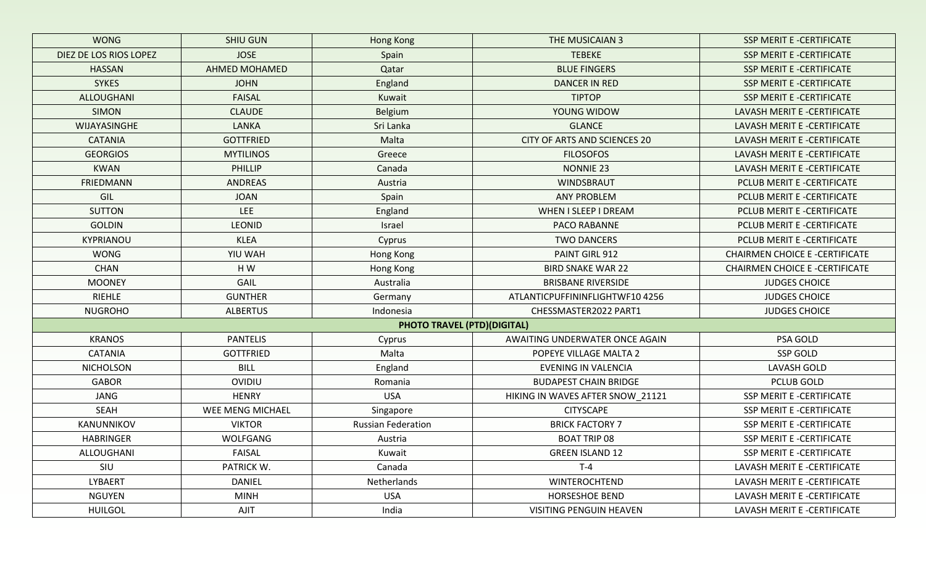| <b>WONG</b>            | <b>SHIU GUN</b>      | Hong Kong                                 | THE MUSICAIAN 3                  | <b>SSP MERIT E -CERTIFICATE</b>      |
|------------------------|----------------------|-------------------------------------------|----------------------------------|--------------------------------------|
| DIEZ DE LOS RIOS LOPEZ | <b>JOSE</b>          | Spain                                     | <b>TEBEKE</b>                    | <b>SSP MERIT E -CERTIFICATE</b>      |
| <b>HASSAN</b>          | <b>AHMED MOHAMED</b> | Qatar                                     | <b>BLUE FINGERS</b>              | <b>SSP MERIT E -CERTIFICATE</b>      |
| <b>SYKES</b>           | <b>JOHN</b>          | England                                   | <b>DANCER IN RED</b>             | <b>SSP MERIT E -CERTIFICATE</b>      |
| ALLOUGHANI             | <b>FAISAL</b>        | Kuwait                                    | <b>TIPTOP</b>                    | <b>SSP MERIT E -CERTIFICATE</b>      |
| <b>SIMON</b>           | <b>CLAUDE</b>        | Belgium                                   | YOUNG WIDOW                      | LAVASH MERIT E -CERTIFICATE          |
| WIJAYASINGHE           | <b>LANKA</b>         | Sri Lanka                                 | <b>GLANCE</b>                    | LAVASH MERIT E -CERTIFICATE          |
| <b>CATANIA</b>         | <b>GOTTFRIED</b>     | Malta                                     | CITY OF ARTS AND SCIENCES 20     | LAVASH MERIT E -CERTIFICATE          |
| <b>GEORGIOS</b>        | <b>MYTILINOS</b>     | Greece                                    | <b>FILOSOFOS</b>                 | LAVASH MERIT E -CERTIFICATE          |
| <b>KWAN</b>            | PHILLIP              | Canada                                    | <b>NONNIE 23</b>                 | LAVASH MERIT E -CERTIFICATE          |
| <b>FRIEDMANN</b>       | <b>ANDREAS</b>       | Austria                                   | WINDSBRAUT                       | PCLUB MERIT E -CERTIFICATE           |
| GIL                    | <b>JOAN</b>          | Spain                                     | <b>ANY PROBLEM</b>               | PCLUB MERIT E -CERTIFICATE           |
| <b>SUTTON</b>          | <b>LEE</b>           | England                                   | WHEN I SLEEP I DREAM             | PCLUB MERIT E -CERTIFICATE           |
| <b>GOLDIN</b>          | <b>LEONID</b>        | Israel                                    | PACO RABANNE                     | PCLUB MERIT E -CERTIFICATE           |
| KYPRIANOU              | <b>KLEA</b>          | Cyprus                                    | <b>TWO DANCERS</b>               | PCLUB MERIT E -CERTIFICATE           |
| <b>WONG</b>            | YIU WAH              | <b>Hong Kong</b>                          | PAINT GIRL 912                   | <b>CHAIRMEN CHOICE E-CERTIFICATE</b> |
| <b>CHAN</b>            | HW                   | Hong Kong                                 | <b>BIRD SNAKE WAR 22</b>         | <b>CHAIRMEN CHOICE E-CERTIFICATE</b> |
| <b>MOONEY</b>          | GAIL                 | Australia                                 | <b>BRISBANE RIVERSIDE</b>        | <b>JUDGES CHOICE</b>                 |
| <b>RIEHLE</b>          | <b>GUNTHER</b>       | ATLANTICPUFFININFLIGHTWF104256<br>Germany |                                  | <b>JUDGES CHOICE</b>                 |
| <b>NUGROHO</b>         | <b>ALBERTUS</b>      | Indonesia                                 | CHESSMASTER2022 PART1            | <b>JUDGES CHOICE</b>                 |
|                        |                      | <b>PHOTO TRAVEL (PTD) (DIGITAL)</b>       |                                  |                                      |
| <b>KRANOS</b>          | <b>PANTELIS</b>      | Cyprus                                    | AWAITING UNDERWATER ONCE AGAIN   | PSA GOLD                             |
| <b>CATANIA</b>         | <b>GOTTFRIED</b>     | Malta                                     | POPEYE VILLAGE MALTA 2           | <b>SSP GOLD</b>                      |
| <b>NICHOLSON</b>       | <b>BILL</b>          | England                                   | <b>EVENING IN VALENCIA</b>       | <b>LAVASH GOLD</b>                   |
| <b>GABOR</b>           | <b>OVIDIU</b>        | Romania                                   | <b>BUDAPEST CHAIN BRIDGE</b>     | PCLUB GOLD                           |
| JANG                   | <b>HENRY</b>         | <b>USA</b>                                | HIKING IN WAVES AFTER SNOW_21121 | SSP MERIT E -CERTIFICATE             |
| <b>SEAH</b>            | WEE MENG MICHAEL     | Singapore                                 | <b>CITYSCAPE</b>                 | SSP MERIT E -CERTIFICATE             |
| KANUNNIKOV             | <b>VIKTOR</b>        | <b>Russian Federation</b>                 | <b>BRICK FACTORY 7</b>           | SSP MERIT E -CERTIFICATE             |
| <b>HABRINGER</b>       | WOLFGANG             | Austria                                   | <b>BOAT TRIP 08</b>              | <b>SSP MERIT E -CERTIFICATE</b>      |
| ALLOUGHANI             | <b>FAISAL</b>        | Kuwait                                    | <b>GREEN ISLAND 12</b>           | SSP MERIT E -CERTIFICATE             |
| SIU                    | PATRICK W.           | Canada                                    | $T-4$                            | LAVASH MERIT E -CERTIFICATE          |
| LYBAERT                | DANIEL               | Netherlands                               | <b>WINTEROCHTEND</b>             | LAVASH MERIT E -CERTIFICATE          |
| <b>NGUYEN</b>          | <b>MINH</b>          | <b>USA</b>                                | <b>HORSESHOE BEND</b>            | LAVASH MERIT E -CERTIFICATE          |
| <b>HUILGOL</b>         | AJIT                 | India                                     | VISITING PENGUIN HEAVEN          | LAVASH MERIT E -CERTIFICATE          |
|                        |                      |                                           |                                  |                                      |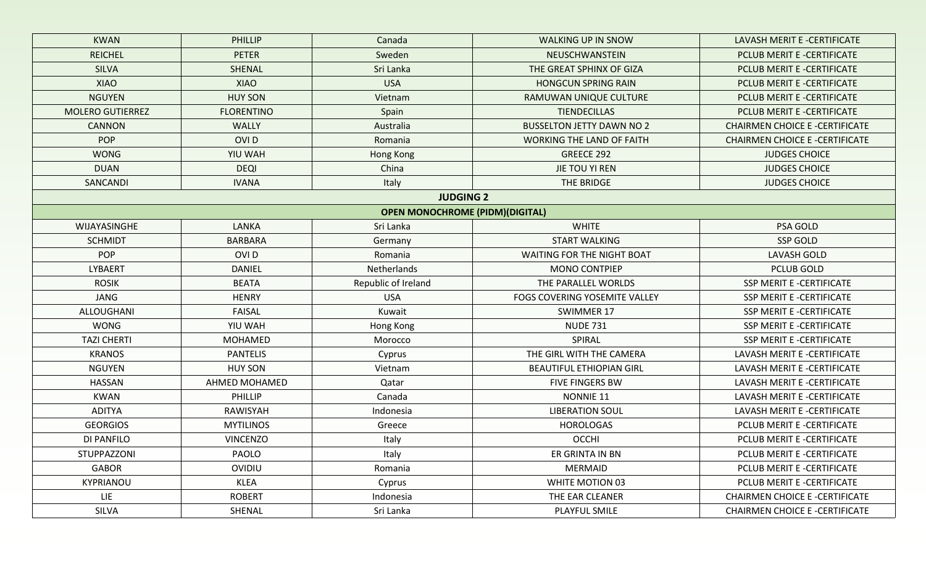| <b>KWAN</b>             | PHILLIP           | Canada                                 | <b>WALKING UP IN SNOW</b>         | LAVASH MERIT E -CERTIFICATE           |
|-------------------------|-------------------|----------------------------------------|-----------------------------------|---------------------------------------|
| <b>REICHEL</b>          | <b>PETER</b>      | Sweden                                 | NEUSCHWANSTEIN                    | PCLUB MERIT E -CERTIFICATE            |
| <b>SILVA</b>            | SHENAL            | Sri Lanka                              | THE GREAT SPHINX OF GIZA          | PCLUB MERIT E -CERTIFICATE            |
| <b>XIAO</b>             | <b>XIAO</b>       | <b>USA</b>                             | <b>HONGCUN SPRING RAIN</b>        | PCLUB MERIT E -CERTIFICATE            |
| <b>NGUYEN</b>           | <b>HUY SON</b>    | Vietnam                                | RAMUWAN UNIQUE CULTURE            | PCLUB MERIT E -CERTIFICATE            |
| <b>MOLERO GUTIERREZ</b> | <b>FLORENTINO</b> | Spain                                  | <b>TIENDECILLAS</b>               | PCLUB MERIT E -CERTIFICATE            |
| <b>CANNON</b>           | <b>WALLY</b>      | Australia                              | <b>BUSSELTON JETTY DAWN NO 2</b>  | <b>CHAIRMEN CHOICE E-CERTIFICATE</b>  |
| <b>POP</b>              | <b>OVID</b>       | Romania                                | <b>WORKING THE LAND OF FAITH</b>  | <b>CHAIRMEN CHOICE E -CERTIFICATE</b> |
| <b>WONG</b>             | YIU WAH           | Hong Kong                              | GREECE 292                        | <b>JUDGES CHOICE</b>                  |
| <b>DUAN</b>             | <b>DEQI</b>       | China                                  | JIE TOU YI REN                    | <b>JUDGES CHOICE</b>                  |
| SANCANDI                | <b>IVANA</b>      | Italy                                  | THE BRIDGE                        | <b>JUDGES CHOICE</b>                  |
|                         |                   | <b>JUDGING 2</b>                       |                                   |                                       |
|                         |                   | <b>OPEN MONOCHROME (PIDM)(DIGITAL)</b> |                                   |                                       |
| WIJAYASINGHE            | LANKA             | Sri Lanka                              | <b>WHITE</b>                      | PSA GOLD                              |
| <b>SCHMIDT</b>          | <b>BARBARA</b>    | Germany                                | <b>START WALKING</b>              | <b>SSP GOLD</b>                       |
| <b>POP</b>              | OVI <sub>D</sub>  | Romania                                | <b>WAITING FOR THE NIGHT BOAT</b> | <b>LAVASH GOLD</b>                    |
| <b>LYBAERT</b>          | <b>DANIEL</b>     | Netherlands                            | <b>MONO CONTPIEP</b>              | <b>PCLUB GOLD</b>                     |
| <b>ROSIK</b>            | <b>BEATA</b>      | Republic of Ireland                    | THE PARALLEL WORLDS               | SSP MERIT E -CERTIFICATE              |
| <b>JANG</b>             | <b>HENRY</b>      | <b>USA</b>                             | FOGS COVERING YOSEMITE VALLEY     | SSP MERIT E -CERTIFICATE              |
| ALLOUGHANI              | <b>FAISAL</b>     | Kuwait                                 | <b>SWIMMER 17</b>                 | SSP MERIT E -CERTIFICATE              |
| <b>WONG</b>             | YIU WAH           | Hong Kong                              | <b>NUDE 731</b>                   | SSP MERIT E -CERTIFICATE              |
| <b>TAZI CHERTI</b>      | <b>MOHAMED</b>    | Morocco                                | SPIRAL                            | SSP MERIT E -CERTIFICATE              |
| <b>KRANOS</b>           | <b>PANTELIS</b>   | Cyprus                                 | THE GIRL WITH THE CAMERA          | LAVASH MERIT E -CERTIFICATE           |
| <b>NGUYEN</b>           | <b>HUY SON</b>    | Vietnam                                | <b>BEAUTIFUL ETHIOPIAN GIRL</b>   | LAVASH MERIT E -CERTIFICATE           |
| <b>HASSAN</b>           | AHMED MOHAMED     | Qatar                                  | <b>FIVE FINGERS BW</b>            | LAVASH MERIT E -CERTIFICATE           |
| <b>KWAN</b>             | PHILLIP           | Canada                                 | NONNIE 11                         | LAVASH MERIT E -CERTIFICATE           |
| ADITYA                  | RAWISYAH          | Indonesia                              | <b>LIBERATION SOUL</b>            | LAVASH MERIT E -CERTIFICATE           |
| <b>GEORGIOS</b>         | <b>MYTILINOS</b>  | Greece                                 | <b>HOROLOGAS</b>                  | PCLUB MERIT E -CERTIFICATE            |
| DI PANFILO              | <b>VINCENZO</b>   | Italy                                  | <b>OCCHI</b>                      | PCLUB MERIT E -CERTIFICATE            |
| STUPPAZZONI             | PAOLO             | Italy                                  | ER GRINTA IN BN                   | PCLUB MERIT E -CERTIFICATE            |
| GABOR                   | OVIDIU            | Romania                                | <b>MERMAID</b>                    | PCLUB MERIT E -CERTIFICATE            |
| KYPRIANOU               | <b>KLEA</b>       | Cyprus                                 | WHITE MOTION 03                   | PCLUB MERIT E -CERTIFICATE            |
| LIE                     | <b>ROBERT</b>     | Indonesia                              | THE EAR CLEANER                   | <b>CHAIRMEN CHOICE E-CERTIFICATE</b>  |
| SILVA                   | SHENAL            | Sri Lanka                              | PLAYFUL SMILE                     | <b>CHAIRMEN CHOICE E-CERTIFICATE</b>  |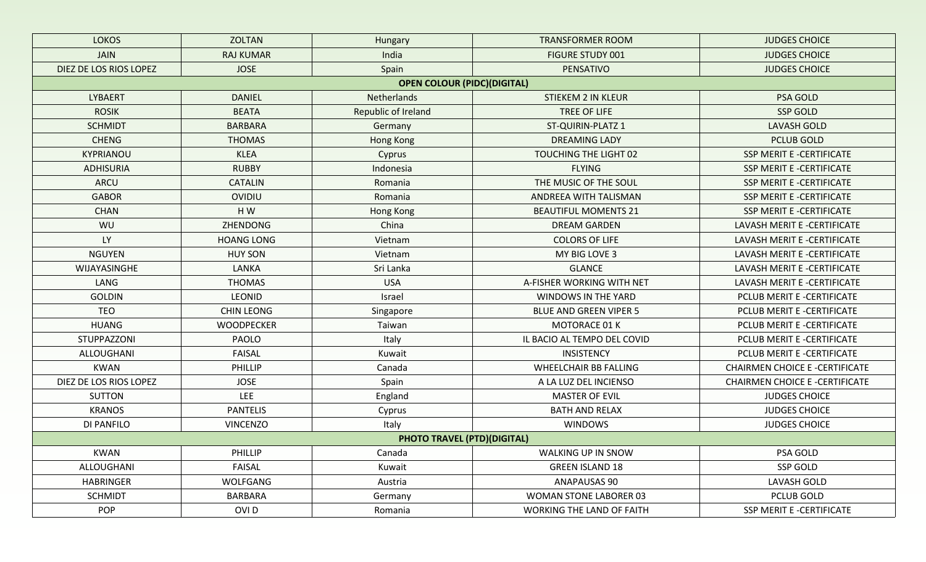| <b>LOKOS</b>           | <b>ZOLTAN</b>     | Hungary                            | <b>TRANSFORMER ROOM</b>          | <b>JUDGES CHOICE</b>                 |
|------------------------|-------------------|------------------------------------|----------------------------------|--------------------------------------|
| <b>JAIN</b>            | <b>RAJ KUMAR</b>  | India                              | <b>FIGURE STUDY 001</b>          | <b>JUDGES CHOICE</b>                 |
| DIEZ DE LOS RIOS LOPEZ | <b>JOSE</b>       | Spain                              | PENSATIVO                        | <b>JUDGES CHOICE</b>                 |
|                        |                   | <b>OPEN COLOUR (PIDC)(DIGITAL)</b> |                                  |                                      |
| <b>LYBAERT</b>         | <b>DANIEL</b>     | Netherlands                        | <b>STIEKEM 2 IN KLEUR</b>        | PSA GOLD                             |
| <b>ROSIK</b>           | <b>BEATA</b>      | Republic of Ireland                | TREE OF LIFE                     | <b>SSP GOLD</b>                      |
| <b>SCHMIDT</b>         | <b>BARBARA</b>    | Germany                            | ST-QUIRIN-PLATZ 1                | <b>LAVASH GOLD</b>                   |
| <b>CHENG</b>           | <b>THOMAS</b>     | <b>Hong Kong</b>                   | <b>DREAMING LADY</b>             | <b>PCLUB GOLD</b>                    |
| KYPRIANOU              | <b>KLEA</b>       | Cyprus                             | TOUCHING THE LIGHT 02            | SSP MERIT E -CERTIFICATE             |
| <b>ADHISURIA</b>       | <b>RUBBY</b>      | Indonesia                          | <b>FLYING</b>                    | SSP MERIT E -CERTIFICATE             |
| ARCU                   | <b>CATALIN</b>    | Romania                            | THE MUSIC OF THE SOUL            | SSP MERIT E -CERTIFICATE             |
| <b>GABOR</b>           | <b>OVIDIU</b>     | Romania                            | ANDREEA WITH TALISMAN            | <b>SSP MERIT E -CERTIFICATE</b>      |
| <b>CHAN</b>            | HW                | Hong Kong                          | <b>BEAUTIFUL MOMENTS 21</b>      | SSP MERIT E -CERTIFICATE             |
| WU                     | <b>ZHENDONG</b>   | China                              | <b>DREAM GARDEN</b>              | LAVASH MERIT E -CERTIFICATE          |
| <b>LY</b>              | <b>HOANG LONG</b> | Vietnam                            | <b>COLORS OF LIFE</b>            | LAVASH MERIT E -CERTIFICATE          |
| <b>NGUYEN</b>          | <b>HUY SON</b>    | Vietnam                            | MY BIG LOVE 3                    | LAVASH MERIT E -CERTIFICATE          |
| WIJAYASINGHE           | LANKA             | Sri Lanka                          | <b>GLANCE</b>                    | LAVASH MERIT E -CERTIFICATE          |
| LANG                   | <b>THOMAS</b>     | <b>USA</b>                         | A-FISHER WORKING WITH NET        | LAVASH MERIT E -CERTIFICATE          |
| <b>GOLDIN</b>          | <b>LEONID</b>     | Israel                             | WINDOWS IN THE YARD              | PCLUB MERIT E -CERTIFICATE           |
| <b>TEO</b>             | <b>CHIN LEONG</b> | Singapore                          | <b>BLUE AND GREEN VIPER 5</b>    | PCLUB MERIT E -CERTIFICATE           |
| <b>HUANG</b>           | <b>WOODPECKER</b> | Taiwan                             | <b>MOTORACE 01 K</b>             | PCLUB MERIT E -CERTIFICATE           |
| STUPPAZZONI            | PAOLO             | Italy                              | IL BACIO AL TEMPO DEL COVID      | PCLUB MERIT E -CERTIFICATE           |
| ALLOUGHANI             | FAISAL            | Kuwait                             | <b>INSISTENCY</b>                | PCLUB MERIT E -CERTIFICATE           |
| <b>KWAN</b>            | PHILLIP           | Canada                             | <b>WHEELCHAIR BB FALLING</b>     | <b>CHAIRMEN CHOICE E-CERTIFICATE</b> |
| DIEZ DE LOS RIOS LOPEZ | <b>JOSE</b>       | Spain                              | A LA LUZ DEL INCIENSO            | <b>CHAIRMEN CHOICE E-CERTIFICATE</b> |
| <b>SUTTON</b>          | LEE               | England                            | <b>MASTER OF EVIL</b>            | <b>JUDGES CHOICE</b>                 |
| <b>KRANOS</b>          | <b>PANTELIS</b>   | Cyprus                             | <b>BATH AND RELAX</b>            | <b>JUDGES CHOICE</b>                 |
| <b>DI PANFILO</b>      | <b>VINCENZO</b>   | Italy                              | <b>WINDOWS</b>                   | <b>JUDGES CHOICE</b>                 |
|                        |                   | <b>PHOTO TRAVEL (PTD)(DIGITAL)</b> |                                  |                                      |
| <b>KWAN</b>            | PHILLIP           | Canada                             | WALKING UP IN SNOW               | PSA GOLD                             |
| ALLOUGHANI             | FAISAL            | Kuwait                             | <b>GREEN ISLAND 18</b>           | SSP GOLD                             |
| <b>HABRINGER</b>       | WOLFGANG          | Austria                            | ANAPAUSAS 90                     | <b>LAVASH GOLD</b>                   |
| <b>SCHMIDT</b>         | BARBARA           | Germany                            | <b>WOMAN STONE LABORER 03</b>    | PCLUB GOLD                           |
| <b>POP</b>             | OVI <sub>D</sub>  | Romania                            | <b>WORKING THE LAND OF FAITH</b> | SSP MERIT E -CERTIFICATE             |
|                        |                   |                                    |                                  |                                      |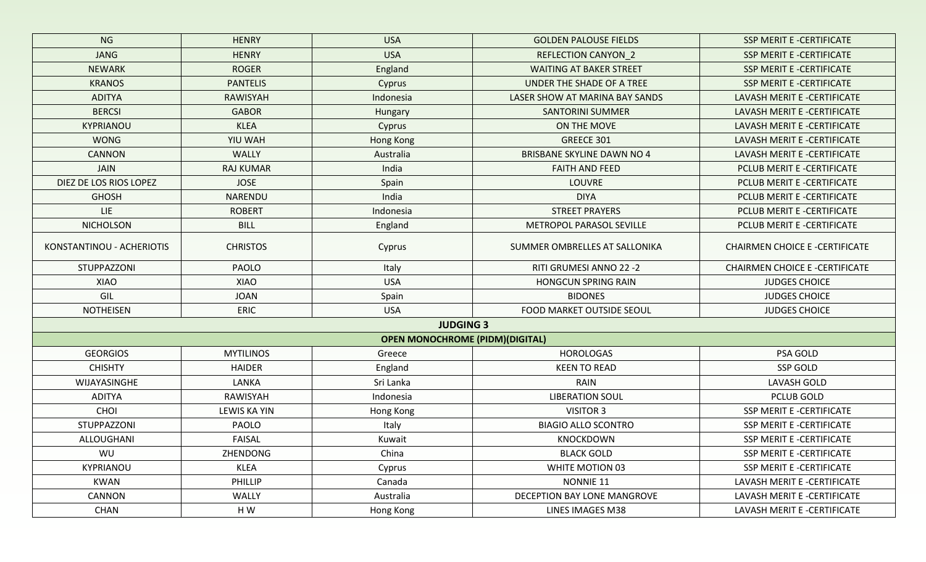| NG                                           | <b>HENRY</b>     | <b>USA</b>                             | <b>GOLDEN PALOUSE FIELDS</b>      | <b>SSP MERIT E -CERTIFICATE</b>              |  |
|----------------------------------------------|------------------|----------------------------------------|-----------------------------------|----------------------------------------------|--|
| <b>JANG</b>                                  | <b>HENRY</b>     | <b>USA</b>                             | <b>REFLECTION CANYON_2</b>        | <b>SSP MERIT E -CERTIFICATE</b>              |  |
| <b>NEWARK</b>                                | <b>ROGER</b>     | England                                | <b>WAITING AT BAKER STREET</b>    | SSP MERIT E -CERTIFICATE                     |  |
| <b>KRANOS</b>                                | <b>PANTELIS</b>  | Cyprus                                 | UNDER THE SHADE OF A TREE         | <b>SSP MERIT E -CERTIFICATE</b>              |  |
| <b>ADITYA</b>                                | <b>RAWISYAH</b>  | Indonesia                              | LASER SHOW AT MARINA BAY SANDS    | LAVASH MERIT E -CERTIFICATE                  |  |
| <b>BERCSI</b>                                | <b>GABOR</b>     | Hungary                                | <b>SANTORINI SUMMER</b>           | LAVASH MERIT E -CERTIFICATE                  |  |
| <b>KYPRIANOU</b>                             | <b>KLEA</b>      | Cyprus                                 | ON THE MOVE                       | LAVASH MERIT E -CERTIFICATE                  |  |
| <b>WONG</b>                                  | YIU WAH          | Hong Kong                              | GREECE 301                        | LAVASH MERIT E -CERTIFICATE                  |  |
| <b>CANNON</b>                                | <b>WALLY</b>     | Australia                              | <b>BRISBANE SKYLINE DAWN NO 4</b> | LAVASH MERIT E -CERTIFICATE                  |  |
| <b>JAIN</b>                                  | <b>RAJ KUMAR</b> | India                                  | <b>FAITH AND FEED</b>             | PCLUB MERIT E -CERTIFICATE                   |  |
| DIEZ DE LOS RIOS LOPEZ                       | <b>JOSE</b>      | Spain                                  | <b>LOUVRE</b>                     | PCLUB MERIT E -CERTIFICATE                   |  |
| <b>GHOSH</b>                                 | NARENDU          | India                                  | <b>DIYA</b>                       | PCLUB MERIT E -CERTIFICATE                   |  |
| <b>LIE</b>                                   | <b>ROBERT</b>    | Indonesia                              | <b>STREET PRAYERS</b>             | PCLUB MERIT E -CERTIFICATE                   |  |
| <b>NICHOLSON</b>                             | <b>BILL</b>      | England                                | METROPOL PARASOL SEVILLE          | PCLUB MERIT E -CERTIFICATE                   |  |
| KONSTANTINOU - ACHERIOTIS<br><b>CHRISTOS</b> |                  | Cyprus                                 | SUMMER OMBRELLES AT SALLONIKA     | <b>CHAIRMEN CHOICE E-CERTIFICATE</b>         |  |
| STUPPAZZONI                                  | <b>PAOLO</b>     | Italy                                  | RITI GRUMESI ANNO 22 -2           | <b>CHAIRMEN CHOICE E -CERTIFICATE</b>        |  |
| XIAO                                         | XIAO             | <b>USA</b>                             | <b>HONGCUN SPRING RAIN</b>        | <b>JUDGES CHOICE</b>                         |  |
| GIL                                          | <b>JOAN</b>      | Spain                                  | <b>BIDONES</b>                    | <b>JUDGES CHOICE</b><br><b>JUDGES CHOICE</b> |  |
| <b>NOTHEISEN</b>                             | <b>ERIC</b>      | <b>USA</b>                             | <b>FOOD MARKET OUTSIDE SEOUL</b>  |                                              |  |
|                                              |                  | <b>JUDGING 3</b>                       |                                   |                                              |  |
|                                              |                  | <b>OPEN MONOCHROME (PIDM)(DIGITAL)</b> |                                   |                                              |  |
| <b>GEORGIOS</b>                              | <b>MYTILINOS</b> | Greece                                 | <b>HOROLOGAS</b>                  | PSA GOLD                                     |  |
| <b>CHISHTY</b>                               | <b>HAIDER</b>    | England                                | <b>KEEN TO READ</b>               | <b>SSP GOLD</b>                              |  |
| WIJAYASINGHE                                 | LANKA            | Sri Lanka                              | <b>RAIN</b>                       | <b>LAVASH GOLD</b>                           |  |
| <b>ADITYA</b>                                | RAWISYAH         | Indonesia                              | <b>LIBERATION SOUL</b>            | <b>PCLUB GOLD</b>                            |  |
| CHOI                                         | LEWIS KA YIN     | Hong Kong                              | <b>VISITOR 3</b>                  | SSP MERIT E -CERTIFICATE                     |  |
| STUPPAZZONI                                  | PAOLO            | Italy                                  | <b>BIAGIO ALLO SCONTRO</b>        | SSP MERIT E -CERTIFICATE                     |  |
| ALLOUGHANI                                   | FAISAL           | Kuwait                                 | <b>KNOCKDOWN</b>                  | SSP MERIT E -CERTIFICATE                     |  |
| WU                                           | ZHENDONG         | China                                  | <b>BLACK GOLD</b>                 | SSP MERIT E -CERTIFICATE                     |  |
| KYPRIANOU                                    | <b>KLEA</b>      | Cyprus                                 | WHITE MOTION 03                   | SSP MERIT E -CERTIFICATE                     |  |
| <b>KWAN</b>                                  | PHILLIP          | Canada                                 | NONNIE 11                         | LAVASH MERIT E -CERTIFICATE                  |  |
| CANNON                                       | WALLY            | Australia                              | DECEPTION BAY LONE MANGROVE       | LAVASH MERIT E -CERTIFICATE                  |  |
| <b>CHAN</b>                                  | HW               | Hong Kong                              | LINES IMAGES M38                  | LAVASH MERIT E -CERTIFICATE                  |  |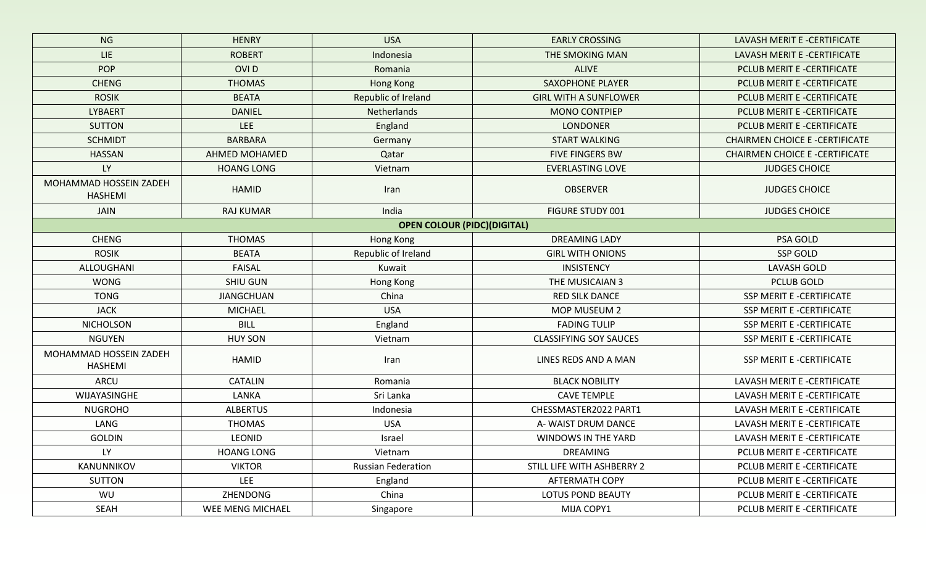| <b>NG</b>                                | <b>HENRY</b>      | <b>USA</b>                         | <b>EARLY CROSSING</b>         | LAVASH MERIT E -CERTIFICATE           |
|------------------------------------------|-------------------|------------------------------------|-------------------------------|---------------------------------------|
| LIE.<br><b>ROBERT</b>                    |                   | Indonesia                          | THE SMOKING MAN               | LAVASH MERIT E -CERTIFICATE           |
| <b>POP</b>                               | OVI <sub>D</sub>  | Romania                            | <b>ALIVE</b>                  | PCLUB MERIT E -CERTIFICATE            |
| <b>CHENG</b>                             | <b>THOMAS</b>     | <b>Hong Kong</b>                   | <b>SAXOPHONE PLAYER</b>       | PCLUB MERIT E -CERTIFICATE            |
| <b>ROSIK</b>                             | <b>BEATA</b>      | Republic of Ireland                | <b>GIRL WITH A SUNFLOWER</b>  | PCLUB MERIT E -CERTIFICATE            |
| <b>LYBAERT</b>                           | <b>DANIEL</b>     | Netherlands                        | <b>MONO CONTPIEP</b>          | PCLUB MERIT E -CERTIFICATE            |
| <b>SUTTON</b>                            | LEE               | England                            | <b>LONDONER</b>               | PCLUB MERIT E -CERTIFICATE            |
| <b>SCHMIDT</b>                           | <b>BARBARA</b>    | Germany                            | <b>START WALKING</b>          | <b>CHAIRMEN CHOICE E -CERTIFICATE</b> |
| <b>HASSAN</b>                            | AHMED MOHAMED     | Qatar                              | <b>FIVE FINGERS BW</b>        | <b>CHAIRMEN CHOICE E -CERTIFICATE</b> |
| <b>LY</b>                                | <b>HOANG LONG</b> | Vietnam                            | <b>EVERLASTING LOVE</b>       | <b>JUDGES CHOICE</b>                  |
| MOHAMMAD HOSSEIN ZADEH<br><b>HASHEMI</b> | <b>HAMID</b>      | Iran                               | <b>OBSERVER</b>               | <b>JUDGES CHOICE</b>                  |
| <b>JAIN</b>                              | <b>RAJ KUMAR</b>  | India                              | <b>FIGURE STUDY 001</b>       | <b>JUDGES CHOICE</b>                  |
|                                          |                   | <b>OPEN COLOUR (PIDC)(DIGITAL)</b> |                               |                                       |
| <b>CHENG</b>                             | <b>THOMAS</b>     | Hong Kong                          | <b>DREAMING LADY</b>          | PSA GOLD                              |
| <b>ROSIK</b>                             | <b>BEATA</b>      | Republic of Ireland                | <b>GIRL WITH ONIONS</b>       | <b>SSP GOLD</b>                       |
| ALLOUGHANI                               | <b>FAISAL</b>     | Kuwait                             | <b>INSISTENCY</b>             | <b>LAVASH GOLD</b>                    |
| <b>WONG</b>                              | <b>SHIU GUN</b>   | Hong Kong                          | THE MUSICAIAN 3               | PCLUB GOLD                            |
| <b>TONG</b>                              | <b>JIANGCHUAN</b> | China                              | <b>RED SILK DANCE</b>         | SSP MERIT E -CERTIFICATE              |
| <b>JACK</b>                              | <b>MICHAEL</b>    | <b>USA</b>                         | MOP MUSEUM 2                  | SSP MERIT E -CERTIFICATE              |
| <b>NICHOLSON</b>                         | <b>BILL</b>       | England                            | <b>FADING TULIP</b>           | SSP MERIT E -CERTIFICATE              |
| <b>NGUYEN</b>                            | <b>HUY SON</b>    | Vietnam                            | <b>CLASSIFYING SOY SAUCES</b> | SSP MERIT E -CERTIFICATE              |
| MOHAMMAD HOSSEIN ZADEH<br><b>HASHEMI</b> | HAMID             | Iran                               | LINES REDS AND A MAN          | SSP MERIT E -CERTIFICATE              |
| ARCU                                     | <b>CATALIN</b>    | Romania                            | <b>BLACK NOBILITY</b>         | LAVASH MERIT E -CERTIFICATE           |
| WIJAYASINGHE                             | LANKA             | Sri Lanka                          | <b>CAVE TEMPLE</b>            | LAVASH MERIT E -CERTIFICATE           |
| <b>NUGROHO</b>                           | <b>ALBERTUS</b>   | Indonesia                          | CHESSMASTER2022 PART1         | LAVASH MERIT E -CERTIFICATE           |
| LANG                                     | <b>THOMAS</b>     | <b>USA</b>                         | A-WAIST DRUM DANCE            | LAVASH MERIT E -CERTIFICATE           |
| <b>GOLDIN</b>                            | LEONID            | Israel                             | WINDOWS IN THE YARD           | LAVASH MERIT E -CERTIFICATE           |
| <b>LY</b>                                | <b>HOANG LONG</b> | Vietnam                            | <b>DREAMING</b>               | PCLUB MERIT E -CERTIFICATE            |
| KANUNNIKOV                               | <b>VIKTOR</b>     | <b>Russian Federation</b>          | STILL LIFE WITH ASHBERRY 2    | PCLUB MERIT E -CERTIFICATE            |
| <b>SUTTON</b>                            | <b>LEE</b>        | England                            | AFTERMATH COPY                | PCLUB MERIT E -CERTIFICATE            |
| WU                                       | ZHENDONG          | China                              | LOTUS POND BEAUTY             | PCLUB MERIT E -CERTIFICATE            |
| SEAH                                     | WEE MENG MICHAEL  | Singapore                          | MIJA COPY1                    | PCLUB MERIT E -CERTIFICATE            |
|                                          |                   |                                    |                               |                                       |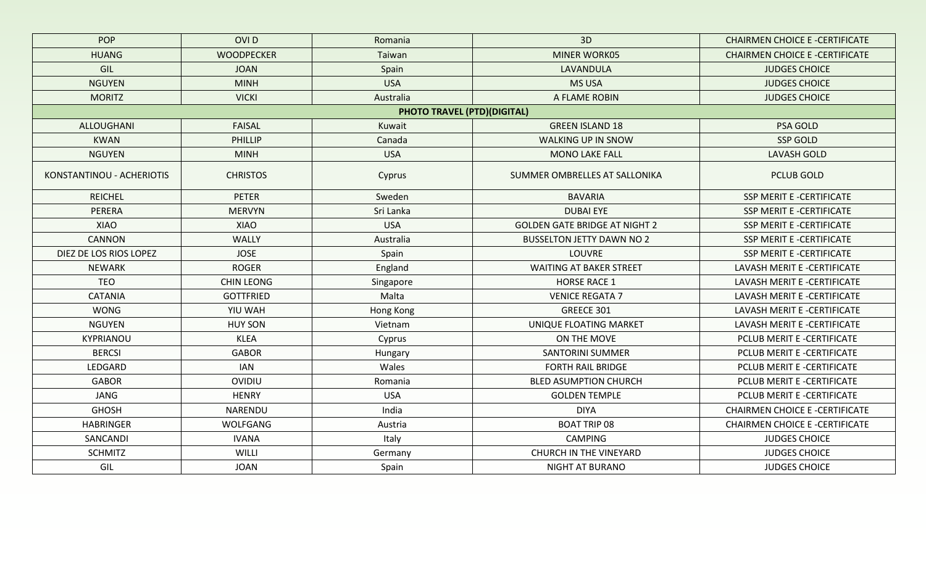| <b>POP</b>                | OVI <sub>D</sub>  | Romania                            | 3D                                   | <b>CHAIRMEN CHOICE E -CERTIFICATE</b> |
|---------------------------|-------------------|------------------------------------|--------------------------------------|---------------------------------------|
| <b>HUANG</b>              | <b>WOODPECKER</b> | Taiwan                             | <b>MINER WORK05</b>                  | <b>CHAIRMEN CHOICE E -CERTIFICATE</b> |
| GIL                       | <b>JOAN</b>       | Spain                              | LAVANDULA                            | <b>JUDGES CHOICE</b>                  |
| <b>NGUYEN</b>             | <b>MINH</b>       | <b>USA</b>                         | <b>MS USA</b>                        | <b>JUDGES CHOICE</b>                  |
| <b>MORITZ</b>             | <b>VICKI</b>      | Australia                          | A FLAME ROBIN                        | <b>JUDGES CHOICE</b>                  |
|                           |                   | <b>PHOTO TRAVEL (PTD)(DIGITAL)</b> |                                      |                                       |
| ALLOUGHANI                | <b>FAISAL</b>     | Kuwait                             | <b>GREEN ISLAND 18</b>               | <b>PSA GOLD</b>                       |
| <b>KWAN</b>               | PHILLIP           | Canada                             | <b>WALKING UP IN SNOW</b>            | <b>SSP GOLD</b>                       |
| <b>NGUYEN</b>             | <b>MINH</b>       | <b>USA</b>                         | <b>MONO LAKE FALL</b>                | <b>LAVASH GOLD</b>                    |
| KONSTANTINOU - ACHERIOTIS | <b>CHRISTOS</b>   | Cyprus                             | SUMMER OMBRELLES AT SALLONIKA        | <b>PCLUB GOLD</b>                     |
| <b>REICHEL</b>            | <b>PETER</b>      | Sweden                             | <b>BAVARIA</b>                       | <b>SSP MERIT E -CERTIFICATE</b>       |
| PERERA                    | <b>MERVYN</b>     | Sri Lanka                          | <b>DUBAI EYE</b>                     | <b>SSP MERIT E -CERTIFICATE</b>       |
| <b>XIAO</b>               | XIAO              | <b>USA</b>                         | <b>GOLDEN GATE BRIDGE AT NIGHT 2</b> | <b>SSP MERIT E -CERTIFICATE</b>       |
| <b>CANNON</b>             | WALLY             | Australia                          | <b>BUSSELTON JETTY DAWN NO 2</b>     | SSP MERIT E -CERTIFICATE              |
| DIEZ DE LOS RIOS LOPEZ    | <b>JOSE</b>       | Spain                              | <b>LOUVRE</b>                        | SSP MERIT E -CERTIFICATE              |
| <b>NEWARK</b>             | <b>ROGER</b>      | England                            | <b>WAITING AT BAKER STREET</b>       | LAVASH MERIT E -CERTIFICATE           |
| <b>TEO</b>                | <b>CHIN LEONG</b> | Singapore                          | <b>HORSE RACE 1</b>                  | LAVASH MERIT E -CERTIFICATE           |
| <b>CATANIA</b>            | <b>GOTTFRIED</b>  | Malta                              | <b>VENICE REGATA 7</b>               | LAVASH MERIT E -CERTIFICATE           |
| <b>WONG</b>               | YIU WAH           | Hong Kong                          | GREECE 301                           | LAVASH MERIT E -CERTIFICATE           |
| <b>NGUYEN</b>             | <b>HUY SON</b>    | Vietnam                            | UNIQUE FLOATING MARKET               | LAVASH MERIT E -CERTIFICATE           |
| KYPRIANOU                 | <b>KLEA</b>       | Cyprus                             | ON THE MOVE                          | PCLUB MERIT E -CERTIFICATE            |
| <b>BERCSI</b>             | <b>GABOR</b>      | Hungary                            | <b>SANTORINI SUMMER</b>              | PCLUB MERIT E -CERTIFICATE            |
| LEDGARD                   | <b>IAN</b>        | Wales                              | <b>FORTH RAIL BRIDGE</b>             | PCLUB MERIT E -CERTIFICATE            |
| <b>GABOR</b>              | OVIDIU            | Romania                            | <b>BLED ASUMPTION CHURCH</b>         | PCLUB MERIT E -CERTIFICATE            |
| <b>JANG</b>               | <b>HENRY</b>      | <b>USA</b>                         | <b>GOLDEN TEMPLE</b>                 | PCLUB MERIT E -CERTIFICATE            |
| <b>GHOSH</b>              | NARENDU           | India                              | <b>DIYA</b>                          | <b>CHAIRMEN CHOICE E -CERTIFICATE</b> |
| <b>HABRINGER</b>          | WOLFGANG          | Austria                            | <b>BOAT TRIP 08</b>                  | <b>CHAIRMEN CHOICE E-CERTIFICATE</b>  |
| SANCANDI                  | <b>IVANA</b>      | Italy                              | <b>CAMPING</b>                       | <b>JUDGES CHOICE</b>                  |
| <b>SCHMITZ</b>            | WILLI             | Germany                            | <b>CHURCH IN THE VINEYARD</b>        | <b>JUDGES CHOICE</b>                  |
| GIL                       | <b>JOAN</b>       | Spain                              | <b>NIGHT AT BURANO</b>               | <b>JUDGES CHOICE</b>                  |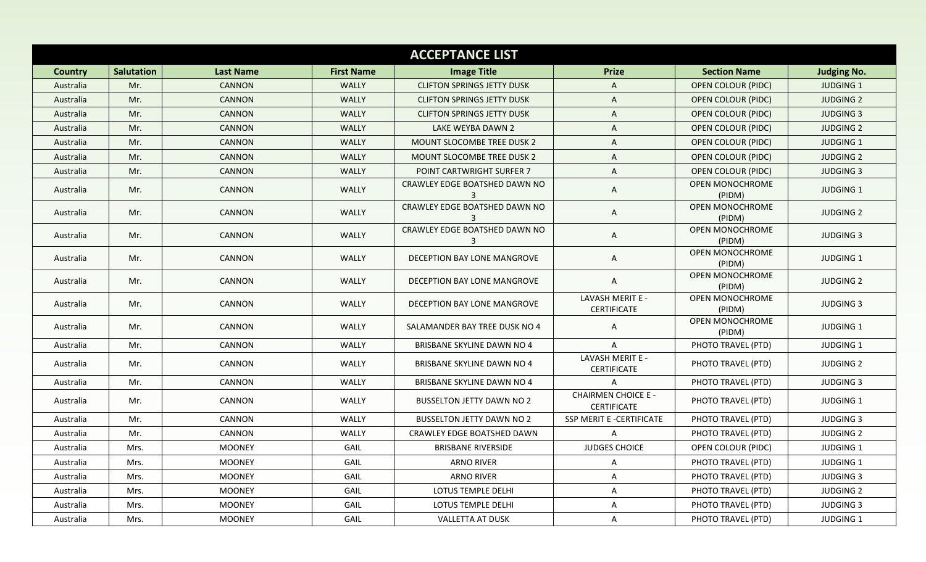| <b>ACCEPTANCE LIST</b> |                   |                  |                   |                                    |                                           |                           |                    |  |  |
|------------------------|-------------------|------------------|-------------------|------------------------------------|-------------------------------------------|---------------------------|--------------------|--|--|
| <b>Country</b>         | <b>Salutation</b> | <b>Last Name</b> | <b>First Name</b> | <b>Image Title</b>                 | <b>Prize</b>                              | <b>Section Name</b>       | <b>Judging No.</b> |  |  |
| Australia              | Mr.               | <b>CANNON</b>    | WALLY             | <b>CLIFTON SPRINGS JETTY DUSK</b>  | A                                         | <b>OPEN COLOUR (PIDC)</b> | <b>JUDGING 1</b>   |  |  |
| Australia              | Mr.               | <b>CANNON</b>    | <b>WALLY</b>      | <b>CLIFTON SPRINGS JETTY DUSK</b>  | A                                         | <b>OPEN COLOUR (PIDC)</b> | <b>JUDGING 2</b>   |  |  |
| Australia              | Mr.               | <b>CANNON</b>    | WALLY             | <b>CLIFTON SPRINGS JETTY DUSK</b>  | A                                         | <b>OPEN COLOUR (PIDC)</b> | <b>JUDGING 3</b>   |  |  |
| Australia              | Mr.               | <b>CANNON</b>    | WALLY             | LAKE WEYBA DAWN 2                  | A                                         | <b>OPEN COLOUR (PIDC)</b> | <b>JUDGING 2</b>   |  |  |
| Australia              | Mr.               | <b>CANNON</b>    | <b>WALLY</b>      | <b>MOUNT SLOCOMBE TREE DUSK 2</b>  | A                                         | <b>OPEN COLOUR (PIDC)</b> | <b>JUDGING 1</b>   |  |  |
| Australia              | Mr.               | <b>CANNON</b>    | WALLY             | <b>MOUNT SLOCOMBE TREE DUSK 2</b>  | A                                         | <b>OPEN COLOUR (PIDC)</b> | <b>JUDGING 2</b>   |  |  |
| Australia              | Mr.               | <b>CANNON</b>    | WALLY             | POINT CARTWRIGHT SURFER 7          | A                                         | <b>OPEN COLOUR (PIDC)</b> | <b>JUDGING 3</b>   |  |  |
| Australia              | Mr.               | <b>CANNON</b>    | WALLY             | CRAWLEY EDGE BOATSHED DAWN NO      | A                                         | OPEN MONOCHROME<br>(PIDM) | JUDGING 1          |  |  |
| Australia              | Mr.               | CANNON           | WALLY             | CRAWLEY EDGE BOATSHED DAWN NO<br>3 | A                                         | OPEN MONOCHROME<br>(PIDM) | <b>JUDGING 2</b>   |  |  |
| Australia              | Mr.               | CANNON           | WALLY             | CRAWLEY EDGE BOATSHED DAWN NO<br>3 | A                                         | OPEN MONOCHROME<br>(PIDM) | <b>JUDGING 3</b>   |  |  |
| Australia              | Mr.               | <b>CANNON</b>    | WALLY             | DECEPTION BAY LONE MANGROVE        | A                                         | OPEN MONOCHROME<br>(PIDM) | <b>JUDGING 1</b>   |  |  |
| Australia              | Mr.               | CANNON           | WALLY             | DECEPTION BAY LONE MANGROVE        | A                                         | OPEN MONOCHROME<br>(PIDM) | <b>JUDGING 2</b>   |  |  |
| Australia              | Mr.               | CANNON           | WALLY             | DECEPTION BAY LONE MANGROVE        | LAVASH MERIT E -<br>CERTIFICATE           | OPEN MONOCHROME<br>(PIDM) | <b>JUDGING 3</b>   |  |  |
| Australia              | Mr.               | CANNON           | WALLY             | SALAMANDER BAY TREE DUSK NO 4      | A                                         | OPEN MONOCHROME<br>(PIDM) | JUDGING 1          |  |  |
| Australia              | Mr.               | CANNON           | WALLY             | <b>BRISBANE SKYLINE DAWN NO 4</b>  | A                                         | PHOTO TRAVEL (PTD)        | <b>JUDGING 1</b>   |  |  |
| Australia              | Mr.               | CANNON           | WALLY             | BRISBANE SKYLINE DAWN NO 4         | LAVASH MERIT E -<br><b>CERTIFICATE</b>    | PHOTO TRAVEL (PTD)        | <b>JUDGING 2</b>   |  |  |
| Australia              | Mr.               | CANNON           | WALLY             | <b>BRISBANE SKYLINE DAWN NO 4</b>  | A                                         | PHOTO TRAVEL (PTD)        | <b>JUDGING 3</b>   |  |  |
| Australia              | Mr.               | CANNON           | WALLY             | <b>BUSSELTON JETTY DAWN NO 2</b>   | <b>CHAIRMEN CHOICE E -</b><br>CERTIFICATE | PHOTO TRAVEL (PTD)        | <b>JUDGING 1</b>   |  |  |
| Australia              | Mr.               | <b>CANNON</b>    | WALLY             | <b>BUSSELTON JETTY DAWN NO 2</b>   | SSP MERIT E -CERTIFICATE                  | PHOTO TRAVEL (PTD)        | <b>JUDGING 3</b>   |  |  |
| Australia              | Mr.               | CANNON           | WALLY             | CRAWLEY EDGE BOATSHED DAWN         | A                                         | PHOTO TRAVEL (PTD)        | <b>JUDGING 2</b>   |  |  |
| Australia              | Mrs.              | <b>MOONEY</b>    | GAIL              | <b>BRISBANE RIVERSIDE</b>          | JUDGES CHOICE                             | OPEN COLOUR (PIDC)        | <b>JUDGING 1</b>   |  |  |
| Australia              | Mrs.              | MOONEY           | GAIL              | ARNO RIVER                         | A                                         | PHOTO TRAVEL (PTD)        | JUDGING 1          |  |  |
| Australia              | Mrs.              | <b>MOONEY</b>    | GAIL              | <b>ARNO RIVER</b>                  | A                                         | PHOTO TRAVEL (PTD)        | <b>JUDGING 3</b>   |  |  |
| Australia              | Mrs.              | <b>MOONEY</b>    | GAIL              | LOTUS TEMPLE DELHI                 | A                                         | PHOTO TRAVEL (PTD)        | <b>JUDGING 2</b>   |  |  |
| Australia              | Mrs.              | <b>MOONEY</b>    | GAIL              | LOTUS TEMPLE DELHI                 | A                                         | PHOTO TRAVEL (PTD)        | JUDGING 3          |  |  |
| Australia              | Mrs.              | <b>MOONEY</b>    | GAIL              | <b>VALLETTA AT DUSK</b>            | A                                         | PHOTO TRAVEL (PTD)        | JUDGING 1          |  |  |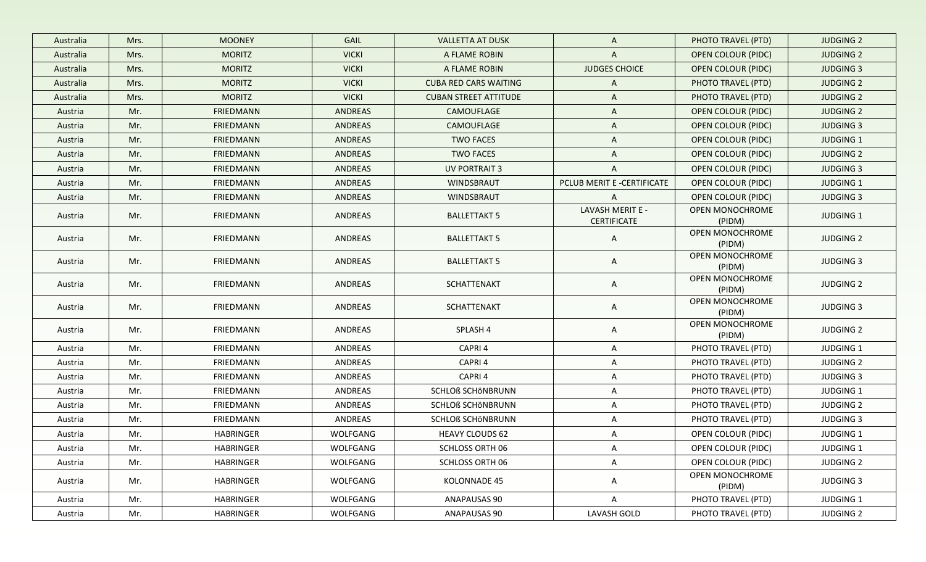| Australia | Mrs. | <b>MOONEY</b>    | GAIL           | <b>VALLETTA AT DUSK</b>      | $\mathsf{A}$                           | PHOTO TRAVEL (PTD)        | <b>JUDGING 2</b> |
|-----------|------|------------------|----------------|------------------------------|----------------------------------------|---------------------------|------------------|
| Australia | Mrs. | <b>MORITZ</b>    | <b>VICKI</b>   | A FLAME ROBIN                | $\mathsf{A}$                           | <b>OPEN COLOUR (PIDC)</b> | <b>JUDGING 2</b> |
| Australia | Mrs. | <b>MORITZ</b>    | <b>VICKI</b>   | A FLAME ROBIN                | <b>JUDGES CHOICE</b>                   | <b>OPEN COLOUR (PIDC)</b> | <b>JUDGING 3</b> |
| Australia | Mrs. | <b>MORITZ</b>    | <b>VICKI</b>   | <b>CUBA RED CARS WAITING</b> | $\mathsf{A}$                           | PHOTO TRAVEL (PTD)        | <b>JUDGING 2</b> |
| Australia | Mrs. | <b>MORITZ</b>    | <b>VICKI</b>   | <b>CUBAN STREET ATTITUDE</b> | $\mathsf{A}$                           | PHOTO TRAVEL (PTD)        | <b>JUDGING 2</b> |
| Austria   | Mr.  | <b>FRIEDMANN</b> | <b>ANDREAS</b> | CAMOUFLAGE                   | $\mathsf{A}$                           | <b>OPEN COLOUR (PIDC)</b> | <b>JUDGING 2</b> |
| Austria   | Mr.  | <b>FRIEDMANN</b> | <b>ANDREAS</b> | CAMOUFLAGE                   | $\mathsf{A}$                           | <b>OPEN COLOUR (PIDC)</b> | <b>JUDGING 3</b> |
| Austria   | Mr.  | <b>FRIEDMANN</b> | <b>ANDREAS</b> | <b>TWO FACES</b>             | A                                      | <b>OPEN COLOUR (PIDC)</b> | <b>JUDGING 1</b> |
| Austria   | Mr.  | FRIEDMANN        | ANDREAS        | <b>TWO FACES</b>             | $\mathsf{A}$                           | <b>OPEN COLOUR (PIDC)</b> | <b>JUDGING 2</b> |
| Austria   | Mr.  | FRIEDMANN        | ANDREAS        | <b>UV PORTRAIT 3</b>         | $\overline{A}$                         | OPEN COLOUR (PIDC)        | <b>JUDGING 3</b> |
| Austria   | Mr.  | FRIEDMANN        | ANDREAS        | WINDSBRAUT                   | PCLUB MERIT E -CERTIFICATE             | <b>OPEN COLOUR (PIDC)</b> | <b>JUDGING 1</b> |
| Austria   | Mr.  | <b>FRIEDMANN</b> | ANDREAS        | WINDSBRAUT                   | $\mathsf{A}$                           | OPEN COLOUR (PIDC)        | <b>JUDGING 3</b> |
| Austria   | Mr.  | FRIEDMANN        | <b>ANDREAS</b> | <b>BALLETTAKT 5</b>          | LAVASH MERIT E -<br><b>CERTIFICATE</b> | OPEN MONOCHROME<br>(PIDM) | <b>JUDGING 1</b> |
| Austria   | Mr.  | <b>FRIEDMANN</b> | ANDREAS        | <b>BALLETTAKT 5</b>          | A                                      | OPEN MONOCHROME<br>(PIDM) | <b>JUDGING 2</b> |
| Austria   | Mr.  | <b>FRIEDMANN</b> | ANDREAS        | <b>BALLETTAKT 5</b>          | $\mathsf{A}$                           | OPEN MONOCHROME<br>(PIDM) | <b>JUDGING 3</b> |
| Austria   | Mr.  | FRIEDMANN        | ANDREAS        | SCHATTENAKT                  | $\mathsf{A}$                           | OPEN MONOCHROME<br>(PIDM) | <b>JUDGING 2</b> |
| Austria   | Mr.  | FRIEDMANN        | ANDREAS        | SCHATTENAKT                  | $\mathsf{A}$                           | OPEN MONOCHROME<br>(PIDM) | <b>JUDGING 3</b> |
| Austria   | Mr.  | FRIEDMANN        | ANDREAS        | SPLASH 4                     | $\mathsf{A}$                           | OPEN MONOCHROME<br>(PIDM) | <b>JUDGING 2</b> |
| Austria   | Mr.  | FRIEDMANN        | ANDREAS        | CAPRI 4                      | A                                      | PHOTO TRAVEL (PTD)        | <b>JUDGING 1</b> |
| Austria   | Mr.  | FRIEDMANN        | ANDREAS        | CAPRI 4                      | $\mathsf{A}$                           | PHOTO TRAVEL (PTD)        | <b>JUDGING 2</b> |
| Austria   | Mr.  | FRIEDMANN        | ANDREAS        | CAPRI 4                      | $\mathsf{A}$                           | PHOTO TRAVEL (PTD)        | <b>JUDGING 3</b> |
| Austria   | Mr.  | FRIEDMANN        | ANDREAS        | SCHLOß SCHÖNBRUNN            | $\mathsf{A}$                           | PHOTO TRAVEL (PTD)        | <b>JUDGING 1</b> |
| Austria   | Mr.  | FRIEDMANN        | ANDREAS        | <b>SCHLOß SCHÖNBRUNN</b>     | $\mathsf{A}$                           | PHOTO TRAVEL (PTD)        | <b>JUDGING 2</b> |
| Austria   | Mr.  | FRIEDMANN        | ANDREAS        | SCHLOß SCHÖNBRUNN            | $\mathsf{A}$                           | PHOTO TRAVEL (PTD)        | <b>JUDGING 3</b> |
| Austria   | Mr.  | <b>HABRINGER</b> | WOLFGANG       | <b>HEAVY CLOUDS 62</b>       | $\mathsf{A}$                           | OPEN COLOUR (PIDC)        | <b>JUDGING 1</b> |
| Austria   | Mr.  | <b>HABRINGER</b> | WOLFGANG       | SCHLOSS ORTH 06              | A                                      | OPEN COLOUR (PIDC)        | <b>JUDGING 1</b> |
| Austria   | Mr.  | HABRINGER        | WOLFGANG       | <b>SCHLOSS ORTH 06</b>       | $\mathsf{A}$                           | OPEN COLOUR (PIDC)        | <b>JUDGING 2</b> |
| Austria   | Mr.  | HABRINGER        | WOLFGANG       | KOLONNADE 45                 | $\mathsf{A}$                           | OPEN MONOCHROME<br>(PIDM) | <b>JUDGING 3</b> |
| Austria   | Mr.  | HABRINGER        | WOLFGANG       | <b>ANAPAUSAS 90</b>          | $\mathsf{A}$                           | PHOTO TRAVEL (PTD)        | <b>JUDGING 1</b> |
| Austria   | Mr.  | HABRINGER        | WOLFGANG       | ANAPAUSAS 90                 | LAVASH GOLD                            | PHOTO TRAVEL (PTD)        | <b>JUDGING 2</b> |
|           |      |                  |                |                              |                                        |                           |                  |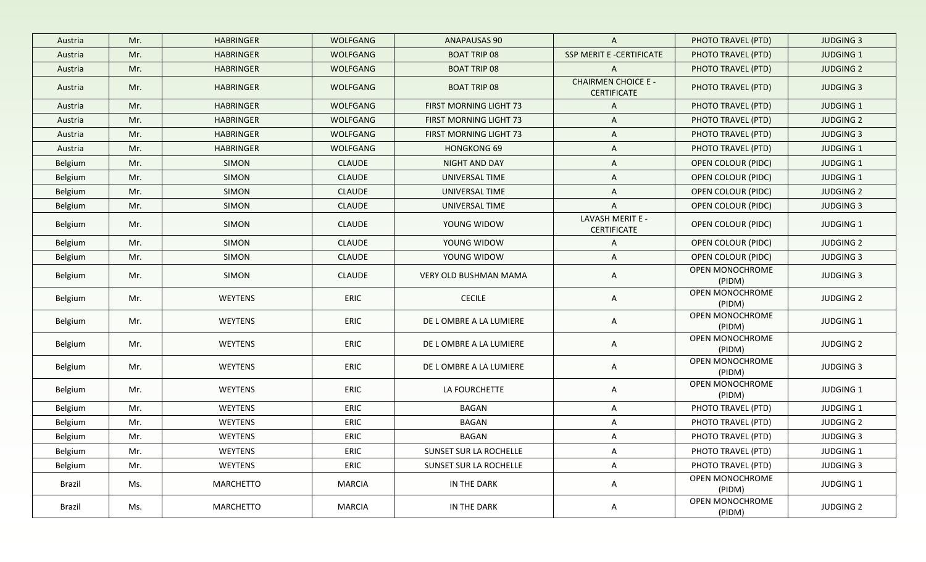| Austria | Mr. | <b>HABRINGER</b> | <b>WOLFGANG</b> | <b>ANAPAUSAS 90</b>           | $\mathsf{A}$                                     | PHOTO TRAVEL (PTD)        | <b>JUDGING 3</b> |
|---------|-----|------------------|-----------------|-------------------------------|--------------------------------------------------|---------------------------|------------------|
| Austria | Mr. | <b>HABRINGER</b> | WOLFGANG        | <b>BOAT TRIP 08</b>           | SSP MERIT E -CERTIFICATE                         | PHOTO TRAVEL (PTD)        | <b>JUDGING 1</b> |
| Austria | Mr. | <b>HABRINGER</b> | <b>WOLFGANG</b> | <b>BOAT TRIP 08</b>           | $\mathsf{A}$                                     | PHOTO TRAVEL (PTD)        | <b>JUDGING 2</b> |
| Austria | Mr. | <b>HABRINGER</b> | WOLFGANG        | <b>BOAT TRIP 08</b>           | <b>CHAIRMEN CHOICE E -</b><br><b>CERTIFICATE</b> | PHOTO TRAVEL (PTD)        | <b>JUDGING 3</b> |
| Austria | Mr. | <b>HABRINGER</b> | <b>WOLFGANG</b> | FIRST MORNING LIGHT 73        | $\mathsf{A}$                                     | PHOTO TRAVEL (PTD)        | <b>JUDGING 1</b> |
| Austria | Mr. | <b>HABRINGER</b> | <b>WOLFGANG</b> | <b>FIRST MORNING LIGHT 73</b> | $\mathsf{A}$                                     | PHOTO TRAVEL (PTD)        | <b>JUDGING 2</b> |
| Austria | Mr. | <b>HABRINGER</b> | WOLFGANG        | FIRST MORNING LIGHT 73        | A                                                | PHOTO TRAVEL (PTD)        | <b>JUDGING 3</b> |
| Austria | Mr. | <b>HABRINGER</b> | WOLFGANG        | <b>HONGKONG 69</b>            | $\mathsf{A}$                                     | PHOTO TRAVEL (PTD)        | <b>JUDGING 1</b> |
| Belgium | Mr. | SIMON            | <b>CLAUDE</b>   | NIGHT AND DAY                 | A                                                | <b>OPEN COLOUR (PIDC)</b> | <b>JUDGING 1</b> |
| Belgium | Mr. | SIMON            | <b>CLAUDE</b>   | UNIVERSAL TIME                | $\mathsf{A}$                                     | OPEN COLOUR (PIDC)        | <b>JUDGING 1</b> |
| Belgium | Mr. | <b>SIMON</b>     | <b>CLAUDE</b>   | UNIVERSAL TIME                | $\mathsf{A}$                                     | OPEN COLOUR (PIDC)        | <b>JUDGING 2</b> |
| Belgium | Mr. | SIMON            | <b>CLAUDE</b>   | UNIVERSAL TIME                | $\mathsf{A}$                                     | <b>OPEN COLOUR (PIDC)</b> | <b>JUDGING 3</b> |
| Belgium | Mr. | <b>SIMON</b>     | <b>CLAUDE</b>   | YOUNG WIDOW                   | LAVASH MERIT E -<br><b>CERTIFICATE</b>           | OPEN COLOUR (PIDC)        | <b>JUDGING 1</b> |
| Belgium | Mr. | SIMON            | <b>CLAUDE</b>   | YOUNG WIDOW                   | $\mathsf{A}$                                     | <b>OPEN COLOUR (PIDC)</b> | <b>JUDGING 2</b> |
| Belgium | Mr. | SIMON            | <b>CLAUDE</b>   | YOUNG WIDOW                   | $\mathsf{A}$                                     | OPEN COLOUR (PIDC)        | <b>JUDGING 3</b> |
| Belgium | Mr. | SIMON            | <b>CLAUDE</b>   | VERY OLD BUSHMAN MAMA         | $\mathsf{A}$                                     | OPEN MONOCHROME<br>(PIDM) | <b>JUDGING 3</b> |
| Belgium | Mr. | WEYTENS          | ERIC            | <b>CECILE</b>                 | $\mathsf{A}$                                     | OPEN MONOCHROME<br>(PIDM) | <b>JUDGING 2</b> |
| Belgium | Mr. | WEYTENS          | ERIC            | DE LOMBRE A LA LUMIERE        | $\mathsf{A}$                                     | OPEN MONOCHROME<br>(PIDM) | <b>JUDGING 1</b> |
| Belgium | Mr. | <b>WEYTENS</b>   | ERIC            | DE LOMBRE A LA LUMIERE        | $\mathsf{A}$                                     | OPEN MONOCHROME<br>(PIDM) | <b>JUDGING 2</b> |
| Belgium | Mr. | <b>WEYTENS</b>   | ERIC            | DE LOMBRE A LA LUMIERE        | $\mathsf{A}$                                     | OPEN MONOCHROME<br>(PIDM) | <b>JUDGING 3</b> |
| Belgium | Mr. | <b>WEYTENS</b>   | ERIC            | LA FOURCHETTE                 | $\mathsf{A}$                                     | OPEN MONOCHROME<br>(PIDM) | <b>JUDGING 1</b> |
| Belgium | Mr. | <b>WEYTENS</b>   | ERIC            | BAGAN                         | $\mathsf{A}$                                     | PHOTO TRAVEL (PTD)        | <b>JUDGING 1</b> |
| Belgium | Mr. | <b>WEYTENS</b>   | ERIC            | BAGAN                         | $\mathsf{A}$                                     | PHOTO TRAVEL (PTD)        | <b>JUDGING 2</b> |
| Belgium | Mr. | <b>WEYTENS</b>   | ERIC            | BAGAN                         | $\mathsf{A}$                                     | PHOTO TRAVEL (PTD)        | <b>JUDGING 3</b> |
| Belgium | Mr. | WEYTENS          | ERIC            | SUNSET SUR LA ROCHELLE        | $\mathsf{A}$                                     | PHOTO TRAVEL (PTD)        | <b>JUDGING 1</b> |
| Belgium | Mr. | WEYTENS          | ERIC            | SUNSET SUR LA ROCHELLE        | $\mathsf{A}$                                     | PHOTO TRAVEL (PTD)        | <b>JUDGING 3</b> |
| Brazil  | Ms. | MARCHETTO        | MARCIA          | IN THE DARK                   | $\mathsf{A}$                                     | OPEN MONOCHROME<br>(PIDM) | JUDGING 1        |
| Brazil  | Ms. | MARCHETTO        | <b>MARCIA</b>   | IN THE DARK                   | A                                                | OPEN MONOCHROME<br>(PIDM) | <b>JUDGING 2</b> |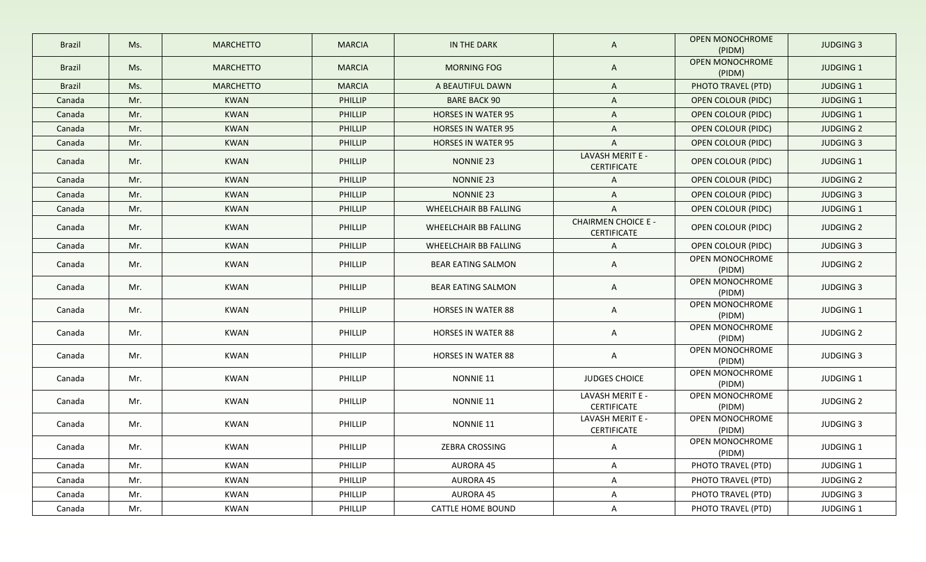| <b>Brazil</b> | Ms. | <b>MARCHETTO</b> | <b>MARCIA</b>  | IN THE DARK               | A                                                | <b>OPEN MONOCHROME</b><br>(PIDM) | <b>JUDGING 3</b> |
|---------------|-----|------------------|----------------|---------------------------|--------------------------------------------------|----------------------------------|------------------|
| <b>Brazil</b> | Ms. | <b>MARCHETTO</b> | <b>MARCIA</b>  | <b>MORNING FOG</b>        | A                                                | OPEN MONOCHROME<br>(PIDM)        | <b>JUDGING 1</b> |
| <b>Brazil</b> | Ms. | <b>MARCHETTO</b> | <b>MARCIA</b>  | A BEAUTIFUL DAWN          | A                                                | PHOTO TRAVEL (PTD)               | <b>JUDGING 1</b> |
| Canada        | Mr. | <b>KWAN</b>      | <b>PHILLIP</b> | <b>BARE BACK 90</b>       | A                                                | <b>OPEN COLOUR (PIDC)</b>        | <b>JUDGING 1</b> |
| Canada        | Mr. | <b>KWAN</b>      | <b>PHILLIP</b> | <b>HORSES IN WATER 95</b> | A                                                | <b>OPEN COLOUR (PIDC)</b>        | <b>JUDGING 1</b> |
| Canada        | Mr. | <b>KWAN</b>      | <b>PHILLIP</b> | <b>HORSES IN WATER 95</b> | $\mathsf{A}$                                     | <b>OPEN COLOUR (PIDC)</b>        | <b>JUDGING 2</b> |
| Canada        | Mr. | <b>KWAN</b>      | <b>PHILLIP</b> | <b>HORSES IN WATER 95</b> | $\mathsf{A}$                                     | <b>OPEN COLOUR (PIDC)</b>        | <b>JUDGING 3</b> |
| Canada        | Mr. | <b>KWAN</b>      | PHILLIP        | <b>NONNIE 23</b>          | LAVASH MERIT E -<br><b>CERTIFICATE</b>           | <b>OPEN COLOUR (PIDC)</b>        | <b>JUDGING 1</b> |
| Canada        | Mr. | <b>KWAN</b>      | <b>PHILLIP</b> | NONNIE 23                 | $\mathsf{A}$                                     | OPEN COLOUR (PIDC)               | <b>JUDGING 2</b> |
| Canada        | Mr. | <b>KWAN</b>      | <b>PHILLIP</b> | <b>NONNIE 23</b>          | A                                                | <b>OPEN COLOUR (PIDC)</b>        | <b>JUDGING 3</b> |
| Canada        | Mr. | <b>KWAN</b>      | PHILLIP        | WHEELCHAIR BB FALLING     | A                                                | OPEN COLOUR (PIDC)               | <b>JUDGING 1</b> |
| Canada        | Mr. | <b>KWAN</b>      | <b>PHILLIP</b> | WHEELCHAIR BB FALLING     | <b>CHAIRMEN CHOICE E -</b><br><b>CERTIFICATE</b> | OPEN COLOUR (PIDC)               | <b>JUDGING 2</b> |
| Canada        | Mr. | <b>KWAN</b>      | <b>PHILLIP</b> | WHEELCHAIR BB FALLING     | $\mathsf{A}$                                     | OPEN COLOUR (PIDC)               | <b>JUDGING 3</b> |
| Canada        | Mr. | <b>KWAN</b>      | <b>PHILLIP</b> | <b>BEAR EATING SALMON</b> | A                                                | OPEN MONOCHROME<br>(PIDM)        | <b>JUDGING 2</b> |
| Canada        | Mr. | <b>KWAN</b>      | <b>PHILLIP</b> | <b>BEAR EATING SALMON</b> | A                                                | OPEN MONOCHROME<br>(PIDM)        | <b>JUDGING 3</b> |
| Canada        | Mr. | KWAN             | <b>PHILLIP</b> | <b>HORSES IN WATER 88</b> | A                                                | OPEN MONOCHROME<br>(PIDM)        | JUDGING 1        |
| Canada        | Mr. | <b>KWAN</b>      | <b>PHILLIP</b> | <b>HORSES IN WATER 88</b> | A                                                | OPEN MONOCHROME<br>(PIDM)        | <b>JUDGING 2</b> |
| Canada        | Mr. | <b>KWAN</b>      | <b>PHILLIP</b> | <b>HORSES IN WATER 88</b> | A                                                | OPEN MONOCHROME<br>(PIDM)        | <b>JUDGING 3</b> |
| Canada        | Mr. | <b>KWAN</b>      | <b>PHILLIP</b> | NONNIE 11                 | JUDGES CHOICE                                    | OPEN MONOCHROME<br>(PIDM)        | JUDGING 1        |
| Canada        | Mr. | <b>KWAN</b>      | <b>PHILLIP</b> | NONNIE 11                 | LAVASH MERIT E -<br>CERTIFICATE                  | OPEN MONOCHROME<br>(PIDM)        | <b>JUDGING 2</b> |
| Canada        | Mr. | <b>KWAN</b>      | <b>PHILLIP</b> | NONNIE 11                 | LAVASH MERIT E -<br>CERTIFICATE                  | OPEN MONOCHROME<br>(PIDM)        | <b>JUDGING 3</b> |
| Canada        | Mr. | KWAN             | PHILLIP        | ZEBRA CROSSING            | $\overline{A}$                                   | OPEN MONOCHROME<br>(PIDM)        | JUDGING 1        |
| Canada        | Mr. | KWAN             | <b>PHILLIP</b> | <b>AURORA 45</b>          | A                                                | PHOTO TRAVEL (PTD)               | JUDGING 1        |
| Canada        | Mr. | <b>KWAN</b>      | PHILLIP        | AURORA 45                 | A                                                | PHOTO TRAVEL (PTD)               | <b>JUDGING 2</b> |
| Canada        | Mr. | <b>KWAN</b>      | <b>PHILLIP</b> | <b>AURORA 45</b>          | A                                                | PHOTO TRAVEL (PTD)               | <b>JUDGING 3</b> |
| Canada        | Mr. | KWAN             | PHILLIP        | CATTLE HOME BOUND         | A                                                | PHOTO TRAVEL (PTD)               | JUDGING 1        |
|               |     |                  |                |                           |                                                  |                                  |                  |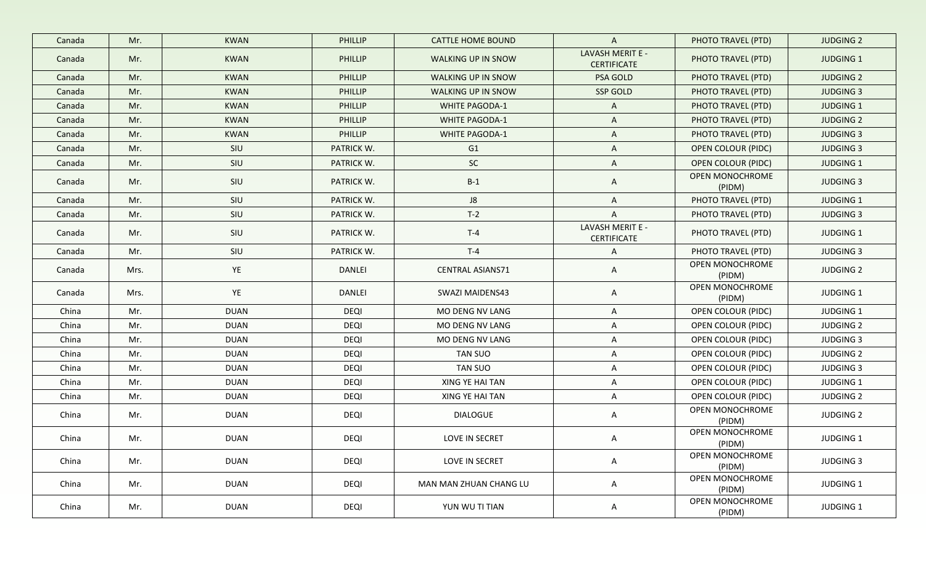| Canada | Mr.  | <b>KWAN</b> | PHILLIP        | <b>CATTLE HOME BOUND</b> | $\mathsf{A}$                           | PHOTO TRAVEL (PTD)        | <b>JUDGING 2</b> |
|--------|------|-------------|----------------|--------------------------|----------------------------------------|---------------------------|------------------|
| Canada | Mr.  | <b>KWAN</b> | PHILLIP        | WALKING UP IN SNOW       | LAVASH MERIT E -<br><b>CERTIFICATE</b> | PHOTO TRAVEL (PTD)        | <b>JUDGING 1</b> |
| Canada | Mr.  | <b>KWAN</b> | PHILLIP        | WALKING UP IN SNOW       | PSA GOLD                               | PHOTO TRAVEL (PTD)        | <b>JUDGING 2</b> |
| Canada | Mr.  | <b>KWAN</b> | <b>PHILLIP</b> | WALKING UP IN SNOW       | SSP GOLD                               | PHOTO TRAVEL (PTD)        | <b>JUDGING 3</b> |
| Canada | Mr.  | <b>KWAN</b> | <b>PHILLIP</b> | <b>WHITE PAGODA-1</b>    | $\mathsf{A}$                           | PHOTO TRAVEL (PTD)        | JUDGING 1        |
| Canada | Mr.  | <b>KWAN</b> | PHILLIP        | <b>WHITE PAGODA-1</b>    | A                                      | PHOTO TRAVEL (PTD)        | <b>JUDGING 2</b> |
| Canada | Mr.  | <b>KWAN</b> | <b>PHILLIP</b> | <b>WHITE PAGODA-1</b>    | A                                      | PHOTO TRAVEL (PTD)        | <b>JUDGING 3</b> |
| Canada | Mr.  | SIU         | PATRICK W.     | G1                       | A                                      | <b>OPEN COLOUR (PIDC)</b> | <b>JUDGING 3</b> |
| Canada | Mr.  | SIU         | PATRICK W.     | SC                       | A                                      | <b>OPEN COLOUR (PIDC)</b> | JUDGING 1        |
| Canada | Mr.  | SIU         | PATRICK W.     | $B-1$                    | A                                      | OPEN MONOCHROME<br>(PIDM) | <b>JUDGING 3</b> |
| Canada | Mr.  | SIU         | PATRICK W.     | J8                       | A                                      | PHOTO TRAVEL (PTD)        | JUDGING 1        |
| Canada | Mr.  | SIU         | PATRICK W.     | $T-2$                    | A                                      | PHOTO TRAVEL (PTD)        | <b>JUDGING 3</b> |
| Canada | Mr.  | SIU         | PATRICK W.     | $T-4$                    | LAVASH MERIT E -<br>CERTIFICATE        | PHOTO TRAVEL (PTD)        | JUDGING 1        |
| Canada | Mr.  | SIU         | PATRICK W.     | $T-4$                    | A                                      | PHOTO TRAVEL (PTD)        | <b>JUDGING 3</b> |
| Canada | Mrs. | YE          | DANLEI         | <b>CENTRAL ASIANS71</b>  | A                                      | OPEN MONOCHROME<br>(PIDM) | <b>JUDGING 2</b> |
| Canada | Mrs. | YE          | DANLEI         | SWAZI MAIDENS43          | A                                      | OPEN MONOCHROME<br>(PIDM) | JUDGING 1        |
| China  | Mr.  | <b>DUAN</b> | <b>DEQI</b>    | MO DENG NV LANG          | A                                      | OPEN COLOUR (PIDC)        | JUDGING 1        |
| China  | Mr.  | <b>DUAN</b> | <b>DEQI</b>    | MO DENG NV LANG          | A                                      | OPEN COLOUR (PIDC)        | <b>JUDGING 2</b> |
| China  | Mr.  | <b>DUAN</b> | <b>DEQI</b>    | MO DENG NV LANG          | A                                      | OPEN COLOUR (PIDC)        | <b>JUDGING 3</b> |
| China  | Mr.  | <b>DUAN</b> | <b>DEQI</b>    | TAN SUO                  | A                                      | OPEN COLOUR (PIDC)        | <b>JUDGING 2</b> |
| China  | Mr.  | <b>DUAN</b> | deqi           | <b>TAN SUO</b>           | A                                      | OPEN COLOUR (PIDC)        | <b>JUDGING 3</b> |
| China  | Mr.  | <b>DUAN</b> | <b>DEQI</b>    | XING YE HAI TAN          | A                                      | OPEN COLOUR (PIDC)        | <b>JUDGING 1</b> |
| China  | Mr.  | <b>DUAN</b> | <b>DEQI</b>    | XING YE HAI TAN          | A                                      | OPEN COLOUR (PIDC)        | <b>JUDGING 2</b> |
| China  | Mr.  | <b>DUAN</b> | DEQI           | <b>DIALOGUE</b>          | A                                      | OPEN MONOCHROME<br>(PIDM) | <b>JUDGING 2</b> |
| China  | Mr.  | <b>DUAN</b> | <b>DEQI</b>    | LOVE IN SECRET           | A                                      | OPEN MONOCHROME<br>(PIDM) | JUDGING 1        |
| China  | Mr.  | <b>DUAN</b> | <b>DEQI</b>    | LOVE IN SECRET           | $\mathsf{A}$                           | OPEN MONOCHROME<br>(PIDM) | <b>JUDGING 3</b> |
| China  | Mr.  | <b>DUAN</b> | DEQI           | MAN MAN ZHUAN CHANG LU   | A                                      | OPEN MONOCHROME<br>(PIDM) | JUDGING 1        |
| China  | Mr.  | <b>DUAN</b> | DEQI           | YUN WU TI TIAN           | A                                      | OPEN MONOCHROME<br>(PIDM) | JUDGING 1        |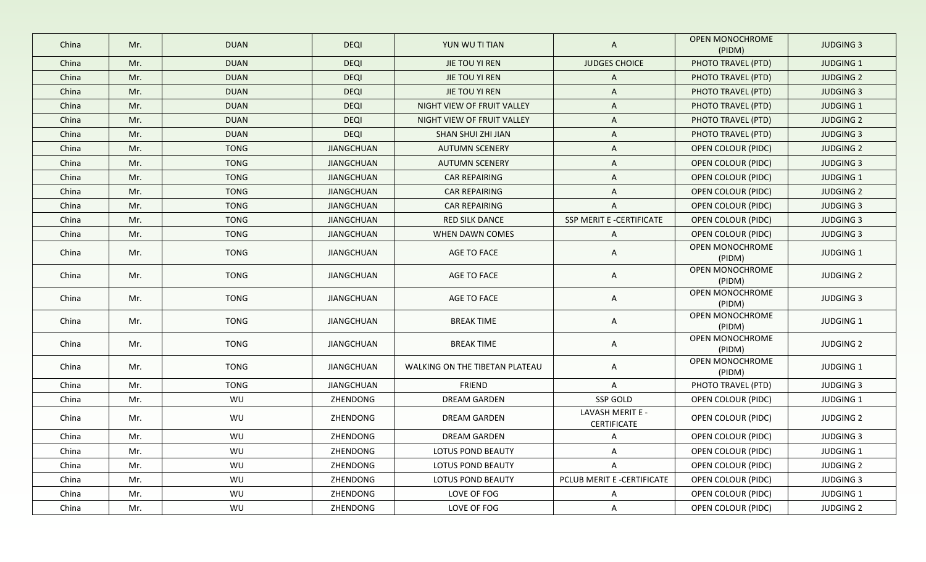| China | Mr. | <b>DUAN</b> | <b>DEQI</b>       | YUN WU TI TIAN                 | A                               | <b>OPEN MONOCHROME</b><br>(PIDM) | <b>JUDGING 3</b> |
|-------|-----|-------------|-------------------|--------------------------------|---------------------------------|----------------------------------|------------------|
| China | Mr. | <b>DUAN</b> | <b>DEQI</b>       | JIE TOU YI REN                 | <b>JUDGES CHOICE</b>            | PHOTO TRAVEL (PTD)               | <b>JUDGING 1</b> |
| China | Mr. | <b>DUAN</b> | <b>DEQI</b>       | JIE TOU YI REN                 | A                               | PHOTO TRAVEL (PTD)               | <b>JUDGING 2</b> |
| China | Mr. | <b>DUAN</b> | <b>DEQI</b>       | JIE TOU YI REN                 | $\mathsf{A}$                    | PHOTO TRAVEL (PTD)               | <b>JUDGING 3</b> |
| China | Mr. | <b>DUAN</b> | <b>DEQI</b>       | NIGHT VIEW OF FRUIT VALLEY     | A                               | PHOTO TRAVEL (PTD)               | <b>JUDGING 1</b> |
| China | Mr. | <b>DUAN</b> | <b>DEQI</b>       | NIGHT VIEW OF FRUIT VALLEY     | A                               | PHOTO TRAVEL (PTD)               | <b>JUDGING 2</b> |
| China | Mr. | <b>DUAN</b> | <b>DEQI</b>       | SHAN SHUI ZHI JIAN             | A                               | PHOTO TRAVEL (PTD)               | <b>JUDGING 3</b> |
| China | Mr. | <b>TONG</b> | <b>JIANGCHUAN</b> | <b>AUTUMN SCENERY</b>          | A                               | <b>OPEN COLOUR (PIDC)</b>        | <b>JUDGING 2</b> |
| China | Mr. | <b>TONG</b> | <b>JIANGCHUAN</b> | <b>AUTUMN SCENERY</b>          | A                               | <b>OPEN COLOUR (PIDC)</b>        | <b>JUDGING 3</b> |
| China | Mr. | <b>TONG</b> | <b>JIANGCHUAN</b> | <b>CAR REPAIRING</b>           | $\mathsf{A}$                    | OPEN COLOUR (PIDC)               | JUDGING 1        |
| China | Mr. | <b>TONG</b> | JIANGCHUAN        | CAR REPAIRING                  | A                               | OPEN COLOUR (PIDC)               | <b>JUDGING 2</b> |
| China | Mr. | <b>TONG</b> | <b>JIANGCHUAN</b> | <b>CAR REPAIRING</b>           | $\mathsf{A}$                    | OPEN COLOUR (PIDC)               | <b>JUDGING 3</b> |
| China | Mr. | <b>TONG</b> | <b>JIANGCHUAN</b> | <b>RED SILK DANCE</b>          | SSP MERIT E -CERTIFICATE        | <b>OPEN COLOUR (PIDC)</b>        | <b>JUDGING 3</b> |
| China | Mr. | <b>TONG</b> | <b>JIANGCHUAN</b> | WHEN DAWN COMES                | $\mathsf{A}$                    | OPEN COLOUR (PIDC)               | <b>JUDGING 3</b> |
| China | Mr. | <b>TONG</b> | <b>JIANGCHUAN</b> | AGE TO FACE                    | $\mathsf{A}$                    | OPEN MONOCHROME<br>(PIDM)        | JUDGING 1        |
| China | Mr. | <b>TONG</b> | JIANGCHUAN        | AGE TO FACE                    | A                               | OPEN MONOCHROME<br>(PIDM)        | <b>JUDGING 2</b> |
| China | Mr. | <b>TONG</b> | JIANGCHUAN        | AGE TO FACE                    | A                               | OPEN MONOCHROME<br>(PIDM)        | <b>JUDGING 3</b> |
| China | Mr. | <b>TONG</b> | <b>JIANGCHUAN</b> | <b>BREAK TIME</b>              | A                               | OPEN MONOCHROME<br>(PIDM)        | JUDGING 1        |
| China | Mr. | <b>TONG</b> | JIANGCHUAN        | <b>BREAK TIME</b>              | A                               | OPEN MONOCHROME<br>(PIDM)        | <b>JUDGING 2</b> |
| China | Mr. | <b>TONG</b> | JIANGCHUAN        | WALKING ON THE TIBETAN PLATEAU | $\mathsf{A}$                    | OPEN MONOCHROME<br>(PIDM)        | JUDGING 1        |
| China | Mr. | <b>TONG</b> | <b>JIANGCHUAN</b> | FRIEND                         | A                               | PHOTO TRAVEL (PTD)               | <b>JUDGING 3</b> |
| China | Mr. | WU          | ZHENDONG          | <b>DREAM GARDEN</b>            | SSP GOLD                        | OPEN COLOUR (PIDC)               | JUDGING 1        |
| China | Mr. | WU          | ZHENDONG          | DREAM GARDEN                   | LAVASH MERIT E -<br>CERTIFICATE | OPEN COLOUR (PIDC)               | <b>JUDGING 2</b> |
| China | Mr. | WU          | ZHENDONG          | <b>DREAM GARDEN</b>            | $\mathsf{A}$                    | OPEN COLOUR (PIDC)               | <b>JUDGING 3</b> |
| China | Mr. | WU          | ZHENDONG          | LOTUS POND BEAUTY              | A                               | <b>OPEN COLOUR (PIDC)</b>        | <b>JUDGING 1</b> |
| China | Mr. | WU          | ZHENDONG          | LOTUS POND BEAUTY              | A                               | OPEN COLOUR (PIDC)               | <b>JUDGING 2</b> |
| China | Mr. | WU          | ZHENDONG          | LOTUS POND BEAUTY              | PCLUB MERIT E -CERTIFICATE      | OPEN COLOUR (PIDC)               | <b>JUDGING 3</b> |
| China | Mr. | WU          | ZHENDONG          | LOVE OF FOG                    | A                               | OPEN COLOUR (PIDC)               | JUDGING 1        |
| China | Mr. | WU          | ZHENDONG          | LOVE OF FOG                    | $\mathsf{A}$                    | OPEN COLOUR (PIDC)               | <b>JUDGING 2</b> |
|       |     |             |                   |                                |                                 |                                  |                  |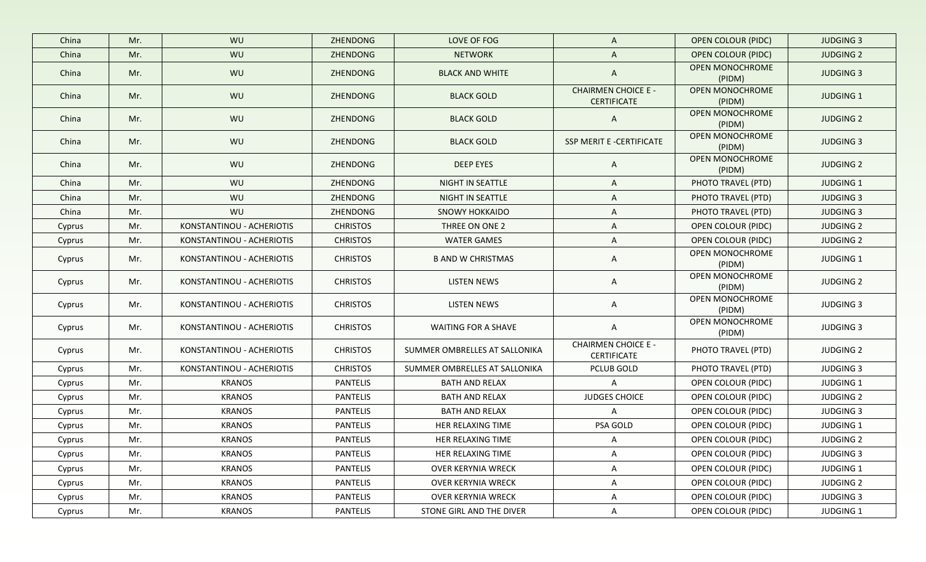| China  | Mr. | WU                        | ZHENDONG        | LOVE OF FOG                   | $\mathsf{A}$                                     | <b>OPEN COLOUR (PIDC)</b>        | <b>JUDGING 3</b> |
|--------|-----|---------------------------|-----------------|-------------------------------|--------------------------------------------------|----------------------------------|------------------|
| China  | Mr. | WU                        | ZHENDONG        | <b>NETWORK</b>                | $\mathsf{A}$                                     | <b>OPEN COLOUR (PIDC)</b>        | <b>JUDGING 2</b> |
| China  | Mr. | WU                        | ZHENDONG        | <b>BLACK AND WHITE</b>        | $\mathsf{A}$                                     | <b>OPEN MONOCHROME</b><br>(PIDM) | <b>JUDGING 3</b> |
| China  | Mr. | WU                        | ZHENDONG        | <b>BLACK GOLD</b>             | <b>CHAIRMEN CHOICE E -</b><br><b>CERTIFICATE</b> | OPEN MONOCHROME<br>(PIDM)        | <b>JUDGING 1</b> |
| China  | Mr. | WU                        | ZHENDONG        | <b>BLACK GOLD</b>             | $\mathsf{A}$                                     | <b>OPEN MONOCHROME</b><br>(PIDM) | <b>JUDGING 2</b> |
| China  | Mr. | WU                        | ZHENDONG        | <b>BLACK GOLD</b>             | SSP MERIT E -CERTIFICATE                         | OPEN MONOCHROME<br>(PIDM)        | <b>JUDGING 3</b> |
| China  | Mr. | WU                        | ZHENDONG        | <b>DEEP EYES</b>              | $\mathsf{A}$                                     | OPEN MONOCHROME<br>(PIDM)        | <b>JUDGING 2</b> |
| China  | Mr. | WU                        | ZHENDONG        | NIGHT IN SEATTLE              | A                                                | PHOTO TRAVEL (PTD)               | <b>JUDGING 1</b> |
| China  | Mr. | WU                        | ZHENDONG        | NIGHT IN SEATTLE              | A                                                | PHOTO TRAVEL (PTD)               | <b>JUDGING 3</b> |
| China  | Mr. | WU                        | ZHENDONG        | <b>SNOWY HOKKAIDO</b>         | A                                                | PHOTO TRAVEL (PTD)               | <b>JUDGING 3</b> |
| Cyprus | Mr. | KONSTANTINOU - ACHERIOTIS | <b>CHRISTOS</b> | THREE ON ONE 2                | $\mathsf{A}$                                     | OPEN COLOUR (PIDC)               | <b>JUDGING 2</b> |
| Cyprus | Mr. | KONSTANTINOU - ACHERIOTIS | <b>CHRISTOS</b> | <b>WATER GAMES</b>            | A                                                | OPEN COLOUR (PIDC)               | <b>JUDGING 2</b> |
| Cyprus | Mr. | KONSTANTINOU - ACHERIOTIS | <b>CHRISTOS</b> | <b>B AND W CHRISTMAS</b>      | A                                                | OPEN MONOCHROME<br>(PIDM)        | <b>JUDGING 1</b> |
| Cyprus | Mr. | KONSTANTINOU - ACHERIOTIS | <b>CHRISTOS</b> | LISTEN NEWS                   | A                                                | OPEN MONOCHROME<br>(PIDM)        | <b>JUDGING 2</b> |
| Cyprus | Mr. | KONSTANTINOU - ACHERIOTIS | <b>CHRISTOS</b> | LISTEN NEWS                   | A                                                | OPEN MONOCHROME<br>(PIDM)        | <b>JUDGING 3</b> |
| Cyprus | Mr. | KONSTANTINOU - ACHERIOTIS | <b>CHRISTOS</b> | WAITING FOR A SHAVE           | A                                                | OPEN MONOCHROME<br>(PIDM)        | <b>JUDGING 3</b> |
| Cyprus | Mr. | KONSTANTINOU - ACHERIOTIS | <b>CHRISTOS</b> | SUMMER OMBRELLES AT SALLONIKA | <b>CHAIRMEN CHOICE E -</b><br><b>CERTIFICATE</b> | PHOTO TRAVEL (PTD)               | <b>JUDGING 2</b> |
| Cyprus | Mr. | KONSTANTINOU - ACHERIOTIS | <b>CHRISTOS</b> | SUMMER OMBRELLES AT SALLONIKA | PCLUB GOLD                                       | PHOTO TRAVEL (PTD)               | <b>JUDGING 3</b> |
| Cyprus | Mr. | <b>KRANOS</b>             | <b>PANTELIS</b> | <b>BATH AND RELAX</b>         | $\mathsf{A}$                                     | OPEN COLOUR (PIDC)               | JUDGING 1        |
| Cyprus | Mr. | <b>KRANOS</b>             | PANTELIS        | <b>BATH AND RELAX</b>         | <b>JUDGES CHOICE</b>                             | OPEN COLOUR (PIDC)               | <b>JUDGING 2</b> |
| Cyprus | Mr. | <b>KRANOS</b>             | PANTELIS        | BATH AND RELAX                | $\mathsf{A}$                                     | OPEN COLOUR (PIDC)               | <b>JUDGING 3</b> |
| Cyprus | Mr. | <b>KRANOS</b>             | PANTELIS        | HER RELAXING TIME             | PSA GOLD                                         | OPEN COLOUR (PIDC)               | <b>JUDGING 1</b> |
| Cyprus | Mr. | <b>KRANOS</b>             | <b>PANTELIS</b> | HER RELAXING TIME             | A                                                | OPEN COLOUR (PIDC)               | <b>JUDGING 2</b> |
| Cyprus | Mr. | <b>KRANOS</b>             | <b>PANTELIS</b> | HER RELAXING TIME             | A                                                | OPEN COLOUR (PIDC)               | <b>JUDGING 3</b> |
| Cyprus | Mr. | <b>KRANOS</b>             | <b>PANTELIS</b> | <b>OVER KERYNIA WRECK</b>     | A                                                | OPEN COLOUR (PIDC)               | JUDGING 1        |
| Cyprus | Mr. | <b>KRANOS</b>             | <b>PANTELIS</b> | OVER KERYNIA WRECK            | A                                                | OPEN COLOUR (PIDC)               | <b>JUDGING 2</b> |
| Cyprus | Mr. | <b>KRANOS</b>             | PANTELIS        | OVER KERYNIA WRECK            | A                                                | OPEN COLOUR (PIDC)               | <b>JUDGING 3</b> |
| Cyprus | Mr. | <b>KRANOS</b>             | PANTELIS        | STONE GIRL AND THE DIVER      | A                                                | OPEN COLOUR (PIDC)               | JUDGING 1        |
|        |     |                           |                 |                               |                                                  |                                  |                  |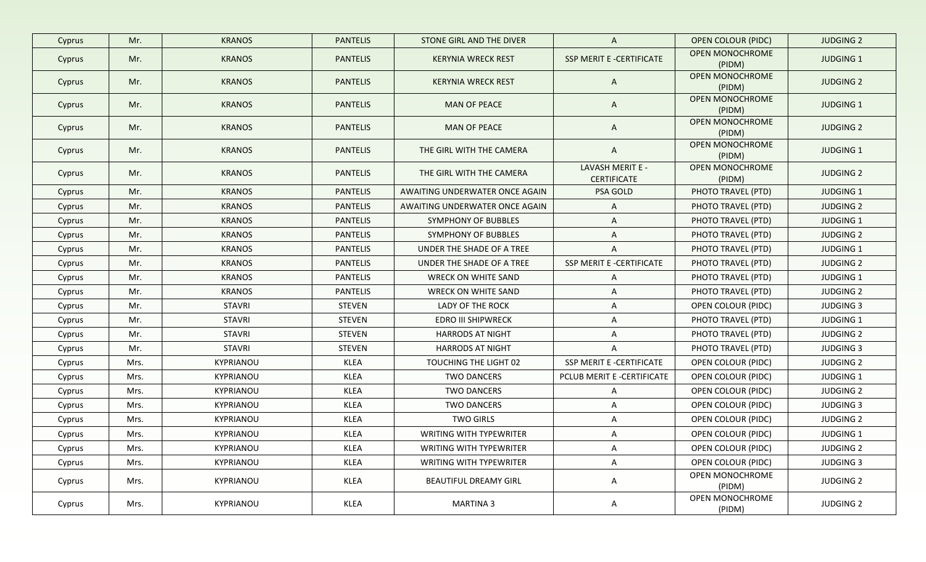| Mr.  | <b>KRANOS</b>    | <b>PANTELIS</b> | STONE GIRL AND THE DIVER       | $\mathsf{A}$                           | <b>OPEN COLOUR (PIDC)</b>        | <b>JUDGING 2</b> |
|------|------------------|-----------------|--------------------------------|----------------------------------------|----------------------------------|------------------|
| Mr.  | <b>KRANOS</b>    | <b>PANTELIS</b> | <b>KERYNIA WRECK REST</b>      | SSP MERIT E -CERTIFICATE               | OPEN MONOCHROME<br>(PIDM)        | <b>JUDGING 1</b> |
| Mr.  | <b>KRANOS</b>    | <b>PANTELIS</b> | <b>KERYNIA WRECK REST</b>      | $\mathsf{A}$                           | <b>OPEN MONOCHROME</b><br>(PIDM) | <b>JUDGING 2</b> |
| Mr.  | <b>KRANOS</b>    | <b>PANTELIS</b> | <b>MAN OF PEACE</b>            | $\mathsf{A}$                           | OPEN MONOCHROME<br>(PIDM)        | <b>JUDGING 1</b> |
| Mr.  | <b>KRANOS</b>    | <b>PANTELIS</b> | <b>MAN OF PEACE</b>            | $\mathsf{A}$                           | OPEN MONOCHROME<br>(PIDM)        | <b>JUDGING 2</b> |
| Mr.  | <b>KRANOS</b>    | <b>PANTELIS</b> | THE GIRL WITH THE CAMERA       | $\mathsf{A}$                           | OPEN MONOCHROME<br>(PIDM)        | <b>JUDGING 1</b> |
| Mr.  | <b>KRANOS</b>    | <b>PANTELIS</b> | THE GIRL WITH THE CAMERA       | LAVASH MERIT E -<br><b>CERTIFICATE</b> | OPEN MONOCHROME<br>(PIDM)        | <b>JUDGING 2</b> |
| Mr.  | <b>KRANOS</b>    | <b>PANTELIS</b> | AWAITING UNDERWATER ONCE AGAIN | PSA GOLD                               | PHOTO TRAVEL (PTD)               | <b>JUDGING 1</b> |
| Mr.  | <b>KRANOS</b>    | <b>PANTELIS</b> | AWAITING UNDERWATER ONCE AGAIN | $\mathsf{A}$                           | PHOTO TRAVEL (PTD)               | <b>JUDGING 2</b> |
| Mr.  | <b>KRANOS</b>    | <b>PANTELIS</b> | SYMPHONY OF BUBBLES            | $\mathsf{A}$                           | PHOTO TRAVEL (PTD)               | <b>JUDGING 1</b> |
| Mr.  | <b>KRANOS</b>    | <b>PANTELIS</b> | SYMPHONY OF BUBBLES            | $\mathsf{A}$                           | PHOTO TRAVEL (PTD)               | <b>JUDGING 2</b> |
| Mr.  | <b>KRANOS</b>    | <b>PANTELIS</b> | UNDER THE SHADE OF A TREE      | $\mathsf{A}$                           | PHOTO TRAVEL (PTD)               | <b>JUDGING 1</b> |
| Mr.  | <b>KRANOS</b>    | PANTELIS        | UNDER THE SHADE OF A TREE      | SSP MERIT E -CERTIFICATE               | PHOTO TRAVEL (PTD)               | <b>JUDGING 2</b> |
| Mr.  | <b>KRANOS</b>    | PANTELIS        | WRECK ON WHITE SAND            | $\mathsf{A}$                           | PHOTO TRAVEL (PTD)               | <b>JUDGING 1</b> |
| Mr.  | <b>KRANOS</b>    | PANTELIS        | <b>WRECK ON WHITE SAND</b>     | $\mathsf{A}$                           | PHOTO TRAVEL (PTD)               | <b>JUDGING 2</b> |
| Mr.  | <b>STAVRI</b>    | <b>STEVEN</b>   | LADY OF THE ROCK               | A                                      | OPEN COLOUR (PIDC)               | <b>JUDGING 3</b> |
| Mr.  | STAVRI           | STEVEN          | <b>EDRO III SHIPWRECK</b>      | $\mathsf{A}$                           | PHOTO TRAVEL (PTD)               | <b>JUDGING 1</b> |
| Mr.  | <b>STAVRI</b>    | <b>STEVEN</b>   | <b>HARRODS AT NIGHT</b>        | $\mathsf{A}$                           | PHOTO TRAVEL (PTD)               | <b>JUDGING 2</b> |
| Mr.  | STAVRI           | <b>STEVEN</b>   | <b>HARRODS AT NIGHT</b>        | $\mathsf{A}$                           | PHOTO TRAVEL (PTD)               | <b>JUDGING 3</b> |
| Mrs. | KYPRIANOU        | <b>KLEA</b>     | TOUCHING THE LIGHT 02          | SSP MERIT E -CERTIFICATE               | OPEN COLOUR (PIDC)               | <b>JUDGING 2</b> |
| Mrs. | <b>KYPRIANOU</b> | KLEA            | <b>TWO DANCERS</b>             | PCLUB MERIT E -CERTIFICATE             | OPEN COLOUR (PIDC)               | <b>JUDGING 1</b> |
| Mrs. | KYPRIANOU        | <b>KLEA</b>     | <b>TWO DANCERS</b>             | $\mathsf{A}$                           | OPEN COLOUR (PIDC)               | <b>JUDGING 2</b> |
| Mrs. | KYPRIANOU        | <b>KLEA</b>     | <b>TWO DANCERS</b>             | $\mathsf{A}$                           | OPEN COLOUR (PIDC)               | <b>JUDGING 3</b> |
| Mrs. | KYPRIANOU        | KLEA            | <b>TWO GIRLS</b>               | $\mathsf{A}$                           | OPEN COLOUR (PIDC)               | <b>JUDGING 2</b> |
| Mrs. | KYPRIANOU        | <b>KLEA</b>     | WRITING WITH TYPEWRITER        | A                                      | OPEN COLOUR (PIDC)               | JUDGING 1        |
| Mrs. | KYPRIANOU        | <b>KLEA</b>     | WRITING WITH TYPEWRITER        | $\mathsf{A}$                           | OPEN COLOUR (PIDC)               | <b>JUDGING 2</b> |
| Mrs. | KYPRIANOU        | KLEA            | <b>WRITING WITH TYPEWRITER</b> | $\mathsf{A}$                           | OPEN COLOUR (PIDC)               | <b>JUDGING 3</b> |
| Mrs. | KYPRIANOU        | KLEA            | <b>BEAUTIFUL DREAMY GIRL</b>   | $\mathsf{A}$                           | OPEN MONOCHROME<br>(PIDM)        | <b>JUDGING 2</b> |
| Mrs. | KYPRIANOU        | KLEA            | <b>MARTINA 3</b>               | A                                      | OPEN MONOCHROME<br>(PIDM)        | <b>JUDGING 2</b> |
|      |                  |                 |                                |                                        |                                  |                  |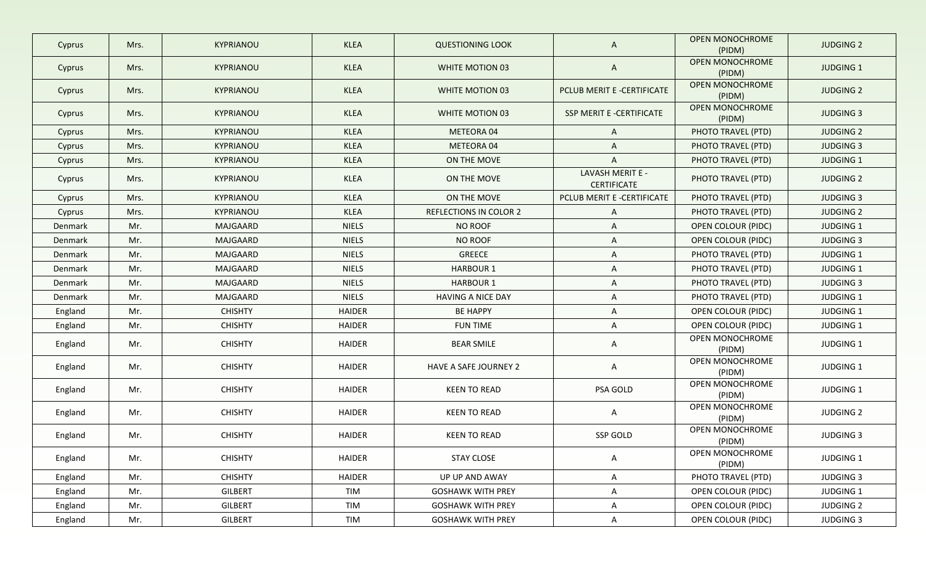| Cyprus  | Mrs. | KYPRIANOU        | <b>KLEA</b>   | <b>QUESTIONING LOOK</b>       | A                                      | <b>OPEN MONOCHROME</b><br>(PIDM) | <b>JUDGING 2</b> |
|---------|------|------------------|---------------|-------------------------------|----------------------------------------|----------------------------------|------------------|
| Cyprus  | Mrs. | KYPRIANOU        | <b>KLEA</b>   | WHITE MOTION 03               | $\mathsf{A}$                           | <b>OPEN MONOCHROME</b><br>(PIDM) | <b>JUDGING 1</b> |
| Cyprus  | Mrs. | KYPRIANOU        | <b>KLEA</b>   | WHITE MOTION 03               | PCLUB MERIT E -CERTIFICATE             | <b>OPEN MONOCHROME</b><br>(PIDM) | <b>JUDGING 2</b> |
| Cyprus  | Mrs. | <b>KYPRIANOU</b> | <b>KLEA</b>   | WHITE MOTION 03               | SSP MERIT E -CERTIFICATE               | <b>OPEN MONOCHROME</b><br>(PIDM) | <b>JUDGING 3</b> |
| Cyprus  | Mrs. | KYPRIANOU        | <b>KLEA</b>   | METEORA 04                    | $\mathsf{A}$                           | PHOTO TRAVEL (PTD)               | <b>JUDGING 2</b> |
| Cyprus  | Mrs. | KYPRIANOU        | <b>KLEA</b>   | METEORA 04                    | $\mathsf{A}$                           | PHOTO TRAVEL (PTD)               | <b>JUDGING 3</b> |
| Cyprus  | Mrs. | KYPRIANOU        | <b>KLEA</b>   | ON THE MOVE                   | A                                      | PHOTO TRAVEL (PTD)               | <b>JUDGING 1</b> |
| Cyprus  | Mrs. | KYPRIANOU        | <b>KLEA</b>   | ON THE MOVE                   | LAVASH MERIT E -<br><b>CERTIFICATE</b> | PHOTO TRAVEL (PTD)               | <b>JUDGING 2</b> |
| Cyprus  | Mrs. | KYPRIANOU        | <b>KLEA</b>   | ON THE MOVE                   | PCLUB MERIT E -CERTIFICATE             | PHOTO TRAVEL (PTD)               | <b>JUDGING 3</b> |
| Cyprus  | Mrs. | KYPRIANOU        | <b>KLEA</b>   | <b>REFLECTIONS IN COLOR 2</b> | $\mathsf{A}$                           | PHOTO TRAVEL (PTD)               | <b>JUDGING 2</b> |
| Denmark | Mr.  | MAJGAARD         | <b>NIELS</b>  | <b>NO ROOF</b>                | A                                      | OPEN COLOUR (PIDC)               | <b>JUDGING 1</b> |
| Denmark | Mr.  | MAJGAARD         | <b>NIELS</b>  | NO ROOF                       | A                                      | OPEN COLOUR (PIDC)               | <b>JUDGING 3</b> |
| Denmark | Mr.  | MAJGAARD         | <b>NIELS</b>  | <b>GREECE</b>                 | A                                      | PHOTO TRAVEL (PTD)               | JUDGING 1        |
| Denmark | Mr.  | MAJGAARD         | <b>NIELS</b>  | <b>HARBOUR 1</b>              | A                                      | PHOTO TRAVEL (PTD)               | JUDGING 1        |
| Denmark | Mr.  | MAJGAARD         | <b>NIELS</b>  | <b>HARBOUR 1</b>              | A                                      | PHOTO TRAVEL (PTD)               | <b>JUDGING 3</b> |
| Denmark | Mr.  | MAJGAARD         | <b>NIELS</b>  | HAVING A NICE DAY             | A                                      | PHOTO TRAVEL (PTD)               | <b>JUDGING 1</b> |
| England | Mr.  | <b>CHISHTY</b>   | <b>HAIDER</b> | <b>BE HAPPY</b>               | A                                      | <b>OPEN COLOUR (PIDC)</b>        | <b>JUDGING 1</b> |
| England | Mr.  | <b>CHISHTY</b>   | <b>HAIDER</b> | <b>FUN TIME</b>               | A                                      | OPEN COLOUR (PIDC)               | <b>JUDGING 1</b> |
| England | Mr.  | <b>CHISHTY</b>   | <b>HAIDER</b> | <b>BEAR SMILE</b>             | A                                      | OPEN MONOCHROME<br>(PIDM)        | JUDGING 1        |
| England | Mr.  | <b>CHISHTY</b>   | HAIDER        | HAVE A SAFE JOURNEY 2         | A                                      | OPEN MONOCHROME<br>(PIDM)        | JUDGING 1        |
| England | Mr.  | <b>CHISHTY</b>   | HAIDER        | <b>KEEN TO READ</b>           | PSA GOLD                               | OPEN MONOCHROME<br>(PIDM)        | JUDGING 1        |
| England | Mr.  | <b>CHISHTY</b>   | HAIDER        | <b>KEEN TO READ</b>           | $\mathsf{A}$                           | OPEN MONOCHROME<br>(PIDM)        | <b>JUDGING 2</b> |
| England | Mr.  | <b>CHISHTY</b>   | <b>HAIDER</b> | <b>KEEN TO READ</b>           | SSP GOLD                               | OPEN MONOCHROME<br>(PIDM)        | <b>JUDGING 3</b> |
| England | Mr.  | <b>CHISHTY</b>   | HAIDER        | STAY CLOSE                    | A                                      | OPEN MONOCHROME<br>(PIDM)        | JUDGING 1        |
| England | Mr.  | <b>CHISHTY</b>   | <b>HAIDER</b> | UP UP AND AWAY                | A                                      | PHOTO TRAVEL (PTD)               | <b>JUDGING 3</b> |
| England | Mr.  | <b>GILBERT</b>   | TIM           | <b>GOSHAWK WITH PREY</b>      | A                                      | OPEN COLOUR (PIDC)               | JUDGING 1        |
| England | Mr.  | <b>GILBERT</b>   | TIM           | <b>GOSHAWK WITH PREY</b>      | A                                      | OPEN COLOUR (PIDC)               | <b>JUDGING 2</b> |
| England | Mr.  | <b>GILBERT</b>   | TIM           | <b>GOSHAWK WITH PREY</b>      | $\mathsf{A}$                           | OPEN COLOUR (PIDC)               | <b>JUDGING 3</b> |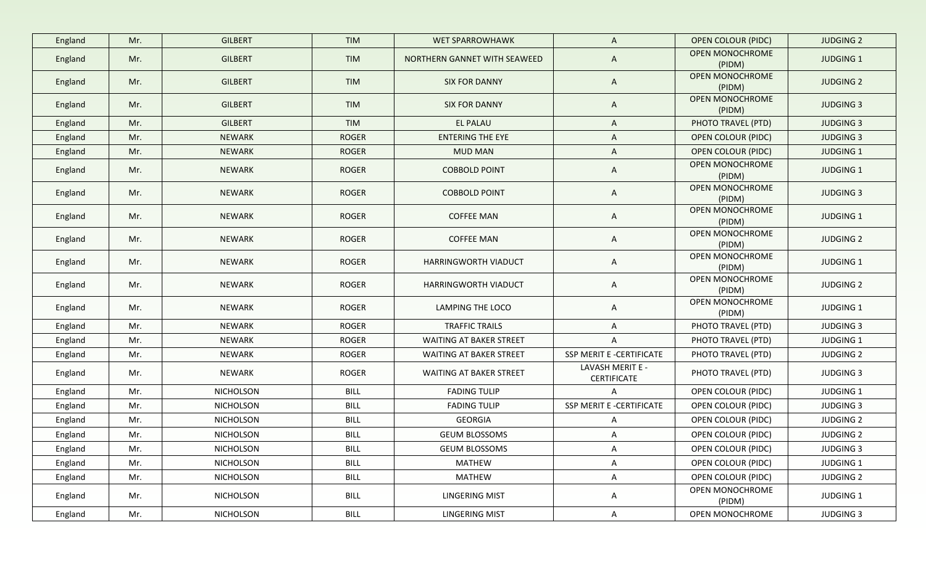| England | Mr. | <b>GILBERT</b> | <b>TIM</b>   | <b>WET SPARROWHAWK</b>         | $\mathsf{A}$                           | <b>OPEN COLOUR (PIDC)</b> | <b>JUDGING 2</b> |
|---------|-----|----------------|--------------|--------------------------------|----------------------------------------|---------------------------|------------------|
| England | Mr. | <b>GILBERT</b> | <b>TIM</b>   | NORTHERN GANNET WITH SEAWEED   | $\mathsf{A}$                           | OPEN MONOCHROME<br>(PIDM) | <b>JUDGING 1</b> |
| England | Mr. | <b>GILBERT</b> | <b>TIM</b>   | <b>SIX FOR DANNY</b>           | $\mathsf{A}$                           | OPEN MONOCHROME<br>(PIDM) | <b>JUDGING 2</b> |
| England | Mr. | <b>GILBERT</b> | <b>TIM</b>   | <b>SIX FOR DANNY</b>           | $\mathsf{A}$                           | OPEN MONOCHROME<br>(PIDM) | <b>JUDGING 3</b> |
| England | Mr. | <b>GILBERT</b> | <b>TIM</b>   | EL PALAU                       | $\mathsf{A}$                           | PHOTO TRAVEL (PTD)        | <b>JUDGING 3</b> |
| England | Mr. | <b>NEWARK</b>  | <b>ROGER</b> | <b>ENTERING THE EYE</b>        | $\mathsf{A}$                           | <b>OPEN COLOUR (PIDC)</b> | <b>JUDGING 3</b> |
| England | Mr. | <b>NEWARK</b>  | <b>ROGER</b> | <b>MUD MAN</b>                 | $\mathsf{A}$                           | <b>OPEN COLOUR (PIDC)</b> | <b>JUDGING 1</b> |
| England | Mr. | <b>NEWARK</b>  | <b>ROGER</b> | <b>COBBOLD POINT</b>           | $\mathsf{A}$                           | OPEN MONOCHROME<br>(PIDM) | <b>JUDGING 1</b> |
| England | Mr. | <b>NEWARK</b>  | <b>ROGER</b> | <b>COBBOLD POINT</b>           | $\mathsf{A}$                           | OPEN MONOCHROME<br>(PIDM) | <b>JUDGING 3</b> |
| England | Mr. | <b>NEWARK</b>  | <b>ROGER</b> | <b>COFFEE MAN</b>              | A                                      | OPEN MONOCHROME<br>(PIDM) | <b>JUDGING 1</b> |
| England | Mr. | <b>NEWARK</b>  | <b>ROGER</b> | <b>COFFEE MAN</b>              | A                                      | OPEN MONOCHROME<br>(PIDM) | <b>JUDGING 2</b> |
| England | Mr. | NEWARK         | <b>ROGER</b> | HARRINGWORTH VIADUCT           | $\mathsf{A}$                           | OPEN MONOCHROME<br>(PIDM) | <b>JUDGING 1</b> |
| England | Mr. | NEWARK         | <b>ROGER</b> | HARRINGWORTH VIADUCT           | $\mathsf{A}$                           | OPEN MONOCHROME<br>(PIDM) | <b>JUDGING 2</b> |
| England | Mr. | <b>NEWARK</b>  | <b>ROGER</b> | LAMPING THE LOCO               | $\mathsf{A}$                           | OPEN MONOCHROME<br>(PIDM) | JUDGING 1        |
| England | Mr. | <b>NEWARK</b>  | <b>ROGER</b> | <b>TRAFFIC TRAILS</b>          | $\mathsf{A}$                           | PHOTO TRAVEL (PTD)        | <b>JUDGING 3</b> |
| England | Mr. | <b>NEWARK</b>  | <b>ROGER</b> | <b>WAITING AT BAKER STREET</b> | $\mathsf{A}$                           | PHOTO TRAVEL (PTD)        | <b>JUDGING 1</b> |
| England | Mr. | NEWARK         | <b>ROGER</b> | WAITING AT BAKER STREET        | SSP MERIT E -CERTIFICATE               | PHOTO TRAVEL (PTD)        | <b>JUDGING 2</b> |
| England | Mr. | NEWARK         | <b>ROGER</b> | WAITING AT BAKER STREET        | LAVASH MERIT E -<br><b>CERTIFICATE</b> | PHOTO TRAVEL (PTD)        | <b>JUDGING 3</b> |
| England | Mr. | NICHOLSON      | BILL         | <b>FADING TULIP</b>            | $\mathsf{A}$                           | OPEN COLOUR (PIDC)        | JUDGING 1        |
| England | Mr. | NICHOLSON      | <b>BILL</b>  | <b>FADING TULIP</b>            | SSP MERIT E -CERTIFICATE               | OPEN COLOUR (PIDC)        | <b>JUDGING 3</b> |
| England | Mr. | NICHOLSON      | BILL         | <b>GEORGIA</b>                 | $\mathsf{A}$                           | OPEN COLOUR (PIDC)        | <b>JUDGING 2</b> |
| England | Mr. | NICHOLSON      | BILL         | <b>GEUM BLOSSOMS</b>           | A                                      | OPEN COLOUR (PIDC)        | <b>JUDGING 2</b> |
| England | Mr. | NICHOLSON      | BILL         | <b>GEUM BLOSSOMS</b>           | A                                      | OPEN COLOUR (PIDC)        | <b>JUDGING 3</b> |
| England | Mr. | NICHOLSON      | BILL         | MATHEW                         | $\mathsf{A}$                           | OPEN COLOUR (PIDC)        | JUDGING 1        |
| England | Mr. | NICHOLSON      | <b>BILL</b>  | <b>MATHEW</b>                  | A                                      | OPEN COLOUR (PIDC)        | <b>JUDGING 2</b> |
| England | Mr. | NICHOLSON      | BILL         | <b>LINGERING MIST</b>          | $\mathsf{A}$                           | OPEN MONOCHROME<br>(PIDM) | JUDGING 1        |
| England | Mr. | NICHOLSON      | BILL         | <b>LINGERING MIST</b>          | $\mathsf{A}$                           | OPEN MONOCHROME           | <b>JUDGING 3</b> |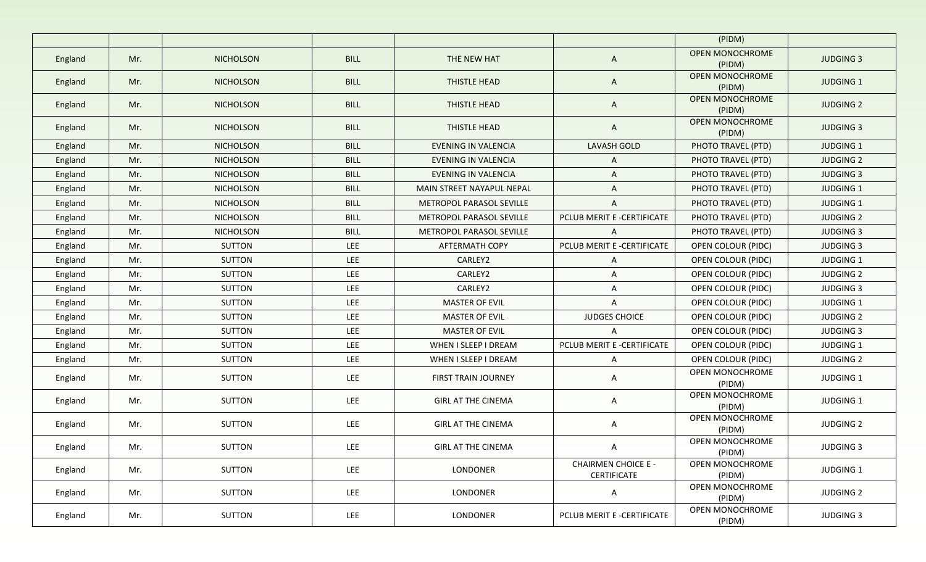|         |     |                  |             |                            |                                           | (PIDM)                                     |                  |
|---------|-----|------------------|-------------|----------------------------|-------------------------------------------|--------------------------------------------|------------------|
| England | Mr. | <b>NICHOLSON</b> | <b>BILL</b> | THE NEW HAT                | $\mathsf{A}$                              | <b>OPEN MONOCHROME</b>                     | <b>JUDGING 3</b> |
| England | Mr. | <b>NICHOLSON</b> | <b>BILL</b> | THISTLE HEAD               | $\mathsf{A}$                              | (PIDM)<br><b>OPEN MONOCHROME</b><br>(PIDM) | <b>JUDGING 1</b> |
| England | Mr. | <b>NICHOLSON</b> | <b>BILL</b> | THISTLE HEAD               | $\mathsf{A}$                              | <b>OPEN MONOCHROME</b><br>(PIDM)           | <b>JUDGING 2</b> |
| England | Mr. | <b>NICHOLSON</b> | <b>BILL</b> | THISTLE HEAD               | $\mathsf{A}$                              | <b>OPEN MONOCHROME</b><br>(PIDM)           | <b>JUDGING 3</b> |
| England | Mr. | <b>NICHOLSON</b> | <b>BILL</b> | <b>EVENING IN VALENCIA</b> | <b>LAVASH GOLD</b>                        | PHOTO TRAVEL (PTD)                         | <b>JUDGING 1</b> |
| England | Mr. | <b>NICHOLSON</b> | <b>BILL</b> | <b>EVENING IN VALENCIA</b> | A                                         | PHOTO TRAVEL (PTD)                         | <b>JUDGING 2</b> |
| England | Mr. | <b>NICHOLSON</b> | <b>BILL</b> | <b>EVENING IN VALENCIA</b> | $\mathsf{A}$                              | PHOTO TRAVEL (PTD)                         | <b>JUDGING 3</b> |
| England | Mr. | <b>NICHOLSON</b> | <b>BILL</b> | MAIN STREET NAYAPUL NEPAL  | A                                         | PHOTO TRAVEL (PTD)                         | <b>JUDGING 1</b> |
| England | Mr. | <b>NICHOLSON</b> | <b>BILL</b> | METROPOL PARASOL SEVILLE   | A                                         | PHOTO TRAVEL (PTD)                         | <b>JUDGING 1</b> |
| England | Mr. | <b>NICHOLSON</b> | <b>BILL</b> | METROPOL PARASOL SEVILLE   | PCLUB MERIT E -CERTIFICATE                | PHOTO TRAVEL (PTD)                         | <b>JUDGING 2</b> |
| England | Mr. | <b>NICHOLSON</b> | BILL        | METROPOL PARASOL SEVILLE   | A                                         | PHOTO TRAVEL (PTD)                         | <b>JUDGING 3</b> |
| England | Mr. | <b>SUTTON</b>    | <b>LEE</b>  | <b>AFTERMATH COPY</b>      | PCLUB MERIT E -CERTIFICATE                | <b>OPEN COLOUR (PIDC)</b>                  | <b>JUDGING 3</b> |
| England | Mr. | <b>SUTTON</b>    | LEE.        | CARLEY2                    | A                                         | OPEN COLOUR (PIDC)                         | JUDGING 1        |
| England | Mr. | SUTTON           | <b>LEE</b>  | CARLEY2                    | A                                         | <b>OPEN COLOUR (PIDC)</b>                  | <b>JUDGING 2</b> |
| England | Mr. | <b>SUTTON</b>    | <b>LEE</b>  | CARLEY2                    | $\mathsf{A}$                              | OPEN COLOUR (PIDC)                         | <b>JUDGING 3</b> |
| England | Mr. | <b>SUTTON</b>    | <b>LEE</b>  | MASTER OF EVIL             | A                                         | OPEN COLOUR (PIDC)                         | <b>JUDGING 1</b> |
| England | Mr. | <b>SUTTON</b>    | <b>LEE</b>  | <b>MASTER OF EVIL</b>      | <b>JUDGES CHOICE</b>                      | OPEN COLOUR (PIDC)                         | <b>JUDGING 2</b> |
| England | Mr. | <b>SUTTON</b>    | <b>LEE</b>  | <b>MASTER OF EVIL</b>      | $\mathsf{A}$                              | OPEN COLOUR (PIDC)                         | <b>JUDGING 3</b> |
| England | Mr. | <b>SUTTON</b>    | <b>LEE</b>  | WHEN I SLEEP I DREAM       | PCLUB MERIT E -CERTIFICATE                | OPEN COLOUR (PIDC)                         | JUDGING 1        |
| England | Mr. | SUTTON           | LEE         | WHEN I SLEEP I DREAM       | A                                         | OPEN COLOUR (PIDC)                         | <b>JUDGING 2</b> |
| England | Mr. | SUTTON           | <b>LEE</b>  | <b>FIRST TRAIN JOURNEY</b> | A                                         | OPEN MONOCHROME<br>(PIDM)                  | JUDGING 1        |
| England | Mr. | <b>SUTTON</b>    | LEE.        | <b>GIRL AT THE CINEMA</b>  | $\mathsf{A}$                              | OPEN MONOCHROME<br>(PIDM)                  | JUDGING 1        |
| England | Mr. | <b>SUTTON</b>    | LEE.        | <b>GIRL AT THE CINEMA</b>  | $\mathsf{A}$                              | OPEN MONOCHROME<br>(PIDM)                  | <b>JUDGING 2</b> |
| England | Mr. | <b>SUTTON</b>    | LEE         | <b>GIRL AT THE CINEMA</b>  | A                                         | OPEN MONOCHROME<br>(PIDM)                  | <b>JUDGING 3</b> |
| England | Mr. | <b>SUTTON</b>    | LEE         | LONDONER                   | <b>CHAIRMEN CHOICE E -</b><br>CERTIFICATE | OPEN MONOCHROME<br>(PIDM)                  | JUDGING 1        |
| England | Mr. | <b>SUTTON</b>    | LEE         | LONDONER                   | A                                         | OPEN MONOCHROME<br>(PIDM)                  | <b>JUDGING 2</b> |
| England | Mr. | SUTTON           | LEE         | LONDONER                   | PCLUB MERIT E -CERTIFICATE                | OPEN MONOCHROME<br>(PIDM)                  | <b>JUDGING 3</b> |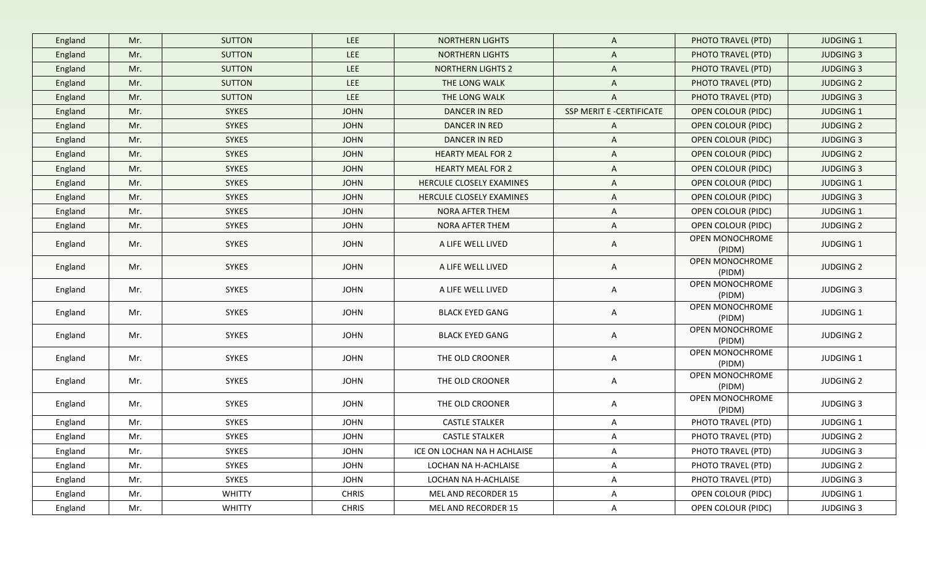| England | Mr. | <b>SUTTON</b> | LEE          | <b>NORTHERN LIGHTS</b>      | A                        | PHOTO TRAVEL (PTD)        | <b>JUDGING 1</b> |
|---------|-----|---------------|--------------|-----------------------------|--------------------------|---------------------------|------------------|
| England | Mr. | <b>SUTTON</b> | LEE          | <b>NORTHERN LIGHTS</b>      | A                        | PHOTO TRAVEL (PTD)        | <b>JUDGING 3</b> |
| England | Mr. | <b>SUTTON</b> | LEE          | <b>NORTHERN LIGHTS 2</b>    | A                        | PHOTO TRAVEL (PTD)        | <b>JUDGING 3</b> |
| England | Mr. | <b>SUTTON</b> | LEE          | THE LONG WALK               | A                        | PHOTO TRAVEL (PTD)        | <b>JUDGING 2</b> |
| England | Mr. | <b>SUTTON</b> | LEE          | THE LONG WALK               | $\mathsf{A}$             | PHOTO TRAVEL (PTD)        | <b>JUDGING 3</b> |
| England | Mr. | <b>SYKES</b>  | <b>JOHN</b>  | <b>DANCER IN RED</b>        | SSP MERIT E -CERTIFICATE | <b>OPEN COLOUR (PIDC)</b> | JUDGING 1        |
| England | Mr. | <b>SYKES</b>  | <b>JOHN</b>  | DANCER IN RED               | $\mathsf{A}$             | <b>OPEN COLOUR (PIDC)</b> | <b>JUDGING 2</b> |
| England | Mr. | <b>SYKES</b>  | <b>JOHN</b>  | <b>DANCER IN RED</b>        | A                        | <b>OPEN COLOUR (PIDC)</b> | <b>JUDGING 3</b> |
| England | Mr. | <b>SYKES</b>  | <b>JOHN</b>  | <b>HEARTY MEAL FOR 2</b>    | A                        | <b>OPEN COLOUR (PIDC)</b> | <b>JUDGING 2</b> |
| England | Mr. | <b>SYKES</b>  | <b>JOHN</b>  | <b>HEARTY MEAL FOR 2</b>    | A                        | OPEN COLOUR (PIDC)        | <b>JUDGING 3</b> |
| England | Mr. | <b>SYKES</b>  | <b>JOHN</b>  | HERCULE CLOSELY EXAMINES    | A                        | OPEN COLOUR (PIDC)        | JUDGING 1        |
| England | Mr. | <b>SYKES</b>  | <b>JOHN</b>  | HERCULE CLOSELY EXAMINES    | A                        | OPEN COLOUR (PIDC)        | <b>JUDGING 3</b> |
| England | Mr. | <b>SYKES</b>  | <b>JOHN</b>  | NORA AFTER THEM             | A                        | OPEN COLOUR (PIDC)        | JUDGING 1        |
| England | Mr. | <b>SYKES</b>  | <b>JOHN</b>  | NORA AFTER THEM             | A                        | OPEN COLOUR (PIDC)        | <b>JUDGING 2</b> |
| England | Mr. | SYKES         | <b>JOHN</b>  | A LIFE WELL LIVED           | A                        | OPEN MONOCHROME<br>(PIDM) | JUDGING 1        |
| England | Mr. | SYKES         | <b>JOHN</b>  | A LIFE WELL LIVED           | A                        | OPEN MONOCHROME<br>(PIDM) | <b>JUDGING 2</b> |
| England | Mr. | SYKES         | <b>JOHN</b>  | A LIFE WELL LIVED           | A                        | OPEN MONOCHROME<br>(PIDM) | <b>JUDGING 3</b> |
| England | Mr. | SYKES         | <b>JOHN</b>  | <b>BLACK EYED GANG</b>      | A                        | OPEN MONOCHROME<br>(PIDM) | JUDGING 1        |
| England | Mr. | SYKES         | <b>JOHN</b>  | <b>BLACK EYED GANG</b>      | A                        | OPEN MONOCHROME<br>(PIDM) | <b>JUDGING 2</b> |
| England | Mr. | SYKES         | <b>JOHN</b>  | THE OLD CROONER             | A                        | OPEN MONOCHROME<br>(PIDM) | JUDGING 1        |
| England | Mr. | SYKES         | <b>JOHN</b>  | THE OLD CROONER             | A                        | OPEN MONOCHROME<br>(PIDM) | <b>JUDGING 2</b> |
| England | Mr. | SYKES         | <b>JOHN</b>  | THE OLD CROONER             | A                        | OPEN MONOCHROME<br>(PIDM) | <b>JUDGING 3</b> |
| England | Mr. | SYKES         | <b>JOHN</b>  | <b>CASTLE STALKER</b>       | A                        | PHOTO TRAVEL (PTD)        | JUDGING 1        |
| England | Mr. | SYKES         | <b>JOHN</b>  | <b>CASTLE STALKER</b>       | A                        | PHOTO TRAVEL (PTD)        | <b>JUDGING 2</b> |
| England | Mr. | SYKES         | <b>JOHN</b>  | ICE ON LOCHAN NA H ACHLAISE | A                        | PHOTO TRAVEL (PTD)        | <b>JUDGING 3</b> |
| England | Mr. | SYKES         | <b>JOHN</b>  | LOCHAN NA H-ACHLAISE        | A                        | PHOTO TRAVEL (PTD)        | <b>JUDGING 2</b> |
| England | Mr. | SYKES         | <b>JOHN</b>  | LOCHAN NA H-ACHLAISE        | A                        | PHOTO TRAVEL (PTD)        | <b>JUDGING 3</b> |
| England | Mr. | <b>WHITTY</b> | <b>CHRIS</b> | MEL AND RECORDER 15         | A                        | OPEN COLOUR (PIDC)        | JUDGING 1        |
| England | Mr. | <b>WHITTY</b> | <b>CHRIS</b> | MEL AND RECORDER 15         | A                        | OPEN COLOUR (PIDC)        | JUDGING 3        |
|         |     |               |              |                             |                          |                           |                  |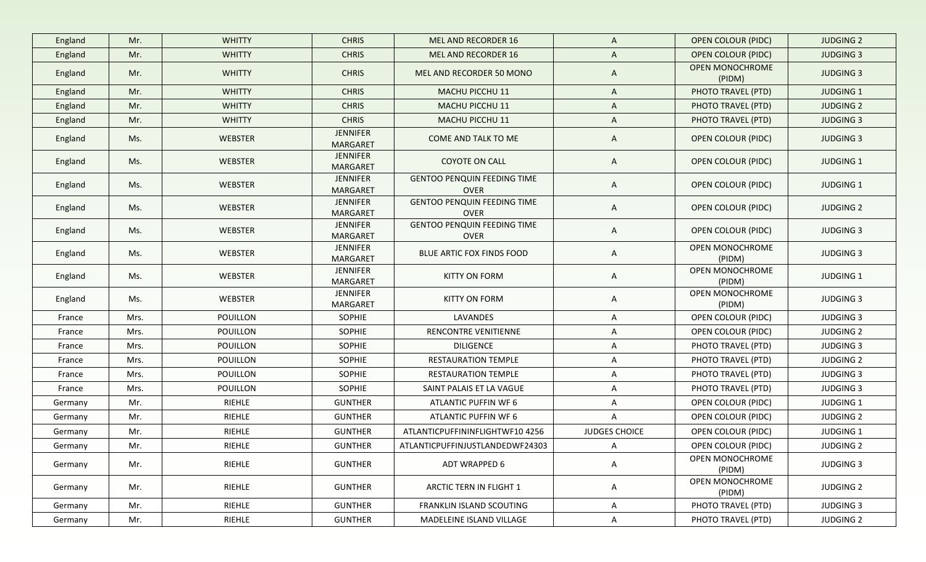| England | Mr.  | <b>WHITTY</b>   | <b>CHRIS</b>                       | MEL AND RECORDER 16                               | $\mathsf{A}$         | <b>OPEN COLOUR (PIDC)</b>        | <b>JUDGING 2</b> |
|---------|------|-----------------|------------------------------------|---------------------------------------------------|----------------------|----------------------------------|------------------|
| England | Mr.  | <b>WHITTY</b>   | <b>CHRIS</b>                       | MEL AND RECORDER 16                               | $\mathsf{A}$         | <b>OPEN COLOUR (PIDC)</b>        | <b>JUDGING 3</b> |
| England | Mr.  | <b>WHITTY</b>   | <b>CHRIS</b>                       | MEL AND RECORDER 50 MONO                          | A                    | <b>OPEN MONOCHROME</b><br>(PIDM) | <b>JUDGING 3</b> |
| England | Mr.  | <b>WHITTY</b>   | <b>CHRIS</b>                       | MACHU PICCHU 11                                   | $\mathsf{A}$         | PHOTO TRAVEL (PTD)               | <b>JUDGING 1</b> |
| England | Mr.  | <b>WHITTY</b>   | <b>CHRIS</b>                       | MACHU PICCHU 11                                   | $\mathsf{A}$         | PHOTO TRAVEL (PTD)               | <b>JUDGING 2</b> |
| England | Mr.  | <b>WHITTY</b>   | <b>CHRIS</b>                       | MACHU PICCHU 11                                   | $\mathsf{A}$         | PHOTO TRAVEL (PTD)               | <b>JUDGING 3</b> |
| England | Ms.  | <b>WEBSTER</b>  | <b>JENNIFER</b><br><b>MARGARET</b> | COME AND TALK TO ME                               | $\mathsf{A}$         | <b>OPEN COLOUR (PIDC)</b>        | <b>JUDGING 3</b> |
| England | Ms.  | <b>WEBSTER</b>  | <b>JENNIFER</b><br><b>MARGARET</b> | <b>COYOTE ON CALL</b>                             | A                    | <b>OPEN COLOUR (PIDC)</b>        | <b>JUDGING 1</b> |
| England | Ms.  | <b>WEBSTER</b>  | <b>JENNIFER</b><br><b>MARGARET</b> | <b>GENTOO PENQUIN FEEDING TIME</b><br><b>OVER</b> | $\mathsf{A}$         | <b>OPEN COLOUR (PIDC)</b>        | <b>JUDGING 1</b> |
| England | Ms.  | WEBSTER         | JENNIFER<br><b>MARGARET</b>        | <b>GENTOO PENQUIN FEEDING TIME</b><br><b>OVER</b> | $\mathsf{A}$         | <b>OPEN COLOUR (PIDC)</b>        | <b>JUDGING 2</b> |
| England | Ms.  | WEBSTER         | <b>JENNIFER</b><br><b>MARGARET</b> | <b>GENTOO PENQUIN FEEDING TIME</b><br><b>OVER</b> | $\mathsf{A}$         | <b>OPEN COLOUR (PIDC)</b>        | <b>JUDGING 3</b> |
| England | Ms.  | <b>WEBSTER</b>  | <b>JENNIFER</b><br><b>MARGARET</b> | BLUE ARTIC FOX FINDS FOOD                         | $\mathsf{A}$         | OPEN MONOCHROME<br>(PIDM)        | <b>JUDGING 3</b> |
| England | Ms.  | <b>WEBSTER</b>  | JENNIFER<br>MARGARET               | <b>KITTY ON FORM</b>                              | $\mathsf{A}$         | OPEN MONOCHROME<br>(PIDM)        | JUDGING 1        |
| England | Ms.  | WEBSTER         | <b>JENNIFER</b><br>MARGARET        | <b>KITTY ON FORM</b>                              | A                    | OPEN MONOCHROME<br>(PIDM)        | <b>JUDGING 3</b> |
| France  | Mrs. | POUILLON        | <b>SOPHIE</b>                      | LAVANDES                                          | $\mathsf{A}$         | OPEN COLOUR (PIDC)               | <b>JUDGING 3</b> |
| France  | Mrs. | POUILLON        | <b>SOPHIE</b>                      | RENCONTRE VENITIENNE                              | $\mathsf{A}$         | OPEN COLOUR (PIDC)               | <b>JUDGING 2</b> |
| France  | Mrs. | POUILLON        | SOPHIE                             | <b>DILIGENCE</b>                                  | $\mathsf{A}$         | PHOTO TRAVEL (PTD)               | <b>JUDGING 3</b> |
| France  | Mrs. | <b>POUILLON</b> | SOPHIE                             | RESTAURATION TEMPLE                               | A                    | PHOTO TRAVEL (PTD)               | <b>JUDGING 2</b> |
| France  | Mrs. | POUILLON        | <b>SOPHIE</b>                      | RESTAURATION TEMPLE                               | A                    | PHOTO TRAVEL (PTD)               | <b>JUDGING 3</b> |
| France  | Mrs. | POUILLON        | SOPHIE                             | SAINT PALAIS ET LA VAGUE                          | A                    | PHOTO TRAVEL (PTD)               | <b>JUDGING 3</b> |
| Germany | Mr.  | RIEHLE          | <b>GUNTHER</b>                     | ATLANTIC PUFFIN WF 6                              | A                    | OPEN COLOUR (PIDC)               | <b>JUDGING 1</b> |
| Germany | Mr.  | RIEHLE          | <b>GUNTHER</b>                     | ATLANTIC PUFFIN WF 6                              | $\mathsf{A}$         | OPEN COLOUR (PIDC)               | <b>JUDGING 2</b> |
| Germany | Mr.  | RIEHLE          | <b>GUNTHER</b>                     | ATLANTICPUFFININFLIGHTWF10 4256                   | <b>JUDGES CHOICE</b> | OPEN COLOUR (PIDC)               | <b>JUDGING 1</b> |
| Germany | Mr.  | RIEHLE          | <b>GUNTHER</b>                     | ATLANTICPUFFINJUSTLANDEDWF24303                   | $\mathsf{A}$         | OPEN COLOUR (PIDC)               | <b>JUDGING 2</b> |
| Germany | Mr.  | RIEHLE          | <b>GUNTHER</b>                     | ADT WRAPPED 6                                     | A                    | <b>OPEN MONOCHROME</b><br>(PIDM) | <b>JUDGING 3</b> |
| Germany | Mr.  | RIEHLE          | <b>GUNTHER</b>                     | ARCTIC TERN IN FLIGHT 1                           | A                    | OPEN MONOCHROME<br>(PIDM)        | <b>JUDGING 2</b> |
| Germany | Mr.  | RIEHLE          | <b>GUNTHER</b>                     | <b>FRANKLIN ISLAND SCOUTING</b>                   | $\mathsf{A}$         | PHOTO TRAVEL (PTD)               | <b>JUDGING 3</b> |
| Germany | Mr.  | RIEHLE          | <b>GUNTHER</b>                     | MADELEINE ISLAND VILLAGE                          | $\mathsf{A}$         | PHOTO TRAVEL (PTD)               | <b>JUDGING 2</b> |
|         |      |                 |                                    |                                                   |                      |                                  |                  |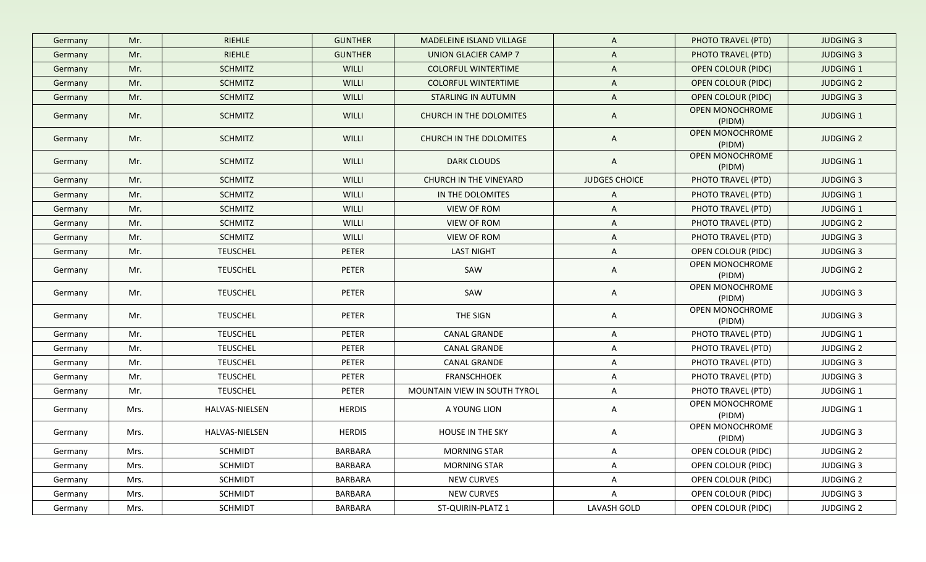| Germany | Mr.  | <b>RIEHLE</b>   | <b>GUNTHER</b> | MADELEINE ISLAND VILLAGE     | A                    | PHOTO TRAVEL (PTD)        | <b>JUDGING 3</b> |
|---------|------|-----------------|----------------|------------------------------|----------------------|---------------------------|------------------|
| Germany | Mr.  | RIEHLE          | <b>GUNTHER</b> | UNION GLACIER CAMP 7         | A                    | PHOTO TRAVEL (PTD)        | <b>JUDGING 3</b> |
| Germany | Mr.  | <b>SCHMITZ</b>  | WILLI          | <b>COLORFUL WINTERTIME</b>   | A                    | <b>OPEN COLOUR (PIDC)</b> | <b>JUDGING 1</b> |
| Germany | Mr.  | <b>SCHMITZ</b>  | WILLI          | <b>COLORFUL WINTERTIME</b>   | $\mathsf{A}$         | <b>OPEN COLOUR (PIDC)</b> | <b>JUDGING 2</b> |
| Germany | Mr.  | <b>SCHMITZ</b>  | <b>WILLI</b>   | <b>STARLING IN AUTUMN</b>    | $\mathsf{A}$         | <b>OPEN COLOUR (PIDC)</b> | <b>JUDGING 3</b> |
| Germany | Mr.  | <b>SCHMITZ</b>  | WILLI          | CHURCH IN THE DOLOMITES      | $\mathsf{A}$         | OPEN MONOCHROME<br>(PIDM) | <b>JUDGING 1</b> |
| Germany | Mr.  | <b>SCHMITZ</b>  | WILLI          | CHURCH IN THE DOLOMITES      | $\mathsf{A}$         | OPEN MONOCHROME<br>(PIDM) | <b>JUDGING 2</b> |
| Germany | Mr.  | <b>SCHMITZ</b>  | WILLI          | <b>DARK CLOUDS</b>           | $\mathsf{A}$         | OPEN MONOCHROME<br>(PIDM) | <b>JUDGING 1</b> |
| Germany | Mr.  | <b>SCHMITZ</b>  | <b>WILLI</b>   | CHURCH IN THE VINEYARD       | <b>JUDGES CHOICE</b> | PHOTO TRAVEL (PTD)        | <b>JUDGING 3</b> |
| Germany | Mr.  | <b>SCHMITZ</b>  | WILLI          | IN THE DOLOMITES             | A                    | PHOTO TRAVEL (PTD)        | <b>JUDGING 1</b> |
| Germany | Mr.  | <b>SCHMITZ</b>  | WILLI          | VIEW OF ROM                  | A                    | PHOTO TRAVEL (PTD)        | <b>JUDGING 1</b> |
| Germany | Mr.  | <b>SCHMITZ</b>  | WILLI          | VIEW OF ROM                  | A                    | PHOTO TRAVEL (PTD)        | <b>JUDGING 2</b> |
| Germany | Mr.  | <b>SCHMITZ</b>  | WILLI          | VIEW OF ROM                  | A                    | PHOTO TRAVEL (PTD)        | <b>JUDGING 3</b> |
| Germany | Mr.  | <b>TEUSCHEL</b> | PETER          | <b>LAST NIGHT</b>            | $\mathsf{A}$         | <b>OPEN COLOUR (PIDC)</b> | <b>JUDGING 3</b> |
| Germany | Mr.  | <b>TEUSCHEL</b> | PETER          | SAW                          | A                    | OPEN MONOCHROME<br>(PIDM) | <b>JUDGING 2</b> |
| Germany | Mr.  | <b>TEUSCHEL</b> | PETER          | SAW                          | A                    | OPEN MONOCHROME<br>(PIDM) | <b>JUDGING 3</b> |
| Germany | Mr.  | <b>TEUSCHEL</b> | PETER          | THE SIGN                     | A                    | OPEN MONOCHROME<br>(PIDM) | <b>JUDGING 3</b> |
| Germany | Mr.  | <b>TEUSCHEL</b> | PETER          | <b>CANAL GRANDE</b>          | A                    | PHOTO TRAVEL (PTD)        | <b>JUDGING 1</b> |
| Germany | Mr.  | <b>TEUSCHEL</b> | PETER          | <b>CANAL GRANDE</b>          | A                    | PHOTO TRAVEL (PTD)        | <b>JUDGING 2</b> |
| Germany | Mr.  | <b>TEUSCHEL</b> | PETER          | <b>CANAL GRANDE</b>          | A                    | PHOTO TRAVEL (PTD)        | <b>JUDGING 3</b> |
| Germany | Mr.  | <b>TEUSCHEL</b> | PETER          | <b>FRANSCHHOEK</b>           | A                    | PHOTO TRAVEL (PTD)        | <b>JUDGING 3</b> |
| Germany | Mr.  | <b>TEUSCHEL</b> | PETER          | MOUNTAIN VIEW IN SOUTH TYROL | A                    | PHOTO TRAVEL (PTD)        | JUDGING 1        |
| Germany | Mrs. | HALVAS-NIELSEN  | <b>HERDIS</b>  | A YOUNG LION                 | A                    | OPEN MONOCHROME<br>(PIDM) | JUDGING 1        |
| Germany | Mrs. | HALVAS-NIELSEN  | <b>HERDIS</b>  | <b>HOUSE IN THE SKY</b>      | A                    | OPEN MONOCHROME<br>(PIDM) | <b>JUDGING 3</b> |
| Germany | Mrs. | <b>SCHMIDT</b>  | BARBARA        | <b>MORNING STAR</b>          | A                    | OPEN COLOUR (PIDC)        | <b>JUDGING 2</b> |
| Germany | Mrs. | <b>SCHMIDT</b>  | BARBARA        | <b>MORNING STAR</b>          | A                    | OPEN COLOUR (PIDC)        | <b>JUDGING 3</b> |
| Germany | Mrs. | <b>SCHMIDT</b>  | BARBARA        | <b>NEW CURVES</b>            | A                    | OPEN COLOUR (PIDC)        | <b>JUDGING 2</b> |
| Germany | Mrs. | <b>SCHMIDT</b>  | BARBARA        | <b>NEW CURVES</b>            | $\mathsf{A}$         | OPEN COLOUR (PIDC)        | <b>JUDGING 3</b> |
| Germany | Mrs. | <b>SCHMIDT</b>  | BARBARA        | ST-QUIRIN-PLATZ 1            | LAVASH GOLD          | OPEN COLOUR (PIDC)        | JUDGING 2        |
|         |      |                 |                |                              |                      |                           |                  |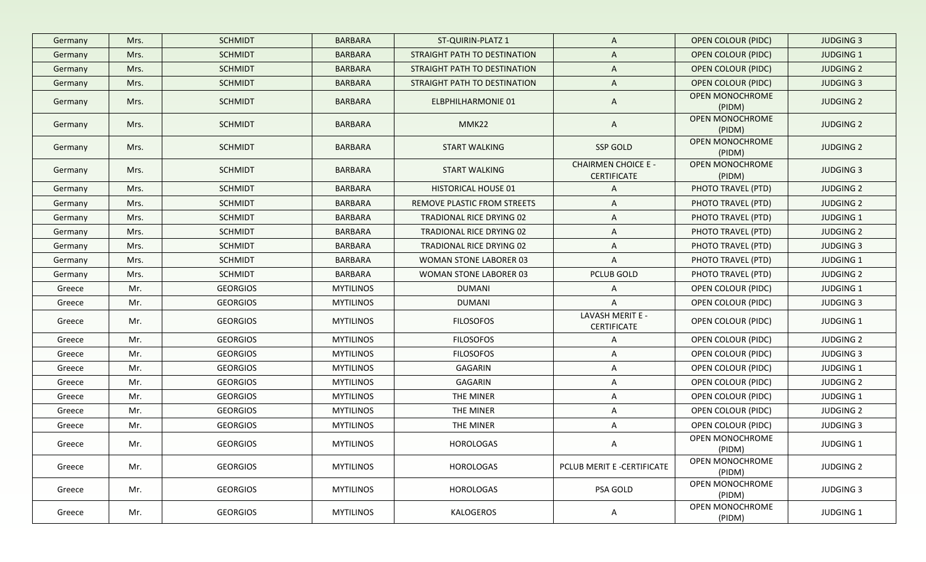| Germany | Mrs. | <b>SCHMIDT</b>  | <b>BARBARA</b>   | ST-QUIRIN-PLATZ 1             | $\mathsf{A}$                                     | <b>OPEN COLOUR (PIDC)</b>        | <b>JUDGING 3</b> |
|---------|------|-----------------|------------------|-------------------------------|--------------------------------------------------|----------------------------------|------------------|
| Germany | Mrs. | <b>SCHMIDT</b>  | <b>BARBARA</b>   | STRAIGHT PATH TO DESTINATION  | A                                                | <b>OPEN COLOUR (PIDC)</b>        | <b>JUDGING 1</b> |
| Germany | Mrs. | <b>SCHMIDT</b>  | <b>BARBARA</b>   | STRAIGHT PATH TO DESTINATION  | $\mathsf{A}$                                     | <b>OPEN COLOUR (PIDC)</b>        | <b>JUDGING 2</b> |
| Germany | Mrs. | <b>SCHMIDT</b>  | <b>BARBARA</b>   | STRAIGHT PATH TO DESTINATION  | $\mathsf{A}$                                     | <b>OPEN COLOUR (PIDC)</b>        | <b>JUDGING 3</b> |
| Germany | Mrs. | <b>SCHMIDT</b>  | <b>BARBARA</b>   | <b>ELBPHILHARMONIE 01</b>     | A                                                | <b>OPEN MONOCHROME</b><br>(PIDM) | <b>JUDGING 2</b> |
| Germany | Mrs. | <b>SCHMIDT</b>  | <b>BARBARA</b>   | MMK22                         | $\mathsf{A}$                                     | OPEN MONOCHROME<br>(PIDM)        | <b>JUDGING 2</b> |
| Germany | Mrs. | <b>SCHMIDT</b>  | <b>BARBARA</b>   | <b>START WALKING</b>          | SSP GOLD                                         | OPEN MONOCHROME<br>(PIDM)        | <b>JUDGING 2</b> |
| Germany | Mrs. | <b>SCHMIDT</b>  | <b>BARBARA</b>   | <b>START WALKING</b>          | <b>CHAIRMEN CHOICE E -</b><br><b>CERTIFICATE</b> | OPEN MONOCHROME<br>(PIDM)        | <b>JUDGING 3</b> |
| Germany | Mrs. | <b>SCHMIDT</b>  | <b>BARBARA</b>   | <b>HISTORICAL HOUSE 01</b>    | A                                                | PHOTO TRAVEL (PTD)               | <b>JUDGING 2</b> |
| Germany | Mrs. | <b>SCHMIDT</b>  | <b>BARBARA</b>   | REMOVE PLASTIC FROM STREETS   | A                                                | PHOTO TRAVEL (PTD)               | <b>JUDGING 2</b> |
| Germany | Mrs. | <b>SCHMIDT</b>  | <b>BARBARA</b>   | TRADIONAL RICE DRYING 02      | A                                                | PHOTO TRAVEL (PTD)               | JUDGING 1        |
| Germany | Mrs. | <b>SCHMIDT</b>  | <b>BARBARA</b>   | TRADIONAL RICE DRYING 02      | A                                                | PHOTO TRAVEL (PTD)               | <b>JUDGING 2</b> |
| Germany | Mrs. | <b>SCHMIDT</b>  | BARBARA          | TRADIONAL RICE DRYING 02      | A                                                | PHOTO TRAVEL (PTD)               | <b>JUDGING 3</b> |
| Germany | Mrs. | <b>SCHMIDT</b>  | <b>BARBARA</b>   | <b>WOMAN STONE LABORER 03</b> | $\mathsf{A}$                                     | PHOTO TRAVEL (PTD)               | <b>JUDGING 1</b> |
| Germany | Mrs. | <b>SCHMIDT</b>  | BARBARA          | <b>WOMAN STONE LABORER 03</b> | PCLUB GOLD                                       | PHOTO TRAVEL (PTD)               | <b>JUDGING 2</b> |
| Greece  | Mr.  | <b>GEORGIOS</b> | <b>MYTILINOS</b> | <b>DUMANI</b>                 | A                                                | OPEN COLOUR (PIDC)               | <b>JUDGING 1</b> |
| Greece  | Mr.  | <b>GEORGIOS</b> | <b>MYTILINOS</b> | <b>DUMANI</b>                 | A                                                | OPEN COLOUR (PIDC)               | <b>JUDGING 3</b> |
| Greece  | Mr.  | <b>GEORGIOS</b> | <b>MYTILINOS</b> | <b>FILOSOFOS</b>              | LAVASH MERIT E -<br>CERTIFICATE                  | OPEN COLOUR (PIDC)               | <b>JUDGING 1</b> |
| Greece  | Mr.  | <b>GEORGIOS</b> | <b>MYTILINOS</b> | <b>FILOSOFOS</b>              | A                                                | OPEN COLOUR (PIDC)               | <b>JUDGING 2</b> |
| Greece  | Mr.  | <b>GEORGIOS</b> | <b>MYTILINOS</b> | <b>FILOSOFOS</b>              | A                                                | OPEN COLOUR (PIDC)               | <b>JUDGING 3</b> |
| Greece  | Mr.  | <b>GEORGIOS</b> | <b>MYTILINOS</b> | GAGARIN                       | A                                                | OPEN COLOUR (PIDC)               | <b>JUDGING 1</b> |
| Greece  | Mr.  | <b>GEORGIOS</b> | <b>MYTILINOS</b> | GAGARIN                       | Α                                                | OPEN COLOUR (PIDC)               | <b>JUDGING 2</b> |
| Greece  | Mr.  | <b>GEORGIOS</b> | <b>MYTILINOS</b> | THE MINER                     | A                                                | OPEN COLOUR (PIDC)               | <b>JUDGING 1</b> |
| Greece  | Mr.  | <b>GEORGIOS</b> | <b>MYTILINOS</b> | THE MINER                     | A                                                | OPEN COLOUR (PIDC)               | <b>JUDGING 2</b> |
| Greece  | Mr.  | <b>GEORGIOS</b> | <b>MYTILINOS</b> | THE MINER                     | A                                                | OPEN COLOUR (PIDC)               | <b>JUDGING 3</b> |
| Greece  | Mr.  | <b>GEORGIOS</b> | <b>MYTILINOS</b> | HOROLOGAS                     |                                                  | OPEN MONOCHROME<br>(PIDM)        | JUDGING 1        |
| Greece  | Mr.  | <b>GEORGIOS</b> | <b>MYTILINOS</b> | <b>HOROLOGAS</b>              | PCLUB MERIT E -CERTIFICATE                       | OPEN MONOCHROME<br>(PIDM)        | <b>JUDGING 2</b> |
| Greece  | Mr.  | <b>GEORGIOS</b> | <b>MYTILINOS</b> | <b>HOROLOGAS</b>              | PSA GOLD                                         | OPEN MONOCHROME<br>(PIDM)        | <b>JUDGING 3</b> |
| Greece  | Mr.  | <b>GEORGIOS</b> | <b>MYTILINOS</b> | KALOGEROS                     | A                                                | OPEN MONOCHROME<br>(PIDM)        | JUDGING 1        |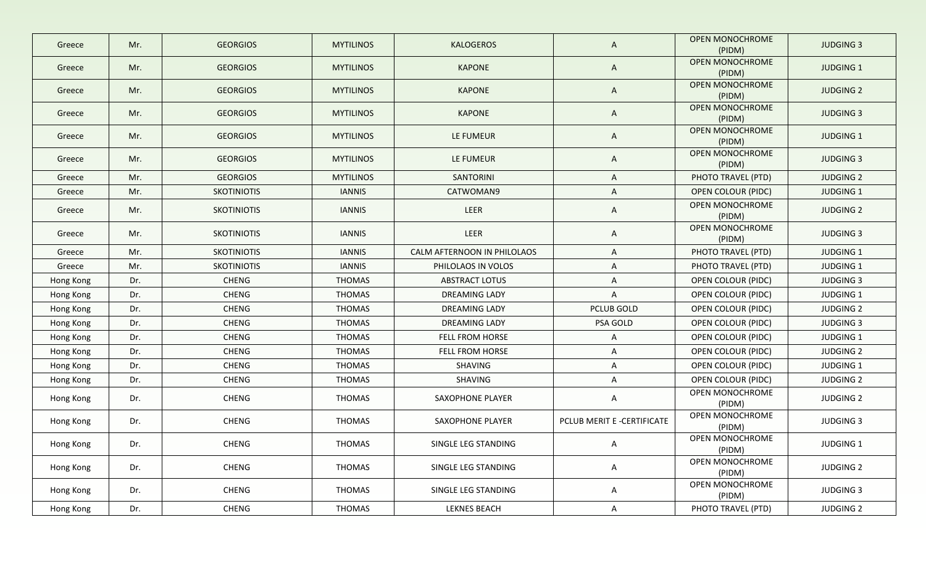| Greece    | Mr. | <b>GEORGIOS</b>    | <b>MYTILINOS</b> | <b>KALOGEROS</b>            | $\mathsf{A}$               | <b>OPEN MONOCHROME</b><br>(PIDM) | <b>JUDGING 3</b> |
|-----------|-----|--------------------|------------------|-----------------------------|----------------------------|----------------------------------|------------------|
| Greece    | Mr. | <b>GEORGIOS</b>    | <b>MYTILINOS</b> | <b>KAPONE</b>               | $\mathsf{A}$               | <b>OPEN MONOCHROME</b><br>(PIDM) | <b>JUDGING 1</b> |
| Greece    | Mr. | <b>GEORGIOS</b>    | <b>MYTILINOS</b> | <b>KAPONE</b>               | $\mathsf{A}$               | <b>OPEN MONOCHROME</b><br>(PIDM) | <b>JUDGING 2</b> |
| Greece    | Mr. | <b>GEORGIOS</b>    | <b>MYTILINOS</b> | <b>KAPONE</b>               | $\mathsf{A}$               | OPEN MONOCHROME<br>(PIDM)        | <b>JUDGING 3</b> |
| Greece    | Mr. | <b>GEORGIOS</b>    | <b>MYTILINOS</b> | LE FUMEUR                   | A                          | <b>OPEN MONOCHROME</b><br>(PIDM) | JUDGING 1        |
| Greece    | Mr. | <b>GEORGIOS</b>    | <b>MYTILINOS</b> | LE FUMEUR                   | A                          | OPEN MONOCHROME<br>(PIDM)        | <b>JUDGING 3</b> |
| Greece    | Mr. | <b>GEORGIOS</b>    | <b>MYTILINOS</b> | SANTORINI                   | $\mathsf{A}$               | PHOTO TRAVEL (PTD)               | <b>JUDGING 2</b> |
| Greece    | Mr. | <b>SKOTINIOTIS</b> | <b>IANNIS</b>    | CATWOMAN9                   | A                          | <b>OPEN COLOUR (PIDC)</b>        | JUDGING 1        |
| Greece    | Mr. | <b>SKOTINIOTIS</b> | <b>IANNIS</b>    | LEER                        | A                          | <b>OPEN MONOCHROME</b><br>(PIDM) | <b>JUDGING 2</b> |
| Greece    | Mr. | <b>SKOTINIOTIS</b> | <b>IANNIS</b>    | LEER                        | A                          | <b>OPEN MONOCHROME</b><br>(PIDM) | <b>JUDGING 3</b> |
| Greece    | Mr. | <b>SKOTINIOTIS</b> | <b>IANNIS</b>    | CALM AFTERNOON IN PHILOLAOS | A                          | PHOTO TRAVEL (PTD)               | JUDGING 1        |
| Greece    | Mr. | <b>SKOTINIOTIS</b> | <b>IANNIS</b>    | PHILOLAOS IN VOLOS          | A                          | PHOTO TRAVEL (PTD)               | <b>JUDGING 1</b> |
| Hong Kong | Dr. | <b>CHENG</b>       | <b>THOMAS</b>    | <b>ABSTRACT LOTUS</b>       | $\mathsf{A}$               | OPEN COLOUR (PIDC)               | <b>JUDGING 3</b> |
| Hong Kong | Dr. | <b>CHENG</b>       | <b>THOMAS</b>    | DREAMING LADY               | $\mathsf{A}$               | OPEN COLOUR (PIDC)               | JUDGING 1        |
| Hong Kong | Dr. | <b>CHENG</b>       | <b>THOMAS</b>    | DREAMING LADY               | PCLUB GOLD                 | OPEN COLOUR (PIDC)               | <b>JUDGING 2</b> |
| Hong Kong | Dr. | CHENG              | <b>THOMAS</b>    | <b>DREAMING LADY</b>        | PSA GOLD                   | OPEN COLOUR (PIDC)               | <b>JUDGING 3</b> |
| Hong Kong | Dr. | CHENG              | <b>THOMAS</b>    | FELL FROM HORSE             | A                          | OPEN COLOUR (PIDC)               | JUDGING 1        |
| Hong Kong | Dr. | CHENG              | <b>THOMAS</b>    | FELL FROM HORSE             | A                          | OPEN COLOUR (PIDC)               | <b>JUDGING 2</b> |
| Hong Kong | Dr. | <b>CHENG</b>       | <b>THOMAS</b>    | SHAVING                     | A                          | OPEN COLOUR (PIDC)               | JUDGING 1        |
| Hong Kong | Dr. | CHENG              | <b>THOMAS</b>    | SHAVING                     | A                          | OPEN COLOUR (PIDC)               | <b>JUDGING 2</b> |
| Hong Kong | Dr. | CHENG              | <b>THOMAS</b>    | SAXOPHONE PLAYER            | A                          | <b>OPEN MONOCHROME</b><br>(PIDM) | <b>JUDGING 2</b> |
| Hong Kong | Dr. | <b>CHENG</b>       | <b>THOMAS</b>    | SAXOPHONE PLAYER            | PCLUB MERIT E -CERTIFICATE | OPEN MONOCHROME<br>(PIDM)        | <b>JUDGING 3</b> |
| Hong Kong | Dr. | CHENG              | THOMAS           | SINGLE LEG STANDING         | A                          | OPEN MONOCHROME<br>(PIDM)        | JUDGING 1        |
| Hong Kong | Dr. | CHENG              | THOMAS           | SINGLE LEG STANDING         | $\mathsf{A}$               | OPEN MONOCHROME<br>(PIDM)        | <b>JUDGING 2</b> |
| Hong Kong | Dr. | CHENG              | THOMAS           | SINGLE LEG STANDING         | $\mathsf{A}$               | OPEN MONOCHROME<br>(PIDM)        | <b>JUDGING 3</b> |
| Hong Kong | Dr. | CHENG              | <b>THOMAS</b>    | LEKNES BEACH                | $\mathsf{A}$               | PHOTO TRAVEL (PTD)               | <b>JUDGING 2</b> |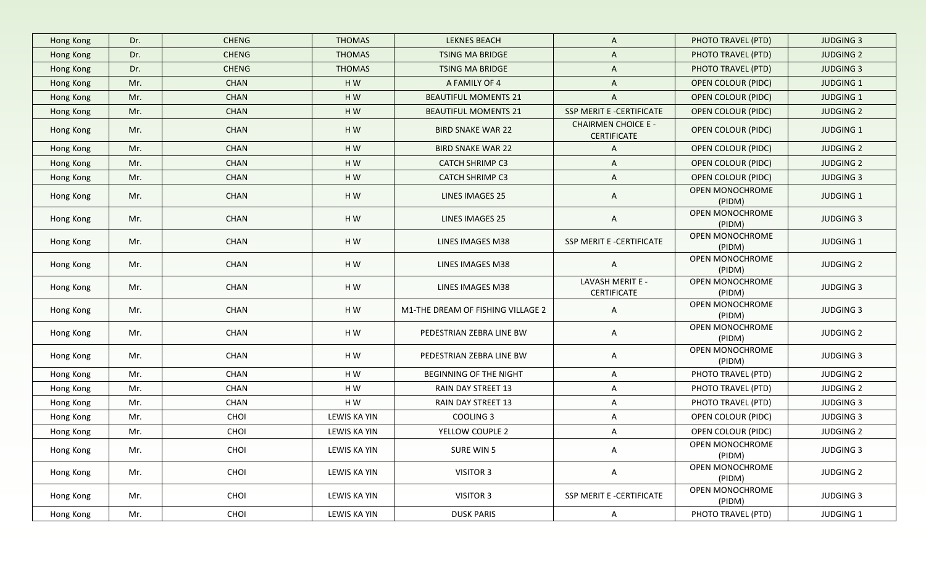| Hong Kong | Dr. | <b>CHENG</b> | <b>THOMAS</b> | <b>LEKNES BEACH</b>               | $\mathsf{A}$                                     | PHOTO TRAVEL (PTD)        | <b>JUDGING 3</b> |
|-----------|-----|--------------|---------------|-----------------------------------|--------------------------------------------------|---------------------------|------------------|
| Hong Kong | Dr. | <b>CHENG</b> | <b>THOMAS</b> | TSING MA BRIDGE                   | A                                                | PHOTO TRAVEL (PTD)        | <b>JUDGING 2</b> |
| Hong Kong | Dr. | <b>CHENG</b> | <b>THOMAS</b> | TSING MA BRIDGE                   | A                                                | PHOTO TRAVEL (PTD)        | <b>JUDGING 3</b> |
| Hong Kong | Mr. | <b>CHAN</b>  | HW            | A FAMILY OF 4                     | $\mathsf{A}$                                     | <b>OPEN COLOUR (PIDC)</b> | <b>JUDGING 1</b> |
| Hong Kong | Mr. | <b>CHAN</b>  | HW            | <b>BEAUTIFUL MOMENTS 21</b>       | A                                                | <b>OPEN COLOUR (PIDC)</b> | <b>JUDGING 1</b> |
| Hong Kong | Mr. | <b>CHAN</b>  | HW            | <b>BEAUTIFUL MOMENTS 21</b>       | SSP MERIT E -CERTIFICATE                         | <b>OPEN COLOUR (PIDC)</b> | <b>JUDGING 2</b> |
| Hong Kong | Mr. | CHAN         | HW            | <b>BIRD SNAKE WAR 22</b>          | <b>CHAIRMEN CHOICE E -</b><br><b>CERTIFICATE</b> | <b>OPEN COLOUR (PIDC)</b> | <b>JUDGING 1</b> |
| Hong Kong | Mr. | <b>CHAN</b>  | HW            | <b>BIRD SNAKE WAR 22</b>          | A                                                | <b>OPEN COLOUR (PIDC)</b> | <b>JUDGING 2</b> |
| Hong Kong | Mr. | CHAN         | HW            | <b>CATCH SHRIMP C3</b>            | A                                                | <b>OPEN COLOUR (PIDC)</b> | <b>JUDGING 2</b> |
| Hong Kong | Mr. | CHAN         | HW            | <b>CATCH SHRIMP C3</b>            | $\mathsf{A}$                                     | <b>OPEN COLOUR (PIDC)</b> | <b>JUDGING 3</b> |
| Hong Kong | Mr. | <b>CHAN</b>  | HW            | <b>LINES IMAGES 25</b>            | A                                                | OPEN MONOCHROME<br>(PIDM) | JUDGING 1        |
| Hong Kong | Mr. | <b>CHAN</b>  | HW            | <b>LINES IMAGES 25</b>            | $\mathsf{A}$                                     | OPEN MONOCHROME<br>(PIDM) | <b>JUDGING 3</b> |
| Hong Kong | Mr. | CHAN         | HW            | LINES IMAGES M38                  | SSP MERIT E -CERTIFICATE                         | OPEN MONOCHROME<br>(PIDM) | <b>JUDGING 1</b> |
| Hong Kong | Mr. | CHAN         | HW            | LINES IMAGES M38                  | $\mathsf{A}$                                     | OPEN MONOCHROME<br>(PIDM) | <b>JUDGING 2</b> |
| Hong Kong | Mr. | CHAN         | HW            | LINES IMAGES M38                  | LAVASH MERIT E -<br><b>CERTIFICATE</b>           | OPEN MONOCHROME<br>(PIDM) | <b>JUDGING 3</b> |
| Hong Kong | Mr. | CHAN         | HW            | M1-THE DREAM OF FISHING VILLAGE 2 | A                                                | OPEN MONOCHROME<br>(PIDM) | <b>JUDGING 3</b> |
| Hong Kong | Mr. | CHAN         | HW            | PEDESTRIAN ZEBRA LINE BW          | A                                                | OPEN MONOCHROME<br>(PIDM) | <b>JUDGING 2</b> |
| Hong Kong | Mr. | CHAN         | HW            | PEDESTRIAN ZEBRA LINE BW          | A                                                | OPEN MONOCHROME<br>(PIDM) | <b>JUDGING 3</b> |
| Hong Kong | Mr. | CHAN         | HW            | <b>BEGINNING OF THE NIGHT</b>     | A                                                | PHOTO TRAVEL (PTD)        | <b>JUDGING 2</b> |
| Hong Kong | Mr. | CHAN         | HW            | RAIN DAY STREET 13                | A                                                | PHOTO TRAVEL (PTD)        | <b>JUDGING 2</b> |
| Hong Kong | Mr. | CHAN         | HW            | RAIN DAY STREET 13                | A                                                | PHOTO TRAVEL (PTD)        | <b>JUDGING 3</b> |
| Hong Kong | Mr. | CHOI         | LEWIS KA YIN  | COOLING 3                         | A                                                | OPEN COLOUR (PIDC)        | <b>JUDGING 3</b> |
| Hong Kong | Mr. | CHOI         | LEWIS KA YIN  | YELLOW COUPLE 2                   | A                                                | OPEN COLOUR (PIDC)        | <b>JUDGING 2</b> |
| Hong Kong | Mr. | CHOI         | LEWIS KA YIN  | SURE WIN 5                        | A                                                | OPEN MONOCHROME<br>(PIDM) | <b>JUDGING 3</b> |
| Hong Kong | Mr. | CHOI         | LEWIS KA YIN  | VISITOR 3                         | $\mathsf{A}$                                     | OPEN MONOCHROME<br>(PIDM) | <b>JUDGING 2</b> |
| Hong Kong | Mr. | CHOI         | LEWIS KA YIN  | <b>VISITOR 3</b>                  | SSP MERIT E -CERTIFICATE                         | OPEN MONOCHROME<br>(PIDM) | <b>JUDGING 3</b> |
| Hong Kong | Mr. | CHOI         | LEWIS KA YIN  | <b>DUSK PARIS</b>                 | $\mathsf{A}$                                     | PHOTO TRAVEL (PTD)        | JUDGING 1        |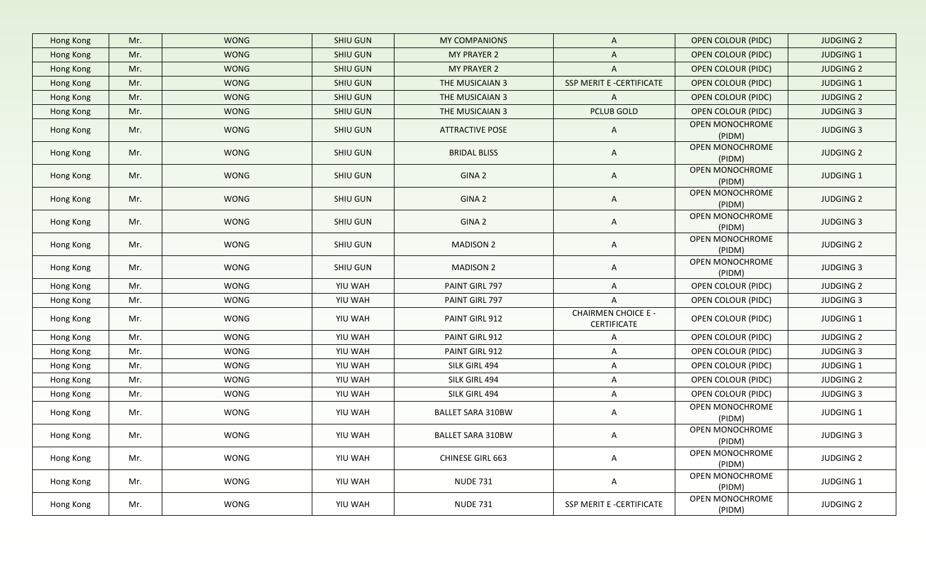| Hong Kong | Mr. | <b>WONG</b> | <b>SHIU GUN</b> | MY COMPANIONS            | A                                                | <b>OPEN COLOUR (PIDC)</b>        | <b>JUDGING 2</b> |
|-----------|-----|-------------|-----------------|--------------------------|--------------------------------------------------|----------------------------------|------------------|
| Hong Kong | Mr. | <b>WONG</b> | SHIU GUN        | <b>MY PRAYER 2</b>       | $\mathsf{A}$                                     | <b>OPEN COLOUR (PIDC)</b>        | <b>JUDGING 1</b> |
| Hong Kong | Mr. | <b>WONG</b> | SHIU GUN        | <b>MY PRAYER 2</b>       | $\overline{A}$                                   | <b>OPEN COLOUR (PIDC)</b>        | <b>JUDGING 2</b> |
| Hong Kong | Mr. | <b>WONG</b> | SHIU GUN        | THE MUSICAIAN 3          | SSP MERIT E -CERTIFICATE                         | <b>OPEN COLOUR (PIDC)</b>        | <b>JUDGING 1</b> |
| Hong Kong | Mr. | <b>WONG</b> | SHIU GUN        | THE MUSICAIAN 3          | $\mathsf{A}$                                     | <b>OPEN COLOUR (PIDC)</b>        | <b>JUDGING 2</b> |
| Hong Kong | Mr. | <b>WONG</b> | SHIU GUN        | THE MUSICAIAN 3          | <b>PCLUB GOLD</b>                                | <b>OPEN COLOUR (PIDC)</b>        | <b>JUDGING 3</b> |
| Hong Kong | Mr. | <b>WONG</b> | SHIU GUN        | <b>ATTRACTIVE POSE</b>   | $\mathsf{A}$                                     | OPEN MONOCHROME<br>(PIDM)        | <b>JUDGING 3</b> |
| Hong Kong | Mr. | <b>WONG</b> | SHIU GUN        | <b>BRIDAL BLISS</b>      | $\mathsf{A}$                                     | OPEN MONOCHROME<br>(PIDM)        | <b>JUDGING 2</b> |
| Hong Kong | Mr. | <b>WONG</b> | SHIU GUN        | GINA 2                   | $\mathsf{A}$                                     | OPEN MONOCHROME<br>(PIDM)        | <b>JUDGING 1</b> |
| Hong Kong | Mr. | <b>WONG</b> | SHIU GUN        | GINA 2                   | $\mathsf{A}$                                     | OPEN MONOCHROME<br>(PIDM)        | <b>JUDGING 2</b> |
| Hong Kong | Mr. | <b>WONG</b> | SHIU GUN        | GINA 2                   | $\mathsf{A}$                                     | <b>OPEN MONOCHROME</b><br>(PIDM) | <b>JUDGING 3</b> |
| Hong Kong | Mr. | <b>WONG</b> | SHIU GUN        | <b>MADISON 2</b>         | $\mathsf{A}$                                     | OPEN MONOCHROME<br>(PIDM)        | <b>JUDGING 2</b> |
| Hong Kong | Mr. | <b>WONG</b> | SHIU GUN        | <b>MADISON 2</b>         | A                                                | OPEN MONOCHROME<br>(PIDM)        | <b>JUDGING 3</b> |
| Hong Kong | Mr. | <b>WONG</b> | YIU WAH         | PAINT GIRL 797           | $\mathsf{A}$                                     | OPEN COLOUR (PIDC)               | <b>JUDGING 2</b> |
| Hong Kong | Mr. | <b>WONG</b> | YIU WAH         | PAINT GIRL 797           | $\mathsf{A}$                                     | OPEN COLOUR (PIDC)               | <b>JUDGING 3</b> |
| Hong Kong | Mr. | <b>WONG</b> | YIU WAH         | PAINT GIRL 912           | <b>CHAIRMEN CHOICE E -</b><br><b>CERTIFICATE</b> | OPEN COLOUR (PIDC)               | <b>JUDGING 1</b> |
| Hong Kong | Mr. | <b>WONG</b> | YIU WAH         | PAINT GIRL 912           | A                                                | OPEN COLOUR (PIDC)               | <b>JUDGING 2</b> |
| Hong Kong | Mr. | <b>WONG</b> | YIU WAH         | PAINT GIRL 912           | $\mathsf{A}$                                     | OPEN COLOUR (PIDC)               | <b>JUDGING 3</b> |
| Hong Kong | Mr. | <b>WONG</b> | YIU WAH         | SILK GIRL 494            | $\mathsf{A}$                                     | OPEN COLOUR (PIDC)               | <b>JUDGING 1</b> |
| Hong Kong | Mr. | <b>WONG</b> | YIU WAH         | SILK GIRL 494            | A                                                | OPEN COLOUR (PIDC)               | <b>JUDGING 2</b> |
| Hong Kong | Mr. | <b>WONG</b> | YIU WAH         | SILK GIRL 494            | A                                                | OPEN COLOUR (PIDC)               | <b>JUDGING 3</b> |
| Hong Kong | Mr. | <b>WONG</b> | YIU WAH         | <b>BALLET SARA 310BW</b> | A                                                | OPEN MONOCHROME<br>(PIDM)        | <b>JUDGING 1</b> |
| Hong Kong | Mr. | <b>WONG</b> | YIU WAH         | <b>BALLET SARA 310BW</b> | A                                                | OPEN MONOCHROME<br>(PIDM)        | <b>JUDGING 3</b> |
| Hong Kong | Mr. | <b>WONG</b> | YIU WAH         | <b>CHINESE GIRL 663</b>  | $\mathsf{A}$                                     | OPEN MONOCHROME<br>(PIDM)        | <b>JUDGING 2</b> |
| Hong Kong | Mr. | WONG        | YIU WAH         | <b>NUDE 731</b>          | $\mathsf{A}$                                     | OPEN MONOCHROME<br>(PIDM)        | JUDGING 1        |
| Hong Kong | Mr. | WONG        | YIU WAH         | <b>NUDE 731</b>          | SSP MERIT E -CERTIFICATE                         | OPEN MONOCHROME<br>(PIDM)        | <b>JUDGING 2</b> |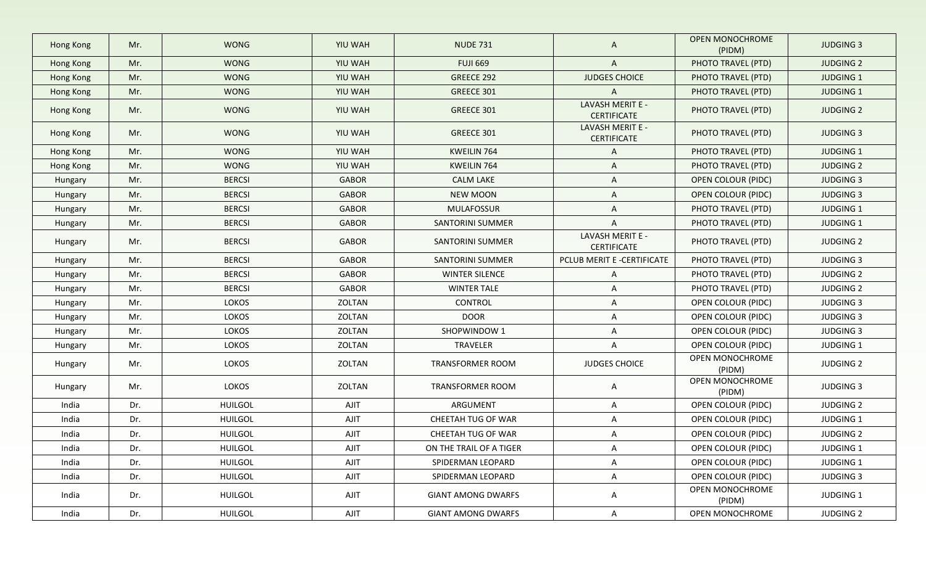| Hong Kong | Mr. | <b>WONG</b>    | YIU WAH      | <b>NUDE 731</b>           | $\mathsf{A}$                           | <b>OPEN MONOCHROME</b><br>(PIDM) | <b>JUDGING 3</b> |
|-----------|-----|----------------|--------------|---------------------------|----------------------------------------|----------------------------------|------------------|
| Hong Kong | Mr. | <b>WONG</b>    | YIU WAH      | <b>FUJI 669</b>           | $\mathsf{A}$                           | PHOTO TRAVEL (PTD)               | <b>JUDGING 2</b> |
| Hong Kong | Mr. | <b>WONG</b>    | YIU WAH      | GREECE 292                | <b>JUDGES CHOICE</b>                   | PHOTO TRAVEL (PTD)               | <b>JUDGING 1</b> |
| Hong Kong | Mr. | <b>WONG</b>    | YIU WAH      | GREECE 301                | $\overline{A}$                         | PHOTO TRAVEL (PTD)               | <b>JUDGING 1</b> |
| Hong Kong | Mr. | <b>WONG</b>    | YIU WAH      | GREECE 301                | LAVASH MERIT E -<br><b>CERTIFICATE</b> | PHOTO TRAVEL (PTD)               | <b>JUDGING 2</b> |
| Hong Kong | Mr. | <b>WONG</b>    | YIU WAH      | GREECE 301                | LAVASH MERIT E -<br><b>CERTIFICATE</b> | PHOTO TRAVEL (PTD)               | <b>JUDGING 3</b> |
| Hong Kong | Mr. | <b>WONG</b>    | YIU WAH      | KWEILIN 764               | $\mathsf{A}$                           | PHOTO TRAVEL (PTD)               | <b>JUDGING 1</b> |
| Hong Kong | Mr. | <b>WONG</b>    | YIU WAH      | KWEILIN 764               | $\mathsf{A}$                           | PHOTO TRAVEL (PTD)               | <b>JUDGING 2</b> |
| Hungary   | Mr. | <b>BERCSI</b>  | <b>GABOR</b> | <b>CALM LAKE</b>          | $\mathsf{A}$                           | OPEN COLOUR (PIDC)               | <b>JUDGING 3</b> |
| Hungary   | Mr. | <b>BERCSI</b>  | <b>GABOR</b> | <b>NEW MOON</b>           | $\mathsf{A}$                           | OPEN COLOUR (PIDC)               | <b>JUDGING 3</b> |
| Hungary   | Mr. | <b>BERCSI</b>  | <b>GABOR</b> | <b>MULAFOSSUR</b>         | $\mathsf{A}$                           | PHOTO TRAVEL (PTD)               | <b>JUDGING 1</b> |
| Hungary   | Mr. | <b>BERCSI</b>  | <b>GABOR</b> | <b>SANTORINI SUMMER</b>   | $\mathsf{A}$                           | PHOTO TRAVEL (PTD)               | <b>JUDGING 1</b> |
| Hungary   | Mr. | <b>BERCSI</b>  | <b>GABOR</b> | SANTORINI SUMMER          | LAVASH MERIT E -<br><b>CERTIFICATE</b> | PHOTO TRAVEL (PTD)               | <b>JUDGING 2</b> |
| Hungary   | Mr. | <b>BERCSI</b>  | <b>GABOR</b> | SANTORINI SUMMER          | PCLUB MERIT E -CERTIFICATE             | PHOTO TRAVEL (PTD)               | <b>JUDGING 3</b> |
| Hungary   | Mr. | <b>BERCSI</b>  | <b>GABOR</b> | <b>WINTER SILENCE</b>     | $\mathsf{A}$                           | PHOTO TRAVEL (PTD)               | <b>JUDGING 2</b> |
| Hungary   | Mr. | <b>BERCSI</b>  | <b>GABOR</b> | <b>WINTER TALE</b>        | A                                      | PHOTO TRAVEL (PTD)               | <b>JUDGING 2</b> |
| Hungary   | Mr. | LOKOS          | ZOLTAN       | CONTROL                   | A                                      | OPEN COLOUR (PIDC)               | <b>JUDGING 3</b> |
| Hungary   | Mr. | <b>LOKOS</b>   | ZOLTAN       | <b>DOOR</b>               | $\mathsf{A}$                           | OPEN COLOUR (PIDC)               | <b>JUDGING 3</b> |
| Hungary   | Mr. | LOKOS          | ZOLTAN       | SHOPWINDOW 1              | $\mathsf{A}$                           | OPEN COLOUR (PIDC)               | <b>JUDGING 3</b> |
| Hungary   | Mr. | LOKOS          | ZOLTAN       | TRAVELER                  | A                                      | OPEN COLOUR (PIDC)               | <b>JUDGING 1</b> |
| Hungary   | Mr. | LOKOS          | ZOLTAN       | <b>TRANSFORMER ROOM</b>   | JUDGES CHOICE                          | OPEN MONOCHROME<br>(PIDM)        | <b>JUDGING 2</b> |
| Hungary   | Mr. | LOKOS          | ZOLTAN       | TRANSFORMER ROOM          | $\mathsf{A}$                           | OPEN MONOCHROME<br>(PIDM)        | <b>JUDGING 3</b> |
| India     | Dr. | <b>HUILGOL</b> | AJIT         | ARGUMENT                  | $\mathsf{A}$                           | OPEN COLOUR (PIDC)               | <b>JUDGING 2</b> |
| India     | Dr. | <b>HUILGOL</b> | AJIT         | CHEETAH TUG OF WAR        | $\mathsf{A}$                           | OPEN COLOUR (PIDC)               | <b>JUDGING 1</b> |
| India     | Dr. | <b>HUILGOL</b> | AJIT         | CHEETAH TUG OF WAR        | $\mathsf{A}$                           | OPEN COLOUR (PIDC)               | <b>JUDGING 2</b> |
| India     | Dr. | <b>HUILGOL</b> | AJIT         | ON THE TRAIL OF A TIGER   | $\mathsf{A}$                           | OPEN COLOUR (PIDC)               | JUDGING 1        |
| India     | Dr. | <b>HUILGOL</b> | AJIT         | SPIDERMAN LEOPARD         | A                                      | OPEN COLOUR (PIDC)               | <b>JUDGING 1</b> |
| India     | Dr. | <b>HUILGOL</b> | AJIT         | SPIDERMAN LEOPARD         | A                                      | OPEN COLOUR (PIDC)               | <b>JUDGING 3</b> |
| India     | Dr. | HUILGOL        | AJIT         | <b>GIANT AMONG DWARFS</b> | $\mathsf{A}$                           | OPEN MONOCHROME<br>(PIDM)        | <b>JUDGING 1</b> |
| India     | Dr. | <b>HUILGOL</b> | AJIT         | <b>GIANT AMONG DWARFS</b> | $\mathsf{A}$                           | OPEN MONOCHROME                  | <b>JUDGING 2</b> |
|           |     |                |              |                           |                                        |                                  |                  |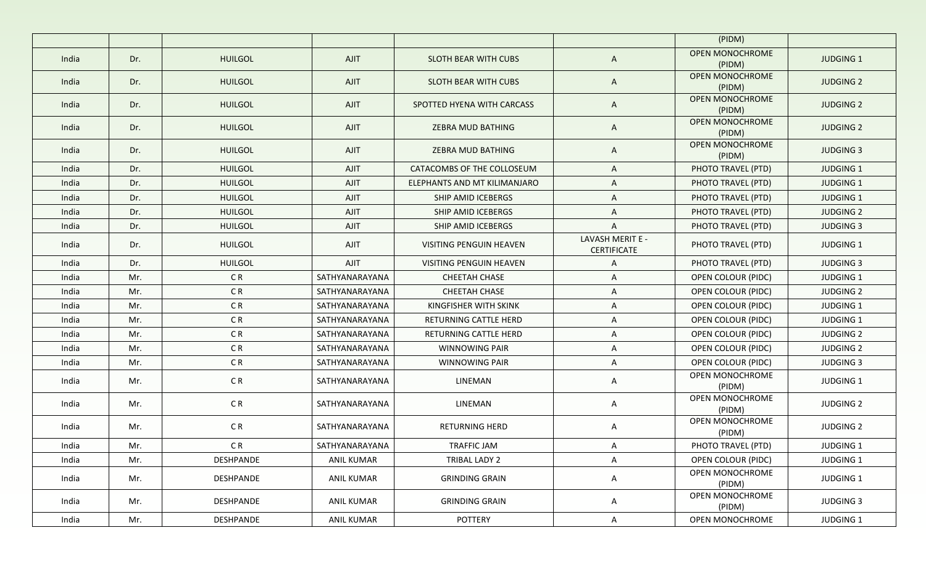|       |     |                |                |                              |                                        | (PIDM)                           |                  |
|-------|-----|----------------|----------------|------------------------------|----------------------------------------|----------------------------------|------------------|
| India | Dr. | <b>HUILGOL</b> | <b>AJIT</b>    | SLOTH BEAR WITH CUBS         | $\mathsf{A}$                           | <b>OPEN MONOCHROME</b><br>(PIDM) | <b>JUDGING 1</b> |
| India | Dr. | <b>HUILGOL</b> | <b>AJIT</b>    | SLOTH BEAR WITH CUBS         | A                                      | <b>OPEN MONOCHROME</b><br>(PIDM) | <b>JUDGING 2</b> |
| India | Dr. | <b>HUILGOL</b> | <b>AJIT</b>    | SPOTTED HYENA WITH CARCASS   | A                                      | OPEN MONOCHROME<br>(PIDM)        | <b>JUDGING 2</b> |
| India | Dr. | <b>HUILGOL</b> | <b>AJIT</b>    | <b>ZEBRA MUD BATHING</b>     | A                                      | <b>OPEN MONOCHROME</b><br>(PIDM) | <b>JUDGING 2</b> |
| India | Dr. | <b>HUILGOL</b> | AJIT           | <b>ZEBRA MUD BATHING</b>     | A                                      | <b>OPEN MONOCHROME</b><br>(PIDM) | <b>JUDGING 3</b> |
| India | Dr. | <b>HUILGOL</b> | <b>AJIT</b>    | CATACOMBS OF THE COLLOSEUM   | A                                      | PHOTO TRAVEL (PTD)               | <b>JUDGING 1</b> |
| India | Dr. | <b>HUILGOL</b> | <b>AJIT</b>    | ELEPHANTS AND MT KILIMANJARO | A                                      | PHOTO TRAVEL (PTD)               | <b>JUDGING 1</b> |
| India | Dr. | <b>HUILGOL</b> | <b>AJIT</b>    | SHIP AMID ICEBERGS           | A                                      | PHOTO TRAVEL (PTD)               | <b>JUDGING 1</b> |
| India | Dr. | <b>HUILGOL</b> | <b>AJIT</b>    | SHIP AMID ICEBERGS           | A                                      | PHOTO TRAVEL (PTD)               | <b>JUDGING 2</b> |
| India | Dr. | <b>HUILGOL</b> | <b>AJIT</b>    | SHIP AMID ICEBERGS           | A                                      | PHOTO TRAVEL (PTD)               | <b>JUDGING 3</b> |
| India | Dr. | <b>HUILGOL</b> | <b>AJIT</b>    | VISITING PENGUIN HEAVEN      | LAVASH MERIT E -<br><b>CERTIFICATE</b> | PHOTO TRAVEL (PTD)               | <b>JUDGING 1</b> |
| India | Dr. | <b>HUILGOL</b> | <b>AJIT</b>    | VISITING PENGUIN HEAVEN      | A                                      | PHOTO TRAVEL (PTD)               | <b>JUDGING 3</b> |
| India | Mr. | C <sub>R</sub> | SATHYANARAYANA | CHEETAH CHASE                | A                                      | OPEN COLOUR (PIDC)               | <b>JUDGING 1</b> |
| India | Mr. | C <sub>R</sub> | SATHYANARAYANA | CHEETAH CHASE                | A                                      | OPEN COLOUR (PIDC)               | <b>JUDGING 2</b> |
| India | Mr. | C <sub>R</sub> | SATHYANARAYANA | KINGFISHER WITH SKINK        | A                                      | OPEN COLOUR (PIDC)               | <b>JUDGING 1</b> |
| India | Mr. | C <sub>R</sub> | SATHYANARAYANA | RETURNING CATTLE HERD        | A                                      | OPEN COLOUR (PIDC)               | <b>JUDGING 1</b> |
| India | Mr. | C <sub>R</sub> | SATHYANARAYANA | RETURNING CATTLE HERD        | A                                      | OPEN COLOUR (PIDC)               | <b>JUDGING 2</b> |
| India | Mr. | C <sub>R</sub> | SATHYANARAYANA | <b>WINNOWING PAIR</b>        | A                                      | OPEN COLOUR (PIDC)               | <b>JUDGING 2</b> |
| India | Mr. | C <sub>R</sub> | SATHYANARAYANA | <b>WINNOWING PAIR</b>        | A                                      | OPEN COLOUR (PIDC)               | <b>JUDGING 3</b> |
| India | Mr. | C <sub>R</sub> | SATHYANARAYANA | LINEMAN                      | A                                      | OPEN MONOCHROME<br>(PIDM)        | <b>JUDGING 1</b> |
| India | Mr. | CR             | SATHYANARAYANA | LINEMAN                      | A                                      | OPEN MONOCHROME<br>(PIDM)        | <b>JUDGING 2</b> |
| India | Mr. | CR             | SATHYANARAYANA | <b>RETURNING HERD</b>        | A                                      | OPEN MONOCHROME<br>(PIDM)        | <b>JUDGING 2</b> |
| India | Mr. | CR             | SATHYANARAYANA | TRAFFIC JAM                  | A                                      | PHOTO TRAVEL (PTD)               | JUDGING 1        |
| India | Mr. | DESHPANDE      | ANIL KUMAR     | TRIBAL LADY 2                | A                                      | OPEN COLOUR (PIDC)               | JUDGING 1        |
| India | Mr. | DESHPANDE      | ANIL KUMAR     | <b>GRINDING GRAIN</b>        | A                                      | OPEN MONOCHROME<br>(PIDM)        | JUDGING 1        |
| India | Mr. | DESHPANDE      | ANIL KUMAR     | <b>GRINDING GRAIN</b>        | $\mathsf{A}$                           | OPEN MONOCHROME<br>(PIDM)        | <b>JUDGING 3</b> |
| India | Mr. | DESHPANDE      | ANIL KUMAR     | POTTERY                      | $\mathsf{A}$                           | OPEN MONOCHROME                  | JUDGING 1        |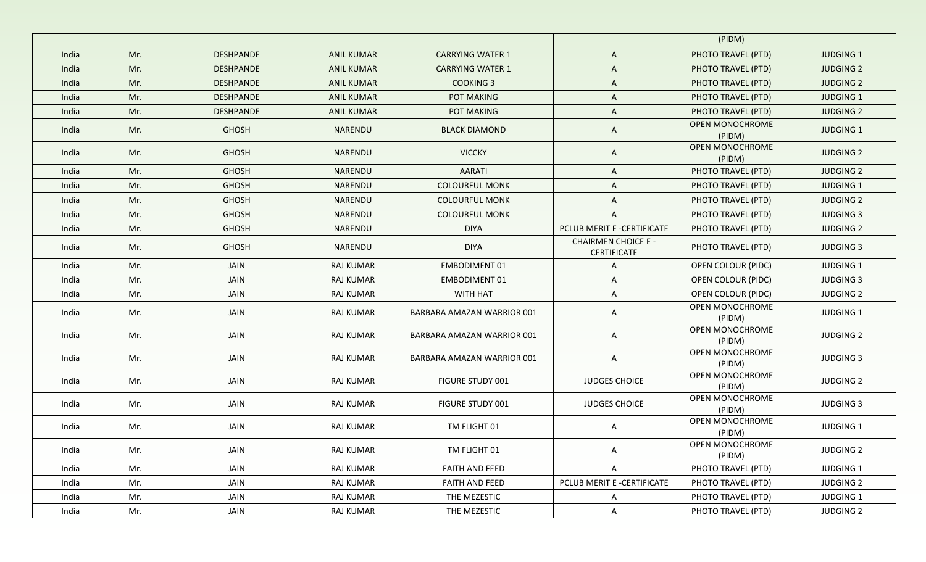|       |     |                  |                   |                            |                                                  | (PIDM)                    |                  |
|-------|-----|------------------|-------------------|----------------------------|--------------------------------------------------|---------------------------|------------------|
| India | Mr. | <b>DESHPANDE</b> | <b>ANIL KUMAR</b> | <b>CARRYING WATER 1</b>    | A                                                | PHOTO TRAVEL (PTD)        | <b>JUDGING 1</b> |
| India | Mr. | <b>DESHPANDE</b> | <b>ANIL KUMAR</b> | <b>CARRYING WATER 1</b>    | A                                                | PHOTO TRAVEL (PTD)        | <b>JUDGING 2</b> |
| India | Mr. | <b>DESHPANDE</b> | <b>ANIL KUMAR</b> | <b>COOKING 3</b>           | A                                                | PHOTO TRAVEL (PTD)        | <b>JUDGING 2</b> |
| India | Mr. | <b>DESHPANDE</b> | <b>ANIL KUMAR</b> | <b>POT MAKING</b>          | A                                                | PHOTO TRAVEL (PTD)        | <b>JUDGING 1</b> |
| India | Mr. | <b>DESHPANDE</b> | <b>ANIL KUMAR</b> | POT MAKING                 | A                                                | PHOTO TRAVEL (PTD)        | <b>JUDGING 2</b> |
| India | Mr. | <b>GHOSH</b>     | NARENDU           | <b>BLACK DIAMOND</b>       | A                                                | OPEN MONOCHROME<br>(PIDM) | <b>JUDGING 1</b> |
| India | Mr. | <b>GHOSH</b>     | NARENDU           | <b>VICCKY</b>              | $\mathsf{A}$                                     | OPEN MONOCHROME<br>(PIDM) | <b>JUDGING 2</b> |
| India | Mr. | <b>GHOSH</b>     | NARENDU           | <b>AARATI</b>              | A                                                | PHOTO TRAVEL (PTD)        | <b>JUDGING 2</b> |
| India | Mr. | <b>GHOSH</b>     | NARENDU           | <b>COLOURFUL MONK</b>      | A                                                | PHOTO TRAVEL (PTD)        | <b>JUDGING 1</b> |
| India | Mr. | <b>GHOSH</b>     | NARENDU           | <b>COLOURFUL MONK</b>      | A                                                | PHOTO TRAVEL (PTD)        | <b>JUDGING 2</b> |
| India | Mr. | <b>GHOSH</b>     | NARENDU           | <b>COLOURFUL MONK</b>      | A                                                | PHOTO TRAVEL (PTD)        | <b>JUDGING 3</b> |
| India | Mr. | <b>GHOSH</b>     | NARENDU           | <b>DIYA</b>                | PCLUB MERIT E -CERTIFICATE                       | PHOTO TRAVEL (PTD)        | <b>JUDGING 2</b> |
| India | Mr. | <b>GHOSH</b>     | NARENDU           | <b>DIYA</b>                | <b>CHAIRMEN CHOICE E -</b><br><b>CERTIFICATE</b> | PHOTO TRAVEL (PTD)        | <b>JUDGING 3</b> |
| India | Mr. | JAIN             | <b>RAJ KUMAR</b>  | <b>EMBODIMENT 01</b>       | A                                                | OPEN COLOUR (PIDC)        | <b>JUDGING 1</b> |
| India | Mr. | JAIN             | <b>RAJ KUMAR</b>  | <b>EMBODIMENT 01</b>       | A                                                | OPEN COLOUR (PIDC)        | <b>JUDGING 3</b> |
| India | Mr. | JAIN             | <b>RAJ KUMAR</b>  | WITH HAT                   | A                                                | OPEN COLOUR (PIDC)        | <b>JUDGING 2</b> |
| India | Mr. | JAIN             | RAJ KUMAR         | BARBARA AMAZAN WARRIOR 001 | A                                                | OPEN MONOCHROME<br>(PIDM) | JUDGING 1        |
| India | Mr. | JAIN             | RAJ KUMAR         | BARBARA AMAZAN WARRIOR 001 | A                                                | OPEN MONOCHROME<br>(PIDM) | <b>JUDGING 2</b> |
| India | Mr. | JAIN             | <b>RAJ KUMAR</b>  | BARBARA AMAZAN WARRIOR 001 | A                                                | OPEN MONOCHROME<br>(PIDM) | <b>JUDGING 3</b> |
| India | Mr. | JAIN             | RAJ KUMAR         | <b>FIGURE STUDY 001</b>    | <b>JUDGES CHOICE</b>                             | OPEN MONOCHROME<br>(PIDM) | <b>JUDGING 2</b> |
| India | Mr. | JAIN             | <b>RAJ KUMAR</b>  | <b>FIGURE STUDY 001</b>    | <b>JUDGES CHOICE</b>                             | OPEN MONOCHROME<br>(PIDM) | <b>JUDGING 3</b> |
| India | Mr. | JAIN             | RAJ KUMAR         | TM FLIGHT 01               | A                                                | OPEN MONOCHROME<br>(PIDM) | JUDGING 1        |
| India | Mr. | JAIN             | RAJ KUMAR         | TM FLIGHT 01               | A                                                | OPEN MONOCHROME<br>(PIDM) | <b>JUDGING 2</b> |
| India | Mr. | JAIN             | RAJ KUMAR         | FAITH AND FEED             | A                                                | PHOTO TRAVEL (PTD)        | JUDGING 1        |
| India | Mr. | JAIN             | RAJ KUMAR         | FAITH AND FEED             | PCLUB MERIT E -CERTIFICATE                       | PHOTO TRAVEL (PTD)        | <b>JUDGING 2</b> |
| India | Mr. | JAIN             | RAJ KUMAR         | THE MEZESTIC               | A                                                | PHOTO TRAVEL (PTD)        | JUDGING 1        |
| India | Mr. | JAIN             | RAJ KUMAR         | THE MEZESTIC               | $\mathsf{A}$                                     | PHOTO TRAVEL (PTD)        | <b>JUDGING 2</b> |
|       |     |                  |                   |                            |                                                  |                           |                  |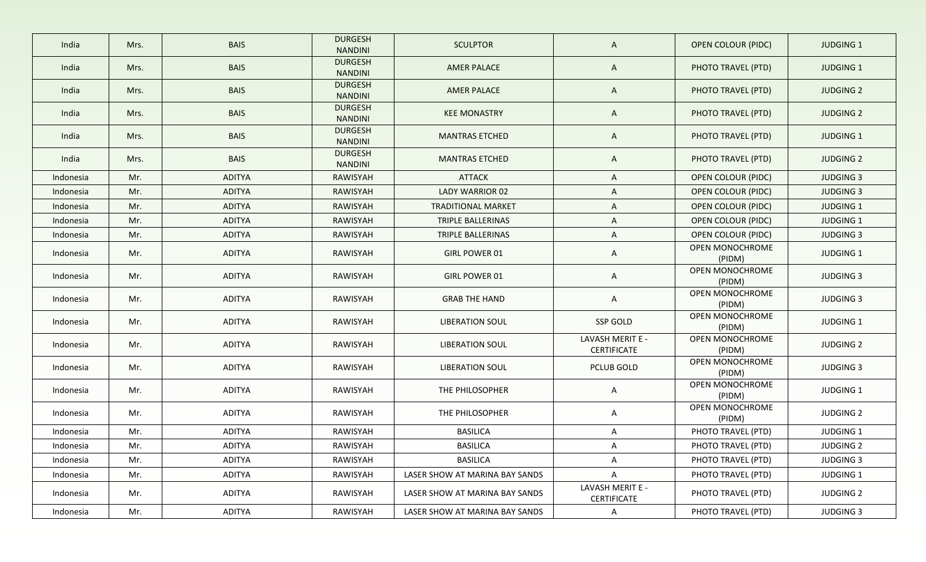| India     | Mrs. | <b>BAIS</b>   | <b>DURGESH</b><br><b>NANDINI</b> | <b>SCULPTOR</b>                | A                               | <b>OPEN COLOUR (PIDC)</b>        | <b>JUDGING 1</b> |
|-----------|------|---------------|----------------------------------|--------------------------------|---------------------------------|----------------------------------|------------------|
| India     | Mrs. | <b>BAIS</b>   | <b>DURGESH</b><br><b>NANDINI</b> | <b>AMER PALACE</b>             | A                               | PHOTO TRAVEL (PTD)               | <b>JUDGING 1</b> |
| India     | Mrs. | <b>BAIS</b>   | <b>DURGESH</b><br><b>NANDINI</b> | <b>AMER PALACE</b>             | A                               | PHOTO TRAVEL (PTD)               | <b>JUDGING 2</b> |
| India     | Mrs. | <b>BAIS</b>   | <b>DURGESH</b><br><b>NANDINI</b> | <b>KEE MONASTRY</b>            | A                               | PHOTO TRAVEL (PTD)               | <b>JUDGING 2</b> |
| India     | Mrs. | <b>BAIS</b>   | <b>DURGESH</b><br><b>NANDINI</b> | <b>MANTRAS ETCHED</b>          | A                               | PHOTO TRAVEL (PTD)               | JUDGING 1        |
| India     | Mrs. | <b>BAIS</b>   | <b>DURGESH</b><br>NANDINI        | <b>MANTRAS ETCHED</b>          | A                               | PHOTO TRAVEL (PTD)               | <b>JUDGING 2</b> |
| Indonesia | Mr.  | <b>ADITYA</b> | RAWISYAH                         | <b>ATTACK</b>                  | A                               | OPEN COLOUR (PIDC)               | <b>JUDGING 3</b> |
| Indonesia | Mr.  | <b>ADITYA</b> | RAWISYAH                         | <b>LADY WARRIOR 02</b>         | A                               | <b>OPEN COLOUR (PIDC)</b>        | <b>JUDGING 3</b> |
| Indonesia | Mr.  | <b>ADITYA</b> | RAWISYAH                         | <b>TRADITIONAL MARKET</b>      | A                               | <b>OPEN COLOUR (PIDC)</b>        | <b>JUDGING 1</b> |
| Indonesia | Mr.  | <b>ADITYA</b> | RAWISYAH                         | TRIPLE BALLERINAS              | A                               | <b>OPEN COLOUR (PIDC)</b>        | <b>JUDGING 1</b> |
| Indonesia | Mr.  | <b>ADITYA</b> | RAWISYAH                         | TRIPLE BALLERINAS              | A                               | OPEN COLOUR (PIDC)               | <b>JUDGING 3</b> |
| Indonesia | Mr.  | <b>ADITYA</b> | RAWISYAH                         | GIRL POWER 01                  | A                               | OPEN MONOCHROME<br>(PIDM)        | <b>JUDGING 1</b> |
| Indonesia | Mr.  | <b>ADITYA</b> | RAWISYAH                         | GIRL POWER 01                  | A                               | OPEN MONOCHROME<br>(PIDM)        | <b>JUDGING 3</b> |
| Indonesia | Mr.  | <b>ADITYA</b> | RAWISYAH                         | <b>GRAB THE HAND</b>           | A                               | <b>OPEN MONOCHROME</b><br>(PIDM) | <b>JUDGING 3</b> |
| Indonesia | Mr.  | <b>ADITYA</b> | RAWISYAH                         | <b>LIBERATION SOUL</b>         | SSP GOLD                        | OPEN MONOCHROME<br>(PIDM)        | JUDGING 1        |
| Indonesia | Mr.  | <b>ADITYA</b> | RAWISYAH                         | <b>LIBERATION SOUL</b>         | LAVASH MERIT E -<br>CERTIFICATE | OPEN MONOCHROME<br>(PIDM)        | <b>JUDGING 2</b> |
| Indonesia | Mr.  | <b>ADITYA</b> | RAWISYAH                         | <b>LIBERATION SOUL</b>         | PCLUB GOLD                      | OPEN MONOCHROME<br>(PIDM)        | <b>JUDGING 3</b> |
| Indonesia | Mr.  | <b>ADITYA</b> | RAWISYAH                         | THE PHILOSOPHER                | A                               | OPEN MONOCHROME<br>(PIDM)        | JUDGING 1        |
| Indonesia | Mr.  | <b>ADITYA</b> | RAWISYAH                         | THE PHILOSOPHER                | A                               | OPEN MONOCHROME<br>(PIDM)        | <b>JUDGING 2</b> |
| Indonesia | Mr.  | <b>ADITYA</b> | RAWISYAH                         | <b>BASILICA</b>                | A                               | PHOTO TRAVEL (PTD)               | <b>JUDGING 1</b> |
| Indonesia | Mr.  | <b>ADITYA</b> | RAWISYAH                         | <b>BASILICA</b>                | A                               | PHOTO TRAVEL (PTD)               | <b>JUDGING 2</b> |
| Indonesia | Mr.  | <b>ADITYA</b> | RAWISYAH                         | <b>BASILICA</b>                | A                               | PHOTO TRAVEL (PTD)               | <b>JUDGING 3</b> |
| Indonesia | Mr.  | ADITYA        | RAWISYAH                         | LASER SHOW AT MARINA BAY SANDS | A                               | PHOTO TRAVEL (PTD)               | JUDGING 1        |
| Indonesia | Mr.  | ADITYA        | RAWISYAH                         | LASER SHOW AT MARINA BAY SANDS | LAVASH MERIT E -<br>CERTIFICATE | PHOTO TRAVEL (PTD)               | <b>JUDGING 2</b> |
| Indonesia | Mr.  | ADITYA        | RAWISYAH                         | LASER SHOW AT MARINA BAY SANDS | A                               | PHOTO TRAVEL (PTD)               | <b>JUDGING 3</b> |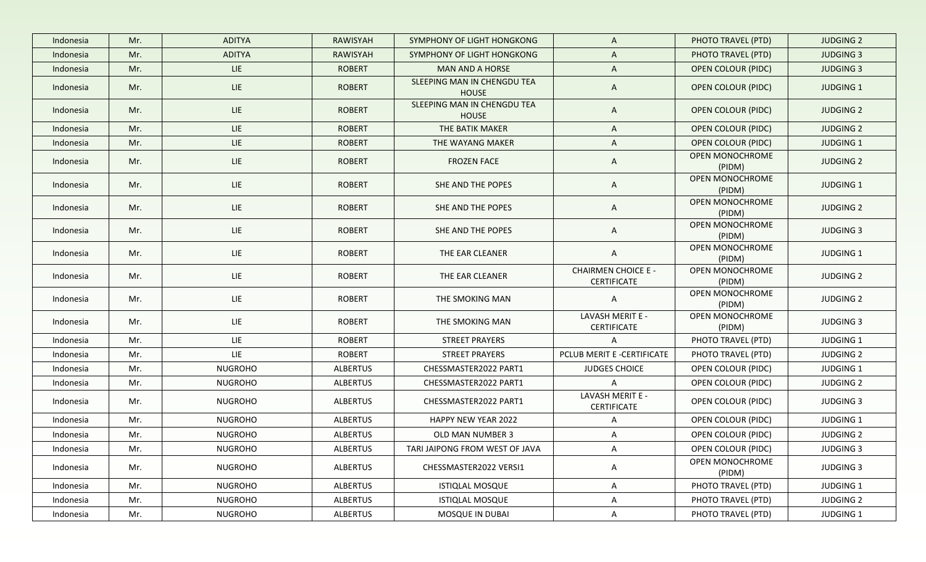| Indonesia | Mr. | <b>ADITYA</b>  | <b>RAWISYAH</b> | SYMPHONY OF LIGHT HONGKONG                  | $\mathsf{A}$                                     | PHOTO TRAVEL (PTD)               | <b>JUDGING 2</b> |
|-----------|-----|----------------|-----------------|---------------------------------------------|--------------------------------------------------|----------------------------------|------------------|
| Indonesia | Mr. | <b>ADITYA</b>  | RAWISYAH        | SYMPHONY OF LIGHT HONGKONG                  | A                                                | PHOTO TRAVEL (PTD)               | <b>JUDGING 3</b> |
| Indonesia | Mr. | LIE            | <b>ROBERT</b>   | <b>MAN AND A HORSE</b>                      | A                                                | <b>OPEN COLOUR (PIDC)</b>        | <b>JUDGING 3</b> |
| Indonesia | Mr. | <b>LIE</b>     | <b>ROBERT</b>   | SLEEPING MAN IN CHENGDU TEA<br><b>HOUSE</b> | A                                                | <b>OPEN COLOUR (PIDC)</b>        | <b>JUDGING 1</b> |
| Indonesia | Mr. | <b>LIE</b>     | <b>ROBERT</b>   | SLEEPING MAN IN CHENGDU TEA<br><b>HOUSE</b> | $\mathsf{A}$                                     | <b>OPEN COLOUR (PIDC)</b>        | <b>JUDGING 2</b> |
| Indonesia | Mr. | LIE            | <b>ROBERT</b>   | THE BATIK MAKER                             | A                                                | <b>OPEN COLOUR (PIDC)</b>        | <b>JUDGING 2</b> |
| Indonesia | Mr. | LIE            | <b>ROBERT</b>   | THE WAYANG MAKER                            | A                                                | <b>OPEN COLOUR (PIDC)</b>        | <b>JUDGING 1</b> |
| Indonesia | Mr. | LIE.           | <b>ROBERT</b>   | <b>FROZEN FACE</b>                          | A                                                | <b>OPEN MONOCHROME</b><br>(PIDM) | <b>JUDGING 2</b> |
| Indonesia | Mr. | LIE            | <b>ROBERT</b>   | SHE AND THE POPES                           | A                                                | OPEN MONOCHROME<br>(PIDM)        | <b>JUDGING 1</b> |
| Indonesia | Mr. | LIE            | <b>ROBERT</b>   | SHE AND THE POPES                           | A                                                | OPEN MONOCHROME<br>(PIDM)        | <b>JUDGING 2</b> |
| Indonesia | Mr. | <b>LIE</b>     | <b>ROBERT</b>   | SHE AND THE POPES                           | A                                                | OPEN MONOCHROME<br>(PIDM)        | <b>JUDGING 3</b> |
| Indonesia | Mr. | <b>LIE</b>     | <b>ROBERT</b>   | THE EAR CLEANER                             | $\mathsf{A}$                                     | <b>OPEN MONOCHROME</b><br>(PIDM) | JUDGING 1        |
| Indonesia | Mr. | LIE.           | <b>ROBERT</b>   | THE EAR CLEANER                             | <b>CHAIRMEN CHOICE E -</b><br><b>CERTIFICATE</b> | <b>OPEN MONOCHROME</b><br>(PIDM) | <b>JUDGING 2</b> |
| Indonesia | Mr. | LIE.           | <b>ROBERT</b>   | THE SMOKING MAN                             | A                                                | OPEN MONOCHROME<br>(PIDM)        | <b>JUDGING 2</b> |
| Indonesia | Mr. | LIE            | <b>ROBERT</b>   | THE SMOKING MAN                             | LAVASH MERIT E -<br><b>CERTIFICATE</b>           | OPEN MONOCHROME<br>(PIDM)        | <b>JUDGING 3</b> |
| Indonesia | Mr. | LIE.           | <b>ROBERT</b>   | <b>STREET PRAYERS</b>                       | A                                                | PHOTO TRAVEL (PTD)               | JUDGING 1        |
| Indonesia | Mr. | LIE.           | <b>ROBERT</b>   | <b>STREET PRAYERS</b>                       | PCLUB MERIT E -CERTIFICATE                       | PHOTO TRAVEL (PTD)               | <b>JUDGING 2</b> |
| Indonesia | Mr. | <b>NUGROHO</b> | ALBERTUS        | CHESSMASTER2022 PART1                       | <b>JUDGES CHOICE</b>                             | OPEN COLOUR (PIDC)               | <b>JUDGING 1</b> |
| Indonesia | Mr. | <b>NUGROHO</b> | <b>ALBERTUS</b> | CHESSMASTER2022 PART1                       | A                                                | OPEN COLOUR (PIDC)               | <b>JUDGING 2</b> |
| Indonesia | Mr. | <b>NUGROHO</b> | ALBERTUS        | CHESSMASTER2022 PART1                       | LAVASH MERIT E -<br><b>CERTIFICATE</b>           | OPEN COLOUR (PIDC)               | <b>JUDGING 3</b> |
| Indonesia | Mr. | <b>NUGROHO</b> | ALBERTUS        | HAPPY NEW YEAR 2022                         | A                                                | OPEN COLOUR (PIDC)               | JUDGING 1        |
| Indonesia | Mr. | <b>NUGROHO</b> | ALBERTUS        | OLD MAN NUMBER 3                            | A                                                | OPEN COLOUR (PIDC)               | <b>JUDGING 2</b> |
| Indonesia | Mr. | <b>NUGROHO</b> | ALBERTUS        | TARI JAIPONG FROM WEST OF JAVA              | A                                                | OPEN COLOUR (PIDC)               | <b>JUDGING 3</b> |
| Indonesia | Mr. | <b>NUGROHO</b> | <b>ALBERTUS</b> | CHESSMASTER2022 VERSI1                      | A                                                | OPEN MONOCHROME<br>(PIDM)        | <b>JUDGING 3</b> |
| Indonesia | Mr. | <b>NUGROHO</b> | ALBERTUS        | <b>ISTIQLAL MOSQUE</b>                      | A                                                | PHOTO TRAVEL (PTD)               | JUDGING 1        |
| Indonesia | Mr. | <b>NUGROHO</b> | ALBERTUS        | <b>ISTIQLAL MOSQUE</b>                      | A                                                | PHOTO TRAVEL (PTD)               | <b>JUDGING 2</b> |
| Indonesia | Mr. | NUGROHO        | ALBERTUS        | MOSQUE IN DUBAI                             | A                                                | PHOTO TRAVEL (PTD)               | JUDGING 1        |
|           |     |                |                 |                                             |                                                  |                                  |                  |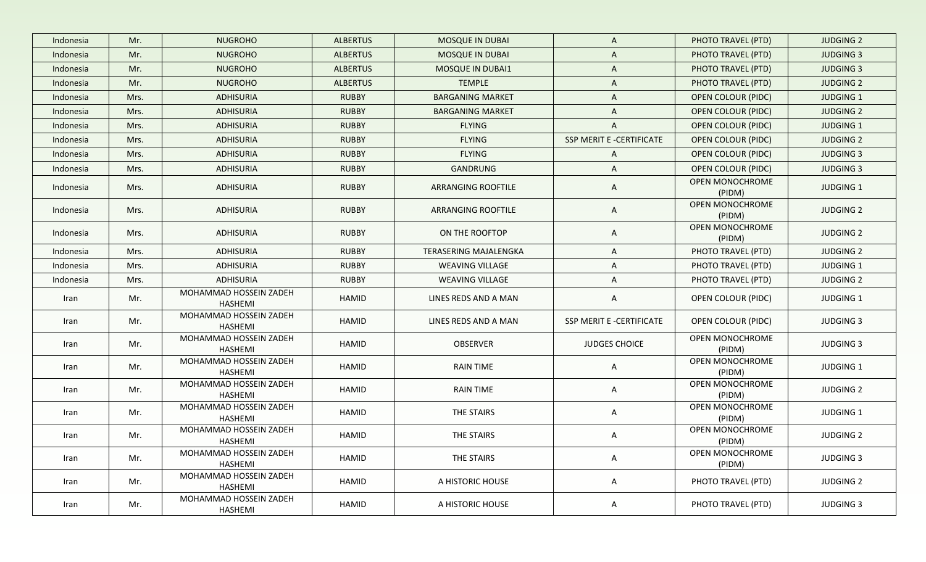| Indonesia | Mr.  | <b>NUGROHO</b>                    | <b>ALBERTUS</b> | <b>MOSQUE IN DUBAI</b>       | $\mathsf{A}$             | PHOTO TRAVEL (PTD)        | <b>JUDGING 2</b> |
|-----------|------|-----------------------------------|-----------------|------------------------------|--------------------------|---------------------------|------------------|
| Indonesia | Mr.  | <b>NUGROHO</b>                    | <b>ALBERTUS</b> | <b>MOSQUE IN DUBAI</b>       | A                        | PHOTO TRAVEL (PTD)        | <b>JUDGING 3</b> |
| Indonesia | Mr.  | <b>NUGROHO</b>                    | <b>ALBERTUS</b> | <b>MOSQUE IN DUBAI1</b>      | $\mathsf{A}$             | PHOTO TRAVEL (PTD)        | <b>JUDGING 3</b> |
| Indonesia | Mr.  | <b>NUGROHO</b>                    | <b>ALBERTUS</b> | <b>TEMPLE</b>                | $\mathsf{A}$             | PHOTO TRAVEL (PTD)        | <b>JUDGING 2</b> |
| Indonesia | Mrs. | <b>ADHISURIA</b>                  | <b>RUBBY</b>    | <b>BARGANING MARKET</b>      | $\mathsf{A}$             | <b>OPEN COLOUR (PIDC)</b> | <b>JUDGING 1</b> |
| Indonesia | Mrs. | <b>ADHISURIA</b>                  | <b>RUBBY</b>    | <b>BARGANING MARKET</b>      | A                        | <b>OPEN COLOUR (PIDC)</b> | <b>JUDGING 2</b> |
| Indonesia | Mrs. | <b>ADHISURIA</b>                  | <b>RUBBY</b>    | <b>FLYING</b>                | A                        | <b>OPEN COLOUR (PIDC)</b> | <b>JUDGING 1</b> |
| Indonesia | Mrs. | <b>ADHISURIA</b>                  | <b>RUBBY</b>    | <b>FLYING</b>                | SSP MERIT E -CERTIFICATE | <b>OPEN COLOUR (PIDC)</b> | <b>JUDGING 2</b> |
| Indonesia | Mrs. | <b>ADHISURIA</b>                  | <b>RUBBY</b>    | <b>FLYING</b>                | $\mathsf{A}$             | <b>OPEN COLOUR (PIDC)</b> | <b>JUDGING 3</b> |
| Indonesia | Mrs. | <b>ADHISURIA</b>                  | <b>RUBBY</b>    | GANDRUNG                     | $\mathsf{A}$             | <b>OPEN COLOUR (PIDC)</b> | <b>JUDGING 3</b> |
| Indonesia | Mrs. | <b>ADHISURIA</b>                  | <b>RUBBY</b>    | ARRANGING ROOFTILE           | A                        | OPEN MONOCHROME<br>(PIDM) | <b>JUDGING 1</b> |
| Indonesia | Mrs. | <b>ADHISURIA</b>                  | <b>RUBBY</b>    | ARRANGING ROOFTILE           | $\mathsf{A}$             | OPEN MONOCHROME<br>(PIDM) | <b>JUDGING 2</b> |
| Indonesia | Mrs. | <b>ADHISURIA</b>                  | <b>RUBBY</b>    | ON THE ROOFTOP               | A                        | OPEN MONOCHROME<br>(PIDM) | <b>JUDGING 2</b> |
| Indonesia | Mrs. | <b>ADHISURIA</b>                  | <b>RUBBY</b>    | <b>TERASERING MAJALENGKA</b> | $\mathsf{A}$             | PHOTO TRAVEL (PTD)        | <b>JUDGING 2</b> |
| Indonesia | Mrs. | <b>ADHISURIA</b>                  | <b>RUBBY</b>    | <b>WEAVING VILLAGE</b>       | A                        | PHOTO TRAVEL (PTD)        | <b>JUDGING 1</b> |
| Indonesia | Mrs. | ADHISURIA                         | <b>RUBBY</b>    | <b>WEAVING VILLAGE</b>       | A                        | PHOTO TRAVEL (PTD)        | <b>JUDGING 2</b> |
| Iran      | Mr.  | MOHAMMAD HOSSEIN ZADEH<br>HASHEMI | HAMID           | LINES REDS AND A MAN         | A                        | OPEN COLOUR (PIDC)        | <b>JUDGING 1</b> |
| Iran      | Mr.  | MOHAMMAD HOSSEIN ZADEH<br>HASHEMI | HAMID           | LINES REDS AND A MAN         | SSP MERIT E -CERTIFICATE | OPEN COLOUR (PIDC)        | <b>JUDGING 3</b> |
| Iran      | Mr.  | MOHAMMAD HOSSEIN ZADEH<br>HASHEMI | HAMID           | OBSERVER                     | JUDGES CHOICE            | OPEN MONOCHROME<br>(PIDM) | <b>JUDGING 3</b> |
| Iran      | Mr.  | MOHAMMAD HOSSEIN ZADEH<br>HASHEMI | HAMID           | <b>RAIN TIME</b>             | A                        | OPEN MONOCHROME<br>(PIDM) | <b>JUDGING 1</b> |
| Iran      | Mr.  | MOHAMMAD HOSSEIN ZADEH<br>HASHEMI | HAMID           | RAIN TIME                    | A                        | OPEN MONOCHROME<br>(PIDM) | <b>JUDGING 2</b> |
| Iran      | Mr.  | MOHAMMAD HOSSEIN ZADEH<br>HASHEMI | HAMID           | THE STAIRS                   | A                        | OPEN MONOCHROME<br>(PIDM) | <b>JUDGING 1</b> |
| Iran      | Mr.  | MOHAMMAD HOSSEIN ZADEH<br>HASHEMI | HAMID           | THE STAIRS                   | A                        | OPEN MONOCHROME<br>(PIDM) | <b>JUDGING 2</b> |
| Iran      | Mr.  | MOHAMMAD HOSSEIN ZADEH<br>HASHEMI | HAMID           | THE STAIRS                   | A                        | OPEN MONOCHROME<br>(PIDM) | <b>JUDGING 3</b> |
| Iran      | Mr.  | MOHAMMAD HOSSEIN ZADEH<br>HASHEMI | HAMID           | A HISTORIC HOUSE             | $\mathsf{A}$             | PHOTO TRAVEL (PTD)        | <b>JUDGING 2</b> |
| Iran      | Mr.  | MOHAMMAD HOSSEIN ZADEH<br>HASHEMI | HAMID           | A HISTORIC HOUSE             | $\mathsf{A}$             | PHOTO TRAVEL (PTD)        | <b>JUDGING 3</b> |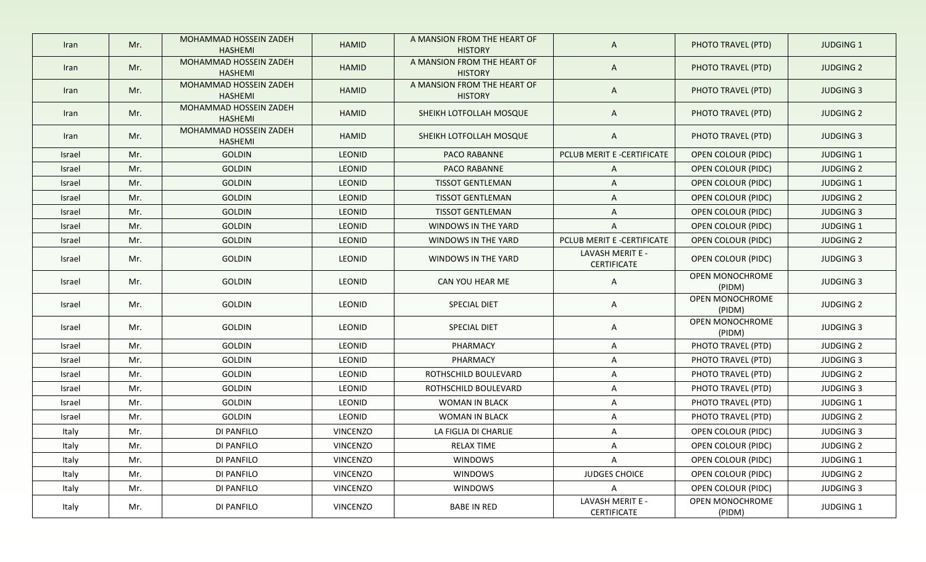| Iran   | Mr. | MOHAMMAD HOSSEIN ZADEH<br><b>HASHEMI</b> | <b>HAMID</b>    | A MANSION FROM THE HEART OF<br><b>HISTORY</b> | $\mathsf{A}$                           | PHOTO TRAVEL (PTD)        | <b>JUDGING 1</b> |
|--------|-----|------------------------------------------|-----------------|-----------------------------------------------|----------------------------------------|---------------------------|------------------|
| Iran   | Mr. | MOHAMMAD HOSSEIN ZADEH<br><b>HASHEMI</b> | <b>HAMID</b>    | A MANSION FROM THE HEART OF<br><b>HISTORY</b> | A                                      | PHOTO TRAVEL (PTD)        | <b>JUDGING 2</b> |
| Iran   | Mr. | MOHAMMAD HOSSEIN ZADEH<br><b>HASHEMI</b> | <b>HAMID</b>    | A MANSION FROM THE HEART OF<br><b>HISTORY</b> | $\mathsf{A}$                           | PHOTO TRAVEL (PTD)        | <b>JUDGING 3</b> |
| Iran   | Mr. | MOHAMMAD HOSSEIN ZADEH<br><b>HASHEMI</b> | <b>HAMID</b>    | SHEIKH LOTFOLLAH MOSQUE                       | $\mathsf{A}$                           | PHOTO TRAVEL (PTD)        | <b>JUDGING 2</b> |
| Iran   | Mr. | MOHAMMAD HOSSEIN ZADEH<br>HASHEMI        | <b>HAMID</b>    | SHEIKH LOTFOLLAH MOSQUE                       | A                                      | PHOTO TRAVEL (PTD)        | <b>JUDGING 3</b> |
| Israel | Mr. | <b>GOLDIN</b>                            | <b>LEONID</b>   | PACO RABANNE                                  | PCLUB MERIT E -CERTIFICATE             | <b>OPEN COLOUR (PIDC)</b> | <b>JUDGING 1</b> |
| Israel | Mr. | <b>GOLDIN</b>                            | <b>LEONID</b>   | <b>PACO RABANNE</b>                           | $\mathsf{A}$                           | OPEN COLOUR (PIDC)        | <b>JUDGING 2</b> |
| Israel | Mr. | <b>GOLDIN</b>                            | LEONID          | <b>TISSOT GENTLEMAN</b>                       | A                                      | OPEN COLOUR (PIDC)        | JUDGING 1        |
| Israel | Mr. | <b>GOLDIN</b>                            | <b>LEONID</b>   | <b>TISSOT GENTLEMAN</b>                       | A                                      | OPEN COLOUR (PIDC)        | <b>JUDGING 2</b> |
| Israel | Mr. | <b>GOLDIN</b>                            | <b>LEONID</b>   | <b>TISSOT GENTLEMAN</b>                       | A                                      | OPEN COLOUR (PIDC)        | <b>JUDGING 3</b> |
| Israel | Mr. | <b>GOLDIN</b>                            | LEONID          | WINDOWS IN THE YARD                           | A                                      | OPEN COLOUR (PIDC)        | <b>JUDGING 1</b> |
| Israel | Mr. | <b>GOLDIN</b>                            | LEONID          | WINDOWS IN THE YARD                           | PCLUB MERIT E -CERTIFICATE             | OPEN COLOUR (PIDC)        | <b>JUDGING 2</b> |
| Israel | Mr. | <b>GOLDIN</b>                            | <b>LEONID</b>   | WINDOWS IN THE YARD                           | LAVASH MERIT E -<br><b>CERTIFICATE</b> | OPEN COLOUR (PIDC)        | <b>JUDGING 3</b> |
| Israel | Mr. | <b>GOLDIN</b>                            | <b>LEONID</b>   | CAN YOU HEAR ME                               | A                                      | OPEN MONOCHROME<br>(PIDM) | <b>JUDGING 3</b> |
| Israel | Mr. | <b>GOLDIN</b>                            | <b>LEONID</b>   | SPECIAL DIET                                  | A                                      | OPEN MONOCHROME<br>(PIDM) | <b>JUDGING 2</b> |
| Israel | Mr. | GOLDIN                                   | <b>LEONID</b>   | SPECIAL DIET                                  | A                                      | OPEN MONOCHROME<br>(PIDM) | <b>JUDGING 3</b> |
| Israel | Mr. | GOLDIN                                   | <b>LEONID</b>   | PHARMACY                                      | A                                      | PHOTO TRAVEL (PTD)        | <b>JUDGING 2</b> |
| Israel | Mr. | <b>GOLDIN</b>                            | <b>LEONID</b>   | PHARMACY                                      | A                                      | PHOTO TRAVEL (PTD)        | <b>JUDGING 3</b> |
| Israel | Mr. | <b>GOLDIN</b>                            | LEONID          | ROTHSCHILD BOULEVARD                          | A                                      | PHOTO TRAVEL (PTD)        | <b>JUDGING 2</b> |
| Israel | Mr. | <b>GOLDIN</b>                            | <b>LEONID</b>   | ROTHSCHILD BOULEVARD                          | A                                      | PHOTO TRAVEL (PTD)        | <b>JUDGING 3</b> |
| Israel | Mr. | GOLDIN                                   | <b>LEONID</b>   | <b>WOMAN IN BLACK</b>                         | A                                      | PHOTO TRAVEL (PTD)        | JUDGING 1        |
| Israel | Mr. | GOLDIN                                   | LEONID          | WOMAN IN BLACK                                | A                                      | PHOTO TRAVEL (PTD)        | <b>JUDGING 2</b> |
| Italy  | Mr. | DI PANFILO                               | <b>VINCENZO</b> | LA FIGLIA DI CHARLIE                          | A                                      | OPEN COLOUR (PIDC)        | <b>JUDGING 3</b> |
| Italy  | Mr. | DI PANFILO                               | VINCENZO        | <b>RELAX TIME</b>                             | A                                      | OPEN COLOUR (PIDC)        | <b>JUDGING 2</b> |
| Italy  | Mr. | DI PANFILO                               | VINCENZO        | WINDOWS                                       | A                                      | OPEN COLOUR (PIDC)        | JUDGING 1        |
| Italy  | Mr. | DI PANFILO                               | VINCENZO        | WINDOWS                                       | <b>JUDGES CHOICE</b>                   | OPEN COLOUR (PIDC)        | <b>JUDGING 2</b> |
| Italy  | Mr. | DI PANFILO                               | VINCENZO        | WINDOWS                                       | $\mathsf{A}$                           | OPEN COLOUR (PIDC)        | JUDGING 3        |
| Italy  | Mr. | DI PANFILO                               | VINCENZO        | <b>BABE IN RED</b>                            | LAVASH MERIT E -<br>CERTIFICATE        | OPEN MONOCHROME<br>(PIDM) | JUDGING 1        |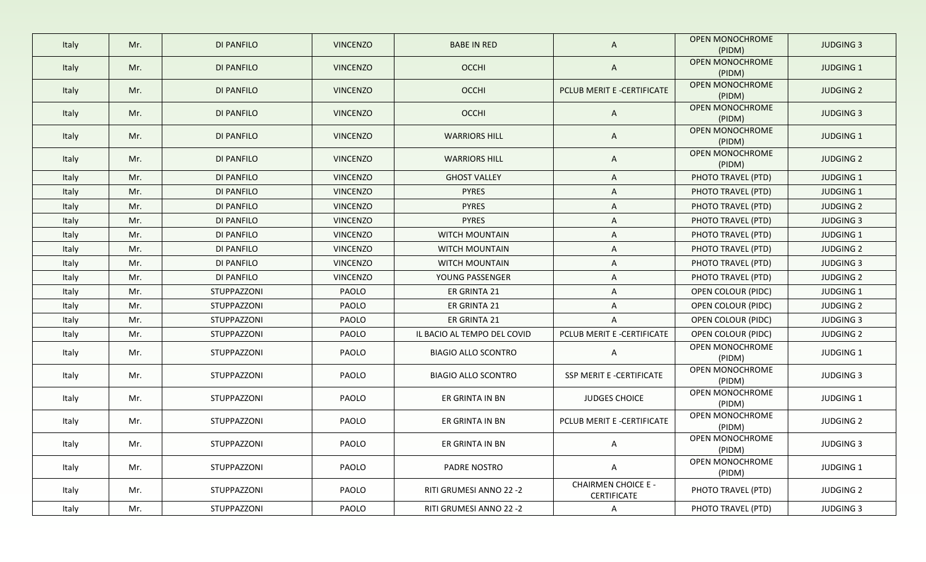| Italy | Mr. | DI PANFILO        | <b>VINCENZO</b> | <b>BABE IN RED</b>          | A                                         | <b>OPEN MONOCHROME</b><br>(PIDM) | <b>JUDGING 3</b> |
|-------|-----|-------------------|-----------------|-----------------------------|-------------------------------------------|----------------------------------|------------------|
| Italy | Mr. | DI PANFILO        | <b>VINCENZO</b> | <b>OCCHI</b>                | A                                         | <b>OPEN MONOCHROME</b><br>(PIDM) | <b>JUDGING 1</b> |
| Italy | Mr. | <b>DI PANFILO</b> | <b>VINCENZO</b> | OCCHI                       | PCLUB MERIT E -CERTIFICATE                | OPEN MONOCHROME<br>(PIDM)        | <b>JUDGING 2</b> |
| Italy | Mr. | <b>DI PANFILO</b> | <b>VINCENZO</b> | OCCHI                       | $\mathsf{A}$                              | <b>OPEN MONOCHROME</b><br>(PIDM) | <b>JUDGING 3</b> |
| Italy | Mr. | DI PANFILO        | <b>VINCENZO</b> | <b>WARRIORS HILL</b>        | A                                         | OPEN MONOCHROME<br>(PIDM)        | JUDGING 1        |
| Italy | Mr. | DI PANFILO        | <b>VINCENZO</b> | <b>WARRIORS HILL</b>        | A                                         | OPEN MONOCHROME<br>(PIDM)        | <b>JUDGING 2</b> |
| Italy | Mr. | DI PANFILO        | <b>VINCENZO</b> | <b>GHOST VALLEY</b>         | A                                         | PHOTO TRAVEL (PTD)               | <b>JUDGING 1</b> |
| Italy | Mr. | DI PANFILO        | <b>VINCENZO</b> | <b>PYRES</b>                | A                                         | PHOTO TRAVEL (PTD)               | JUDGING 1        |
| Italy | Mr. | DI PANFILO        | <b>VINCENZO</b> | <b>PYRES</b>                | A                                         | PHOTO TRAVEL (PTD)               | <b>JUDGING 2</b> |
| Italy | Mr. | <b>DI PANFILO</b> | <b>VINCENZO</b> | <b>PYRES</b>                | A                                         | PHOTO TRAVEL (PTD)               | <b>JUDGING 3</b> |
| Italy | Mr. | DI PANFILO        | <b>VINCENZO</b> | <b>WITCH MOUNTAIN</b>       | A                                         | PHOTO TRAVEL (PTD)               | <b>JUDGING 1</b> |
| Italy | Mr. | DI PANFILO        | <b>VINCENZO</b> | <b>WITCH MOUNTAIN</b>       | A                                         | PHOTO TRAVEL (PTD)               | <b>JUDGING 2</b> |
| Italy | Mr. | DI PANFILO        | <b>VINCENZO</b> | <b>WITCH MOUNTAIN</b>       | A                                         | PHOTO TRAVEL (PTD)               | <b>JUDGING 3</b> |
| Italy | Mr. | DI PANFILO        | <b>VINCENZO</b> | YOUNG PASSENGER             | A                                         | PHOTO TRAVEL (PTD)               | <b>JUDGING 2</b> |
| Italy | Mr. | STUPPAZZONI       | PAOLO           | ER GRINTA 21                | A                                         | OPEN COLOUR (PIDC)               | <b>JUDGING 1</b> |
| Italy | Mr. | STUPPAZZONI       | PAOLO           | ER GRINTA 21                | A                                         | OPEN COLOUR (PIDC)               | <b>JUDGING 2</b> |
| Italy | Mr. | STUPPAZZONI       | PAOLO           | ER GRINTA 21                | A                                         | OPEN COLOUR (PIDC)               | <b>JUDGING 3</b> |
| Italy | Mr. | STUPPAZZONI       | PAOLO           | IL BACIO AL TEMPO DEL COVID | PCLUB MERIT E -CERTIFICATE                | OPEN COLOUR (PIDC)               | <b>JUDGING 2</b> |
| Italy | Mr. | STUPPAZZONI       | PAOLO           | <b>BIAGIO ALLO SCONTRO</b>  | A                                         | OPEN MONOCHROME<br>(PIDM)        | <b>JUDGING 1</b> |
| Italy | Mr. | STUPPAZZONI       | PAOLO           | <b>BIAGIO ALLO SCONTRO</b>  | SSP MERIT E -CERTIFICATE                  | OPEN MONOCHROME<br>(PIDM)        | <b>JUDGING 3</b> |
| Italy | Mr. | STUPPAZZONI       | PAOLO           | ER GRINTA IN BN             | <b>JUDGES CHOICE</b>                      | OPEN MONOCHROME<br>(PIDM)        | JUDGING 1        |
| Italy | Mr. | STUPPAZZONI       | PAOLO           | ER GRINTA IN BN             | PCLUB MERIT E -CERTIFICATE                | OPEN MONOCHROME<br>(PIDM)        | <b>JUDGING 2</b> |
| Italy | Mr. | STUPPAZZONI       | PAOLO           | ER GRINTA IN BN             | <b>A</b>                                  | OPEN MONOCHROME<br>(PIDM)        | JUDGING 3        |
| Italy | Mr. | STUPPAZZONI       | PAOLO           | PADRE NOSTRO                | $\mathsf{A}$                              | OPEN MONOCHROME<br>(PIDM)        | JUDGING 1        |
| Italy | Mr. | STUPPAZZONI       | PAOLO           | RITI GRUMESI ANNO 22 -2     | <b>CHAIRMEN CHOICE E -</b><br>CERTIFICATE | PHOTO TRAVEL (PTD)               | <b>JUDGING 2</b> |
| Italy | Mr. | STUPPAZZONI       | PAOLO           | RITI GRUMESI ANNO 22 -2     | $\mathsf{A}$                              | PHOTO TRAVEL (PTD)               | <b>JUDGING 3</b> |
|       |     |                   |                 |                             |                                           |                                  |                  |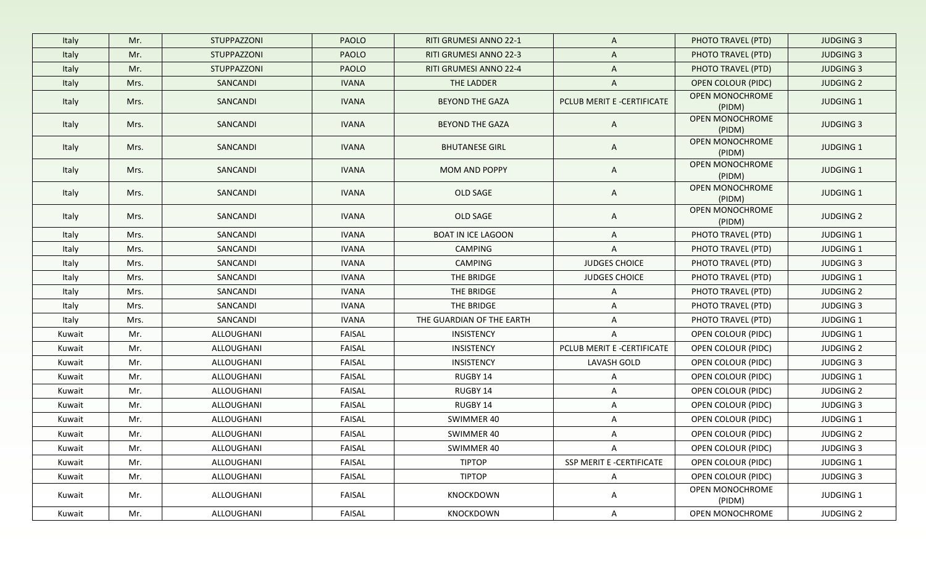| Italy  | Mr.  | STUPPAZZONI | <b>PAOLO</b> | <b>RITI GRUMESI ANNO 22-1</b> | A                          | PHOTO TRAVEL (PTD)        | <b>JUDGING 3</b> |
|--------|------|-------------|--------------|-------------------------------|----------------------------|---------------------------|------------------|
| Italy  | Mr.  | STUPPAZZONI | <b>PAOLO</b> | <b>RITI GRUMESI ANNO 22-3</b> | A                          | PHOTO TRAVEL (PTD)        | <b>JUDGING 3</b> |
| Italy  | Mr.  | STUPPAZZONI | <b>PAOLO</b> | <b>RITI GRUMESI ANNO 22-4</b> | A                          | PHOTO TRAVEL (PTD)        | <b>JUDGING 3</b> |
| Italy  | Mrs. | SANCANDI    | <b>IVANA</b> | THE LADDER                    | A                          | <b>OPEN COLOUR (PIDC)</b> | <b>JUDGING 2</b> |
| Italy  | Mrs. | SANCANDI    | <b>IVANA</b> | <b>BEYOND THE GAZA</b>        | PCLUB MERIT E -CERTIFICATE | OPEN MONOCHROME<br>(PIDM) | <b>JUDGING 1</b> |
| Italy  | Mrs. | SANCANDI    | <b>IVANA</b> | <b>BEYOND THE GAZA</b>        | $\mathsf{A}$               | OPEN MONOCHROME<br>(PIDM) | <b>JUDGING 3</b> |
| Italy  | Mrs. | SANCANDI    | <b>IVANA</b> | <b>BHUTANESE GIRL</b>         | A                          | OPEN MONOCHROME<br>(PIDM) | JUDGING 1        |
| Italy  | Mrs. | SANCANDI    | <b>IVANA</b> | MOM AND POPPY                 | A                          | OPEN MONOCHROME<br>(PIDM) | <b>JUDGING 1</b> |
| Italy  | Mrs. | SANCANDI    | <b>IVANA</b> | OLD SAGE                      | A                          | OPEN MONOCHROME<br>(PIDM) | JUDGING 1        |
| Italy  | Mrs. | SANCANDI    | <b>IVANA</b> | OLD SAGE                      | A                          | OPEN MONOCHROME<br>(PIDM) | <b>JUDGING 2</b> |
| Italy  | Mrs. | SANCANDI    | <b>IVANA</b> | <b>BOAT IN ICE LAGOON</b>     | A                          | PHOTO TRAVEL (PTD)        | JUDGING 1        |
| Italy  | Mrs. | SANCANDI    | IVANA        | <b>CAMPING</b>                | A                          | PHOTO TRAVEL (PTD)        | JUDGING 1        |
| Italy  | Mrs. | SANCANDI    | <b>IVANA</b> | <b>CAMPING</b>                | <b>JUDGES CHOICE</b>       | PHOTO TRAVEL (PTD)        | <b>JUDGING 3</b> |
| Italy  | Mrs. | SANCANDI    | <b>IVANA</b> | THE BRIDGE                    | <b>JUDGES CHOICE</b>       | PHOTO TRAVEL (PTD)        | JUDGING 1        |
| Italy  | Mrs. | SANCANDI    | <b>IVANA</b> | THE BRIDGE                    | A                          | PHOTO TRAVEL (PTD)        | <b>JUDGING 2</b> |
| Italy  | Mrs. | SANCANDI    | <b>IVANA</b> | THE BRIDGE                    | A                          | PHOTO TRAVEL (PTD)        | <b>JUDGING 3</b> |
| Italy  | Mrs. | SANCANDI    | <b>IVANA</b> | THE GUARDIAN OF THE EARTH     | A                          | PHOTO TRAVEL (PTD)        | JUDGING 1        |
| Kuwait | Mr.  | ALLOUGHANI  | FAISAL       | INSISTENCY                    | A                          | OPEN COLOUR (PIDC)        | JUDGING 1        |
| Kuwait | Mr.  | ALLOUGHANI  | FAISAL       | INSISTENCY                    | PCLUB MERIT E -CERTIFICATE | OPEN COLOUR (PIDC)        | <b>JUDGING 2</b> |
| Kuwait | Mr.  | ALLOUGHANI  | FAISAL       | INSISTENCY                    | <b>LAVASH GOLD</b>         | OPEN COLOUR (PIDC)        | <b>JUDGING 3</b> |
| Kuwait | Mr.  | ALLOUGHANI  | FAISAL       | RUGBY 14                      | A                          | OPEN COLOUR (PIDC)        | JUDGING 1        |
| Kuwait | Mr.  | ALLOUGHANI  | FAISAL       | RUGBY 14                      | A                          | OPEN COLOUR (PIDC)        | <b>JUDGING 2</b> |
| Kuwait | Mr.  | ALLOUGHANI  | FAISAL       | RUGBY 14                      | A                          | OPEN COLOUR (PIDC)        | <b>JUDGING 3</b> |
| Kuwait | Mr.  | ALLOUGHANI  | FAISAL       | SWIMMER 40                    | A                          | OPEN COLOUR (PIDC)        | JUDGING 1        |
| Kuwait | Mr.  | ALLOUGHANI  | FAISAL       | SWIMMER 40                    | A                          | OPEN COLOUR (PIDC)        | <b>JUDGING 2</b> |
| Kuwait | Mr.  | ALLOUGHANI  | FAISAL       | SWIMMER 40                    | $\mathsf{A}$               | OPEN COLOUR (PIDC)        | <b>JUDGING 3</b> |
| Kuwait | Mr.  | ALLOUGHANI  | FAISAL       | <b>TIPTOP</b>                 | SSP MERIT E -CERTIFICATE   | OPEN COLOUR (PIDC)        | JUDGING 1        |
| Kuwait | Mr.  | ALLOUGHANI  | FAISAL       | <b>TIPTOP</b>                 | A                          | OPEN COLOUR (PIDC)        | <b>JUDGING 3</b> |
| Kuwait | Mr.  | ALLOUGHANI  | FAISAL       | KNOCKDOWN                     | $\mathsf{A}$               | OPEN MONOCHROME<br>(PIDM) | JUDGING 1        |
| Kuwait | Mr.  | ALLOUGHANI  | FAISAL       | KNOCKDOWN                     | $\mathsf{A}$               | OPEN MONOCHROME           | <b>JUDGING 2</b> |
|        |      |             |              |                               |                            |                           |                  |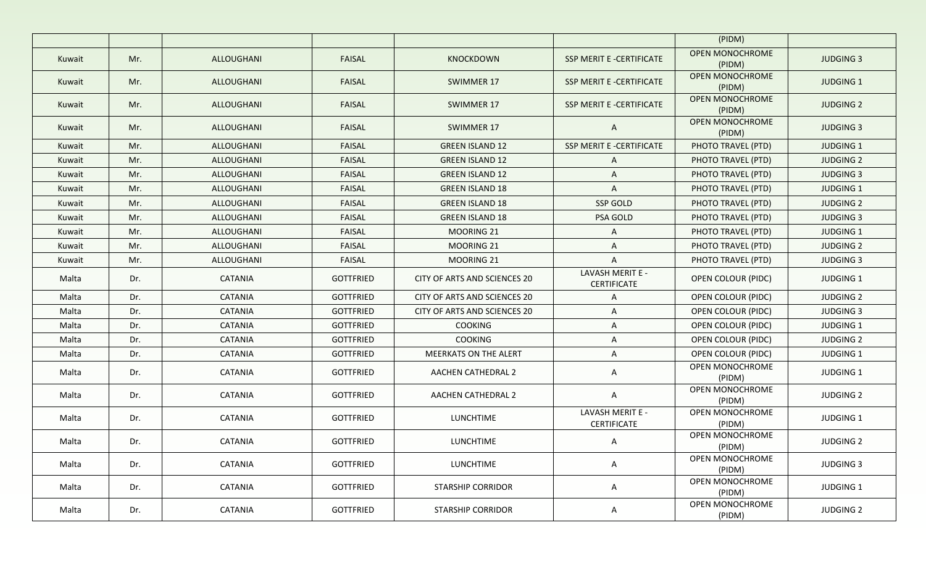|        |     |                |                  |                              |                                        | (PIDM)                           |                  |
|--------|-----|----------------|------------------|------------------------------|----------------------------------------|----------------------------------|------------------|
| Kuwait | Mr. | ALLOUGHANI     | FAISAL           | KNOCKDOWN                    | SSP MERIT E -CERTIFICATE               | <b>OPEN MONOCHROME</b><br>(PIDM) | <b>JUDGING 3</b> |
| Kuwait | Mr. | ALLOUGHANI     | <b>FAISAL</b>    | <b>SWIMMER 17</b>            | SSP MERIT E -CERTIFICATE               | OPEN MONOCHROME<br>(PIDM)        | <b>JUDGING 1</b> |
| Kuwait | Mr. | ALLOUGHANI     | <b>FAISAL</b>    | SWIMMER 17                   | SSP MERIT E -CERTIFICATE               | <b>OPEN MONOCHROME</b><br>(PIDM) | <b>JUDGING 2</b> |
| Kuwait | Mr. | ALLOUGHANI     | <b>FAISAL</b>    | SWIMMER 17                   | A                                      | OPEN MONOCHROME<br>(PIDM)        | <b>JUDGING 3</b> |
| Kuwait | Mr. | ALLOUGHANI     | <b>FAISAL</b>    | <b>GREEN ISLAND 12</b>       | SSP MERIT E -CERTIFICATE               | PHOTO TRAVEL (PTD)               | <b>JUDGING 1</b> |
| Kuwait | Mr. | ALLOUGHANI     | <b>FAISAL</b>    | <b>GREEN ISLAND 12</b>       | A                                      | PHOTO TRAVEL (PTD)               | <b>JUDGING 2</b> |
| Kuwait | Mr. | ALLOUGHANI     | <b>FAISAL</b>    | <b>GREEN ISLAND 12</b>       | A                                      | PHOTO TRAVEL (PTD)               | <b>JUDGING 3</b> |
| Kuwait | Mr. | ALLOUGHANI     | <b>FAISAL</b>    | <b>GREEN ISLAND 18</b>       | A                                      | PHOTO TRAVEL (PTD)               | <b>JUDGING 1</b> |
| Kuwait | Mr. | ALLOUGHANI     | <b>FAISAL</b>    | <b>GREEN ISLAND 18</b>       | SSP GOLD                               | PHOTO TRAVEL (PTD)               | <b>JUDGING 2</b> |
| Kuwait | Mr. | ALLOUGHANI     | <b>FAISAL</b>    | <b>GREEN ISLAND 18</b>       | PSA GOLD                               | PHOTO TRAVEL (PTD)               | <b>JUDGING 3</b> |
| Kuwait | Mr. | ALLOUGHANI     | <b>FAISAL</b>    | MOORING 21                   | A                                      | PHOTO TRAVEL (PTD)               | <b>JUDGING 1</b> |
| Kuwait | Mr. | ALLOUGHANI     | <b>FAISAL</b>    | MOORING 21                   | A                                      | PHOTO TRAVEL (PTD)               | <b>JUDGING 2</b> |
| Kuwait | Mr. | ALLOUGHANI     | FAISAL           | MOORING 21                   | A                                      | PHOTO TRAVEL (PTD)               | <b>JUDGING 3</b> |
| Malta  | Dr. | <b>CATANIA</b> | <b>GOTTFRIED</b> | CITY OF ARTS AND SCIENCES 20 | LAVASH MERIT E -<br><b>CERTIFICATE</b> | <b>OPEN COLOUR (PIDC)</b>        | <b>JUDGING 1</b> |
| Malta  | Dr. | CATANIA        | <b>GOTTFRIED</b> | CITY OF ARTS AND SCIENCES 20 | A                                      | <b>OPEN COLOUR (PIDC)</b>        | <b>JUDGING 2</b> |
| Malta  | Dr. | <b>CATANIA</b> | <b>GOTTFRIED</b> | CITY OF ARTS AND SCIENCES 20 | A                                      | <b>OPEN COLOUR (PIDC)</b>        | <b>JUDGING 3</b> |
| Malta  | Dr. | <b>CATANIA</b> | <b>GOTTFRIED</b> | <b>COOKING</b>               | A                                      | OPEN COLOUR (PIDC)               | <b>JUDGING 1</b> |
| Malta  | Dr. | CATANIA        | <b>GOTTFRIED</b> | <b>COOKING</b>               | A                                      | OPEN COLOUR (PIDC)               | <b>JUDGING 2</b> |
| Malta  | Dr. | <b>CATANIA</b> | <b>GOTTFRIED</b> | MEERKATS ON THE ALERT        | A                                      | OPEN COLOUR (PIDC)               | <b>JUDGING 1</b> |
| Malta  | Dr. | CATANIA        | <b>GOTTFRIED</b> | AACHEN CATHEDRAL 2           | A                                      | OPEN MONOCHROME<br>(PIDM)        | JUDGING 1        |
| Malta  | Dr. | CATANIA        | <b>GOTTFRIED</b> | AACHEN CATHEDRAL 2           | $\mathsf{A}$                           | OPEN MONOCHROME<br>(PIDM)        | <b>JUDGING 2</b> |
| Malta  | Dr. | CATANIA        | <b>GOTTFRIED</b> | <b>LUNCHTIME</b>             | LAVASH MERIT E -<br>CERTIFICATE        | OPEN MONOCHROME<br>(PIDM)        | <b>JUDGING 1</b> |
| Malta  | Dr. | CATANIA        | GOTTFRIED        | LUNCHTIME                    | A                                      | OPEN MONOCHROME<br>(PIDM)        | <b>JUDGING 2</b> |
| Malta  | Dr. | CATANIA        | <b>GOTTFRIED</b> | <b>LUNCHTIME</b>             | A                                      | OPEN MONOCHROME<br>(PIDM)        | <b>JUDGING 3</b> |
| Malta  | Dr. | CATANIA        | GOTTFRIED        | <b>STARSHIP CORRIDOR</b>     | A                                      | OPEN MONOCHROME<br>(PIDM)        | JUDGING 1        |
| Malta  | Dr. | CATANIA        | <b>GOTTFRIED</b> | <b>STARSHIP CORRIDOR</b>     | $\mathsf{A}$                           | OPEN MONOCHROME<br>(PIDM)        | <b>JUDGING 2</b> |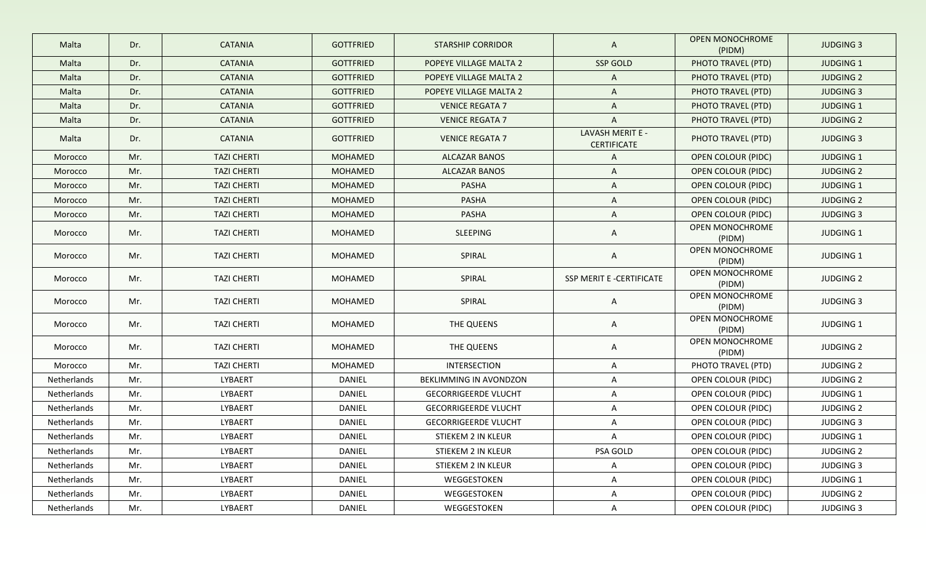| Malta       | Dr. | <b>CATANIA</b>     | <b>GOTTFRIED</b> | <b>STARSHIP CORRIDOR</b>    | $\mathsf{A}$                           | OPEN MONOCHROME<br>(PIDM) | <b>JUDGING 3</b> |
|-------------|-----|--------------------|------------------|-----------------------------|----------------------------------------|---------------------------|------------------|
| Malta       | Dr. | <b>CATANIA</b>     | <b>GOTTFRIED</b> | POPEYE VILLAGE MALTA 2      | SSP GOLD                               | PHOTO TRAVEL (PTD)        | <b>JUDGING 1</b> |
| Malta       | Dr. | <b>CATANIA</b>     | <b>GOTTFRIED</b> | POPEYE VILLAGE MALTA 2      | $\mathsf{A}$                           | PHOTO TRAVEL (PTD)        | <b>JUDGING 2</b> |
| Malta       | Dr. | <b>CATANIA</b>     | <b>GOTTFRIED</b> | POPEYE VILLAGE MALTA 2      | $\mathsf{A}$                           | PHOTO TRAVEL (PTD)        | <b>JUDGING 3</b> |
| Malta       | Dr. | <b>CATANIA</b>     | <b>GOTTFRIED</b> | <b>VENICE REGATA 7</b>      | $\mathsf{A}$                           | PHOTO TRAVEL (PTD)        | <b>JUDGING 1</b> |
| Malta       | Dr. | <b>CATANIA</b>     | <b>GOTTFRIED</b> | <b>VENICE REGATA 7</b>      | $\mathsf{A}$                           | PHOTO TRAVEL (PTD)        | <b>JUDGING 2</b> |
| Malta       | Dr. | <b>CATANIA</b>     | <b>GOTTFRIED</b> | <b>VENICE REGATA 7</b>      | LAVASH MERIT E -<br><b>CERTIFICATE</b> | PHOTO TRAVEL (PTD)        | <b>JUDGING 3</b> |
| Morocco     | Mr. | <b>TAZI CHERTI</b> | <b>MOHAMED</b>   | <b>ALCAZAR BANOS</b>        | $\mathsf{A}$                           | <b>OPEN COLOUR (PIDC)</b> | <b>JUDGING 1</b> |
| Morocco     | Mr. | <b>TAZI CHERTI</b> | MOHAMED          | <b>ALCAZAR BANOS</b>        | $\mathsf{A}$                           | <b>OPEN COLOUR (PIDC)</b> | <b>JUDGING 2</b> |
| Morocco     | Mr. | <b>TAZI CHERTI</b> | MOHAMED          | <b>PASHA</b>                | $\mathsf{A}$                           | OPEN COLOUR (PIDC)        | <b>JUDGING 1</b> |
| Morocco     | Mr. | <b>TAZI CHERTI</b> | MOHAMED          | <b>PASHA</b>                | $\mathsf{A}$                           | <b>OPEN COLOUR (PIDC)</b> | <b>JUDGING 2</b> |
| Morocco     | Mr. | <b>TAZI CHERTI</b> | MOHAMED          | <b>PASHA</b>                | $\mathsf{A}$                           | <b>OPEN COLOUR (PIDC)</b> | <b>JUDGING 3</b> |
| Morocco     | Mr. | <b>TAZI CHERTI</b> | MOHAMED          | SLEEPING                    | $\mathsf{A}$                           | OPEN MONOCHROME<br>(PIDM) | <b>JUDGING 1</b> |
| Morocco     | Mr. | <b>TAZI CHERTI</b> | MOHAMED          | SPIRAL                      | A                                      | OPEN MONOCHROME<br>(PIDM) | <b>JUDGING 1</b> |
| Morocco     | Mr. | <b>TAZI CHERTI</b> | MOHAMED          | SPIRAL                      | SSP MERIT E -CERTIFICATE               | OPEN MONOCHROME<br>(PIDM) | <b>JUDGING 2</b> |
| Morocco     | Mr. | <b>TAZI CHERTI</b> | MOHAMED          | SPIRAL                      | $\mathsf{A}$                           | OPEN MONOCHROME<br>(PIDM) | <b>JUDGING 3</b> |
| Morocco     | Mr. | <b>TAZI CHERTI</b> | MOHAMED          | THE QUEENS                  | $\mathsf{A}$                           | OPEN MONOCHROME<br>(PIDM) | <b>JUDGING 1</b> |
| Morocco     | Mr. | <b>TAZI CHERTI</b> | MOHAMED          | THE QUEENS                  | A                                      | OPEN MONOCHROME<br>(PIDM) | <b>JUDGING 2</b> |
| Morocco     | Mr. | <b>TAZI CHERTI</b> | MOHAMED          | <b>INTERSECTION</b>         | $\mathsf{A}$                           | PHOTO TRAVEL (PTD)        | <b>JUDGING 2</b> |
| Netherlands | Mr. | LYBAERT            | DANIEL           | BEKLIMMING IN AVONDZON      | A                                      | OPEN COLOUR (PIDC)        | <b>JUDGING 2</b> |
| Netherlands | Mr. | LYBAERT            | DANIEL           | <b>GECORRIGEERDE VLUCHT</b> | A                                      | OPEN COLOUR (PIDC)        | <b>JUDGING 1</b> |
| Netherlands | Mr. | LYBAERT            | DANIEL           | <b>GECORRIGEERDE VLUCHT</b> | $\mathsf{A}$                           | OPEN COLOUR (PIDC)        | <b>JUDGING 2</b> |
| Netherlands | Mr. | LYBAERT            | DANIEL           | <b>GECORRIGEERDE VLUCHT</b> | A                                      | OPEN COLOUR (PIDC)        | <b>JUDGING 3</b> |
| Netherlands | Mr. | LYBAERT            | DANIEL           | STIEKEM 2 IN KLEUR          | A                                      | OPEN COLOUR (PIDC)        | JUDGING 1        |
| Netherlands | Mr. | LYBAERT            | DANIEL           | STIEKEM 2 IN KLEUR          | PSA GOLD                               | OPEN COLOUR (PIDC)        | <b>JUDGING 2</b> |
| Netherlands | Mr. | LYBAERT            | DANIEL           | STIEKEM 2 IN KLEUR          | $\mathsf{A}$                           | OPEN COLOUR (PIDC)        | <b>JUDGING 3</b> |
| Netherlands | Mr. | LYBAERT            | DANIEL           | WEGGESTOKEN                 | A                                      | OPEN COLOUR (PIDC)        | JUDGING 1        |
| Netherlands | Mr. | LYBAERT            | DANIEL           | WEGGESTOKEN                 | A                                      | OPEN COLOUR (PIDC)        | <b>JUDGING 2</b> |
| Netherlands | Mr. | LYBAERT            | DANIEL           | WEGGESTOKEN                 | $\mathsf{A}$                           | OPEN COLOUR (PIDC)        | JUDGING 3        |
|             |     |                    |                  |                             |                                        |                           |                  |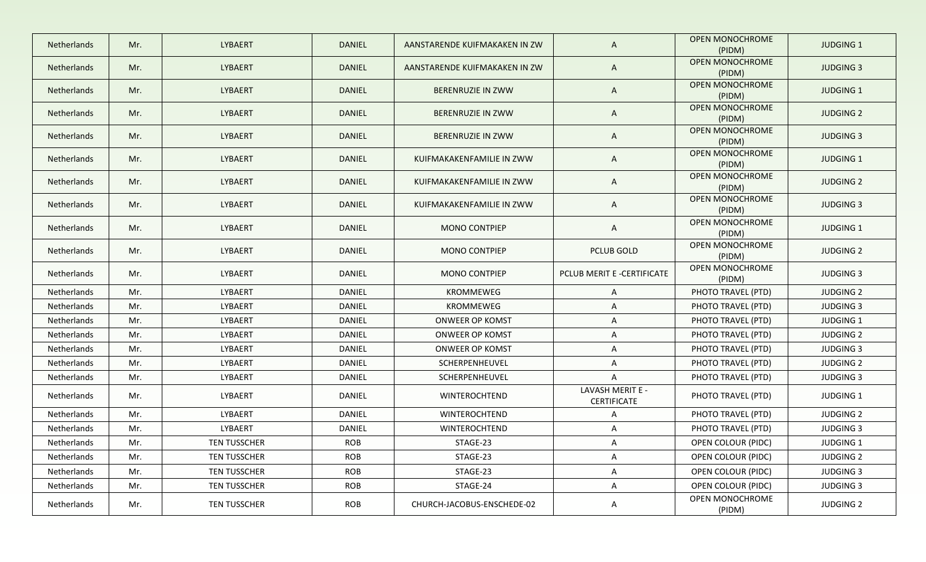| <b>Netherlands</b> | Mr. | <b>LYBAERT</b>      | <b>DANIEL</b> | AANSTARENDE KUIFMAKAKEN IN ZW | $\mathsf{A}$                    | <b>OPEN MONOCHROME</b><br>(PIDM) | <b>JUDGING 1</b> |
|--------------------|-----|---------------------|---------------|-------------------------------|---------------------------------|----------------------------------|------------------|
| Netherlands        | Mr. | LYBAERT             | <b>DANIEL</b> | AANSTARENDE KUIFMAKAKEN IN ZW | $\mathsf{A}$                    | <b>OPEN MONOCHROME</b><br>(PIDM) | <b>JUDGING 3</b> |
| Netherlands        | Mr. | LYBAERT             | <b>DANIEL</b> | BERENRUZIE IN ZWW             | $\mathsf{A}$                    | OPEN MONOCHROME<br>(PIDM)        | <b>JUDGING 1</b> |
| Netherlands        | Mr. | LYBAERT             | <b>DANIEL</b> | BERENRUZIE IN ZWW             | $\mathsf{A}$                    | OPEN MONOCHROME<br>(PIDM)        | <b>JUDGING 2</b> |
| Netherlands        | Mr. | LYBAERT             | <b>DANIEL</b> | BERENRUZIE IN ZWW             | $\mathsf{A}$                    | OPEN MONOCHROME<br>(PIDM)        | <b>JUDGING 3</b> |
| Netherlands        | Mr. | LYBAERT             | <b>DANIEL</b> | KUIFMAKAKENFAMILIE IN ZWW     | A                               | OPEN MONOCHROME<br>(PIDM)        | <b>JUDGING 1</b> |
| Netherlands        | Mr. | LYBAERT             | <b>DANIEL</b> | KUIFMAKAKENFAMILIE IN ZWW     | $\mathsf{A}$                    | OPEN MONOCHROME<br>(PIDM)        | <b>JUDGING 2</b> |
| <b>Netherlands</b> | Mr. | LYBAERT             | <b>DANIEL</b> | KUIFMAKAKENFAMILIE IN ZWW     | A                               | OPEN MONOCHROME<br>(PIDM)        | <b>JUDGING 3</b> |
| Netherlands        | Mr. | LYBAERT             | <b>DANIEL</b> | <b>MONO CONTPIEP</b>          | $\mathsf{A}$                    | <b>OPEN MONOCHROME</b><br>(PIDM) | <b>JUDGING 1</b> |
| Netherlands        | Mr. | LYBAERT             | DANIEL        | <b>MONO CONTPIEP</b>          | <b>PCLUB GOLD</b>               | OPEN MONOCHROME<br>(PIDM)        | <b>JUDGING 2</b> |
| <b>Netherlands</b> | Mr. | LYBAERT             | DANIEL        | <b>MONO CONTPIEP</b>          | PCLUB MERIT E -CERTIFICATE      | OPEN MONOCHROME<br>(PIDM)        | <b>JUDGING 3</b> |
| Netherlands        | Mr. | LYBAERT             | DANIEL        | <b>KROMMEWEG</b>              | $\mathsf{A}$                    | PHOTO TRAVEL (PTD)               | <b>JUDGING 2</b> |
| Netherlands        | Mr. | LYBAERT             | DANIEL        | KROMMEWEG                     | $\mathsf{A}$                    | PHOTO TRAVEL (PTD)               | <b>JUDGING 3</b> |
| Netherlands        | Mr. | LYBAERT             | DANIEL        | <b>ONWEER OP KOMST</b>        | $\mathsf{A}$                    | PHOTO TRAVEL (PTD)               | <b>JUDGING 1</b> |
| Netherlands        | Mr. | LYBAERT             | DANIEL        | <b>ONWEER OP KOMST</b>        | $\mathsf{A}$                    | PHOTO TRAVEL (PTD)               | <b>JUDGING 2</b> |
| Netherlands        | Mr. | LYBAERT             | DANIEL        | <b>ONWEER OP KOMST</b>        | A                               | PHOTO TRAVEL (PTD)               | <b>JUDGING 3</b> |
| Netherlands        | Mr. | LYBAERT             | DANIEL        | SCHERPENHEUVEL                | A                               | PHOTO TRAVEL (PTD)               | <b>JUDGING 2</b> |
| Netherlands        | Mr. | LYBAERT             | DANIEL        | SCHERPENHEUVEL                | $\mathsf{A}$                    | PHOTO TRAVEL (PTD)               | <b>JUDGING 3</b> |
| Netherlands        | Mr. | LYBAERT             | DANIEL        | WINTEROCHTEND                 | LAVASH MERIT E -<br>CERTIFICATE | PHOTO TRAVEL (PTD)               | JUDGING 1        |
| Netherlands        | Mr. | LYBAERT             | DANIEL        | <b>WINTEROCHTEND</b>          | A                               | PHOTO TRAVEL (PTD)               | <b>JUDGING 2</b> |
| Netherlands        | Mr. | LYBAERT             | DANIEL        | <b>WINTEROCHTEND</b>          | A                               | PHOTO TRAVEL (PTD)               | JUDGING 3        |
| Netherlands        | Mr. | TEN TUSSCHER        | ROB           | STAGE-23                      | A                               | OPEN COLOUR (PIDC)               | JUDGING 1        |
| Netherlands        | Mr. | TEN TUSSCHER        | ROB           | STAGE-23                      | $\mathsf{A}$                    | OPEN COLOUR (PIDC)               | <b>JUDGING 2</b> |
| Netherlands        | Mr. | <b>TEN TUSSCHER</b> | ROB           | STAGE-23                      | A                               | OPEN COLOUR (PIDC)               | <b>JUDGING 3</b> |
| Netherlands        | Mr. | TEN TUSSCHER        | ROB           | STAGE-24                      | A                               | OPEN COLOUR (PIDC)               | <b>JUDGING 3</b> |
| Netherlands        | Mr. | TEN TUSSCHER        | ROB           | CHURCH-JACOBUS-ENSCHEDE-02    | A                               | OPEN MONOCHROME<br>(PIDM)        | <b>JUDGING 2</b> |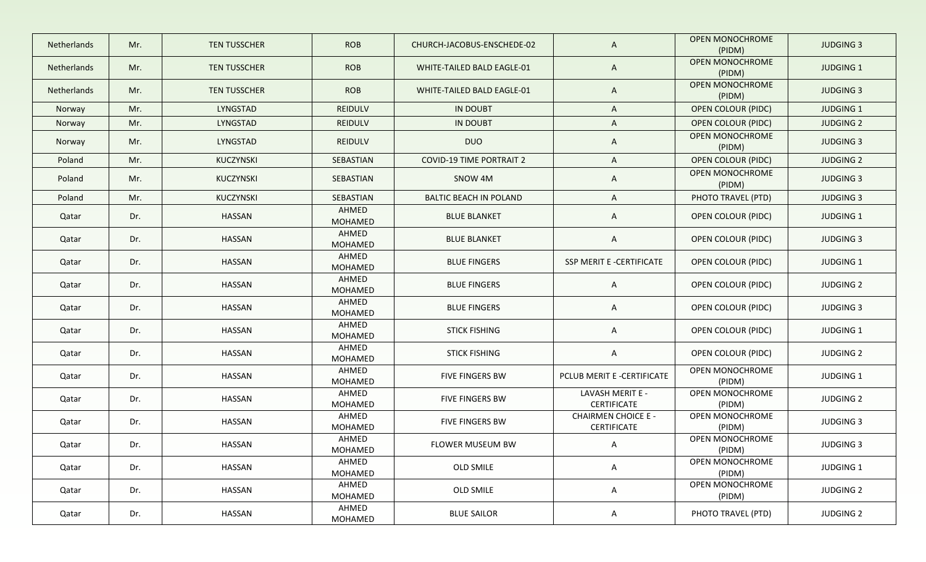| Netherlands | Mr. | <b>TEN TUSSCHER</b> | <b>ROB</b>              | CHURCH-JACOBUS-ENSCHEDE-02      | $\mathsf{A}$                                     | <b>OPEN MONOCHROME</b><br>(PIDM) | <b>JUDGING 3</b> |
|-------------|-----|---------------------|-------------------------|---------------------------------|--------------------------------------------------|----------------------------------|------------------|
| Netherlands | Mr. | <b>TEN TUSSCHER</b> | <b>ROB</b>              | WHITE-TAILED BALD EAGLE-01      | $\mathsf{A}$                                     | OPEN MONOCHROME<br>(PIDM)        | <b>JUDGING 1</b> |
| Netherlands | Mr. | <b>TEN TUSSCHER</b> | <b>ROB</b>              | WHITE-TAILED BALD EAGLE-01      | $\mathsf{A}$                                     | <b>OPEN MONOCHROME</b><br>(PIDM) | <b>JUDGING 3</b> |
| Norway      | Mr. | LYNGSTAD            | <b>REIDULV</b>          | <b>IN DOUBT</b>                 | $\mathsf{A}$                                     | <b>OPEN COLOUR (PIDC)</b>        | <b>JUDGING 1</b> |
| Norway      | Mr. | LYNGSTAD            | <b>REIDULV</b>          | <b>IN DOUBT</b>                 | $\mathsf{A}$                                     | <b>OPEN COLOUR (PIDC)</b>        | <b>JUDGING 2</b> |
| Norway      | Mr. | LYNGSTAD            | <b>REIDULV</b>          | <b>DUO</b>                      | $\mathsf{A}$                                     | OPEN MONOCHROME<br>(PIDM)        | <b>JUDGING 3</b> |
| Poland      | Mr. | KUCZYNSKI           | SEBASTIAN               | <b>COVID-19 TIME PORTRAIT 2</b> | $\mathsf{A}$                                     | <b>OPEN COLOUR (PIDC)</b>        | <b>JUDGING 2</b> |
| Poland      | Mr. | KUCZYNSKI           | SEBASTIAN               | SNOW 4M                         | $\mathsf{A}$                                     | <b>OPEN MONOCHROME</b><br>(PIDM) | <b>JUDGING 3</b> |
| Poland      | Mr. | KUCZYNSKI           | SEBASTIAN               | <b>BALTIC BEACH IN POLAND</b>   | $\mathsf{A}$                                     | PHOTO TRAVEL (PTD)               | <b>JUDGING 3</b> |
| Qatar       | Dr. | HASSAN              | AHMED<br>MOHAMED        | <b>BLUE BLANKET</b>             | $\mathsf{A}$                                     | <b>OPEN COLOUR (PIDC)</b>        | <b>JUDGING 1</b> |
| Qatar       | Dr. | <b>HASSAN</b>       | AHMED<br>MOHAMED        | <b>BLUE BLANKET</b>             | $\mathsf{A}$                                     | <b>OPEN COLOUR (PIDC)</b>        | <b>JUDGING 3</b> |
| Qatar       | Dr. | HASSAN              | AHMED<br>MOHAMED        | <b>BLUE FINGERS</b>             | SSP MERIT E -CERTIFICATE                         | <b>OPEN COLOUR (PIDC)</b>        | <b>JUDGING 1</b> |
| Qatar       | Dr. | HASSAN              | AHMED<br>MOHAMED        | <b>BLUE FINGERS</b>             | $\mathsf{A}$                                     | OPEN COLOUR (PIDC)               | <b>JUDGING 2</b> |
| Qatar       | Dr. | <b>HASSAN</b>       | AHMED<br>MOHAMED        | <b>BLUE FINGERS</b>             | $\mathsf{A}$                                     | OPEN COLOUR (PIDC)               | <b>JUDGING 3</b> |
| Qatar       | Dr. | HASSAN              | AHMED<br>MOHAMED        | <b>STICK FISHING</b>            | $\mathsf{A}$                                     | OPEN COLOUR (PIDC)               | <b>JUDGING 1</b> |
| Qatar       | Dr. | <b>HASSAN</b>       | AHMED<br>MOHAMED        | <b>STICK FISHING</b>            | $\mathsf{A}$                                     | OPEN COLOUR (PIDC)               | <b>JUDGING 2</b> |
| Qatar       | Dr. | HASSAN              | AHMED<br>MOHAMED        | FIVE FINGERS BW                 | PCLUB MERIT E -CERTIFICATE                       | OPEN MONOCHROME<br>(PIDM)        | JUDGING 1        |
| Qatar       | Dr. | HASSAN              | AHMED<br><b>MOHAMED</b> | <b>FIVE FINGERS BW</b>          | LAVASH MERIT E -<br><b>CERTIFICATE</b>           | OPEN MONOCHROME<br>(PIDM)        | <b>JUDGING 2</b> |
| Qatar       | Dr. | HASSAN              | AHMED<br>MOHAMED        | <b>FIVE FINGERS BW</b>          | <b>CHAIRMEN CHOICE E -</b><br><b>CERTIFICATE</b> | OPEN MONOCHROME<br>(PIDM)        | <b>JUDGING 3</b> |
| Qatar       | Dr. | HASSAN              | AHMED<br>MOHAMED        | FLOWER MUSEUM BW                | A                                                | OPEN MONOCHROME<br>(PIDM)        | <b>JUDGING 3</b> |
| Qatar       | Dr. | <b>HASSAN</b>       | AHMED<br>MOHAMED        | OLD SMILE                       | $\mathsf{A}$                                     | OPEN MONOCHROME<br>(PIDM)        | JUDGING 1        |
| Qatar       | Dr. | HASSAN              | AHMED<br>MOHAMED        | OLD SMILE                       | $\mathsf{A}$                                     | OPEN MONOCHROME<br>(PIDM)        | <b>JUDGING 2</b> |
| Qatar       | Dr. | HASSAN              | AHMED<br>MOHAMED        | <b>BLUE SAILOR</b>              | $\mathsf{A}$                                     | PHOTO TRAVEL (PTD)               | <b>JUDGING 2</b> |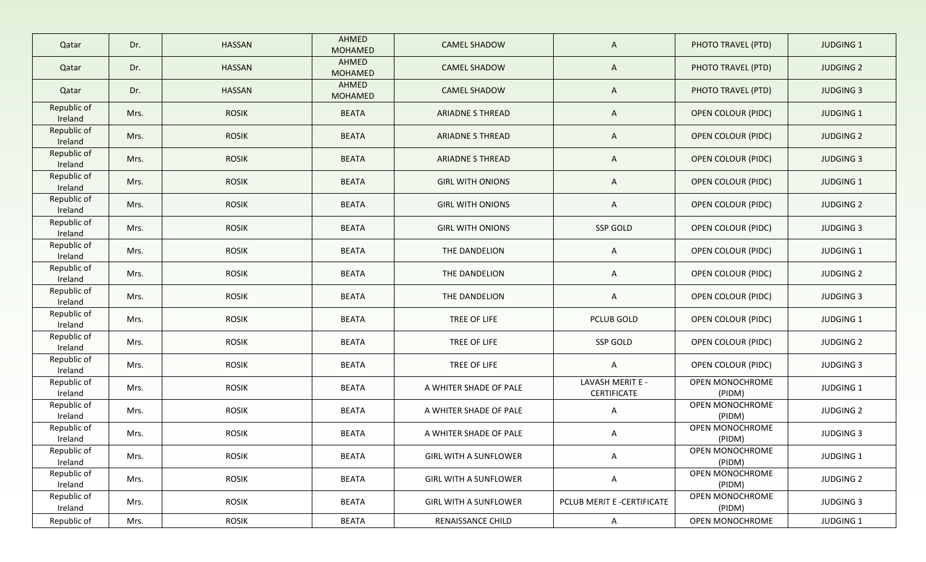| Qatar                  | Dr.  | <b>HASSAN</b> | AHMED<br><b>MOHAMED</b> | <b>CAMEL SHADOW</b>          | $\mathsf{A}$                    | PHOTO TRAVEL (PTD)        | <b>JUDGING 1</b> |
|------------------------|------|---------------|-------------------------|------------------------------|---------------------------------|---------------------------|------------------|
| Qatar                  | Dr.  | <b>HASSAN</b> | AHMED<br><b>MOHAMED</b> | <b>CAMEL SHADOW</b>          | $\mathsf{A}$                    | PHOTO TRAVEL (PTD)        | <b>JUDGING 2</b> |
| Qatar                  | Dr.  | <b>HASSAN</b> | AHMED<br><b>MOHAMED</b> | <b>CAMEL SHADOW</b>          | $\mathsf{A}$                    | PHOTO TRAVEL (PTD)        | <b>JUDGING 3</b> |
| Republic of<br>Ireland | Mrs. | <b>ROSIK</b>  | <b>BEATA</b>            | <b>ARIADNE S THREAD</b>      | $\mathsf{A}$                    | <b>OPEN COLOUR (PIDC)</b> | <b>JUDGING 1</b> |
| Republic of<br>Ireland | Mrs. | <b>ROSIK</b>  | <b>BEATA</b>            | <b>ARIADNE S THREAD</b>      | $\mathsf{A}$                    | <b>OPEN COLOUR (PIDC)</b> | <b>JUDGING 2</b> |
| Republic of<br>Ireland | Mrs. | <b>ROSIK</b>  | <b>BEATA</b>            | <b>ARIADNE S THREAD</b>      | $\mathsf{A}$                    | <b>OPEN COLOUR (PIDC)</b> | <b>JUDGING 3</b> |
| Republic of<br>Ireland | Mrs. | <b>ROSIK</b>  | <b>BEATA</b>            | <b>GIRL WITH ONIONS</b>      | $\mathsf{A}$                    | <b>OPEN COLOUR (PIDC)</b> | <b>JUDGING 1</b> |
| Republic of<br>Ireland | Mrs. | <b>ROSIK</b>  | <b>BEATA</b>            | <b>GIRL WITH ONIONS</b>      | $\mathsf{A}$                    | <b>OPEN COLOUR (PIDC)</b> | <b>JUDGING 2</b> |
| Republic of<br>Ireland | Mrs. | <b>ROSIK</b>  | <b>BEATA</b>            | <b>GIRL WITH ONIONS</b>      | SSP GOLD                        | OPEN COLOUR (PIDC)        | <b>JUDGING 3</b> |
| Republic of<br>Ireland | Mrs. | <b>ROSIK</b>  | <b>BEATA</b>            | THE DANDELION                | $\mathsf{A}$                    | <b>OPEN COLOUR (PIDC)</b> | <b>JUDGING 1</b> |
| Republic of<br>Ireland | Mrs. | <b>ROSIK</b>  | <b>BEATA</b>            | THE DANDELION                | $\mathsf{A}$                    | OPEN COLOUR (PIDC)        | <b>JUDGING 2</b> |
| Republic of<br>Ireland | Mrs. | <b>ROSIK</b>  | <b>BEATA</b>            | THE DANDELION                | $\mathsf{A}$                    | OPEN COLOUR (PIDC)        | <b>JUDGING 3</b> |
| Republic of<br>Ireland | Mrs. | <b>ROSIK</b>  | <b>BEATA</b>            | TREE OF LIFE                 | PCLUB GOLD                      | OPEN COLOUR (PIDC)        | <b>JUDGING 1</b> |
| Republic of<br>Ireland | Mrs. | <b>ROSIK</b>  | <b>BEATA</b>            | TREE OF LIFE                 | SSP GOLD                        | OPEN COLOUR (PIDC)        | <b>JUDGING 2</b> |
| Republic of<br>Ireland | Mrs. | <b>ROSIK</b>  | <b>BEATA</b>            | TREE OF LIFE                 | $\mathsf{A}$                    | OPEN COLOUR (PIDC)        | <b>JUDGING 3</b> |
| Republic of<br>Ireland | Mrs. | <b>ROSIK</b>  | <b>BEATA</b>            | A WHITER SHADE OF PALE       | LAVASH MERIT E -<br>CERTIFICATE | OPEN MONOCHROME<br>(PIDM) | <b>JUDGING 1</b> |
| Republic of<br>Ireland | Mrs. | <b>ROSIK</b>  | <b>BEATA</b>            | A WHITER SHADE OF PALE       | $\mathsf{A}$                    | OPEN MONOCHROME<br>(PIDM) | <b>JUDGING 2</b> |
| Republic of<br>Ireland | Mrs. | <b>ROSIK</b>  | <b>BEATA</b>            | A WHITER SHADE OF PALE       | A                               | OPEN MONOCHROME<br>(PIDM) | <b>JUDGING 3</b> |
| Republic of<br>Ireland | Mrs. | <b>ROSIK</b>  | <b>BEATA</b>            | <b>GIRL WITH A SUNFLOWER</b> | $\mathsf{A}$                    | OPEN MONOCHROME<br>(PIDM) | JUDGING 1        |
| Republic of<br>Ireland | Mrs. | <b>ROSIK</b>  | <b>BEATA</b>            | <b>GIRL WITH A SUNFLOWER</b> | $\mathsf{A}$                    | OPEN MONOCHROME<br>(PIDM) | <b>JUDGING 2</b> |
| Republic of<br>Ireland | Mrs. | <b>ROSIK</b>  | <b>BEATA</b>            | <b>GIRL WITH A SUNFLOWER</b> | PCLUB MERIT E -CERTIFICATE      | OPEN MONOCHROME<br>(PIDM) | <b>JUDGING 3</b> |
| Republic of            | Mrs. | <b>ROSIK</b>  | <b>BEATA</b>            | RENAISSANCE CHILD            | $\mathsf{A}$                    | OPEN MONOCHROME           | JUDGING 1        |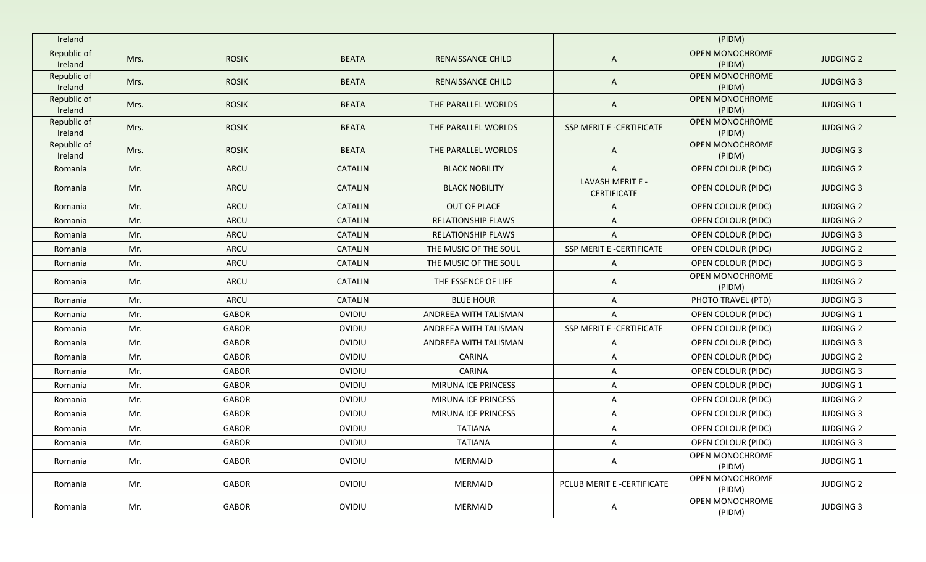| Ireland                |      |              |                |                           |                                        | (PIDM)                    |                  |
|------------------------|------|--------------|----------------|---------------------------|----------------------------------------|---------------------------|------------------|
| Republic of<br>Ireland | Mrs. | <b>ROSIK</b> | <b>BEATA</b>   | <b>RENAISSANCE CHILD</b>  | $\mathsf{A}$                           | OPEN MONOCHROME<br>(PIDM) | <b>JUDGING 2</b> |
| Republic of<br>Ireland | Mrs. | <b>ROSIK</b> | <b>BEATA</b>   | RENAISSANCE CHILD         | $\mathsf{A}$                           | OPEN MONOCHROME<br>(PIDM) | <b>JUDGING 3</b> |
| Republic of<br>Ireland | Mrs. | <b>ROSIK</b> | <b>BEATA</b>   | THE PARALLEL WORLDS       | $\mathsf{A}$                           | OPEN MONOCHROME<br>(PIDM) | <b>JUDGING 1</b> |
| Republic of<br>Ireland | Mrs. | <b>ROSIK</b> | <b>BEATA</b>   | THE PARALLEL WORLDS       | SSP MERIT E -CERTIFICATE               | OPEN MONOCHROME<br>(PIDM) | <b>JUDGING 2</b> |
| Republic of<br>Ireland | Mrs. | <b>ROSIK</b> | <b>BEATA</b>   | THE PARALLEL WORLDS       | $\mathsf{A}$                           | OPEN MONOCHROME<br>(PIDM) | <b>JUDGING 3</b> |
| Romania                | Mr.  | <b>ARCU</b>  | <b>CATALIN</b> | <b>BLACK NOBILITY</b>     | $\mathsf{A}$                           | <b>OPEN COLOUR (PIDC)</b> | <b>JUDGING 2</b> |
| Romania                | Mr.  | ARCU         | <b>CATALIN</b> | <b>BLACK NOBILITY</b>     | LAVASH MERIT E -<br><b>CERTIFICATE</b> | <b>OPEN COLOUR (PIDC)</b> | <b>JUDGING 3</b> |
| Romania                | Mr.  | ARCU         | <b>CATALIN</b> | OUT OF PLACE              | A                                      | <b>OPEN COLOUR (PIDC)</b> | <b>JUDGING 2</b> |
| Romania                | Mr.  | ARCU         | <b>CATALIN</b> | <b>RELATIONSHIP FLAWS</b> | $\mathsf{A}$                           | OPEN COLOUR (PIDC)        | <b>JUDGING 2</b> |
| Romania                | Mr.  | ARCU         | <b>CATALIN</b> | <b>RELATIONSHIP FLAWS</b> | $\overline{A}$                         | OPEN COLOUR (PIDC)        | <b>JUDGING 3</b> |
| Romania                | Mr.  | ARCU         | CATALIN        | THE MUSIC OF THE SOUL     | SSP MERIT E -CERTIFICATE               | OPEN COLOUR (PIDC)        | <b>JUDGING 2</b> |
| Romania                | Mr.  | ARCU         | <b>CATALIN</b> | THE MUSIC OF THE SOUL     | $\mathsf{A}$                           | OPEN COLOUR (PIDC)        | <b>JUDGING 3</b> |
| Romania                | Mr.  | ARCU         | CATALIN        | THE ESSENCE OF LIFE       | $\mathsf{A}$                           | OPEN MONOCHROME<br>(PIDM) | <b>JUDGING 2</b> |
| Romania                | Mr.  | ARCU         | <b>CATALIN</b> | <b>BLUE HOUR</b>          | $\mathsf{A}$                           | PHOTO TRAVEL (PTD)        | <b>JUDGING 3</b> |
| Romania                | Mr.  | GABOR        | OVIDIU         | ANDREEA WITH TALISMAN     | $\mathsf{A}$                           | OPEN COLOUR (PIDC)        | <b>JUDGING 1</b> |
| Romania                | Mr.  | GABOR        | <b>OVIDIU</b>  | ANDREEA WITH TALISMAN     | SSP MERIT E -CERTIFICATE               | OPEN COLOUR (PIDC)        | <b>JUDGING 2</b> |
| Romania                | Mr.  | <b>GABOR</b> | OVIDIU         | ANDREEA WITH TALISMAN     | $\mathsf{A}$                           | OPEN COLOUR (PIDC)        | <b>JUDGING 3</b> |
| Romania                | Mr.  | <b>GABOR</b> | OVIDIU         | <b>CARINA</b>             | A                                      | OPEN COLOUR (PIDC)        | <b>JUDGING 2</b> |
| Romania                | Mr.  | <b>GABOR</b> | OVIDIU         | <b>CARINA</b>             | A                                      | OPEN COLOUR (PIDC)        | <b>JUDGING 3</b> |
| Romania                | Mr.  | <b>GABOR</b> | OVIDIU         | MIRUNA ICE PRINCESS       | $\mathsf{A}$                           | OPEN COLOUR (PIDC)        | <b>JUDGING 1</b> |
| Romania                | Mr.  | GABOR        | OVIDIU         | MIRUNA ICE PRINCESS       | A                                      | OPEN COLOUR (PIDC)        | <b>JUDGING 2</b> |
| Romania                | Mr.  | GABOR        | OVIDIU         | MIRUNA ICE PRINCESS       | $\mathsf{A}$                           | OPEN COLOUR (PIDC)        | <b>JUDGING 3</b> |
| Romania                | Mr.  | <b>GABOR</b> | OVIDIU         | <b>TATIANA</b>            | A                                      | OPEN COLOUR (PIDC)        | <b>JUDGING 2</b> |
| Romania                | Mr.  | GABOR        | <b>OVIDIU</b>  | TATIANA                   | A                                      | OPEN COLOUR (PIDC)        | JUDGING 3        |
| Romania                | Mr.  | GABOR        | OVIDIU         | MERMAID                   | A                                      | OPEN MONOCHROME<br>(PIDM) | JUDGING 1        |
| Romania                | Mr.  | GABOR        | OVIDIU         | <b>MERMAID</b>            | PCLUB MERIT E -CERTIFICATE             | OPEN MONOCHROME<br>(PIDM) | <b>JUDGING 2</b> |
| Romania                | Mr.  | GABOR        | OVIDIU         | MERMAID                   | $\mathsf{A}$                           | OPEN MONOCHROME<br>(PIDM) | <b>JUDGING 3</b> |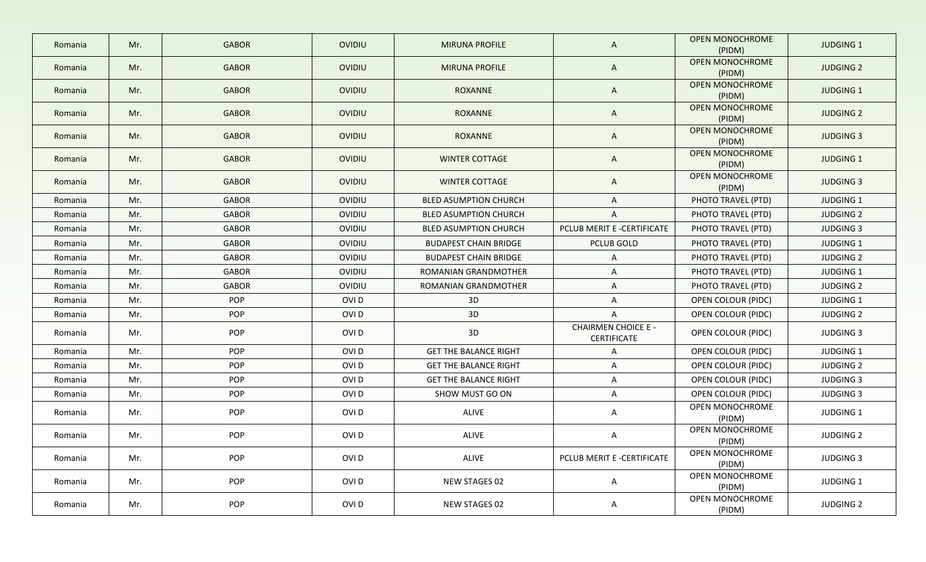|         |     |              |                  |                              |                                           | <b>OPEN MONOCHROME</b>           |                  |
|---------|-----|--------------|------------------|------------------------------|-------------------------------------------|----------------------------------|------------------|
| Romania | Mr. | <b>GABOR</b> | OVIDIU           | <b>MIRUNA PROFILE</b>        | A                                         | (PIDM)                           | <b>JUDGING 1</b> |
| Romania | Mr. | <b>GABOR</b> | OVIDIU           | <b>MIRUNA PROFILE</b>        | $\mathsf{A}$                              | OPEN MONOCHROME<br>(PIDM)        | <b>JUDGING 2</b> |
| Romania | Mr. | <b>GABOR</b> | OVIDIU           | <b>ROXANNE</b>               | $\mathsf{A}$                              | <b>OPEN MONOCHROME</b><br>(PIDM) | <b>JUDGING 1</b> |
| Romania | Mr. | <b>GABOR</b> | OVIDIU           | <b>ROXANNE</b>               | A                                         | OPEN MONOCHROME<br>(PIDM)        | <b>JUDGING 2</b> |
| Romania | Mr. | <b>GABOR</b> | OVIDIU           | ROXANNE                      | A                                         | OPEN MONOCHROME<br>(PIDM)        | <b>JUDGING 3</b> |
| Romania | Mr. | <b>GABOR</b> | OVIDIU           | <b>WINTER COTTAGE</b>        | A                                         | OPEN MONOCHROME<br>(PIDM)        | JUDGING 1        |
| Romania | Mr. | <b>GABOR</b> | OVIDIU           | <b>WINTER COTTAGE</b>        | A                                         | OPEN MONOCHROME<br>(PIDM)        | <b>JUDGING 3</b> |
| Romania | Mr. | <b>GABOR</b> | OVIDIU           | <b>BLED ASUMPTION CHURCH</b> | A                                         | PHOTO TRAVEL (PTD)               | <b>JUDGING 1</b> |
| Romania | Mr. | <b>GABOR</b> | OVIDIU           | <b>BLED ASUMPTION CHURCH</b> | A                                         | PHOTO TRAVEL (PTD)               | <b>JUDGING 2</b> |
| Romania | Mr. | <b>GABOR</b> | OVIDIU           | <b>BLED ASUMPTION CHURCH</b> | PCLUB MERIT E -CERTIFICATE                | PHOTO TRAVEL (PTD)               | <b>JUDGING 3</b> |
| Romania | Mr. | <b>GABOR</b> | OVIDIU           | <b>BUDAPEST CHAIN BRIDGE</b> | PCLUB GOLD                                | PHOTO TRAVEL (PTD)               | <b>JUDGING 1</b> |
| Romania | Mr. | <b>GABOR</b> | OVIDIU           | <b>BUDAPEST CHAIN BRIDGE</b> | A                                         | PHOTO TRAVEL (PTD)               | <b>JUDGING 2</b> |
| Romania | Mr. | <b>GABOR</b> | OVIDIU           | ROMANIAN GRANDMOTHER         | A                                         | PHOTO TRAVEL (PTD)               | JUDGING 1        |
| Romania | Mr. | <b>GABOR</b> | OVIDIU           | ROMANIAN GRANDMOTHER         | A                                         | PHOTO TRAVEL (PTD)               | <b>JUDGING 2</b> |
| Romania | Mr. | POP          | OVI D            | 3D                           | A                                         | OPEN COLOUR (PIDC)               | JUDGING 1        |
| Romania | Mr. | POP          | OVI D            | 3D                           | A                                         | OPEN COLOUR (PIDC)               | <b>JUDGING 2</b> |
| Romania | Mr. | POP          | OVI D            | 3D                           | <b>CHAIRMEN CHOICE E -</b><br>CERTIFICATE | OPEN COLOUR (PIDC)               | JUDGING 3        |
| Romania | Mr. | POP          | OVI D            | <b>GET THE BALANCE RIGHT</b> | A                                         | OPEN COLOUR (PIDC)               | <b>JUDGING 1</b> |
| Romania | Mr. | POP          | OVI <sub>D</sub> | <b>GET THE BALANCE RIGHT</b> | A                                         | OPEN COLOUR (PIDC)               | <b>JUDGING 2</b> |
| Romania | Mr. | POP          | OVI D            | <b>GET THE BALANCE RIGHT</b> | A                                         | OPEN COLOUR (PIDC)               | <b>JUDGING 3</b> |
| Romania | Mr. | <b>POP</b>   | OVI D            | SHOW MUST GO ON              | A                                         | OPEN COLOUR (PIDC)               | <b>JUDGING 3</b> |
| Romania | Mr. | POP          | OVI D            | ALIVE                        | A                                         | OPEN MONOCHROME<br>(PIDM)        | JUDGING 1        |
| Romania | Mr. | POP          | OVI D            | ALIVE                        | A                                         | OPEN MONOCHROME<br>(PIDM)        | <b>JUDGING 2</b> |
| Romania | Mr. | POP          | OVI D            | ALIVE                        | PCLUB MERIT E -CERTIFICATE                | OPEN MONOCHROME<br>(PIDM)        | <b>JUDGING 3</b> |
| Romania | Mr. | POP          | OVI D            | NEW STAGES 02                | A                                         | OPEN MONOCHROME<br>(PIDM)        | JUDGING 1        |
| Romania | Mr. | POP          | OVI D            | NEW STAGES 02                | A                                         | OPEN MONOCHROME<br>(PIDM)        | <b>JUDGING 2</b> |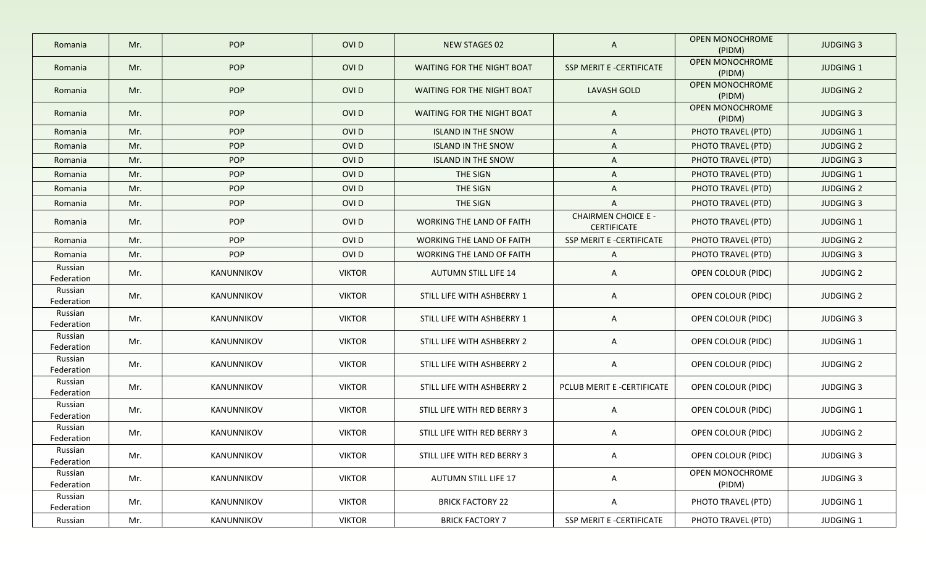| Romania               | Mr. | POP        | OVI <sub>D</sub> | <b>NEW STAGES 02</b>             | $\mathsf{A}$                                     | <b>OPEN MONOCHROME</b><br>(PIDM) | <b>JUDGING 3</b> |
|-----------------------|-----|------------|------------------|----------------------------------|--------------------------------------------------|----------------------------------|------------------|
| Romania               | Mr. | POP        | OVI <sub>D</sub> | WAITING FOR THE NIGHT BOAT       | <b>SSP MERIT E -CERTIFICATE</b>                  | <b>OPEN MONOCHROME</b><br>(PIDM) | <b>JUDGING 1</b> |
| Romania               | Mr. | POP        | OVI D            | WAITING FOR THE NIGHT BOAT       | <b>LAVASH GOLD</b>                               | <b>OPEN MONOCHROME</b><br>(PIDM) | <b>JUDGING 2</b> |
| Romania               | Mr. | POP        | OVI D            | WAITING FOR THE NIGHT BOAT       | $\mathsf{A}$                                     | OPEN MONOCHROME<br>(PIDM)        | <b>JUDGING 3</b> |
| Romania               | Mr. | POP        | OVI <sub>D</sub> | <b>ISLAND IN THE SNOW</b>        | $\mathsf{A}$                                     | PHOTO TRAVEL (PTD)               | <b>JUDGING 1</b> |
| Romania               | Mr. | POP        | OVI <sub>D</sub> | <b>ISLAND IN THE SNOW</b>        | A                                                | PHOTO TRAVEL (PTD)               | <b>JUDGING 2</b> |
| Romania               | Mr. | POP        | OVI <sub>D</sub> | <b>ISLAND IN THE SNOW</b>        | A                                                | PHOTO TRAVEL (PTD)               | <b>JUDGING 3</b> |
| Romania               | Mr. | POP        | OVI <sub>D</sub> | THE SIGN                         | A                                                | PHOTO TRAVEL (PTD)               | <b>JUDGING 1</b> |
| Romania               | Mr. | POP        | OVI <sub>D</sub> | THE SIGN                         | $\mathsf{A}$                                     | PHOTO TRAVEL (PTD)               | <b>JUDGING 2</b> |
| Romania               | Mr. | POP        | OVI D            | THE SIGN                         | $\mathsf{A}$                                     | PHOTO TRAVEL (PTD)               | <b>JUDGING 3</b> |
| Romania               | Mr. | POP        | OVI D            | <b>WORKING THE LAND OF FAITH</b> | <b>CHAIRMEN CHOICE E -</b><br><b>CERTIFICATE</b> | PHOTO TRAVEL (PTD)               | <b>JUDGING 1</b> |
| Romania               | Mr. | POP        | OVI <sub>D</sub> | <b>WORKING THE LAND OF FAITH</b> | SSP MERIT E -CERTIFICATE                         | PHOTO TRAVEL (PTD)               | <b>JUDGING 2</b> |
| Romania               | Mr. | POP        | OVI <sub>D</sub> | <b>WORKING THE LAND OF FAITH</b> | $\mathsf{A}$                                     | PHOTO TRAVEL (PTD)               | <b>JUDGING 3</b> |
| Russian<br>Federation | Mr. | KANUNNIKOV | <b>VIKTOR</b>    | <b>AUTUMN STILL LIFE 14</b>      | $\mathsf{A}$                                     | <b>OPEN COLOUR (PIDC)</b>        | <b>JUDGING 2</b> |
| Russian<br>Federation | Mr. | KANUNNIKOV | <b>VIKTOR</b>    | STILL LIFE WITH ASHBERRY 1       | $\mathsf{A}$                                     | OPEN COLOUR (PIDC)               | <b>JUDGING 2</b> |
| Russian<br>Federation | Mr. | KANUNNIKOV | <b>VIKTOR</b>    | STILL LIFE WITH ASHBERRY 1       | $\mathsf{A}$                                     | OPEN COLOUR (PIDC)               | <b>JUDGING 3</b> |
| Russian<br>Federation | Mr. | KANUNNIKOV | <b>VIKTOR</b>    | STILL LIFE WITH ASHBERRY 2       | $\mathsf{A}$                                     | OPEN COLOUR (PIDC)               | <b>JUDGING 1</b> |
| Russian<br>Federation | Mr. | KANUNNIKOV | <b>VIKTOR</b>    | STILL LIFE WITH ASHBERRY 2       | $\mathsf{A}$                                     | OPEN COLOUR (PIDC)               | <b>JUDGING 2</b> |
| Russian<br>Federation | Mr. | KANUNNIKOV | <b>VIKTOR</b>    | STILL LIFE WITH ASHBERRY 2       | PCLUB MERIT E -CERTIFICATE                       | OPEN COLOUR (PIDC)               | <b>JUDGING 3</b> |
| Russian<br>Federation | Mr. | KANUNNIKOV | <b>VIKTOR</b>    | STILL LIFE WITH RED BERRY 3      | $\mathsf{A}$                                     | OPEN COLOUR (PIDC)               | <b>JUDGING 1</b> |
| Russian<br>Federation | Mr. | KANUNNIKOV | <b>VIKTOR</b>    | STILL LIFE WITH RED BERRY 3      | $\mathsf{A}$                                     | OPEN COLOUR (PIDC)               | <b>JUDGING 2</b> |
| Russian<br>Federation | Mr. | KANUNNIKOV | <b>VIKTOR</b>    | STILL LIFE WITH RED BERRY 3      | $\mathsf{A}$                                     | OPEN COLOUR (PIDC)               | <b>JUDGING 3</b> |
| Russian<br>Federation | Mr. | KANUNNIKOV | <b>VIKTOR</b>    | <b>AUTUMN STILL LIFE 17</b>      | $\mathsf{A}$                                     | OPEN MONOCHROME<br>(PIDM)        | <b>JUDGING 3</b> |
| Russian<br>Federation | Mr. | KANUNNIKOV | <b>VIKTOR</b>    | <b>BRICK FACTORY 22</b>          | $\mathsf{A}$                                     | PHOTO TRAVEL (PTD)               | <b>JUDGING 1</b> |
| Russian               | Mr. | KANUNNIKOV | <b>VIKTOR</b>    | <b>BRICK FACTORY 7</b>           | SSP MERIT E -CERTIFICATE                         | PHOTO TRAVEL (PTD)               | JUDGING 1        |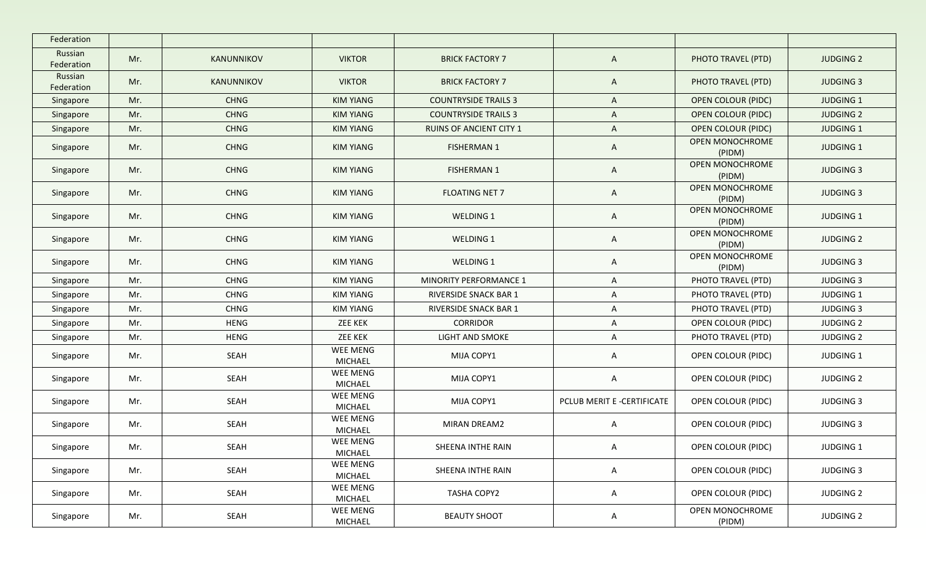| Federation            |     |             |                            |                                |                            |                           |                  |
|-----------------------|-----|-------------|----------------------------|--------------------------------|----------------------------|---------------------------|------------------|
| Russian<br>Federation | Mr. | KANUNNIKOV  | <b>VIKTOR</b>              | <b>BRICK FACTORY 7</b>         | $\mathsf{A}$               | PHOTO TRAVEL (PTD)        | <b>JUDGING 2</b> |
| Russian<br>Federation | Mr. | KANUNNIKOV  | <b>VIKTOR</b>              | <b>BRICK FACTORY 7</b>         | $\mathsf{A}$               | PHOTO TRAVEL (PTD)        | <b>JUDGING 3</b> |
| Singapore             | Mr. | <b>CHNG</b> | <b>KIM YIANG</b>           | <b>COUNTRYSIDE TRAILS 3</b>    | $\mathsf{A}$               | <b>OPEN COLOUR (PIDC)</b> | <b>JUDGING 1</b> |
| Singapore             | Mr. | <b>CHNG</b> | <b>KIM YIANG</b>           | <b>COUNTRYSIDE TRAILS 3</b>    | $\mathsf{A}$               | <b>OPEN COLOUR (PIDC)</b> | <b>JUDGING 2</b> |
| Singapore             | Mr. | <b>CHNG</b> | <b>KIM YIANG</b>           | <b>RUINS OF ANCIENT CITY 1</b> | $\mathsf{A}$               | <b>OPEN COLOUR (PIDC)</b> | <b>JUDGING 1</b> |
| Singapore             | Mr. | <b>CHNG</b> | <b>KIM YIANG</b>           | <b>FISHERMAN 1</b>             | $\mathsf{A}$               | OPEN MONOCHROME<br>(PIDM) | <b>JUDGING 1</b> |
| Singapore             | Mr. | <b>CHNG</b> | <b>KIM YIANG</b>           | <b>FISHERMAN 1</b>             | $\mathsf{A}$               | OPEN MONOCHROME<br>(PIDM) | <b>JUDGING 3</b> |
| Singapore             | Mr. | <b>CHNG</b> | <b>KIM YIANG</b>           | <b>FLOATING NET 7</b>          | $\mathsf{A}$               | OPEN MONOCHROME<br>(PIDM) | <b>JUDGING 3</b> |
| Singapore             | Mr. | <b>CHNG</b> | <b>KIM YIANG</b>           | WELDING 1                      | $\mathsf{A}$               | OPEN MONOCHROME<br>(PIDM) | <b>JUDGING 1</b> |
| Singapore             | Mr. | <b>CHNG</b> | KIM YIANG                  | WELDING 1                      | $\mathsf{A}$               | OPEN MONOCHROME<br>(PIDM) | <b>JUDGING 2</b> |
| Singapore             | Mr. | <b>CHNG</b> | KIM YIANG                  | WELDING 1                      | A                          | OPEN MONOCHROME<br>(PIDM) | <b>JUDGING 3</b> |
| Singapore             | Mr. | <b>CHNG</b> | <b>KIM YIANG</b>           | MINORITY PERFORMANCE 1         | $\mathsf{A}$               | PHOTO TRAVEL (PTD)        | <b>JUDGING 3</b> |
| Singapore             | Mr. | <b>CHNG</b> | <b>KIM YIANG</b>           | <b>RIVERSIDE SNACK BAR 1</b>   | A                          | PHOTO TRAVEL (PTD)        | <b>JUDGING 1</b> |
| Singapore             | Mr. | <b>CHNG</b> | <b>KIM YIANG</b>           | RIVERSIDE SNACK BAR 1          | $\mathsf{A}$               | PHOTO TRAVEL (PTD)        | <b>JUDGING 3</b> |
| Singapore             | Mr. | <b>HENG</b> | <b>ZEE KEK</b>             | <b>CORRIDOR</b>                | A                          | OPEN COLOUR (PIDC)        | <b>JUDGING 2</b> |
| Singapore             | Mr. | <b>HENG</b> | <b>ZEE KEK</b>             | <b>LIGHT AND SMOKE</b>         | A                          | PHOTO TRAVEL (PTD)        | <b>JUDGING 2</b> |
| Singapore             | Mr. | SEAH        | WEE MENG<br>MICHAEL        | MIJA COPY1                     | $\mathsf{A}$               | OPEN COLOUR (PIDC)        | <b>JUDGING 1</b> |
| Singapore             | Mr. | SEAH        | WEE MENG<br>MICHAEL        | MIJA COPY1                     | $\mathsf{A}$               | OPEN COLOUR (PIDC)        | <b>JUDGING 2</b> |
| Singapore             | Mr. | SEAH        | WEE MENG<br><b>MICHAEL</b> | MIJA COPY1                     | PCLUB MERIT E -CERTIFICATE | OPEN COLOUR (PIDC)        | <b>JUDGING 3</b> |
| Singapore             | Mr. | SEAH        | WEE MENG<br>MICHAEL        | MIRAN DREAM2                   | $\mathsf{A}$               | OPEN COLOUR (PIDC)        | <b>JUDGING 3</b> |
| Singapore             | Mr. | SEAH        | WEE MENG<br><b>MICHAEL</b> | SHEENA INTHE RAIN              | $\mathsf{A}$               | OPEN COLOUR (PIDC)        | JUDGING 1        |
| Singapore             | Mr. | SEAH        | WEE MENG<br>MICHAEL        | SHEENA INTHE RAIN              | $\mathsf{A}$               | OPEN COLOUR (PIDC)        | <b>JUDGING 3</b> |
| Singapore             | Mr. | SEAH        | WEE MENG<br>MICHAEL        | TASHA COPY2                    | $\mathsf{A}$               | OPEN COLOUR (PIDC)        | <b>JUDGING 2</b> |
| Singapore             | Mr. | SEAH        | WEE MENG<br>MICHAEL        | <b>BEAUTY SHOOT</b>            | $\mathsf{A}$               | OPEN MONOCHROME<br>(PIDM) | <b>JUDGING 2</b> |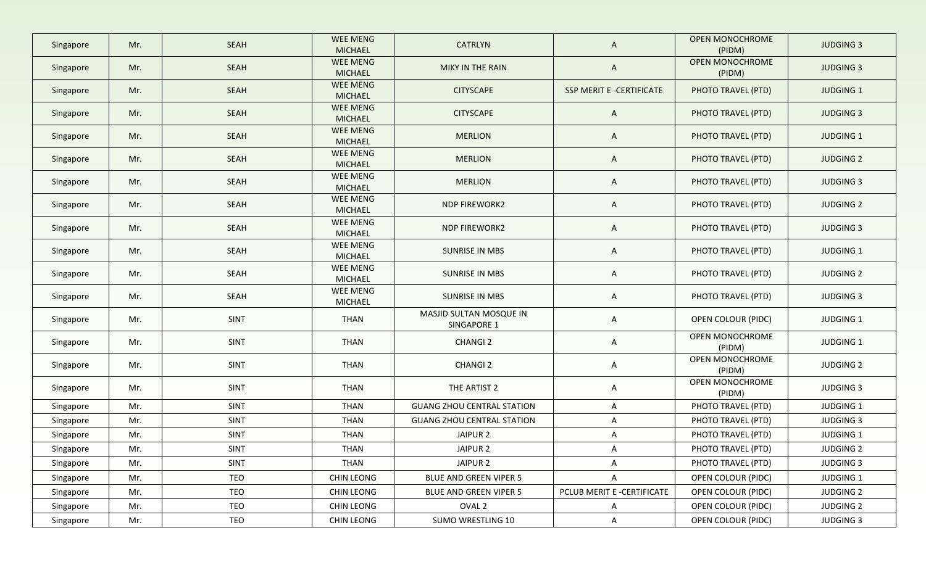| Singapore | Mr. | <b>SEAH</b> | <b>WEE MENG</b><br><b>MICHAEL</b> | <b>CATRLYN</b>                         | $\mathsf{A}$               | OPEN MONOCHROME<br>(PIDM) | <b>JUDGING 3</b> |
|-----------|-----|-------------|-----------------------------------|----------------------------------------|----------------------------|---------------------------|------------------|
| Singapore | Mr. | <b>SEAH</b> | <b>WEE MENG</b><br><b>MICHAEL</b> | MIKY IN THE RAIN                       | $\mathsf{A}$               | OPEN MONOCHROME<br>(PIDM) | <b>JUDGING 3</b> |
| Singapore | Mr. | <b>SEAH</b> | <b>WEE MENG</b><br><b>MICHAEL</b> | <b>CITYSCAPE</b>                       | SSP MERIT E -CERTIFICATE   | PHOTO TRAVEL (PTD)        | <b>JUDGING 1</b> |
| Singapore | Mr. | <b>SEAH</b> | WEE MENG<br><b>MICHAEL</b>        | <b>CITYSCAPE</b>                       | $\mathsf{A}$               | PHOTO TRAVEL (PTD)        | <b>JUDGING 3</b> |
| Singapore | Mr. | <b>SEAH</b> | WEE MENG<br><b>MICHAEL</b>        | <b>MERLION</b>                         | $\mathsf{A}$               | PHOTO TRAVEL (PTD)        | <b>JUDGING 1</b> |
| Singapore | Mr. | <b>SEAH</b> | WEE MENG<br><b>MICHAEL</b>        | <b>MERLION</b>                         | $\mathsf{A}$               | PHOTO TRAVEL (PTD)        | <b>JUDGING 2</b> |
| Singapore | Mr. | SEAH        | WEE MENG<br><b>MICHAEL</b>        | <b>MERLION</b>                         | $\mathsf{A}$               | PHOTO TRAVEL (PTD)        | <b>JUDGING 3</b> |
| Singapore | Mr. | <b>SEAH</b> | WEE MENG<br><b>MICHAEL</b>        | <b>NDP FIREWORK2</b>                   | $\mathsf{A}$               | PHOTO TRAVEL (PTD)        | <b>JUDGING 2</b> |
| Singapore | Mr. | SEAH        | <b>WEE MENG</b><br>MICHAEL        | <b>NDP FIREWORK2</b>                   | $\mathsf{A}$               | PHOTO TRAVEL (PTD)        | <b>JUDGING 3</b> |
| Singapore | Mr. | SEAH        | WEE MENG<br><b>MICHAEL</b>        | SUNRISE IN MBS                         | $\mathsf{A}$               | PHOTO TRAVEL (PTD)        | JUDGING 1        |
| Singapore | Mr. | SEAH        | WEE MENG<br>MICHAEL               | SUNRISE IN MBS                         | $\mathsf{A}$               | PHOTO TRAVEL (PTD)        | <b>JUDGING 2</b> |
| Singapore | Mr. | SEAH        | WEE MENG<br>MICHAEL               | SUNRISE IN MBS                         | $\mathsf{A}$               | PHOTO TRAVEL (PTD)        | <b>JUDGING 3</b> |
| Singapore | Mr. | SINT        | THAN                              | MASJID SULTAN MOSQUE IN<br>SINGAPORE 1 | $\mathsf{A}$               | OPEN COLOUR (PIDC)        | <b>JUDGING 1</b> |
| Singapore | Mr. | SINT        | THAN                              | <b>CHANGI 2</b>                        | $\mathsf{A}$               | OPEN MONOCHROME<br>(PIDM) | JUDGING 1        |
| Singapore | Mr. | SINT        | THAN                              | <b>CHANGI 2</b>                        | $\mathsf{A}$               | OPEN MONOCHROME<br>(PIDM) | <b>JUDGING 2</b> |
| Singapore | Mr. | SINT        | <b>THAN</b>                       | THE ARTIST 2                           | $\mathsf{A}$               | OPEN MONOCHROME<br>(PIDM) | <b>JUDGING 3</b> |
| Singapore | Mr. | SINT        | THAN                              | <b>GUANG ZHOU CENTRAL STATION</b>      | $\mathsf{A}$               | PHOTO TRAVEL (PTD)        | <b>JUDGING 1</b> |
| Singapore | Mr. | <b>SINT</b> | THAN                              | <b>GUANG ZHOU CENTRAL STATION</b>      | A                          | PHOTO TRAVEL (PTD)        | <b>JUDGING 3</b> |
| Singapore | Mr. | SINT        | <b>THAN</b>                       | JAIPUR 2                               | $\mathsf{A}$               | PHOTO TRAVEL (PTD)        | <b>JUDGING 1</b> |
| Singapore | Mr. | <b>SINT</b> | THAN                              | JAIPUR <sub>2</sub>                    | A                          | PHOTO TRAVEL (PTD)        | <b>JUDGING 2</b> |
| Singapore | Mr. | <b>SINT</b> | <b>THAN</b>                       | JAIPUR 2                               | A                          | PHOTO TRAVEL (PTD)        | <b>JUDGING 3</b> |
| Singapore | Mr. | TEO         | <b>CHIN LEONG</b>                 | BLUE AND GREEN VIPER 5                 | A                          | OPEN COLOUR (PIDC)        | JUDGING 1        |
| Singapore | Mr. | TEO         | CHIN LEONG                        | BLUE AND GREEN VIPER 5                 | PCLUB MERIT E -CERTIFICATE | OPEN COLOUR (PIDC)        | <b>JUDGING 2</b> |
| Singapore | Mr. | TEO         | CHIN LEONG                        | OVAL 2                                 | $\mathsf{A}$               | OPEN COLOUR (PIDC)        | <b>JUDGING 2</b> |
| Singapore | Mr. | TEO         | CHIN LEONG                        | SUMO WRESTLING 10                      | $\mathsf{A}$               | OPEN COLOUR (PIDC)        | <b>JUDGING 3</b> |
|           |     |             |                                   |                                        |                            |                           |                  |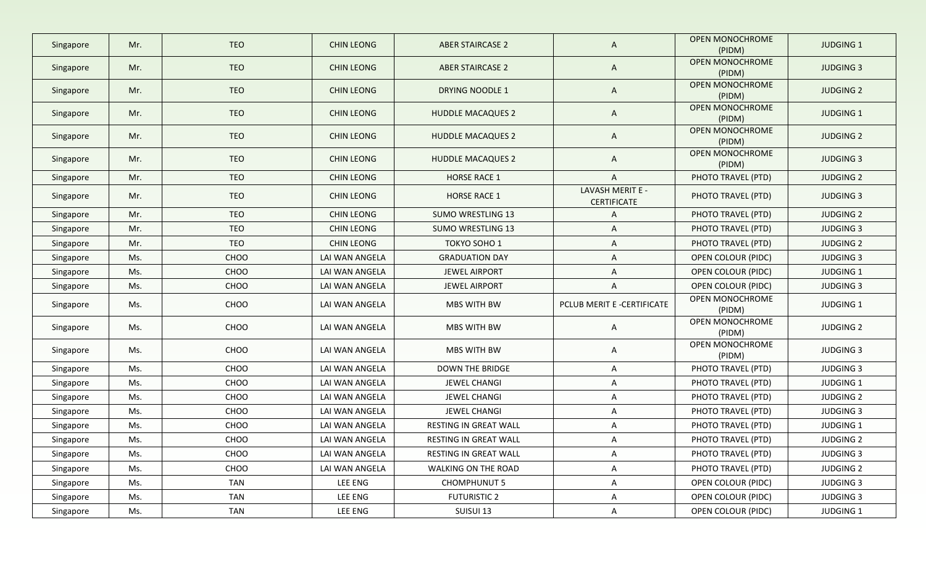| Singapore | Mr. | <b>TEO</b> | <b>CHIN LEONG</b> | <b>ABER STAIRCASE 2</b>  | $\mathsf{A}$                           | <b>OPEN MONOCHROME</b><br>(PIDM) | <b>JUDGING 1</b> |
|-----------|-----|------------|-------------------|--------------------------|----------------------------------------|----------------------------------|------------------|
| Singapore | Mr. | <b>TEO</b> | <b>CHIN LEONG</b> | <b>ABER STAIRCASE 2</b>  | $\mathsf{A}$                           | <b>OPEN MONOCHROME</b><br>(PIDM) | <b>JUDGING 3</b> |
| Singapore | Mr. | <b>TEO</b> | <b>CHIN LEONG</b> | <b>DRYING NOODLE 1</b>   | $\mathsf{A}$                           | <b>OPEN MONOCHROME</b><br>(PIDM) | <b>JUDGING 2</b> |
| Singapore | Mr. | <b>TEO</b> | <b>CHIN LEONG</b> | <b>HUDDLE MACAQUES 2</b> | $\mathsf{A}$                           | OPEN MONOCHROME<br>(PIDM)        | <b>JUDGING 1</b> |
| Singapore | Mr. | <b>TEO</b> | <b>CHIN LEONG</b> | <b>HUDDLE MACAQUES 2</b> | $\mathsf{A}$                           | OPEN MONOCHROME<br>(PIDM)        | <b>JUDGING 2</b> |
| Singapore | Mr. | <b>TEO</b> | <b>CHIN LEONG</b> | <b>HUDDLE MACAQUES 2</b> | A                                      | OPEN MONOCHROME<br>(PIDM)        | <b>JUDGING 3</b> |
| Singapore | Mr. | <b>TEO</b> | <b>CHIN LEONG</b> | <b>HORSE RACE 1</b>      | $\mathsf{A}$                           | PHOTO TRAVEL (PTD)               | <b>JUDGING 2</b> |
| Singapore | Mr. | <b>TEO</b> | <b>CHIN LEONG</b> | <b>HORSE RACE 1</b>      | LAVASH MERIT E -<br><b>CERTIFICATE</b> | PHOTO TRAVEL (PTD)               | <b>JUDGING 3</b> |
| Singapore | Mr. | <b>TEO</b> | <b>CHIN LEONG</b> | <b>SUMO WRESTLING 13</b> | A                                      | PHOTO TRAVEL (PTD)               | <b>JUDGING 2</b> |
| Singapore | Mr. | <b>TEO</b> | <b>CHIN LEONG</b> | <b>SUMO WRESTLING 13</b> | A                                      | PHOTO TRAVEL (PTD)               | <b>JUDGING 3</b> |
| Singapore | Mr. | TEO        | <b>CHIN LEONG</b> | TOKYO SOHO 1             | A                                      | PHOTO TRAVEL (PTD)               | <b>JUDGING 2</b> |
| Singapore | Ms. | CHOO       | LAI WAN ANGELA    | <b>GRADUATION DAY</b>    | $\mathsf{A}$                           | OPEN COLOUR (PIDC)               | <b>JUDGING 3</b> |
| Singapore | Ms. | CHOO       | LAI WAN ANGELA    | <b>JEWEL AIRPORT</b>     | A                                      | OPEN COLOUR (PIDC)               | <b>JUDGING 1</b> |
| Singapore | Ms. | CHOO       | LAI WAN ANGELA    | <b>JEWEL AIRPORT</b>     | A                                      | OPEN COLOUR (PIDC)               | <b>JUDGING 3</b> |
| Singapore | Ms. | CHOO       | LAI WAN ANGELA    | MBS WITH BW              | PCLUB MERIT E -CERTIFICATE             | OPEN MONOCHROME<br>(PIDM)        | <b>JUDGING 1</b> |
| Singapore | Ms. | CHOO       | LAI WAN ANGELA    | MBS WITH BW              | $\mathsf{A}$                           | OPEN MONOCHROME<br>(PIDM)        | <b>JUDGING 2</b> |
| Singapore | Ms. | CHOO       | LAI WAN ANGELA    | MBS WITH BW              | A                                      | OPEN MONOCHROME<br>(PIDM)        | <b>JUDGING 3</b> |
| Singapore | Ms. | CHOO       | LAI WAN ANGELA    | <b>DOWN THE BRIDGE</b>   | $\mathsf{A}$                           | PHOTO TRAVEL (PTD)               | <b>JUDGING 3</b> |
| Singapore | Ms. | CHOO       | LAI WAN ANGELA    | JEWEL CHANGI             | A                                      | PHOTO TRAVEL (PTD)               | <b>JUDGING 1</b> |
| Singapore | Ms. | CHOO       | LAI WAN ANGELA    | JEWEL CHANGI             | $\mathsf{A}$                           | PHOTO TRAVEL (PTD)               | <b>JUDGING 2</b> |
| Singapore | Ms. | CHOO       | LAI WAN ANGELA    | JEWEL CHANGI             | A                                      | PHOTO TRAVEL (PTD)               | <b>JUDGING 3</b> |
| Singapore | Ms. | CHOO       | LAI WAN ANGELA    | RESTING IN GREAT WALL    | A                                      | PHOTO TRAVEL (PTD)               | <b>JUDGING 1</b> |
| Singapore | Ms. | CHOO       | LAI WAN ANGELA    | RESTING IN GREAT WALL    | $\mathsf{A}$                           | PHOTO TRAVEL (PTD)               | <b>JUDGING 2</b> |
| Singapore | Ms. | CHOO       | LAI WAN ANGELA    | RESTING IN GREAT WALL    | A                                      | PHOTO TRAVEL (PTD)               | <b>JUDGING 3</b> |
| Singapore | Ms. | CHOO       | LAI WAN ANGELA    | WALKING ON THE ROAD      | $\mathsf{A}$                           | PHOTO TRAVEL (PTD)               | <b>JUDGING 2</b> |
| Singapore | Ms. | <b>TAN</b> | LEE ENG           | <b>CHOMPHUNUT 5</b>      | $\mathsf{A}$                           | OPEN COLOUR (PIDC)               | <b>JUDGING 3</b> |
| Singapore | Ms. | <b>TAN</b> | LEE ENG           | <b>FUTURISTIC 2</b>      | $\mathsf{A}$                           | OPEN COLOUR (PIDC)               | <b>JUDGING 3</b> |
| Singapore | Ms. | <b>TAN</b> | LEE ENG           | SUISUI 13                | $\mathsf{A}$                           | OPEN COLOUR (PIDC)               | JUDGING 1        |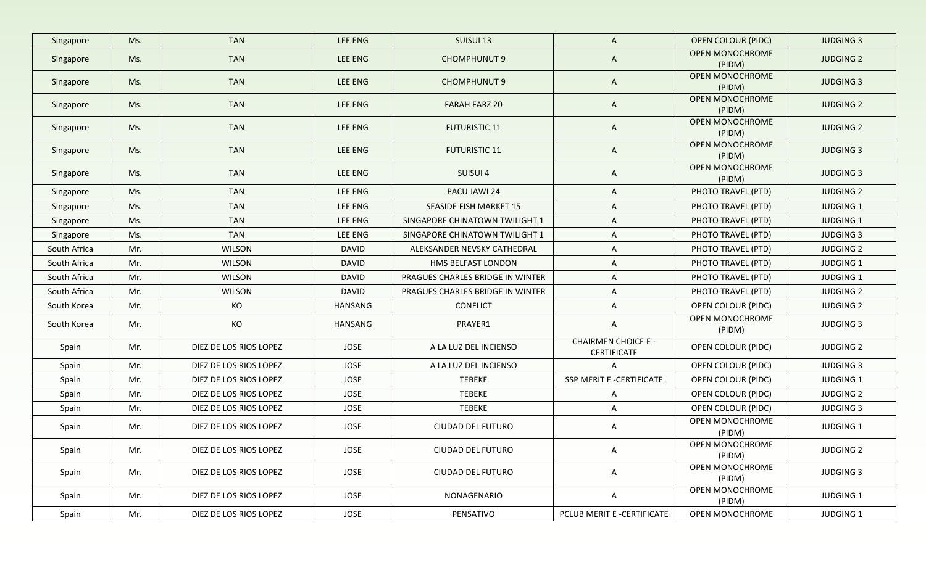| Singapore    | Ms. | <b>TAN</b>             | LEE ENG      | SUISUI 13                        | $\mathsf{A}$                                     | <b>OPEN COLOUR (PIDC)</b>        | <b>JUDGING 3</b> |
|--------------|-----|------------------------|--------------|----------------------------------|--------------------------------------------------|----------------------------------|------------------|
| Singapore    | Ms. | <b>TAN</b>             | LEE ENG      | <b>CHOMPHUNUT 9</b>              | $\mathsf{A}$                                     | <b>OPEN MONOCHROME</b><br>(PIDM) | <b>JUDGING 2</b> |
| Singapore    | Ms. | <b>TAN</b>             | LEE ENG      | <b>CHOMPHUNUT 9</b>              | $\mathsf{A}$                                     | OPEN MONOCHROME<br>(PIDM)        | <b>JUDGING 3</b> |
| Singapore    | Ms. | <b>TAN</b>             | LEE ENG      | <b>FARAH FARZ 20</b>             | $\mathsf{A}$                                     | <b>OPEN MONOCHROME</b><br>(PIDM) | <b>JUDGING 2</b> |
| Singapore    | Ms. | <b>TAN</b>             | LEE ENG      | <b>FUTURISTIC 11</b>             | A                                                | OPEN MONOCHROME<br>(PIDM)        | <b>JUDGING 2</b> |
| Singapore    | Ms. | <b>TAN</b>             | LEE ENG      | <b>FUTURISTIC 11</b>             | A                                                | OPEN MONOCHROME<br>(PIDM)        | <b>JUDGING 3</b> |
| Singapore    | Ms. | <b>TAN</b>             | LEE ENG      | SUISUI 4                         | $\mathsf{A}$                                     | OPEN MONOCHROME<br>(PIDM)        | <b>JUDGING 3</b> |
| Singapore    | Ms. | <b>TAN</b>             | LEE ENG      | PACU JAWI 24                     | $\mathsf{A}$                                     | PHOTO TRAVEL (PTD)               | <b>JUDGING 2</b> |
| Singapore    | Ms. | <b>TAN</b>             | LEE ENG      | <b>SEASIDE FISH MARKET 15</b>    | A                                                | PHOTO TRAVEL (PTD)               | <b>JUDGING 1</b> |
| Singapore    | Ms. | <b>TAN</b>             | LEE ENG      | SINGAPORE CHINATOWN TWILIGHT 1   | A                                                | PHOTO TRAVEL (PTD)               | <b>JUDGING 1</b> |
| Singapore    | Ms. | <b>TAN</b>             | LEE ENG      | SINGAPORE CHINATOWN TWILIGHT 1   | $\mathsf{A}$                                     | PHOTO TRAVEL (PTD)               | <b>JUDGING 3</b> |
| South Africa | Mr. | <b>WILSON</b>          | <b>DAVID</b> | ALEKSANDER NEVSKY CATHEDRAL      | A                                                | PHOTO TRAVEL (PTD)               | <b>JUDGING 2</b> |
| South Africa | Mr. | <b>WILSON</b>          | <b>DAVID</b> | HMS BELFAST LONDON               | $\mathsf{A}$                                     | PHOTO TRAVEL (PTD)               | JUDGING 1        |
| South Africa | Mr. | <b>WILSON</b>          | DAVID        | PRAGUES CHARLES BRIDGE IN WINTER | $\mathsf{A}$                                     | PHOTO TRAVEL (PTD)               | <b>JUDGING 1</b> |
| South Africa | Mr. | <b>WILSON</b>          | <b>DAVID</b> | PRAGUES CHARLES BRIDGE IN WINTER | A                                                | PHOTO TRAVEL (PTD)               | <b>JUDGING 2</b> |
| South Korea  | Mr. | KO                     | HANSANG      | <b>CONFLICT</b>                  | A                                                | OPEN COLOUR (PIDC)               | <b>JUDGING 2</b> |
| South Korea  | Mr. | KO                     | HANSANG      | PRAYER1                          | A                                                | OPEN MONOCHROME<br>(PIDM)        | <b>JUDGING 3</b> |
| Spain        | Mr. | DIEZ DE LOS RIOS LOPEZ | JOSE         | A LA LUZ DEL INCIENSO            | <b>CHAIRMEN CHOICE E -</b><br><b>CERTIFICATE</b> | OPEN COLOUR (PIDC)               | <b>JUDGING 2</b> |
| Spain        | Mr. | DIEZ DE LOS RIOS LOPEZ | JOSE         | A LA LUZ DEL INCIENSO            | A                                                | OPEN COLOUR (PIDC)               | <b>JUDGING 3</b> |
| Spain        | Mr. | DIEZ DE LOS RIOS LOPEZ | JOSE         | TEBEKE                           | SSP MERIT E -CERTIFICATE                         | OPEN COLOUR (PIDC)               | <b>JUDGING 1</b> |
| Spain        | Mr. | DIEZ DE LOS RIOS LOPEZ | JOSE         | <b>TEBEKE</b>                    | A                                                | OPEN COLOUR (PIDC)               | <b>JUDGING 2</b> |
| Spain        | Mr. | DIEZ DE LOS RIOS LOPEZ | JOSE         | TEBEKE                           | $\mathsf{A}$                                     | OPEN COLOUR (PIDC)               | <b>JUDGING 3</b> |
| Spain        | Mr. | DIEZ DE LOS RIOS LOPEZ | JOSE         | <b>CIUDAD DEL FUTURO</b>         | A                                                | OPEN MONOCHROME<br>(PIDM)        | JUDGING 1        |
| Spain        | Mr. | DIEZ DE LOS RIOS LOPEZ | JOSE         | CIUDAD DEL FUTURO                | A                                                | OPEN MONOCHROME<br>(PIDM)        | <b>JUDGING 2</b> |
| Spain        | Mr. | DIEZ DE LOS RIOS LOPEZ | JOSE         | CIUDAD DEL FUTURO                | $\mathsf{A}$                                     | OPEN MONOCHROME<br>(PIDM)        | <b>JUDGING 3</b> |
| Spain        | Mr. | DIEZ DE LOS RIOS LOPEZ | JOSE         | NONAGENARIO                      | A                                                | OPEN MONOCHROME<br>(PIDM)        | JUDGING 1        |
| Spain        | Mr. | DIEZ DE LOS RIOS LOPEZ | JOSE         | PENSATIVO                        | PCLUB MERIT E -CERTIFICATE                       | OPEN MONOCHROME                  | JUDGING 1        |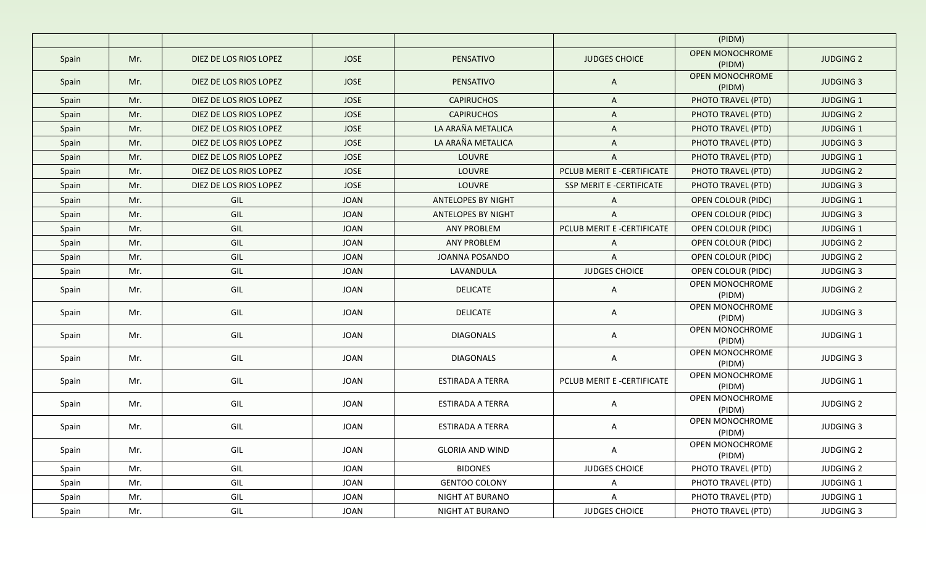|       |     |                        |             |                           |                            | (PIDM)                           |                  |
|-------|-----|------------------------|-------------|---------------------------|----------------------------|----------------------------------|------------------|
| Spain | Mr. | DIEZ DE LOS RIOS LOPEZ | <b>JOSE</b> | PENSATIVO                 | <b>JUDGES CHOICE</b>       | <b>OPEN MONOCHROME</b><br>(PIDM) | <b>JUDGING 2</b> |
| Spain | Mr. | DIEZ DE LOS RIOS LOPEZ | <b>JOSE</b> | PENSATIVO                 | A                          | OPEN MONOCHROME<br>(PIDM)        | <b>JUDGING 3</b> |
| Spain | Mr. | DIEZ DE LOS RIOS LOPEZ | <b>JOSE</b> | <b>CAPIRUCHOS</b>         | $\mathsf{A}$               | PHOTO TRAVEL (PTD)               | <b>JUDGING 1</b> |
| Spain | Mr. | DIEZ DE LOS RIOS LOPEZ | <b>JOSE</b> | <b>CAPIRUCHOS</b>         | $\mathsf{A}$               | PHOTO TRAVEL (PTD)               | <b>JUDGING 2</b> |
| Spain | Mr. | DIEZ DE LOS RIOS LOPEZ | <b>JOSE</b> | LA ARAÑA METALICA         | A                          | PHOTO TRAVEL (PTD)               | <b>JUDGING 1</b> |
| Spain | Mr. | DIEZ DE LOS RIOS LOPEZ | <b>JOSE</b> | LA ARAÑA METALICA         | $\mathsf{A}$               | PHOTO TRAVEL (PTD)               | <b>JUDGING 3</b> |
| Spain | Mr. | DIEZ DE LOS RIOS LOPEZ | JOSE        | LOUVRE                    | $\mathsf{A}$               | PHOTO TRAVEL (PTD)               | JUDGING 1        |
| Spain | Mr. | DIEZ DE LOS RIOS LOPEZ | <b>JOSE</b> | LOUVRE                    | PCLUB MERIT E -CERTIFICATE | PHOTO TRAVEL (PTD)               | <b>JUDGING 2</b> |
| Spain | Mr. | DIEZ DE LOS RIOS LOPEZ | <b>JOSE</b> | LOUVRE                    | SSP MERIT E -CERTIFICATE   | PHOTO TRAVEL (PTD)               | <b>JUDGING 3</b> |
| Spain | Mr. | GIL                    | <b>JOAN</b> | <b>ANTELOPES BY NIGHT</b> | A                          | OPEN COLOUR (PIDC)               | <b>JUDGING 1</b> |
| Spain | Mr. | GIL                    | <b>JOAN</b> | <b>ANTELOPES BY NIGHT</b> | A                          | OPEN COLOUR (PIDC)               | <b>JUDGING 3</b> |
| Spain | Mr. | GIL                    | <b>JOAN</b> | <b>ANY PROBLEM</b>        | PCLUB MERIT E -CERTIFICATE | <b>OPEN COLOUR (PIDC)</b>        | JUDGING 1        |
| Spain | Mr. | GIL                    | JOAN        | <b>ANY PROBLEM</b>        | $\mathsf{A}$               | OPEN COLOUR (PIDC)               | <b>JUDGING 2</b> |
| Spain | Mr. | GIL                    | JOAN        | JOANNA POSANDO            | $\mathsf{A}$               | OPEN COLOUR (PIDC)               | <b>JUDGING 2</b> |
| Spain | Mr. | GIL                    | JOAN        | LAVANDULA                 | <b>JUDGES CHOICE</b>       | OPEN COLOUR (PIDC)               | <b>JUDGING 3</b> |
| Spain | Mr. | GIL                    | JOAN        | <b>DELICATE</b>           | $\mathsf{A}$               | OPEN MONOCHROME<br>(PIDM)        | <b>JUDGING 2</b> |
| Spain | Mr. | GIL                    | JOAN        | <b>DELICATE</b>           | $\mathsf{A}$               | OPEN MONOCHROME<br>(PIDM)        | <b>JUDGING 3</b> |
| Spain | Mr. | GIL                    | JOAN        | <b>DIAGONALS</b>          | A                          | OPEN MONOCHROME<br>(PIDM)        | <b>JUDGING 1</b> |
| Spain | Mr. | GIL                    | JOAN        | <b>DIAGONALS</b>          | A                          | OPEN MONOCHROME<br>(PIDM)        | <b>JUDGING 3</b> |
| Spain | Mr. | GIL                    | JOAN        | ESTIRADA A TERRA          | PCLUB MERIT E -CERTIFICATE | OPEN MONOCHROME<br>(PIDM)        | JUDGING 1        |
| Spain | Mr. | GIL                    | JOAN        | <b>ESTIRADA A TERRA</b>   | A                          | OPEN MONOCHROME<br>(PIDM)        | <b>JUDGING 2</b> |
| Spain | Mr. | GIL                    | JOAN        | ESTIRADA A TERRA          | $\mathsf{A}$               | OPEN MONOCHROME<br>(PIDM)        | <b>JUDGING 3</b> |
| Spain | Mr. | GIL                    | JOAN        | <b>GLORIA AND WIND</b>    | A                          | OPEN MONOCHROME<br>(PIDM)        | <b>JUDGING 2</b> |
| Spain | Mr. | GIL                    | JOAN        | <b>BIDONES</b>            | <b>JUDGES CHOICE</b>       | PHOTO TRAVEL (PTD)               | <b>JUDGING 2</b> |
| Spain | Mr. | GIL                    | JOAN        | <b>GENTOO COLONY</b>      | A                          | PHOTO TRAVEL (PTD)               | JUDGING 1        |
| Spain | Mr. | GIL                    | JOAN        | NIGHT AT BURANO           | A                          | PHOTO TRAVEL (PTD)               | JUDGING 1        |
| Spain | Mr. | GIL                    | JOAN        | NIGHT AT BURANO           | <b>JUDGES CHOICE</b>       | PHOTO TRAVEL (PTD)               | JUDGING 3        |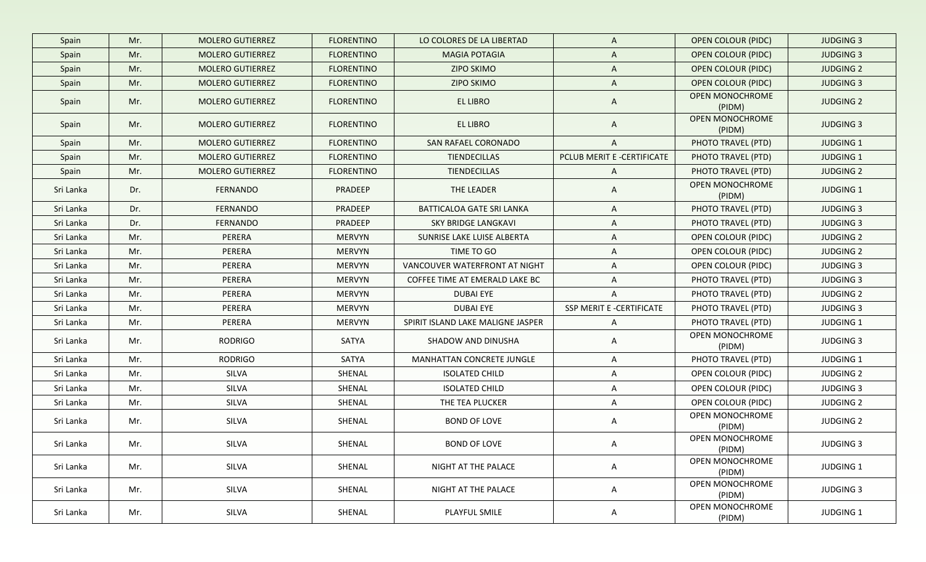| Spain     | Mr. | <b>MOLERO GUTIERREZ</b> | <b>FLORENTINO</b> | LO COLORES DE LA LIBERTAD         | $\mathsf{A}$               | <b>OPEN COLOUR (PIDC)</b>        | <b>JUDGING 3</b> |
|-----------|-----|-------------------------|-------------------|-----------------------------------|----------------------------|----------------------------------|------------------|
| Spain     | Mr. | <b>MOLERO GUTIERREZ</b> | <b>FLORENTINO</b> | <b>MAGIA POTAGIA</b>              | $\mathsf{A}$               | <b>OPEN COLOUR (PIDC)</b>        | <b>JUDGING 3</b> |
| Spain     | Mr. | <b>MOLERO GUTIERREZ</b> | <b>FLORENTINO</b> | <b>ZIPO SKIMO</b>                 | $\mathsf{A}$               | <b>OPEN COLOUR (PIDC)</b>        | <b>JUDGING 2</b> |
| Spain     | Mr. | <b>MOLERO GUTIERREZ</b> | <b>FLORENTINO</b> | <b>ZIPO SKIMO</b>                 | $\mathsf{A}$               | <b>OPEN COLOUR (PIDC)</b>        | <b>JUDGING 3</b> |
| Spain     | Mr. | <b>MOLERO GUTIERREZ</b> | <b>FLORENTINO</b> | <b>EL LIBRO</b>                   | $\mathsf{A}$               | OPEN MONOCHROME<br>(PIDM)        | <b>JUDGING 2</b> |
| Spain     | Mr. | <b>MOLERO GUTIERREZ</b> | <b>FLORENTINO</b> | <b>EL LIBRO</b>                   | $\mathsf{A}$               | <b>OPEN MONOCHROME</b><br>(PIDM) | <b>JUDGING 3</b> |
| Spain     | Mr. | <b>MOLERO GUTIERREZ</b> | <b>FLORENTINO</b> | SAN RAFAEL CORONADO               | $\mathsf{A}$               | PHOTO TRAVEL (PTD)               | <b>JUDGING 1</b> |
| Spain     | Mr. | <b>MOLERO GUTIERREZ</b> | <b>FLORENTINO</b> | <b>TIENDECILLAS</b>               | PCLUB MERIT E -CERTIFICATE | PHOTO TRAVEL (PTD)               | <b>JUDGING 1</b> |
| Spain     | Mr. | <b>MOLERO GUTIERREZ</b> | <b>FLORENTINO</b> | TIENDECILLAS                      | $\mathsf{A}$               | PHOTO TRAVEL (PTD)               | <b>JUDGING 2</b> |
| Sri Lanka | Dr. | <b>FERNANDO</b>         | PRADEEP           | THE LEADER                        | $\mathsf{A}$               | OPEN MONOCHROME<br>(PIDM)        | <b>JUDGING 1</b> |
| Sri Lanka | Dr. | FERNANDO                | PRADEEP           | BATTICALOA GATE SRI LANKA         | $\mathsf{A}$               | PHOTO TRAVEL (PTD)               | <b>JUDGING 3</b> |
| Sri Lanka | Dr. | <b>FERNANDO</b>         | PRADEEP           | <b>SKY BRIDGE LANGKAVI</b>        | $\mathsf{A}$               | PHOTO TRAVEL (PTD)               | <b>JUDGING 3</b> |
| Sri Lanka | Mr. | PERERA                  | <b>MERVYN</b>     | SUNRISE LAKE LUISE ALBERTA        | A                          | OPEN COLOUR (PIDC)               | <b>JUDGING 2</b> |
| Sri Lanka | Mr. | PERERA                  | <b>MERVYN</b>     | TIME TO GO                        | $\mathsf{A}$               | <b>OPEN COLOUR (PIDC)</b>        | <b>JUDGING 2</b> |
| Sri Lanka | Mr. | PERERA                  | <b>MERVYN</b>     | VANCOUVER WATERFRONT AT NIGHT     | $\mathsf{A}$               | OPEN COLOUR (PIDC)               | <b>JUDGING 3</b> |
| Sri Lanka | Mr. | PERERA                  | <b>MERVYN</b>     | COFFEE TIME AT EMERALD LAKE BC    | $\mathsf{A}$               | PHOTO TRAVEL (PTD)               | <b>JUDGING 3</b> |
| Sri Lanka | Mr. | PERERA                  | <b>MERVYN</b>     | <b>DUBAI EYE</b>                  | $\mathsf{A}$               | PHOTO TRAVEL (PTD)               | <b>JUDGING 2</b> |
| Sri Lanka | Mr. | PERERA                  | <b>MERVYN</b>     | <b>DUBAI EYE</b>                  | SSP MERIT E -CERTIFICATE   | PHOTO TRAVEL (PTD)               | <b>JUDGING 3</b> |
| Sri Lanka | Mr. | PERERA                  | <b>MERVYN</b>     | SPIRIT ISLAND LAKE MALIGNE JASPER | $\mathsf{A}$               | PHOTO TRAVEL (PTD)               | <b>JUDGING 1</b> |
| Sri Lanka | Mr. | RODRIGO                 | SATYA             | SHADOW AND DINUSHA                | $\mathsf{A}$               | OPEN MONOCHROME<br>(PIDM)        | <b>JUDGING 3</b> |
| Sri Lanka | Mr. | <b>RODRIGO</b>          | SATYA             | MANHATTAN CONCRETE JUNGLE         | $\mathsf{A}$               | PHOTO TRAVEL (PTD)               | <b>JUDGING 1</b> |
| Sri Lanka | Mr. | SILVA                   | SHENAL            | <b>ISOLATED CHILD</b>             | $\mathsf{A}$               | OPEN COLOUR (PIDC)               | <b>JUDGING 2</b> |
| Sri Lanka | Mr. | SILVA                   | SHENAL            | <b>ISOLATED CHILD</b>             | A                          | OPEN COLOUR (PIDC)               | <b>JUDGING 3</b> |
| Sri Lanka | Mr. | SILVA                   | SHENAL            | THE TEA PLUCKER                   | A                          | OPEN COLOUR (PIDC)               | <b>JUDGING 2</b> |
| Sri Lanka | Mr. | SILVA                   | SHENAL            | <b>BOND OF LOVE</b>               | A                          | OPEN MONOCHROME<br>(PIDM)        | <b>JUDGING 2</b> |
| Sri Lanka | Mr. | SILVA                   | SHENAL            | <b>BOND OF LOVE</b>               |                            | OPEN MONOCHROME<br>(PIDM)        | JUDGING 3        |
| Sri Lanka | Mr. | SILVA                   | SHENAL            | NIGHT AT THE PALACE               | $\mathsf{A}$               | OPEN MONOCHROME<br>(PIDM)        | JUDGING 1        |
| Sri Lanka | Mr. | SILVA                   | SHENAL            | NIGHT AT THE PALACE               | $\mathsf{A}$               | OPEN MONOCHROME<br>(PIDM)        | <b>JUDGING 3</b> |
| Sri Lanka | Mr. | SILVA                   | SHENAL            | PLAYFUL SMILE                     | $\mathsf{A}$               | OPEN MONOCHROME<br>(PIDM)        | <b>JUDGING 1</b> |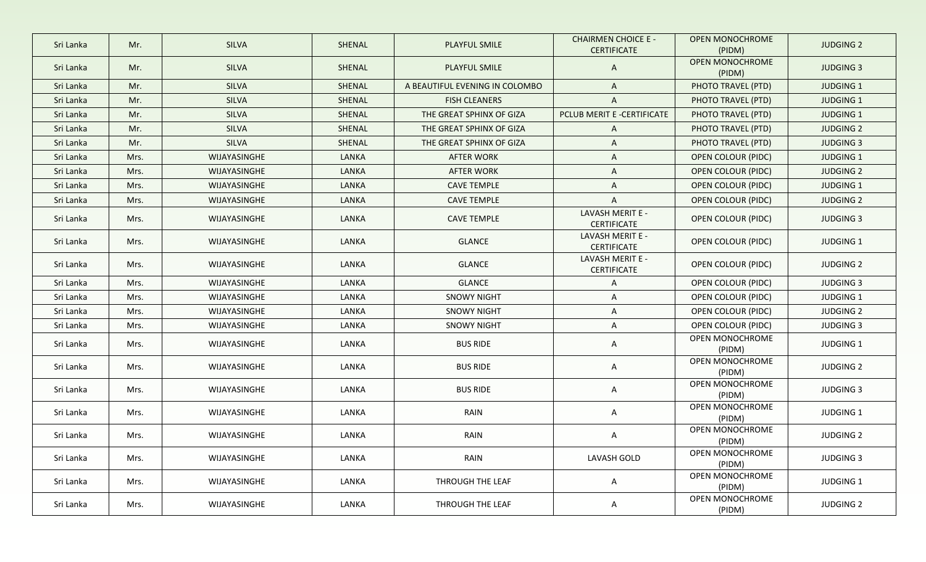| Sri Lanka | Mr.  | <b>SILVA</b> | SHENAL | PLAYFUL SMILE                  | <b>CHAIRMEN CHOICE E -</b><br><b>CERTIFICATE</b> | OPEN MONOCHROME<br>(PIDM)        | <b>JUDGING 2</b> |
|-----------|------|--------------|--------|--------------------------------|--------------------------------------------------|----------------------------------|------------------|
| Sri Lanka | Mr.  | <b>SILVA</b> | SHENAL | PLAYFUL SMILE                  | A                                                | <b>OPEN MONOCHROME</b><br>(PIDM) | <b>JUDGING 3</b> |
| Sri Lanka | Mr.  | SILVA        | SHENAL | A BEAUTIFUL EVENING IN COLOMBO | A                                                | PHOTO TRAVEL (PTD)               | <b>JUDGING 1</b> |
| Sri Lanka | Mr.  | <b>SILVA</b> | SHENAL | <b>FISH CLEANERS</b>           | $\mathsf{A}$                                     | PHOTO TRAVEL (PTD)               | <b>JUDGING 1</b> |
| Sri Lanka | Mr.  | <b>SILVA</b> | SHENAL | THE GREAT SPHINX OF GIZA       | PCLUB MERIT E -CERTIFICATE                       | PHOTO TRAVEL (PTD)               | <b>JUDGING 1</b> |
| Sri Lanka | Mr.  | <b>SILVA</b> | SHENAL | THE GREAT SPHINX OF GIZA       | A                                                | PHOTO TRAVEL (PTD)               | <b>JUDGING 2</b> |
| Sri Lanka | Mr.  | <b>SILVA</b> | SHENAL | THE GREAT SPHINX OF GIZA       | A                                                | PHOTO TRAVEL (PTD)               | <b>JUDGING 3</b> |
| Sri Lanka | Mrs. | WIJAYASINGHE | LANKA  | <b>AFTER WORK</b>              | A                                                | OPEN COLOUR (PIDC)               | <b>JUDGING 1</b> |
| Sri Lanka | Mrs. | WIJAYASINGHE | LANKA  | <b>AFTER WORK</b>              | A                                                | <b>OPEN COLOUR (PIDC)</b>        | <b>JUDGING 2</b> |
| Sri Lanka | Mrs. | WIJAYASINGHE | LANKA  | <b>CAVE TEMPLE</b>             | A                                                | OPEN COLOUR (PIDC)               | JUDGING 1        |
| Sri Lanka | Mrs. | WIJAYASINGHE | LANKA  | <b>CAVE TEMPLE</b>             | A                                                | OPEN COLOUR (PIDC)               | <b>JUDGING 2</b> |
| Sri Lanka | Mrs. | WIJAYASINGHE | LANKA  | <b>CAVE TEMPLE</b>             | LAVASH MERIT E -<br><b>CERTIFICATE</b>           | <b>OPEN COLOUR (PIDC)</b>        | <b>JUDGING 3</b> |
| Sri Lanka | Mrs. | WIJAYASINGHE | LANKA  | <b>GLANCE</b>                  | LAVASH MERIT E -<br>CERTIFICATE                  | OPEN COLOUR (PIDC)               | JUDGING 1        |
| Sri Lanka | Mrs. | WIJAYASINGHE | LANKA  | <b>GLANCE</b>                  | LAVASH MERIT E -<br>CERTIFICATE                  | OPEN COLOUR (PIDC)               | <b>JUDGING 2</b> |
| Sri Lanka | Mrs. | WIJAYASINGHE | LANKA  | <b>GLANCE</b>                  | A                                                | OPEN COLOUR (PIDC)               | <b>JUDGING 3</b> |
| Sri Lanka | Mrs. | WIJAYASINGHE | LANKA  | <b>SNOWY NIGHT</b>             | A                                                | OPEN COLOUR (PIDC)               | JUDGING 1        |
| Sri Lanka | Mrs. | WIJAYASINGHE | LANKA  | <b>SNOWY NIGHT</b>             | A                                                | OPEN COLOUR (PIDC)               | <b>JUDGING 2</b> |
| Sri Lanka | Mrs. | WIJAYASINGHE | LANKA  | <b>SNOWY NIGHT</b>             | A                                                | OPEN COLOUR (PIDC)               | <b>JUDGING 3</b> |
| Sri Lanka | Mrs. | WIJAYASINGHE | LANKA  | <b>BUS RIDE</b>                | A                                                | OPEN MONOCHROME<br>(PIDM)        | JUDGING 1        |
| Sri Lanka | Mrs. | WIJAYASINGHE | LANKA  | <b>BUS RIDE</b>                | A                                                | OPEN MONOCHROME<br>(PIDM)        | <b>JUDGING 2</b> |
| Sri Lanka | Mrs. | WIJAYASINGHE | LANKA  | <b>BUS RIDE</b>                | A                                                | OPEN MONOCHROME<br>(PIDM)        | <b>JUDGING 3</b> |
| Sri Lanka | Mrs. | WIJAYASINGHE | LANKA  | RAIN                           | A                                                | OPEN MONOCHROME<br>(PIDM)        | JUDGING 1        |
| Sri Lanka | Mrs. | WIJAYASINGHE | LANKA  | RAIN                           | A                                                | OPEN MONOCHROME<br>(PIDM)        | <b>JUDGING 2</b> |
| Sri Lanka | Mrs. | WIJAYASINGHE | LANKA  | RAIN                           | LAVASH GOLD                                      | OPEN MONOCHROME<br>(PIDM)        | <b>JUDGING 3</b> |
| Sri Lanka | Mrs. | WIJAYASINGHE | LANKA  | THROUGH THE LEAF               | A                                                | OPEN MONOCHROME<br>(PIDM)        | JUDGING 1        |
| Sri Lanka | Mrs. | WIJAYASINGHE | LANKA  | THROUGH THE LEAF               | A                                                | OPEN MONOCHROME<br>(PIDM)        | <b>JUDGING 2</b> |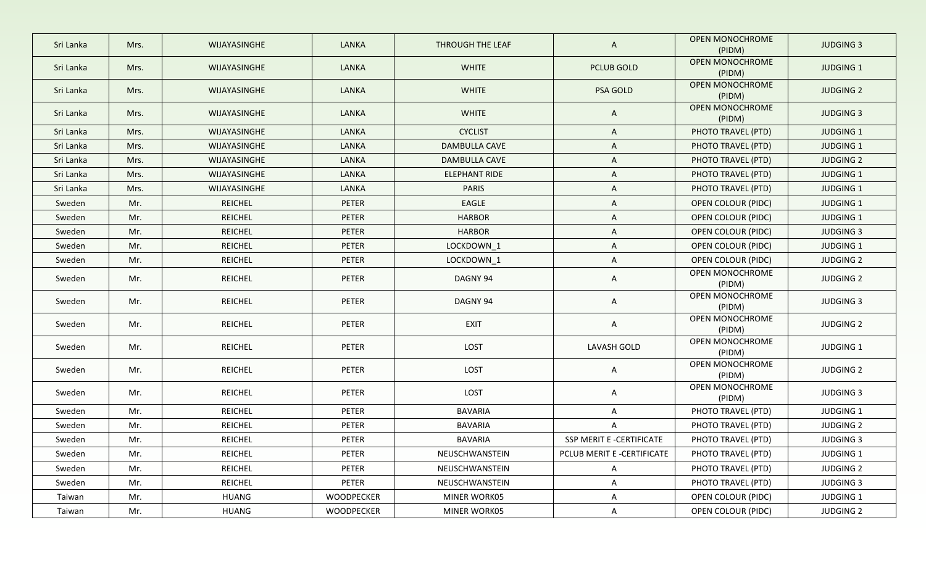| Sri Lanka | Mrs. | WIJAYASINGHE   | <b>LANKA</b> | THROUGH THE LEAF     | $\mathsf{A}$               | <b>OPEN MONOCHROME</b><br>(PIDM) | <b>JUDGING 3</b> |
|-----------|------|----------------|--------------|----------------------|----------------------------|----------------------------------|------------------|
| Sri Lanka | Mrs. | WIJAYASINGHE   | <b>LANKA</b> | <b>WHITE</b>         | PCLUB GOLD                 | <b>OPEN MONOCHROME</b><br>(PIDM) | JUDGING 1        |
| Sri Lanka | Mrs. | WIJAYASINGHE   | <b>LANKA</b> | <b>WHITE</b>         | PSA GOLD                   | <b>OPEN MONOCHROME</b><br>(PIDM) | <b>JUDGING 2</b> |
| Sri Lanka | Mrs. | WIJAYASINGHE   | <b>LANKA</b> | <b>WHITE</b>         | $\mathsf{A}$               | OPEN MONOCHROME<br>(PIDM)        | <b>JUDGING 3</b> |
| Sri Lanka | Mrs. | WIJAYASINGHE   | <b>LANKA</b> | <b>CYCLIST</b>       | $\mathsf{A}$               | PHOTO TRAVEL (PTD)               | <b>JUDGING 1</b> |
| Sri Lanka | Mrs. | WIJAYASINGHE   | <b>LANKA</b> | DAMBULLA CAVE        | $\mathsf{A}$               | PHOTO TRAVEL (PTD)               | <b>JUDGING 1</b> |
| Sri Lanka | Mrs. | WIJAYASINGHE   | <b>LANKA</b> | DAMBULLA CAVE        | $\mathsf{A}$               | PHOTO TRAVEL (PTD)               | <b>JUDGING 2</b> |
| Sri Lanka | Mrs. | WIJAYASINGHE   | <b>LANKA</b> | <b>ELEPHANT RIDE</b> | $\mathsf{A}$               | PHOTO TRAVEL (PTD)               | JUDGING 1        |
| Sri Lanka | Mrs. | WIJAYASINGHE   | LANKA        | <b>PARIS</b>         | $\mathsf{A}$               | PHOTO TRAVEL (PTD)               | JUDGING 1        |
| Sweden    | Mr.  | <b>REICHEL</b> | PETER        | EAGLE                | A                          | OPEN COLOUR (PIDC)               | <b>JUDGING 1</b> |
| Sweden    | Mr.  | <b>REICHEL</b> | PETER        | <b>HARBOR</b>        | A                          | OPEN COLOUR (PIDC)               | <b>JUDGING 1</b> |
| Sweden    | Mr.  | <b>REICHEL</b> | PETER        | <b>HARBOR</b>        | A                          | OPEN COLOUR (PIDC)               | <b>JUDGING 3</b> |
| Sweden    | Mr.  | <b>REICHEL</b> | PETER        | LOCKDOWN 1           | A                          | <b>OPEN COLOUR (PIDC)</b>        | <b>JUDGING 1</b> |
| Sweden    | Mr.  | REICHEL        | PETER        | LOCKDOWN_1           | A                          | OPEN COLOUR (PIDC)               | <b>JUDGING 2</b> |
| Sweden    | Mr.  | <b>REICHEL</b> | PETER        | DAGNY 94             | A                          | OPEN MONOCHROME<br>(PIDM)        | <b>JUDGING 2</b> |
| Sweden    | Mr.  | <b>REICHEL</b> | PETER        | DAGNY 94             | A                          | OPEN MONOCHROME<br>(PIDM)        | <b>JUDGING 3</b> |
| Sweden    | Mr.  | <b>REICHEL</b> | PETER        | <b>EXIT</b>          | $\mathsf{A}$               | OPEN MONOCHROME<br>(PIDM)        | <b>JUDGING 2</b> |
| Sweden    | Mr.  | <b>REICHEL</b> | PETER        | LOST                 | LAVASH GOLD                | OPEN MONOCHROME<br>(PIDM)        | JUDGING 1        |
| Sweden    | Mr.  | REICHEL        | PETER        | LOST                 | $\mathsf{A}$               | OPEN MONOCHROME<br>(PIDM)        | <b>JUDGING 2</b> |
| Sweden    | Mr.  | <b>REICHEL</b> | PETER        | LOST                 | $\mathsf{A}$               | OPEN MONOCHROME<br>(PIDM)        | <b>JUDGING 3</b> |
| Sweden    | Mr.  | <b>REICHEL</b> | PETER        | <b>BAVARIA</b>       | A                          | PHOTO TRAVEL (PTD)               | <b>JUDGING 1</b> |
| Sweden    | Mr.  | <b>REICHEL</b> | PETER        | <b>BAVARIA</b>       | A                          | PHOTO TRAVEL (PTD)               | <b>JUDGING 2</b> |
| Sweden    | Mr.  | <b>REICHEL</b> | PETER        | <b>BAVARIA</b>       | SSP MERIT E -CERTIFICATE   | PHOTO TRAVEL (PTD)               | <b>JUDGING 3</b> |
| Sweden    | Mr.  | <b>REICHEL</b> | PETER        | NEUSCHWANSTEIN       | PCLUB MERIT E -CERTIFICATE | PHOTO TRAVEL (PTD)               | JUDGING 1        |
| Sweden    | Mr.  | REICHEL        | PETER        | NEUSCHWANSTEIN       | A                          | PHOTO TRAVEL (PTD)               | <b>JUDGING 2</b> |
| Sweden    | Mr.  | <b>REICHEL</b> | PETER        | NEUSCHWANSTEIN       | $\mathsf{A}$               | PHOTO TRAVEL (PTD)               | JUDGING 3        |
| Taiwan    | Mr.  | HUANG          | WOODPECKER   | MINER WORK05         | $\mathsf{A}$               | OPEN COLOUR (PIDC)               | JUDGING 1        |
| Taiwan    | Mr.  | <b>HUANG</b>   | WOODPECKER   | MINER WORK05         | $\mathsf{A}$               | OPEN COLOUR (PIDC)               | <b>JUDGING 2</b> |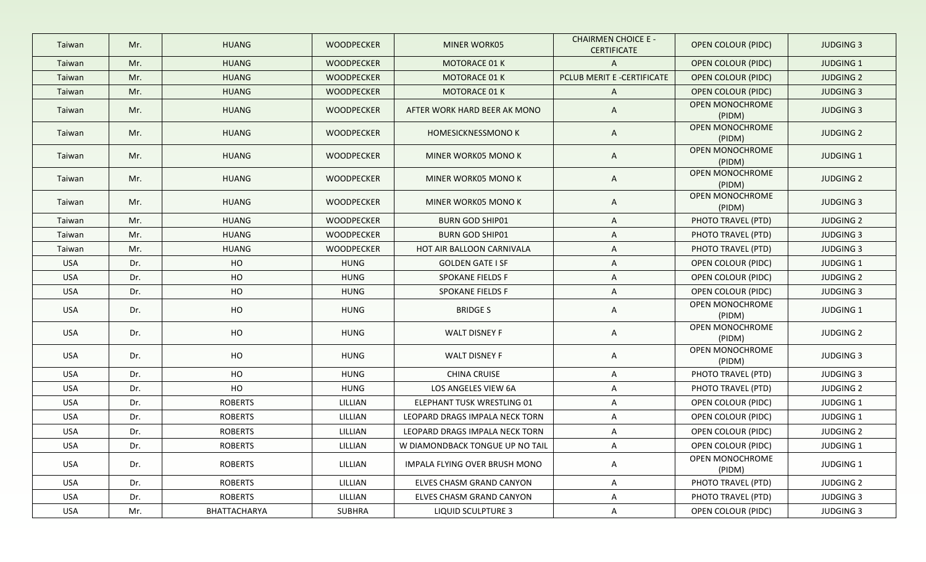| Taiwan     | Mr. | <b>HUANG</b>   | <b>WOODPECKER</b> | MINER WORK05                    | <b>CHAIRMEN CHOICE E -</b><br><b>CERTIFICATE</b> | <b>OPEN COLOUR (PIDC)</b> | <b>JUDGING 3</b> |
|------------|-----|----------------|-------------------|---------------------------------|--------------------------------------------------|---------------------------|------------------|
| Taiwan     | Mr. | <b>HUANG</b>   | <b>WOODPECKER</b> | MOTORACE 01 K                   | $\mathsf{A}$                                     | <b>OPEN COLOUR (PIDC)</b> | <b>JUDGING 1</b> |
| Taiwan     | Mr. | <b>HUANG</b>   | <b>WOODPECKER</b> | <b>MOTORACE 01 K</b>            | PCLUB MERIT E -CERTIFICATE                       | <b>OPEN COLOUR (PIDC)</b> | <b>JUDGING 2</b> |
| Taiwan     | Mr. | <b>HUANG</b>   | <b>WOODPECKER</b> | MOTORACE 01 K                   | $\mathsf{A}$                                     | <b>OPEN COLOUR (PIDC)</b> | <b>JUDGING 3</b> |
| Taiwan     | Mr. | <b>HUANG</b>   | <b>WOODPECKER</b> | AFTER WORK HARD BEER AK MONO    | $\mathsf{A}$                                     | OPEN MONOCHROME<br>(PIDM) | <b>JUDGING 3</b> |
| Taiwan     | Mr. | <b>HUANG</b>   | <b>WOODPECKER</b> | <b>HOMESICKNESSMONO K</b>       | $\mathsf{A}$                                     | OPEN MONOCHROME<br>(PIDM) | <b>JUDGING 2</b> |
| Taiwan     | Mr. | <b>HUANG</b>   | <b>WOODPECKER</b> | MINER WORK05 MONO K             | $\mathsf{A}$                                     | OPEN MONOCHROME<br>(PIDM) | <b>JUDGING 1</b> |
| Taiwan     | Mr. | <b>HUANG</b>   | <b>WOODPECKER</b> | MINER WORK05 MONO K             | $\mathsf{A}$                                     | OPEN MONOCHROME<br>(PIDM) | <b>JUDGING 2</b> |
| Taiwan     | Mr. | <b>HUANG</b>   | <b>WOODPECKER</b> | MINER WORK05 MONO K             | $\mathsf{A}$                                     | OPEN MONOCHROME<br>(PIDM) | <b>JUDGING 3</b> |
| Taiwan     | Mr. | <b>HUANG</b>   | <b>WOODPECKER</b> | <b>BURN GOD SHIP01</b>          | $\mathsf{A}$                                     | PHOTO TRAVEL (PTD)        | <b>JUDGING 2</b> |
| Taiwan     | Mr. | <b>HUANG</b>   | <b>WOODPECKER</b> | <b>BURN GOD SHIP01</b>          | A                                                | PHOTO TRAVEL (PTD)        | <b>JUDGING 3</b> |
| Taiwan     | Mr. | <b>HUANG</b>   | WOODPECKER        | HOT AIR BALLOON CARNIVALA       | $\mathsf{A}$                                     | PHOTO TRAVEL (PTD)        | <b>JUDGING 3</b> |
| <b>USA</b> | Dr. | HO             | <b>HUNG</b>       | <b>GOLDEN GATE I SF</b>         | $\mathsf{A}$                                     | OPEN COLOUR (PIDC)        | <b>JUDGING 1</b> |
| <b>USA</b> | Dr. | HO             | <b>HUNG</b>       | <b>SPOKANE FIELDS F</b>         | $\mathsf{A}$                                     | OPEN COLOUR (PIDC)        | <b>JUDGING 2</b> |
| <b>USA</b> | Dr. | HO             | <b>HUNG</b>       | <b>SPOKANE FIELDS F</b>         | A                                                | OPEN COLOUR (PIDC)        | <b>JUDGING 3</b> |
| <b>USA</b> | Dr. | HO             | <b>HUNG</b>       | <b>BRIDGES</b>                  | $\mathsf{A}$                                     | OPEN MONOCHROME<br>(PIDM) | <b>JUDGING 1</b> |
| <b>USA</b> | Dr. | HO             | <b>HUNG</b>       | <b>WALT DISNEY F</b>            | A                                                | OPEN MONOCHROME<br>(PIDM) | <b>JUDGING 2</b> |
| <b>USA</b> | Dr. | HO             | <b>HUNG</b>       | <b>WALT DISNEY F</b>            | A                                                | OPEN MONOCHROME<br>(PIDM) | <b>JUDGING 3</b> |
| <b>USA</b> | Dr. | HO             | <b>HUNG</b>       | <b>CHINA CRUISE</b>             | $\mathsf{A}$                                     | PHOTO TRAVEL (PTD)        | <b>JUDGING 3</b> |
| <b>USA</b> | Dr. | HO             | <b>HUNG</b>       | LOS ANGELES VIEW 6A             | $\mathsf{A}$                                     | PHOTO TRAVEL (PTD)        | <b>JUDGING 2</b> |
| <b>USA</b> | Dr. | <b>ROBERTS</b> | LILLIAN           | ELEPHANT TUSK WRESTLING 01      | A                                                | OPEN COLOUR (PIDC)        | <b>JUDGING 1</b> |
| <b>USA</b> | Dr. | <b>ROBERTS</b> | LILLIAN           | LEOPARD DRAGS IMPALA NECK TORN  | $\mathsf{A}$                                     | OPEN COLOUR (PIDC)        | <b>JUDGING 1</b> |
| <b>USA</b> | Dr. | <b>ROBERTS</b> | LILLIAN           | LEOPARD DRAGS IMPALA NECK TORN  | A                                                | OPEN COLOUR (PIDC)        | <b>JUDGING 2</b> |
| <b>USA</b> | Dr. | <b>ROBERTS</b> | LILLIAN           | W DIAMONDBACK TONGUE UP NO TAIL | A                                                | OPEN COLOUR (PIDC)        | JUDGING 1        |
| USA        | Dr. | ROBERTS        | LILLIAN           | IMPALA FLYING OVER BRUSH MONO   | A                                                | OPEN MONOCHROME<br>(PIDM) | JUDGING 1        |
| USA        | Dr. | ROBERTS        | LILLIAN           | ELVES CHASM GRAND CANYON        | $\mathsf{A}$                                     | PHOTO TRAVEL (PTD)        | <b>JUDGING 2</b> |
| USA        | Dr. | <b>ROBERTS</b> | LILLIAN           | ELVES CHASM GRAND CANYON        | A                                                | PHOTO TRAVEL (PTD)        | <b>JUDGING 3</b> |
| USA        | Mr. | BHATTACHARYA   | SUBHRA            | LIQUID SCULPTURE 3              | $\mathsf{A}$                                     | OPEN COLOUR (PIDC)        | <b>JUDGING 3</b> |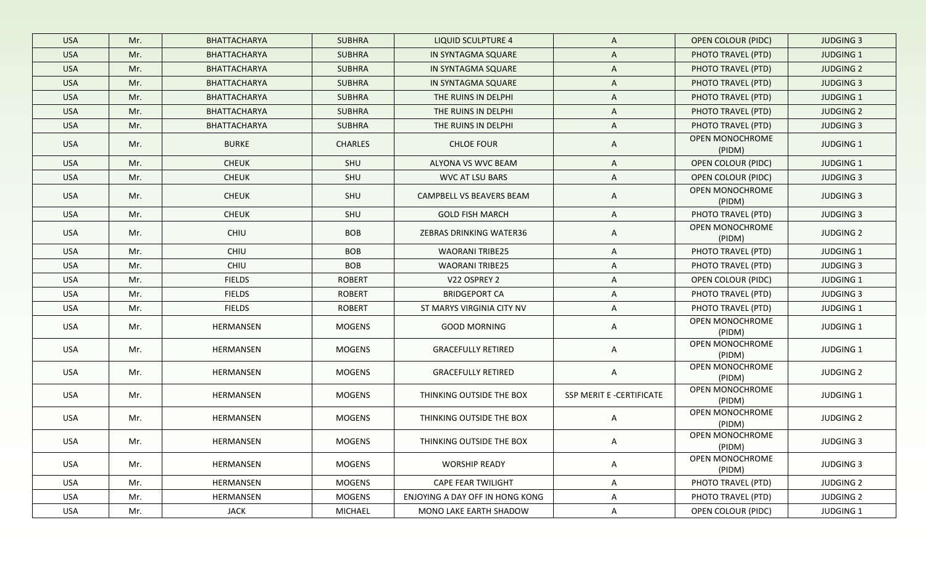| <b>USA</b> | Mr. | BHATTACHARYA        | <b>SUBHRA</b>  | <b>LIQUID SCULPTURE 4</b>       | $\mathsf{A}$             | <b>OPEN COLOUR (PIDC)</b>        | <b>JUDGING 3</b> |
|------------|-----|---------------------|----------------|---------------------------------|--------------------------|----------------------------------|------------------|
| <b>USA</b> | Mr. | BHATTACHARYA        | <b>SUBHRA</b>  | IN SYNTAGMA SQUARE              | $\mathsf{A}$             | PHOTO TRAVEL (PTD)               | <b>JUDGING 1</b> |
| <b>USA</b> | Mr. | <b>BHATTACHARYA</b> | <b>SUBHRA</b>  | IN SYNTAGMA SQUARE              | $\mathsf{A}$             | PHOTO TRAVEL (PTD)               | <b>JUDGING 2</b> |
| <b>USA</b> | Mr. | BHATTACHARYA        | <b>SUBHRA</b>  | IN SYNTAGMA SQUARE              | $\mathsf{A}$             | PHOTO TRAVEL (PTD)               | <b>JUDGING 3</b> |
| <b>USA</b> | Mr. | <b>BHATTACHARYA</b> | <b>SUBHRA</b>  | THE RUINS IN DELPHI             | $\mathsf{A}$             | PHOTO TRAVEL (PTD)               | <b>JUDGING 1</b> |
| <b>USA</b> | Mr. | BHATTACHARYA        | <b>SUBHRA</b>  | THE RUINS IN DELPHI             | $\mathsf{A}$             | PHOTO TRAVEL (PTD)               | <b>JUDGING 2</b> |
| <b>USA</b> | Mr. | BHATTACHARYA        | <b>SUBHRA</b>  | THE RUINS IN DELPHI             | A                        | PHOTO TRAVEL (PTD)               | <b>JUDGING 3</b> |
| <b>USA</b> | Mr. | <b>BURKE</b>        | <b>CHARLES</b> | <b>CHLOE FOUR</b>               | $\mathsf{A}$             | OPEN MONOCHROME<br>(PIDM)        | <b>JUDGING 1</b> |
| <b>USA</b> | Mr. | <b>CHEUK</b>        | SHU            | ALYONA VS WVC BEAM              | A                        | <b>OPEN COLOUR (PIDC)</b>        | <b>JUDGING 1</b> |
| <b>USA</b> | Mr. | <b>CHEUK</b>        | SHU            | <b>WVC AT LSU BARS</b>          | A                        | OPEN COLOUR (PIDC)               | <b>JUDGING 3</b> |
| <b>USA</b> | Mr. | <b>CHEUK</b>        | SHU            | CAMPBELL VS BEAVERS BEAM        | A                        | OPEN MONOCHROME<br>(PIDM)        | <b>JUDGING 3</b> |
| <b>USA</b> | Mr. | <b>CHEUK</b>        | SHU            | <b>GOLD FISH MARCH</b>          | A                        | PHOTO TRAVEL (PTD)               | <b>JUDGING 3</b> |
| <b>USA</b> | Mr. | CHIU                | <b>BOB</b>     | <b>ZEBRAS DRINKING WATER36</b>  | A                        | <b>OPEN MONOCHROME</b><br>(PIDM) | <b>JUDGING 2</b> |
| <b>USA</b> | Mr. | CHIU                | <b>BOB</b>     | <b>WAORANI TRIBE25</b>          | A                        | PHOTO TRAVEL (PTD)               | <b>JUDGING 1</b> |
| <b>USA</b> | Mr. | <b>CHIU</b>         | <b>BOB</b>     | <b>WAORANI TRIBE25</b>          | A                        | PHOTO TRAVEL (PTD)               | <b>JUDGING 3</b> |
| <b>USA</b> | Mr. | <b>FIELDS</b>       | <b>ROBERT</b>  | V22 OSPREY 2                    | A                        | OPEN COLOUR (PIDC)               | <b>JUDGING 1</b> |
| <b>USA</b> | Mr. | <b>FIELDS</b>       | ROBERT         | <b>BRIDGEPORT CA</b>            | A                        | PHOTO TRAVEL (PTD)               | <b>JUDGING 3</b> |
| <b>USA</b> | Mr. | <b>FIELDS</b>       | <b>ROBERT</b>  | ST MARYS VIRGINIA CITY NV       | A                        | PHOTO TRAVEL (PTD)               | <b>JUDGING 1</b> |
| <b>USA</b> | Mr. | HERMANSEN           | <b>MOGENS</b>  | <b>GOOD MORNING</b>             | A                        | OPEN MONOCHROME<br>(PIDM)        | JUDGING 1        |
| <b>USA</b> | Mr. | HERMANSEN           | <b>MOGENS</b>  | <b>GRACEFULLY RETIRED</b>       | A                        | OPEN MONOCHROME<br>(PIDM)        | <b>JUDGING 1</b> |
| USA        | Mr. | HERMANSEN           | <b>MOGENS</b>  | <b>GRACEFULLY RETIRED</b>       | A                        | OPEN MONOCHROME<br>(PIDM)        | <b>JUDGING 2</b> |
| USA        | Mr. | HERMANSEN           | MOGENS         | THINKING OUTSIDE THE BOX        | SSP MERIT E -CERTIFICATE | OPEN MONOCHROME<br>(PIDM)        | JUDGING 1        |
| USA        | Mr. | HERMANSEN           | MOGENS         | THINKING OUTSIDE THE BOX        | A                        | OPEN MONOCHROME<br>(PIDM)        | <b>JUDGING 2</b> |
| <b>USA</b> | Mr. | HERMANSEN           | <b>MOGENS</b>  | THINKING OUTSIDE THE BOX        | A                        | OPEN MONOCHROME<br>(PIDM)        | <b>JUDGING 3</b> |
| USA        | Mr. | HERMANSEN           | <b>MOGENS</b>  | <b>WORSHIP READY</b>            | A                        | OPEN MONOCHROME<br>(PIDM)        | <b>JUDGING 3</b> |
| USA        | Mr. | HERMANSEN           | MOGENS         | <b>CAPE FEAR TWILIGHT</b>       | A                        | PHOTO TRAVEL (PTD)               | <b>JUDGING 2</b> |
| <b>USA</b> | Mr. | HERMANSEN           | MOGENS         | ENJOYING A DAY OFF IN HONG KONG | A                        | PHOTO TRAVEL (PTD)               | <b>JUDGING 2</b> |
| USA        | Mr. | JACK                | MICHAEL        | MONO LAKE EARTH SHADOW          | A                        | OPEN COLOUR (PIDC)               | JUDGING 1        |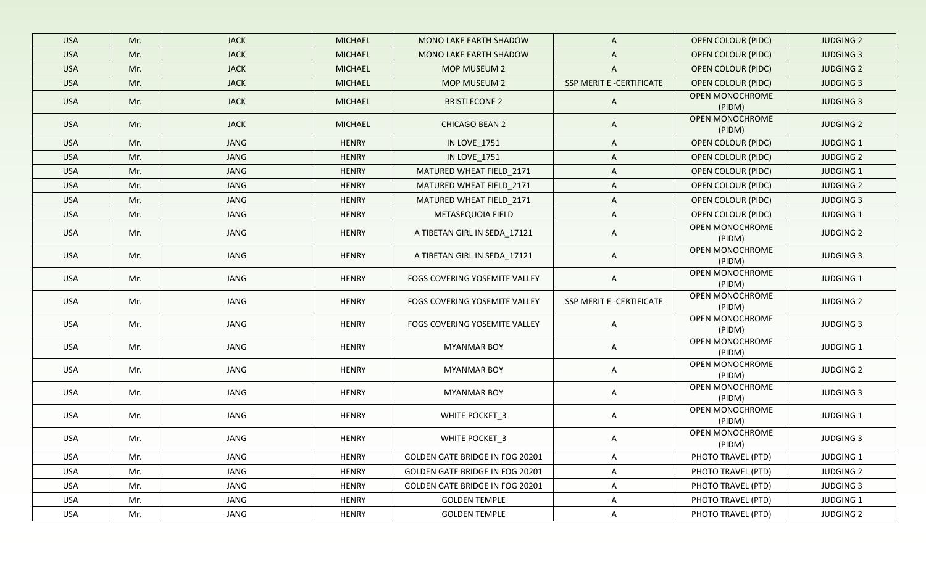| <b>USA</b> | Mr. | <b>JACK</b> | <b>MICHAEL</b> | MONO LAKE EARTH SHADOW                 | $\mathsf{A}$             | <b>OPEN COLOUR (PIDC)</b>        | <b>JUDGING 2</b> |
|------------|-----|-------------|----------------|----------------------------------------|--------------------------|----------------------------------|------------------|
| <b>USA</b> | Mr. | <b>JACK</b> | <b>MICHAEL</b> | MONO LAKE EARTH SHADOW                 | $\mathsf{A}$             | <b>OPEN COLOUR (PIDC)</b>        | <b>JUDGING 3</b> |
| <b>USA</b> | Mr. | <b>JACK</b> | <b>MICHAEL</b> | MOP MUSEUM 2                           | $\mathsf{A}$             | <b>OPEN COLOUR (PIDC)</b>        | <b>JUDGING 2</b> |
| <b>USA</b> | Mr. | <b>JACK</b> | <b>MICHAEL</b> | MOP MUSEUM 2                           | SSP MERIT E -CERTIFICATE | <b>OPEN COLOUR (PIDC)</b>        | <b>JUDGING 3</b> |
| <b>USA</b> | Mr. | <b>JACK</b> | <b>MICHAEL</b> | <b>BRISTLECONE 2</b>                   | $\mathsf{A}$             | <b>OPEN MONOCHROME</b><br>(PIDM) | <b>JUDGING 3</b> |
| <b>USA</b> | Mr. | <b>JACK</b> | <b>MICHAEL</b> | <b>CHICAGO BEAN 2</b>                  | $\mathsf{A}$             | OPEN MONOCHROME<br>(PIDM)        | <b>JUDGING 2</b> |
| <b>USA</b> | Mr. | <b>JANG</b> | <b>HENRY</b>   | IN LOVE_1751                           | $\mathsf{A}$             | <b>OPEN COLOUR (PIDC)</b>        | <b>JUDGING 1</b> |
| <b>USA</b> | Mr. | <b>JANG</b> | <b>HENRY</b>   | IN LOVE_1751                           | $\mathsf{A}$             | <b>OPEN COLOUR (PIDC)</b>        | <b>JUDGING 2</b> |
| <b>USA</b> | Mr. | JANG        | <b>HENRY</b>   | MATURED WHEAT FIELD_2171               | $\mathsf{A}$             | OPEN COLOUR (PIDC)               | JUDGING 1        |
| <b>USA</b> | Mr. | JANG        | <b>HENRY</b>   | MATURED WHEAT FIELD_2171               | $\mathsf{A}$             | <b>OPEN COLOUR (PIDC)</b>        | <b>JUDGING 2</b> |
| <b>USA</b> | Mr. | JANG        | <b>HENRY</b>   | MATURED WHEAT FIELD_2171               | A                        | OPEN COLOUR (PIDC)               | <b>JUDGING 3</b> |
| <b>USA</b> | Mr. | JANG        | <b>HENRY</b>   | METASEQUOIA FIELD                      | A                        | OPEN COLOUR (PIDC)               | <b>JUDGING 1</b> |
| <b>USA</b> | Mr. | JANG        | <b>HENRY</b>   | A TIBETAN GIRL IN SEDA_17121           | A                        | OPEN MONOCHROME<br>(PIDM)        | <b>JUDGING 2</b> |
| <b>USA</b> | Mr. | <b>JANG</b> | <b>HENRY</b>   | A TIBETAN GIRL IN SEDA_17121           | A                        | OPEN MONOCHROME<br>(PIDM)        | <b>JUDGING 3</b> |
| <b>USA</b> | Mr. | JANG        | <b>HENRY</b>   | FOGS COVERING YOSEMITE VALLEY          | A                        | OPEN MONOCHROME<br>(PIDM)        | JUDGING 1        |
| <b>USA</b> | Mr. | JANG        | HENRY          | FOGS COVERING YOSEMITE VALLEY          | SSP MERIT E -CERTIFICATE | OPEN MONOCHROME<br>(PIDM)        | <b>JUDGING 2</b> |
| <b>USA</b> | Mr. | JANG        | <b>HENRY</b>   | FOGS COVERING YOSEMITE VALLEY          | A                        | OPEN MONOCHROME<br>(PIDM)        | <b>JUDGING 3</b> |
| <b>USA</b> | Mr. | JANG        | <b>HENRY</b>   | <b>MYANMAR BOY</b>                     | A                        | OPEN MONOCHROME<br>(PIDM)        | JUDGING 1        |
| USA        | Mr. | JANG        | <b>HENRY</b>   | <b>MYANMAR BOY</b>                     | A                        | OPEN MONOCHROME<br>(PIDM)        | <b>JUDGING 2</b> |
| <b>USA</b> | Mr. | JANG        | <b>HENRY</b>   | <b>MYANMAR BOY</b>                     | A                        | OPEN MONOCHROME<br>(PIDM)        | <b>JUDGING 3</b> |
| <b>USA</b> | Mr. | JANG        | <b>HENRY</b>   | WHITE POCKET_3                         | A                        | OPEN MONOCHROME<br>(PIDM)        | JUDGING 1        |
| <b>USA</b> | Mr. | JANG        | <b>HENRY</b>   | WHITE POCKET_3                         | A                        | OPEN MONOCHROME<br>(PIDM)        | <b>JUDGING 3</b> |
| USA        | Mr. | JANG        | <b>HENRY</b>   | <b>GOLDEN GATE BRIDGE IN FOG 20201</b> | A                        | PHOTO TRAVEL (PTD)               | JUDGING 1        |
| <b>USA</b> | Mr. | JANG        | <b>HENRY</b>   | GOLDEN GATE BRIDGE IN FOG 20201        | A                        | PHOTO TRAVEL (PTD)               | <b>JUDGING 2</b> |
| USA        | Mr. | JANG        | <b>HENRY</b>   | <b>GOLDEN GATE BRIDGE IN FOG 20201</b> | A                        | PHOTO TRAVEL (PTD)               | <b>JUDGING 3</b> |
| USA        | Mr. | JANG        | <b>HENRY</b>   | <b>GOLDEN TEMPLE</b>                   | A                        | PHOTO TRAVEL (PTD)               | JUDGING 1        |
| USA        | Mr. | JANG        | <b>HENRY</b>   | <b>GOLDEN TEMPLE</b>                   | A                        | PHOTO TRAVEL (PTD)               | <b>JUDGING 2</b> |
|            |     |             |                |                                        |                          |                                  |                  |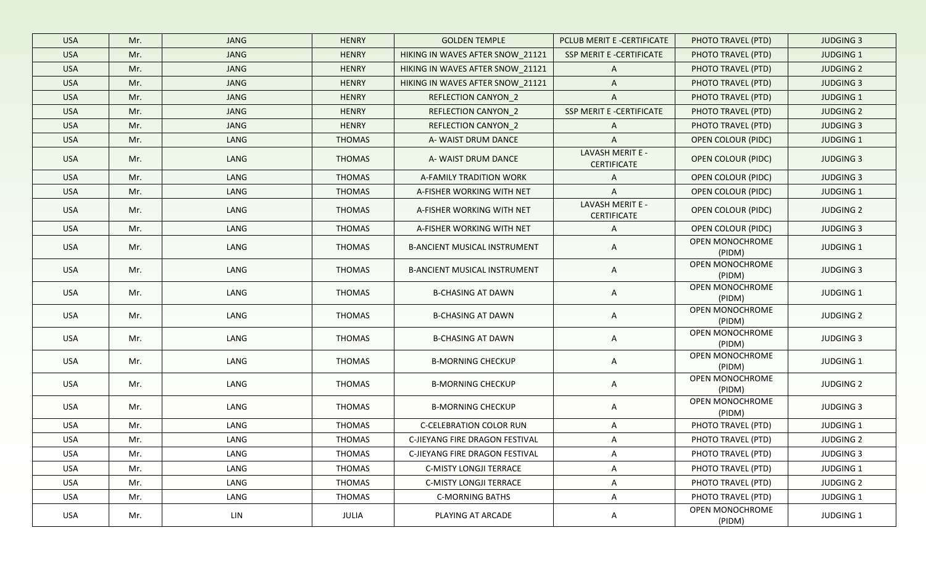| <b>USA</b> | Mr. | <b>JANG</b> | <b>HENRY</b>  | <b>GOLDEN TEMPLE</b>                | PCLUB MERIT E -CERTIFICATE             | PHOTO TRAVEL (PTD)        | <b>JUDGING 3</b> |
|------------|-----|-------------|---------------|-------------------------------------|----------------------------------------|---------------------------|------------------|
| <b>USA</b> | Mr. | <b>JANG</b> | <b>HENRY</b>  | HIKING IN WAVES AFTER SNOW_21121    | SSP MERIT E -CERTIFICATE               | PHOTO TRAVEL (PTD)        | <b>JUDGING 1</b> |
| <b>USA</b> | Mr. | <b>JANG</b> | <b>HENRY</b>  | HIKING IN WAVES AFTER SNOW 21121    | $\mathsf{A}$                           | PHOTO TRAVEL (PTD)        | <b>JUDGING 2</b> |
| <b>USA</b> | Mr. | JANG        | <b>HENRY</b>  | HIKING IN WAVES AFTER SNOW_21121    | $\mathsf{A}$                           | PHOTO TRAVEL (PTD)        | <b>JUDGING 3</b> |
| <b>USA</b> | Mr. | JANG        | <b>HENRY</b>  | REFLECTION CANYON_2                 | $\mathsf{A}$                           | PHOTO TRAVEL (PTD)        | <b>JUDGING 1</b> |
| <b>USA</b> | Mr. | JANG        | <b>HENRY</b>  | <b>REFLECTION CANYON 2</b>          | SSP MERIT E -CERTIFICATE               | PHOTO TRAVEL (PTD)        | <b>JUDGING 2</b> |
| <b>USA</b> | Mr. | JANG        | <b>HENRY</b>  | REFLECTION CANYON_2                 | A                                      | PHOTO TRAVEL (PTD)        | <b>JUDGING 3</b> |
| <b>USA</b> | Mr. | LANG        | <b>THOMAS</b> | A-WAIST DRUM DANCE                  | $\mathsf{A}$                           | <b>OPEN COLOUR (PIDC)</b> | <b>JUDGING 1</b> |
| <b>USA</b> | Mr. | LANG        | <b>THOMAS</b> | A-WAIST DRUM DANCE                  | LAVASH MERIT E -<br><b>CERTIFICATE</b> | <b>OPEN COLOUR (PIDC)</b> | <b>JUDGING 3</b> |
| <b>USA</b> | Mr. | LANG        | <b>THOMAS</b> | A-FAMILY TRADITION WORK             | A                                      | OPEN COLOUR (PIDC)        | <b>JUDGING 3</b> |
| <b>USA</b> | Mr. | LANG        | <b>THOMAS</b> | A-FISHER WORKING WITH NET           | A                                      | OPEN COLOUR (PIDC)        | <b>JUDGING 1</b> |
| <b>USA</b> | Mr. | LANG        | <b>THOMAS</b> | A-FISHER WORKING WITH NET           | LAVASH MERIT E -<br><b>CERTIFICATE</b> | OPEN COLOUR (PIDC)        | <b>JUDGING 2</b> |
| <b>USA</b> | Mr. | LANG        | <b>THOMAS</b> | A-FISHER WORKING WITH NET           | A                                      | <b>OPEN COLOUR (PIDC)</b> | <b>JUDGING 3</b> |
| <b>USA</b> | Mr. | LANG        | THOMAS        | <b>B-ANCIENT MUSICAL INSTRUMENT</b> | A                                      | OPEN MONOCHROME<br>(PIDM) | <b>JUDGING 1</b> |
| <b>USA</b> | Mr. | LANG        | <b>THOMAS</b> | <b>B-ANCIENT MUSICAL INSTRUMENT</b> | A                                      | OPEN MONOCHROME<br>(PIDM) | <b>JUDGING 3</b> |
| <b>USA</b> | Mr. | LANG        | <b>THOMAS</b> | <b>B-CHASING AT DAWN</b>            | A                                      | OPEN MONOCHROME<br>(PIDM) | JUDGING 1        |
| <b>USA</b> | Mr. | LANG        | <b>THOMAS</b> | <b>B-CHASING AT DAWN</b>            | A                                      | OPEN MONOCHROME<br>(PIDM) | <b>JUDGING 2</b> |
| <b>USA</b> | Mr. | LANG        | <b>THOMAS</b> | <b>B-CHASING AT DAWN</b>            | A                                      | OPEN MONOCHROME<br>(PIDM) | <b>JUDGING 3</b> |
| USA        | Mr. | LANG        | <b>THOMAS</b> | <b>B-MORNING CHECKUP</b>            | A                                      | OPEN MONOCHROME<br>(PIDM) | JUDGING 1        |
| <b>USA</b> | Mr. | LANG        | THOMAS        | <b>B-MORNING CHECKUP</b>            | A                                      | OPEN MONOCHROME<br>(PIDM) | <b>JUDGING 2</b> |
| <b>USA</b> | Mr. | LANG        | THOMAS        | <b>B-MORNING CHECKUP</b>            | A                                      | OPEN MONOCHROME<br>(PIDM) | <b>JUDGING 3</b> |
| USA        | Mr. | LANG        | THOMAS        | <b>C-CELEBRATION COLOR RUN</b>      | A                                      | PHOTO TRAVEL (PTD)        | JUDGING 1        |
| <b>USA</b> | Mr. | LANG        | <b>THOMAS</b> | C-JIEYANG FIRE DRAGON FESTIVAL      | A                                      | PHOTO TRAVEL (PTD)        | <b>JUDGING 2</b> |
| USA        | Mr. | LANG        | <b>THOMAS</b> | C-JIEYANG FIRE DRAGON FESTIVAL      | A                                      | PHOTO TRAVEL (PTD)        | <b>JUDGING 3</b> |
| USA        | Mr. | LANG        | THOMAS        | <b>C-MISTY LONGJI TERRACE</b>       | A                                      | PHOTO TRAVEL (PTD)        | JUDGING 1        |
| USA        | Mr. | LANG        | THOMAS        | C-MISTY LONGJI TERRACE              | A                                      | PHOTO TRAVEL (PTD)        | <b>JUDGING 2</b> |
| USA        | Mr. | LANG        | THOMAS        | <b>C-MORNING BATHS</b>              | A                                      | PHOTO TRAVEL (PTD)        | JUDGING 1        |
| USA        | Mr. | LIN         | JULIA         | PLAYING AT ARCADE                   | A                                      | OPEN MONOCHROME<br>(PIDM) | JUDGING 1        |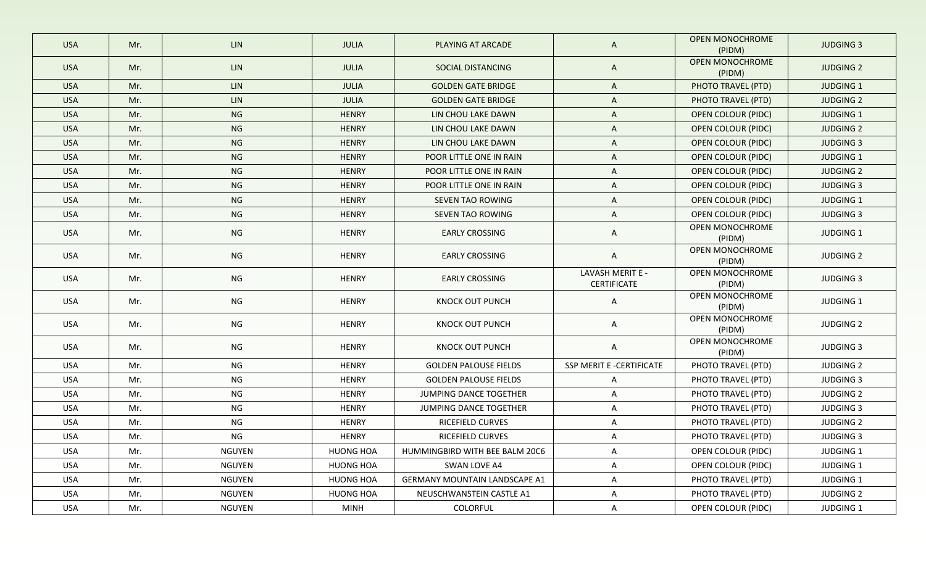| <b>USA</b> | Mr. | <b>LIN</b>    | <b>JULIA</b>     | PLAYING AT ARCADE                    | A                                      | OPEN MONOCHROME<br>(PIDM)        | <b>JUDGING 3</b> |
|------------|-----|---------------|------------------|--------------------------------------|----------------------------------------|----------------------------------|------------------|
| <b>USA</b> | Mr. | <b>LIN</b>    | <b>JULIA</b>     | SOCIAL DISTANCING                    | $\mathsf{A}$                           | <b>OPEN MONOCHROME</b><br>(PIDM) | <b>JUDGING 2</b> |
| <b>USA</b> | Mr. | <b>LIN</b>    | <b>JULIA</b>     | <b>GOLDEN GATE BRIDGE</b>            | A                                      | PHOTO TRAVEL (PTD)               | <b>JUDGING 1</b> |
| <b>USA</b> | Mr. | <b>LIN</b>    | <b>JULIA</b>     | <b>GOLDEN GATE BRIDGE</b>            | A                                      | PHOTO TRAVEL (PTD)               | <b>JUDGING 2</b> |
| <b>USA</b> | Mr. | <b>NG</b>     | <b>HENRY</b>     | LIN CHOU LAKE DAWN                   | A                                      | <b>OPEN COLOUR (PIDC)</b>        | <b>JUDGING 1</b> |
| <b>USA</b> | Mr. | <b>NG</b>     | <b>HENRY</b>     | LIN CHOU LAKE DAWN                   | A                                      | <b>OPEN COLOUR (PIDC)</b>        | <b>JUDGING 2</b> |
| <b>USA</b> | Mr. | <b>NG</b>     | <b>HENRY</b>     | LIN CHOU LAKE DAWN                   | A                                      | <b>OPEN COLOUR (PIDC)</b>        | <b>JUDGING 3</b> |
| <b>USA</b> | Mr. | <b>NG</b>     | <b>HENRY</b>     | POOR LITTLE ONE IN RAIN              | A                                      | <b>OPEN COLOUR (PIDC)</b>        | JUDGING 1        |
| <b>USA</b> | Mr. | <b>NG</b>     | <b>HENRY</b>     | POOR LITTLE ONE IN RAIN              | A                                      | <b>OPEN COLOUR (PIDC)</b>        | <b>JUDGING 2</b> |
| <b>USA</b> | Mr. | <b>NG</b>     | <b>HENRY</b>     | POOR LITTLE ONE IN RAIN              | A                                      | OPEN COLOUR (PIDC)               | <b>JUDGING 3</b> |
| <b>USA</b> | Mr. | <b>NG</b>     | <b>HENRY</b>     | SEVEN TAO ROWING                     | A                                      | <b>OPEN COLOUR (PIDC)</b>        | <b>JUDGING 1</b> |
| <b>USA</b> | Mr. | <b>NG</b>     | <b>HENRY</b>     | SEVEN TAO ROWING                     | A                                      | OPEN COLOUR (PIDC)               | <b>JUDGING 3</b> |
| <b>USA</b> | Mr. | <b>NG</b>     | <b>HENRY</b>     | <b>EARLY CROSSING</b>                | A                                      | OPEN MONOCHROME<br>(PIDM)        | JUDGING 1        |
| <b>USA</b> | Mr. | <b>NG</b>     | <b>HENRY</b>     | <b>EARLY CROSSING</b>                | A                                      | OPEN MONOCHROME<br>(PIDM)        | <b>JUDGING 2</b> |
| <b>USA</b> | Mr. | <b>NG</b>     | <b>HENRY</b>     | <b>EARLY CROSSING</b>                | LAVASH MERIT E -<br><b>CERTIFICATE</b> | OPEN MONOCHROME<br>(PIDM)        | <b>JUDGING 3</b> |
| <b>USA</b> | Mr. | <b>NG</b>     | <b>HENRY</b>     | KNOCK OUT PUNCH                      | A                                      | OPEN MONOCHROME<br>(PIDM)        | JUDGING 1        |
| <b>USA</b> | Mr. | <b>NG</b>     | <b>HENRY</b>     | KNOCK OUT PUNCH                      | A                                      | OPEN MONOCHROME<br>(PIDM)        | <b>JUDGING 2</b> |
| <b>USA</b> | Mr. | <b>NG</b>     | <b>HENRY</b>     | KNOCK OUT PUNCH                      | A                                      | OPEN MONOCHROME<br>(PIDM)        | <b>JUDGING 3</b> |
| USA        | Mr. | <b>NG</b>     | <b>HENRY</b>     | <b>GOLDEN PALOUSE FIELDS</b>         | SSP MERIT E -CERTIFICATE               | PHOTO TRAVEL (PTD)               | <b>JUDGING 2</b> |
| USA        | Mr. | <b>NG</b>     | <b>HENRY</b>     | <b>GOLDEN PALOUSE FIELDS</b>         | A                                      | PHOTO TRAVEL (PTD)               | <b>JUDGING 3</b> |
| USA        | Mr. | <b>NG</b>     | <b>HENRY</b>     | JUMPING DANCE TOGETHER               | A                                      | PHOTO TRAVEL (PTD)               | <b>JUDGING 2</b> |
| USA        | Mr. | NG            | HENRY            | JUMPING DANCE TOGETHER               | A                                      | PHOTO TRAVEL (PTD)               | <b>JUDGING 3</b> |
| USA        | Mr. | <b>NG</b>     | HENRY            | RICEFIELD CURVES                     | A                                      | PHOTO TRAVEL (PTD)               | <b>JUDGING 2</b> |
| USA        | Mr. | <b>NG</b>     | HENRY            | RICEFIELD CURVES                     | A                                      | PHOTO TRAVEL (PTD)               | <b>JUDGING 3</b> |
| USA        | Mr. | <b>NGUYEN</b> | <b>HUONG HOA</b> | HUMMINGBIRD WITH BEE BALM 20C6       | A                                      | <b>OPEN COLOUR (PIDC)</b>        | JUDGING 1        |
| USA        | Mr. | <b>NGUYEN</b> | <b>HUONG HOA</b> | SWAN LOVE A4                         | A                                      | OPEN COLOUR (PIDC)               | JUDGING 1        |
| USA        | Mr. | <b>NGUYEN</b> | <b>HUONG HOA</b> | <b>GERMANY MOUNTAIN LANDSCAPE A1</b> | A                                      | PHOTO TRAVEL (PTD)               | JUDGING 1        |
| USA        | Mr. | <b>NGUYEN</b> | <b>HUONG HOA</b> | NEUSCHWANSTEIN CASTLE A1             | A                                      | PHOTO TRAVEL (PTD)               | <b>JUDGING 2</b> |
| USA        | Mr. | NGUYEN        | <b>MINH</b>      | COLORFUL                             | A                                      | OPEN COLOUR (PIDC)               | JUDGING 1        |
|            |     |               |                  |                                      |                                        |                                  |                  |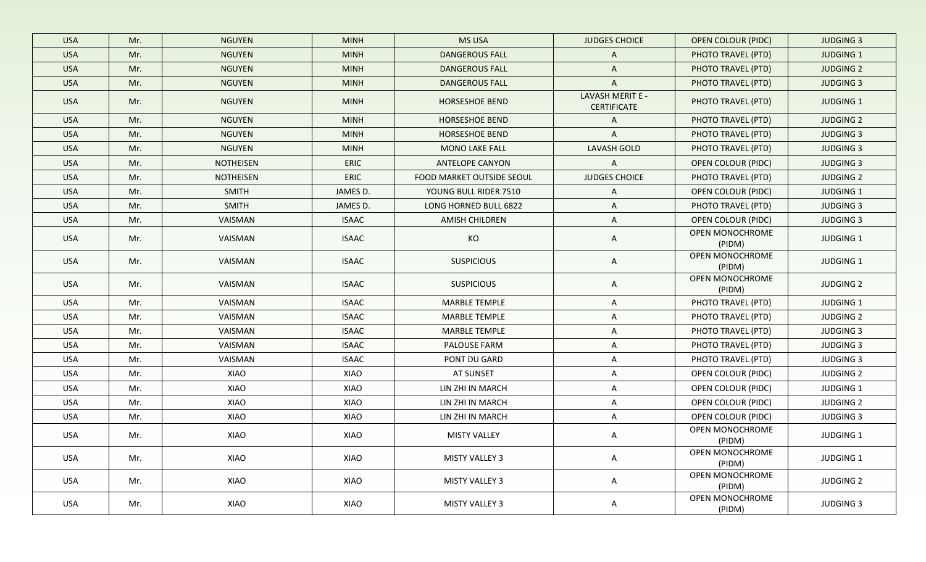| <b>USA</b> | Mr. | <b>NGUYEN</b>    | <b>MINH</b>  | <b>MS USA</b>             | <b>JUDGES CHOICE</b>                   | <b>OPEN COLOUR (PIDC)</b> | <b>JUDGING 3</b> |
|------------|-----|------------------|--------------|---------------------------|----------------------------------------|---------------------------|------------------|
| <b>USA</b> | Mr. | <b>NGUYEN</b>    | <b>MINH</b>  | <b>DANGEROUS FALL</b>     | A                                      | PHOTO TRAVEL (PTD)        | <b>JUDGING 1</b> |
| <b>USA</b> | Mr. | <b>NGUYEN</b>    | <b>MINH</b>  | <b>DANGEROUS FALL</b>     | $\mathsf{A}$                           | PHOTO TRAVEL (PTD)        | <b>JUDGING 2</b> |
| <b>USA</b> | Mr. | <b>NGUYEN</b>    | <b>MINH</b>  | <b>DANGEROUS FALL</b>     | A                                      | PHOTO TRAVEL (PTD)        | <b>JUDGING 3</b> |
| <b>USA</b> | Mr. | <b>NGUYEN</b>    | <b>MINH</b>  | HORSESHOE BEND            | LAVASH MERIT E -<br><b>CERTIFICATE</b> | PHOTO TRAVEL (PTD)        | JUDGING 1        |
| <b>USA</b> | Mr. | <b>NGUYEN</b>    | <b>MINH</b>  | HORSESHOE BEND            | A                                      | PHOTO TRAVEL (PTD)        | <b>JUDGING 2</b> |
| <b>USA</b> | Mr. | <b>NGUYEN</b>    | <b>MINH</b>  | HORSESHOE BEND            | A                                      | PHOTO TRAVEL (PTD)        | <b>JUDGING 3</b> |
| <b>USA</b> | Mr. | <b>NGUYEN</b>    | <b>MINH</b>  | <b>MONO LAKE FALL</b>     | <b>LAVASH GOLD</b>                     | PHOTO TRAVEL (PTD)        | <b>JUDGING 3</b> |
| <b>USA</b> | Mr. | <b>NOTHEISEN</b> | <b>ERIC</b>  | <b>ANTELOPE CANYON</b>    | $\mathsf{A}$                           | <b>OPEN COLOUR (PIDC)</b> | <b>JUDGING 3</b> |
| <b>USA</b> | Mr. | <b>NOTHEISEN</b> | ERIC         | FOOD MARKET OUTSIDE SEOUL | <b>JUDGES CHOICE</b>                   | PHOTO TRAVEL (PTD)        | <b>JUDGING 2</b> |
| <b>USA</b> | Mr. | <b>SMITH</b>     | JAMES D.     | YOUNG BULL RIDER 7510     | A                                      | OPEN COLOUR (PIDC)        | JUDGING 1        |
| <b>USA</b> | Mr. | <b>SMITH</b>     | JAMES D.     | LONG HORNED BULL 6822     | A                                      | PHOTO TRAVEL (PTD)        | <b>JUDGING 3</b> |
| <b>USA</b> | Mr. | VAISMAN          | <b>ISAAC</b> | AMISH CHILDREN            | A                                      | OPEN COLOUR (PIDC)        | <b>JUDGING 3</b> |
| <b>USA</b> | Mr. | VAISMAN          | <b>ISAAC</b> | KO                        | A                                      | OPEN MONOCHROME<br>(PIDM) | JUDGING 1        |
| <b>USA</b> | Mr. | VAISMAN          | <b>ISAAC</b> | <b>SUSPICIOUS</b>         | A                                      | OPEN MONOCHROME<br>(PIDM) | JUDGING 1        |
| <b>USA</b> | Mr. | VAISMAN          | <b>ISAAC</b> | <b>SUSPICIOUS</b>         | A                                      | OPEN MONOCHROME<br>(PIDM) | <b>JUDGING 2</b> |
| <b>USA</b> | Mr. | VAISMAN          | <b>ISAAC</b> | <b>MARBLE TEMPLE</b>      | A                                      | PHOTO TRAVEL (PTD)        | <b>JUDGING 1</b> |
| <b>USA</b> | Mr. | VAISMAN          | <b>ISAAC</b> | <b>MARBLE TEMPLE</b>      | A                                      | PHOTO TRAVEL (PTD)        | <b>JUDGING 2</b> |
| <b>USA</b> | Mr. | VAISMAN          | <b>ISAAC</b> | <b>MARBLE TEMPLE</b>      | A                                      | PHOTO TRAVEL (PTD)        | <b>JUDGING 3</b> |
| <b>USA</b> | Mr. | VAISMAN          | <b>ISAAC</b> | PALOUSE FARM              | A                                      | PHOTO TRAVEL (PTD)        | <b>JUDGING 3</b> |
| USA        | Mr. | VAISMAN          | <b>ISAAC</b> | PONT DU GARD              | A                                      | PHOTO TRAVEL (PTD)        | <b>JUDGING 3</b> |
| <b>USA</b> | Mr. | XIAO             | XIAO         | AT SUNSET                 | A                                      | OPEN COLOUR (PIDC)        | <b>JUDGING 2</b> |
| <b>USA</b> | Mr. | XIAO             | XIAO         | LIN ZHI IN MARCH          | A                                      | OPEN COLOUR (PIDC)        | <b>JUDGING 1</b> |
| <b>USA</b> | Mr. | XIAO             | XIAO         | LIN ZHI IN MARCH          | A                                      | OPEN COLOUR (PIDC)        | <b>JUDGING 2</b> |
| USA        | Mr. | XIAO             | XIAO         | LIN ZHI IN MARCH          | A                                      | OPEN COLOUR (PIDC)        | <b>JUDGING 3</b> |
| USA        | Mr. | XIAO             | XIAO         | <b>MISTY VALLEY</b>       | A                                      | OPEN MONOCHROME<br>(PIDM) | JUDGING 1        |
| USA        | Mr. | XIAO             | XIAO         | <b>MISTY VALLEY 3</b>     | A                                      | OPEN MONOCHROME<br>(PIDM) | JUDGING 1        |
| USA        | Mr. | XIAO             | XIAO         | <b>MISTY VALLEY 3</b>     | $\mathsf{A}$                           | OPEN MONOCHROME<br>(PIDM) | <b>JUDGING 2</b> |
| <b>USA</b> | Mr. | XIAO             | XIAO         | MISTY VALLEY 3            | A                                      | OPEN MONOCHROME<br>(PIDM) | <b>JUDGING 3</b> |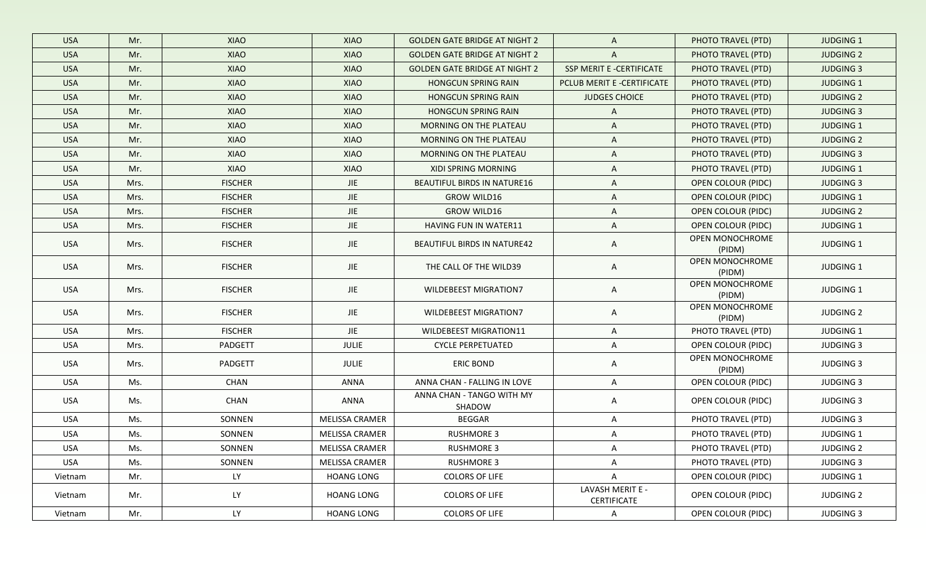| <b>USA</b> | Mr.  | <b>XIAO</b>    |                       |                                      |                                 |                           |                  |
|------------|------|----------------|-----------------------|--------------------------------------|---------------------------------|---------------------------|------------------|
|            |      |                | XIAO                  | <b>GOLDEN GATE BRIDGE AT NIGHT 2</b> | $\mathsf{A}$                    | PHOTO TRAVEL (PTD)        | <b>JUDGING 1</b> |
| <b>USA</b> | Mr.  | XIAO           | <b>XIAO</b>           | <b>GOLDEN GATE BRIDGE AT NIGHT 2</b> | A                               | PHOTO TRAVEL (PTD)        | <b>JUDGING 2</b> |
| <b>USA</b> | Mr.  | <b>XIAO</b>    | <b>XIAO</b>           | <b>GOLDEN GATE BRIDGE AT NIGHT 2</b> | SSP MERIT E -CERTIFICATE        | PHOTO TRAVEL (PTD)        | <b>JUDGING 3</b> |
| <b>USA</b> | Mr.  | XIAO           | XIAO                  | <b>HONGCUN SPRING RAIN</b>           | PCLUB MERIT E -CERTIFICATE      | PHOTO TRAVEL (PTD)        | JUDGING 1        |
| <b>USA</b> | Mr.  | XIAO           | XIAO                  | <b>HONGCUN SPRING RAIN</b>           | <b>JUDGES CHOICE</b>            | PHOTO TRAVEL (PTD)        | <b>JUDGING 2</b> |
| <b>USA</b> | Mr.  | XIAO           | XIAO                  | <b>HONGCUN SPRING RAIN</b>           | A                               | PHOTO TRAVEL (PTD)        | <b>JUDGING 3</b> |
| <b>USA</b> | Mr.  | XIAO           | XIAO                  | <b>MORNING ON THE PLATEAU</b>        | A                               | PHOTO TRAVEL (PTD)        | <b>JUDGING 1</b> |
| <b>USA</b> | Mr.  | XIAO           | XIAO                  | MORNING ON THE PLATEAU               | A                               | PHOTO TRAVEL (PTD)        | <b>JUDGING 2</b> |
| <b>USA</b> | Mr.  | XIAO           | XIAO                  | <b>MORNING ON THE PLATEAU</b>        | A                               | PHOTO TRAVEL (PTD)        | <b>JUDGING 3</b> |
| <b>USA</b> | Mr.  | XIAO           | XIAO                  | XIDI SPRING MORNING                  | A                               | PHOTO TRAVEL (PTD)        | JUDGING 1        |
| <b>USA</b> | Mrs. | <b>FISCHER</b> | JIE                   | <b>BEAUTIFUL BIRDS IN NATURE16</b>   | A                               | OPEN COLOUR (PIDC)        | <b>JUDGING 3</b> |
| <b>USA</b> | Mrs. | <b>FISCHER</b> | <b>JIE</b>            | <b>GROW WILD16</b>                   | A                               | <b>OPEN COLOUR (PIDC)</b> | <b>JUDGING 1</b> |
| <b>USA</b> | Mrs. | <b>FISCHER</b> | <b>JIE</b>            | <b>GROW WILD16</b>                   | A                               | OPEN COLOUR (PIDC)        | <b>JUDGING 2</b> |
| <b>USA</b> | Mrs. | <b>FISCHER</b> | <b>JIE</b>            | HAVING FUN IN WATER11                | A                               | <b>OPEN COLOUR (PIDC)</b> | <b>JUDGING 1</b> |
| <b>USA</b> | Mrs. | <b>FISCHER</b> | JIE                   | <b>BEAUTIFUL BIRDS IN NATURE42</b>   | A                               | OPEN MONOCHROME<br>(PIDM) | JUDGING 1        |
| <b>USA</b> | Mrs. | <b>FISCHER</b> | <b>JIE</b>            | THE CALL OF THE WILD39               | A                               | OPEN MONOCHROME<br>(PIDM) | JUDGING 1        |
| <b>USA</b> | Mrs. | <b>FISCHER</b> | <b>JIE</b>            | <b>WILDEBEEST MIGRATION7</b>         | A                               | OPEN MONOCHROME<br>(PIDM) | JUDGING 1        |
| USA        | Mrs. | <b>FISCHER</b> | JIE                   | <b>WILDEBEEST MIGRATION7</b>         | A                               | OPEN MONOCHROME<br>(PIDM) | <b>JUDGING 2</b> |
| USA        | Mrs. | <b>FISCHER</b> | JIE                   | <b>WILDEBEEST MIGRATION11</b>        | A                               | PHOTO TRAVEL (PTD)        | JUDGING 1        |
| USA        | Mrs. | PADGETT        | <b>JULIE</b>          | <b>CYCLE PERPETUATED</b>             | A                               | OPEN COLOUR (PIDC)        | <b>JUDGING 3</b> |
| <b>USA</b> | Mrs. | PADGETT        | JULIE                 | <b>ERIC BOND</b>                     | A                               | OPEN MONOCHROME<br>(PIDM) | <b>JUDGING 3</b> |
| <b>USA</b> | Ms.  | <b>CHAN</b>    | <b>ANNA</b>           | ANNA CHAN - FALLING IN LOVE          | A                               | OPEN COLOUR (PIDC)        | <b>JUDGING 3</b> |
| USA        | Ms.  | CHAN           | <b>ANNA</b>           | ANNA CHAN - TANGO WITH MY<br>SHADOW  | A                               | OPEN COLOUR (PIDC)        | <b>JUDGING 3</b> |
| USA        | Ms.  | SONNEN         | <b>MELISSA CRAMER</b> | <b>BEGGAR</b>                        | A                               | PHOTO TRAVEL (PTD)        | <b>JUDGING 3</b> |
| USA        | Ms.  | SONNEN         | MELISSA CRAMER        | <b>RUSHMORE 3</b>                    | A                               | PHOTO TRAVEL (PTD)        | JUDGING 1        |
| USA        | Ms.  | SONNEN         | <b>MELISSA CRAMER</b> | <b>RUSHMORE 3</b>                    | A                               | PHOTO TRAVEL (PTD)        | <b>JUDGING 2</b> |
| USA        | Ms.  | SONNEN         | MELISSA CRAMER        | <b>RUSHMORE 3</b>                    | A                               | PHOTO TRAVEL (PTD)        | <b>JUDGING 3</b> |
| Vietnam    | Mr.  | LY             | <b>HOANG LONG</b>     | <b>COLORS OF LIFE</b>                | A                               | OPEN COLOUR (PIDC)        | JUDGING 1        |
| Vietnam    | Mr.  | LY             | <b>HOANG LONG</b>     | <b>COLORS OF LIFE</b>                | LAVASH MERIT E -<br>CERTIFICATE | OPEN COLOUR (PIDC)        | <b>JUDGING 2</b> |
| Vietnam    | Mr.  | LY             | <b>HOANG LONG</b>     | <b>COLORS OF LIFE</b>                | $\mathsf{A}$                    | OPEN COLOUR (PIDC)        | <b>JUDGING 3</b> |
|            |      |                |                       |                                      |                                 |                           |                  |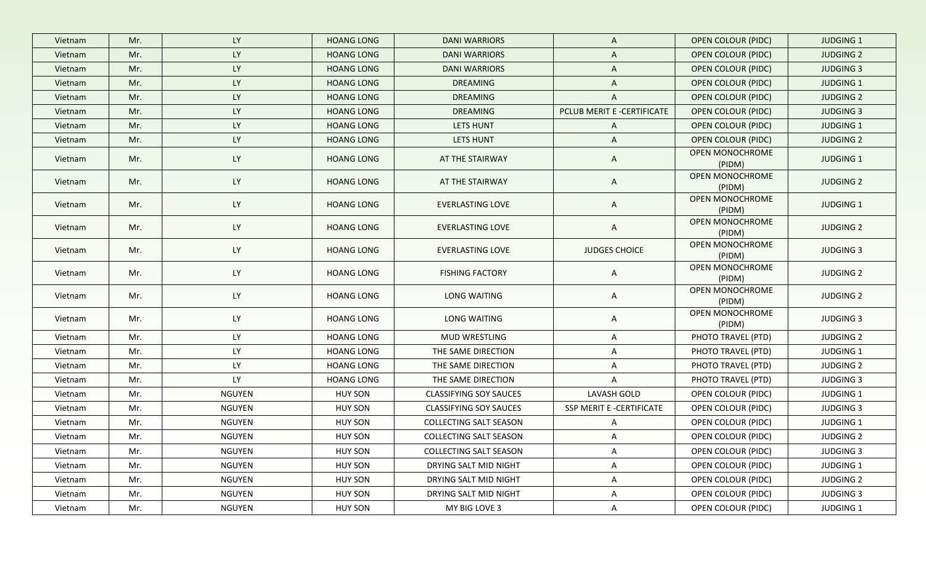| Vietnam | Mr. | <b>LY</b>     | <b>HOANG LONG</b> | <b>DANI WARRIORS</b>          | $\mathsf{A}$               | <b>OPEN COLOUR (PIDC)</b>        | <b>JUDGING 1</b> |
|---------|-----|---------------|-------------------|-------------------------------|----------------------------|----------------------------------|------------------|
| Vietnam | Mr. | <b>LY</b>     | <b>HOANG LONG</b> | <b>DANI WARRIORS</b>          | A                          | <b>OPEN COLOUR (PIDC)</b>        | <b>JUDGING 2</b> |
| Vietnam | Mr. | <b>LY</b>     | <b>HOANG LONG</b> | <b>DANI WARRIORS</b>          | $\mathsf{A}$               | <b>OPEN COLOUR (PIDC)</b>        | <b>JUDGING 3</b> |
| Vietnam | Mr. | LY            | <b>HOANG LONG</b> | <b>DREAMING</b>               | $\mathsf{A}$               | <b>OPEN COLOUR (PIDC)</b>        | <b>JUDGING 1</b> |
| Vietnam | Mr. | LY            | <b>HOANG LONG</b> | <b>DREAMING</b>               | A                          | <b>OPEN COLOUR (PIDC)</b>        | <b>JUDGING 2</b> |
| Vietnam | Mr. | <b>LY</b>     | <b>HOANG LONG</b> | <b>DREAMING</b>               | PCLUB MERIT E -CERTIFICATE | <b>OPEN COLOUR (PIDC)</b>        | <b>JUDGING 3</b> |
| Vietnam | Mr. | LY            | <b>HOANG LONG</b> | <b>LETS HUNT</b>              | $\mathsf{A}$               | <b>OPEN COLOUR (PIDC)</b>        | <b>JUDGING 1</b> |
| Vietnam | Mr. | LY            | <b>HOANG LONG</b> | LETS HUNT                     | $\mathsf{A}$               | <b>OPEN COLOUR (PIDC)</b>        | <b>JUDGING 2</b> |
| Vietnam | Mr. | <b>LY</b>     | <b>HOANG LONG</b> | AT THE STAIRWAY               | A                          | <b>OPEN MONOCHROME</b><br>(PIDM) | <b>JUDGING 1</b> |
| Vietnam | Mr. | <b>LY</b>     | <b>HOANG LONG</b> | AT THE STAIRWAY               | A                          | OPEN MONOCHROME<br>(PIDM)        | <b>JUDGING 2</b> |
| Vietnam | Mr. | <b>LY</b>     | <b>HOANG LONG</b> | EVERLASTING LOVE              | A                          | OPEN MONOCHROME<br>(PIDM)        | <b>JUDGING 1</b> |
| Vietnam | Mr. | <b>LY</b>     | <b>HOANG LONG</b> | EVERLASTING LOVE              | A                          | OPEN MONOCHROME<br>(PIDM)        | <b>JUDGING 2</b> |
| Vietnam | Mr. | LY            | <b>HOANG LONG</b> | EVERLASTING LOVE              | <b>JUDGES CHOICE</b>       | OPEN MONOCHROME<br>(PIDM)        | <b>JUDGING 3</b> |
| Vietnam | Mr. | <b>LY</b>     | <b>HOANG LONG</b> | <b>FISHING FACTORY</b>        | $\mathsf{A}$               | OPEN MONOCHROME<br>(PIDM)        | <b>JUDGING 2</b> |
| Vietnam | Mr. | <b>LY</b>     | <b>HOANG LONG</b> | LONG WAITING                  | A                          | OPEN MONOCHROME<br>(PIDM)        | <b>JUDGING 2</b> |
| Vietnam | Mr. | <b>LY</b>     | <b>HOANG LONG</b> | LONG WAITING                  | $\mathsf{A}$               | OPEN MONOCHROME<br>(PIDM)        | <b>JUDGING 3</b> |
| Vietnam | Mr. | <b>LY</b>     | <b>HOANG LONG</b> | MUD WRESTLING                 | A                          | PHOTO TRAVEL (PTD)               | <b>JUDGING 2</b> |
| Vietnam | Mr. | <b>LY</b>     | <b>HOANG LONG</b> | THE SAME DIRECTION            | A                          | PHOTO TRAVEL (PTD)               | <b>JUDGING 1</b> |
| Vietnam | Mr. | <b>LY</b>     | <b>HOANG LONG</b> | THE SAME DIRECTION            | $\mathsf{A}$               | PHOTO TRAVEL (PTD)               | <b>JUDGING 2</b> |
| Vietnam | Mr. | <b>LY</b>     | <b>HOANG LONG</b> | THE SAME DIRECTION            | A                          | PHOTO TRAVEL (PTD)               | <b>JUDGING 3</b> |
| Vietnam | Mr. | <b>NGUYEN</b> | <b>HUY SON</b>    | <b>CLASSIFYING SOY SAUCES</b> | LAVASH GOLD                | OPEN COLOUR (PIDC)               | JUDGING 1        |
| Vietnam | Mr. | <b>NGUYEN</b> | <b>HUY SON</b>    | <b>CLASSIFYING SOY SAUCES</b> | SSP MERIT E -CERTIFICATE   | OPEN COLOUR (PIDC)               | <b>JUDGING 3</b> |
| Vietnam | Mr. | <b>NGUYEN</b> | <b>HUY SON</b>    | COLLECTING SALT SEASON        | A                          | OPEN COLOUR (PIDC)               | JUDGING 1        |
| Vietnam | Mr. | <b>NGUYEN</b> | <b>HUY SON</b>    | COLLECTING SALT SEASON        | A                          | OPEN COLOUR (PIDC)               | <b>JUDGING 2</b> |
| Vietnam | Mr. | <b>NGUYEN</b> | <b>HUY SON</b>    | COLLECTING SALT SEASON        | A                          | OPEN COLOUR (PIDC)               | <b>JUDGING 3</b> |
| Vietnam | Mr. | <b>NGUYEN</b> | <b>HUY SON</b>    | DRYING SALT MID NIGHT         | A                          | OPEN COLOUR (PIDC)               | JUDGING 1        |
| Vietnam | Mr. | <b>NGUYEN</b> | <b>HUY SON</b>    | DRYING SALT MID NIGHT         | A                          | OPEN COLOUR (PIDC)               | <b>JUDGING 2</b> |
| Vietnam | Mr. | <b>NGUYEN</b> | <b>HUY SON</b>    | DRYING SALT MID NIGHT         | A                          | OPEN COLOUR (PIDC)               | JUDGING 3        |
| Vietnam | Mr. | NGUYEN        | <b>HUY SON</b>    | MY BIG LOVE 3                 | $\mathsf{A}$               | OPEN COLOUR (PIDC)               | JUDGING 1        |
|         |     |               |                   |                               |                            |                                  |                  |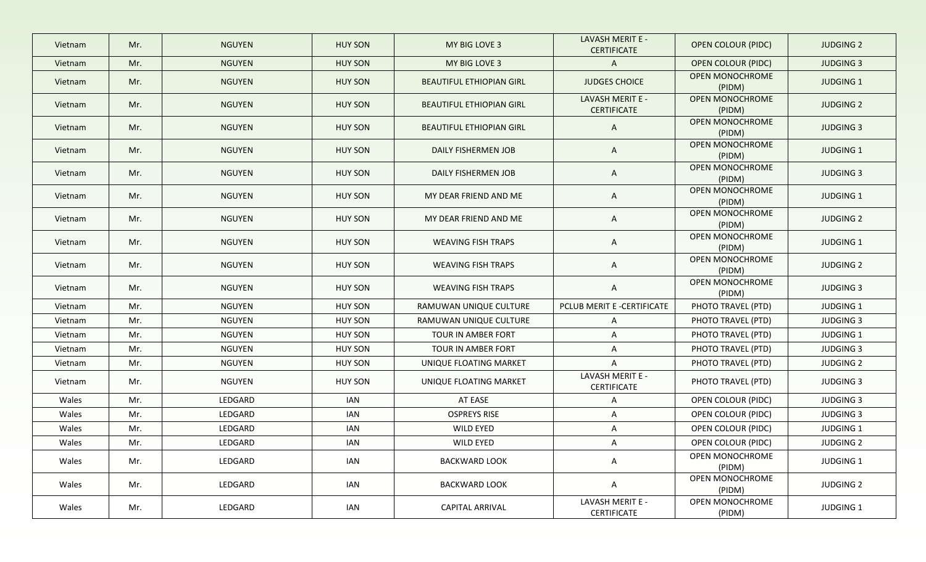| Vietnam | Mr. | <b>NGUYEN</b> | <b>HUY SON</b> | MY BIG LOVE 3                   | LAVASH MERIT E -<br><b>CERTIFICATE</b> | <b>OPEN COLOUR (PIDC)</b>        | <b>JUDGING 2</b> |
|---------|-----|---------------|----------------|---------------------------------|----------------------------------------|----------------------------------|------------------|
| Vietnam | Mr. | <b>NGUYEN</b> | <b>HUY SON</b> | MY BIG LOVE 3                   | $\mathsf{A}$                           | <b>OPEN COLOUR (PIDC)</b>        | <b>JUDGING 3</b> |
| Vietnam | Mr. | <b>NGUYEN</b> | <b>HUY SON</b> | BEAUTIFUL ETHIOPIAN GIRL        | <b>JUDGES CHOICE</b>                   | <b>OPEN MONOCHROME</b><br>(PIDM) | <b>JUDGING 1</b> |
| Vietnam | Mr. | <b>NGUYEN</b> | <b>HUY SON</b> | BEAUTIFUL ETHIOPIAN GIRL        | LAVASH MERIT E -<br><b>CERTIFICATE</b> | <b>OPEN MONOCHROME</b><br>(PIDM) | <b>JUDGING 2</b> |
| Vietnam | Mr. | <b>NGUYEN</b> | <b>HUY SON</b> | <b>BEAUTIFUL ETHIOPIAN GIRL</b> | $\mathsf{A}$                           | <b>OPEN MONOCHROME</b><br>(PIDM) | <b>JUDGING 3</b> |
| Vietnam | Mr. | <b>NGUYEN</b> | <b>HUY SON</b> | DAILY FISHERMEN JOB             | A                                      | <b>OPEN MONOCHROME</b><br>(PIDM) | <b>JUDGING 1</b> |
| Vietnam | Mr. | <b>NGUYEN</b> | <b>HUY SON</b> | DAILY FISHERMEN JOB             | A                                      | <b>OPEN MONOCHROME</b><br>(PIDM) | <b>JUDGING 3</b> |
| Vietnam | Mr. | <b>NGUYEN</b> | <b>HUY SON</b> | MY DEAR FRIEND AND ME           | $\mathsf{A}$                           | OPEN MONOCHROME<br>(PIDM)        | <b>JUDGING 1</b> |
| Vietnam | Mr. | <b>NGUYEN</b> | <b>HUY SON</b> | MY DEAR FRIEND AND ME           | $\mathsf{A}$                           | OPEN MONOCHROME<br>(PIDM)        | <b>JUDGING 2</b> |
| Vietnam | Mr. | <b>NGUYEN</b> | <b>HUY SON</b> | <b>WEAVING FISH TRAPS</b>       | $\mathsf{A}$                           | OPEN MONOCHROME<br>(PIDM)        | <b>JUDGING 1</b> |
| Vietnam | Mr. | <b>NGUYEN</b> | <b>HUY SON</b> | <b>WEAVING FISH TRAPS</b>       | $\mathsf{A}$                           | OPEN MONOCHROME<br>(PIDM)        | <b>JUDGING 2</b> |
| Vietnam | Mr. | NGUYEN        | <b>HUY SON</b> | <b>WEAVING FISH TRAPS</b>       | $\mathsf{A}$                           | OPEN MONOCHROME<br>(PIDM)        | <b>JUDGING 3</b> |
| Vietnam | Mr. | <b>NGUYEN</b> | <b>HUY SON</b> | RAMUWAN UNIQUE CULTURE          | PCLUB MERIT E -CERTIFICATE             | PHOTO TRAVEL (PTD)               | JUDGING 1        |
| Vietnam | Mr. | <b>NGUYEN</b> | <b>HUY SON</b> | RAMUWAN UNIQUE CULTURE          | $\mathsf{A}$                           | PHOTO TRAVEL (PTD)               | <b>JUDGING 3</b> |
| Vietnam | Mr. | <b>NGUYEN</b> | <b>HUY SON</b> | TOUR IN AMBER FORT              | $\mathsf{A}$                           | PHOTO TRAVEL (PTD)               | <b>JUDGING 1</b> |
| Vietnam | Mr. | <b>NGUYEN</b> | <b>HUY SON</b> | TOUR IN AMBER FORT              | $\mathsf{A}$                           | PHOTO TRAVEL (PTD)               | <b>JUDGING 3</b> |
| Vietnam | Mr. | <b>NGUYEN</b> | <b>HUY SON</b> | UNIQUE FLOATING MARKET          | $\mathsf{A}$                           | PHOTO TRAVEL (PTD)               | <b>JUDGING 2</b> |
| Vietnam | Mr. | <b>NGUYEN</b> | <b>HUY SON</b> | UNIQUE FLOATING MARKET          | LAVASH MERIT E -<br>CERTIFICATE        | PHOTO TRAVEL (PTD)               | <b>JUDGING 3</b> |
| Wales   | Mr. | LEDGARD       | <b>IAN</b>     | AT EASE                         | $\mathsf{A}$                           | OPEN COLOUR (PIDC)               | <b>JUDGING 3</b> |
| Wales   | Mr. | LEDGARD       | IAN            | <b>OSPREYS RISE</b>             | $\mathsf{A}$                           | OPEN COLOUR (PIDC)               | <b>JUDGING 3</b> |
| Wales   | Mr. | LEDGARD       | IAN            | WILD EYED                       | A                                      | OPEN COLOUR (PIDC)               | JUDGING 1        |
| Wales   | Mr. | LEDGARD       | IAN            | WILD EYED                       | A                                      | OPEN COLOUR (PIDC)               | <b>JUDGING 2</b> |
| Wales   | Mr. | LEDGARD       | IAN            | <b>BACKWARD LOOK</b>            | $\mathsf{A}$                           | OPEN MONOCHROME<br>(PIDM)        | JUDGING 1        |
| Wales   | Mr. | LEDGARD       | IAN            | <b>BACKWARD LOOK</b>            | $\mathsf{A}$                           | OPEN MONOCHROME<br>(PIDM)        | <b>JUDGING 2</b> |
| Wales   | Mr. | LEDGARD       | IAN            | <b>CAPITAL ARRIVAL</b>          | LAVASH MERIT E -<br><b>CERTIFICATE</b> | OPEN MONOCHROME<br>(PIDM)        | <b>JUDGING 1</b> |